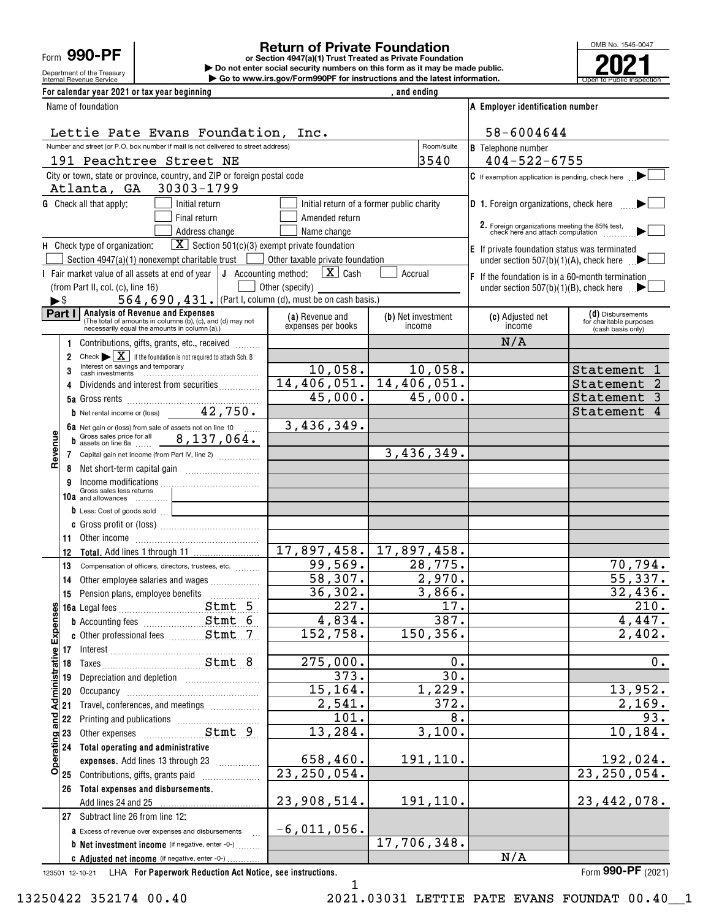Form **990-PF**

Department of the Treasury

## **Return of Private Foundation**

Internal Revenue Service **Number 19th Construction Constructions and the latest information.** The Service of Public Inspection **or Section 4947(a)(1) Trust Treated as Private Foundation | Do not enter social security numbers on this form as it may be made public. | Go to www.irs.gov/Form990PF for instructions and the latest information.**



| For calendar year 2021 or tax year beginning                                                                                                           |                                       | , and ending                              |                                                                                                             |                                                                   |
|--------------------------------------------------------------------------------------------------------------------------------------------------------|---------------------------------------|-------------------------------------------|-------------------------------------------------------------------------------------------------------------|-------------------------------------------------------------------|
| Name of foundation                                                                                                                                     |                                       |                                           | A Employer identification number                                                                            |                                                                   |
| Lettie Pate Evans Foundation, Inc.                                                                                                                     |                                       |                                           | 58-6004644                                                                                                  |                                                                   |
| Number and street (or P.O. box number if mail is not delivered to street address)                                                                      |                                       | Room/suite                                | <b>B</b> Telephone number                                                                                   |                                                                   |
| 191 Peachtree Street NE                                                                                                                                |                                       | 3540                                      | $404 - 522 - 6755$                                                                                          |                                                                   |
| City or town, state or province, country, and ZIP or foreign postal code<br>Atlanta, GA 30303-1799                                                     |                                       |                                           | C If exemption application is pending, check here                                                           |                                                                   |
| <b>G</b> Check all that apply:<br>Initial return                                                                                                       |                                       | Initial return of a former public charity | <b>D</b> 1. Foreign organizations, check here                                                               |                                                                   |
| Final return                                                                                                                                           | Amended return                        |                                           |                                                                                                             |                                                                   |
| Address change                                                                                                                                         | Name change                           |                                           | 2. Foreign organizations meeting the 85% test,<br>check here and attach computation                         |                                                                   |
| $\boxed{\mathbf{X}}$ Section 501(c)(3) exempt private foundation<br>H Check type of organization:<br>Section 4947(a)(1) nonexempt charitable trust     | Other taxable private foundation      |                                           | $E$ If private foundation status was terminated<br>under section 507(b)(1)(A), check here $\Box$            |                                                                   |
| I Fair market value of all assets at end of year $\vert$ J Accounting method:                                                                          | $\boxed{\mathbf{X}}$ Cash             | Accrual                                   |                                                                                                             |                                                                   |
| (from Part II, col. (c), line 16)                                                                                                                      | Other (specify)                       |                                           | $\mathsf F$ If the foundation is in a 60-month termination<br>under section 507(b)(1)(B), check here $\Box$ |                                                                   |
| 564, 690, 431. (Part I, column (d), must be on cash basis.)<br>$\blacktriangleright$ \$                                                                |                                       |                                           |                                                                                                             |                                                                   |
| Part   Analysis of Revenue and Expenses<br>(The total of amounts in columns (b), (c), and (d) may not<br>necessarily equal the amounts in column (a).) | (a) Revenue and<br>expenses per books | (b) Net investment<br>income              | (c) Adjusted net<br>income                                                                                  | (d) Disbursements<br>for charitable purposes<br>(cash basis only) |
| Contributions, gifts, grants, etc., received                                                                                                           |                                       |                                           | N/A                                                                                                         |                                                                   |
| Check $\blacktriangleright \boxed{\mathbf{X}}$ if the foundation is not required to attach Sch. B<br>$\overline{2}$                                    |                                       |                                           |                                                                                                             |                                                                   |
| Interest on savings and temporary<br>3                                                                                                                 | 10,058.                               | 10,058.                                   |                                                                                                             | Statement                                                         |
| Dividends and interest from securities<br>4                                                                                                            |                                       | $14,406,051.$ 14,406,051.                 |                                                                                                             | Statement                                                         |
| <b>b</b> Net rental income or (loss) $42, 750.$                                                                                                        | 45,000.                               | 45,000.                                   |                                                                                                             | Statement<br>3<br>Statement<br>4                                  |
| 6a Net gain or (loss) from sale of assets not on line 10                                                                                               | 3,436,349.                            |                                           |                                                                                                             |                                                                   |
| <b>b</b> Gross sales price for all $8,137,064$ .                                                                                                       |                                       |                                           |                                                                                                             |                                                                   |
| Revenue<br>7 Capital gain net income (from Part IV, line 2)                                                                                            |                                       | 3,436,349.                                |                                                                                                             |                                                                   |
| 8                                                                                                                                                      |                                       |                                           |                                                                                                             |                                                                   |
| 9                                                                                                                                                      |                                       |                                           |                                                                                                             |                                                                   |
| Gross sales less returns<br>10a and allowances                                                                                                         |                                       |                                           |                                                                                                             |                                                                   |
| b Less: Cost of goods sold                                                                                                                             |                                       |                                           |                                                                                                             |                                                                   |
|                                                                                                                                                        |                                       |                                           |                                                                                                             |                                                                   |
| 11<br>12                                                                                                                                               | 17,897,458.                           | 17,897,458.                               |                                                                                                             |                                                                   |
| 13<br>Compensation of officers, directors, trustees, etc.                                                                                              | 99,569.                               | 28,775.                                   |                                                                                                             | 70,794.                                                           |
| Other employee salaries and wages<br>14                                                                                                                | 58,307.                               | 2,970.                                    |                                                                                                             | 55,337.                                                           |
| 15                                                                                                                                                     | 36,302.                               | 3,866.                                    |                                                                                                             | 32,436.                                                           |
|                                                                                                                                                        | 227.                                  | 17.                                       |                                                                                                             | 210.                                                              |
| <b>b</b> Accounting fees <b>Stmt</b> 6                                                                                                                 | 4,834.                                | $\overline{387}$ .                        |                                                                                                             | 4,447.                                                            |
| c Other professional fees  Stmt 7                                                                                                                      | 152, 758.                             | 150,356.                                  |                                                                                                             | 2,402.                                                            |
| Operating and Administrative Expenses                                                                                                                  |                                       |                                           |                                                                                                             | 0.                                                                |
|                                                                                                                                                        | 275,000.<br>373.                      | 0.<br>30.                                 |                                                                                                             |                                                                   |
| 19<br>20                                                                                                                                               | 15, 164.                              | 1,229.                                    |                                                                                                             | 13,952.                                                           |
| Travel, conferences, and meetings<br>21                                                                                                                | 2,541.                                | 372.                                      |                                                                                                             | 2,169.                                                            |
| 22                                                                                                                                                     | 101.                                  | 8.                                        |                                                                                                             | 93.                                                               |
| 23                                                                                                                                                     | 13,284.                               | 3,100.                                    |                                                                                                             | 10, 184.                                                          |
| 24<br>Total operating and administrative                                                                                                               |                                       |                                           |                                                                                                             |                                                                   |
| expenses. Add lines 13 through 23                                                                                                                      | 658,460.                              | 191,110.                                  |                                                                                                             | 192,024.                                                          |
| Contributions, gifts, grants paid<br>25                                                                                                                | $\overline{23,250,054}$ .             |                                           |                                                                                                             | $\overline{23,250,054}$ .                                         |
| Total expenses and disbursements.<br>26                                                                                                                | 23,908,514.                           | 191,110.                                  |                                                                                                             | 23, 442, 078.                                                     |
| Add lines 24 and 25<br>27 Subtract line 26 from line 12:                                                                                               |                                       |                                           |                                                                                                             |                                                                   |
| <b>a</b> Excess of revenue over expenses and disbursements                                                                                             | $-6,011,056$ .                        |                                           |                                                                                                             |                                                                   |
| <b>b</b> Net investment income (if negative, enter -0-)                                                                                                |                                       | 17,706,348.                               |                                                                                                             |                                                                   |
| C Adjusted net income (if negative, enter -0-)                                                                                                         |                                       |                                           | N/A                                                                                                         |                                                                   |

123501 12-10-21 **For Paperwork Reduction Act Notice, see instructions.** LHA Form (2021)

**990-PF**

1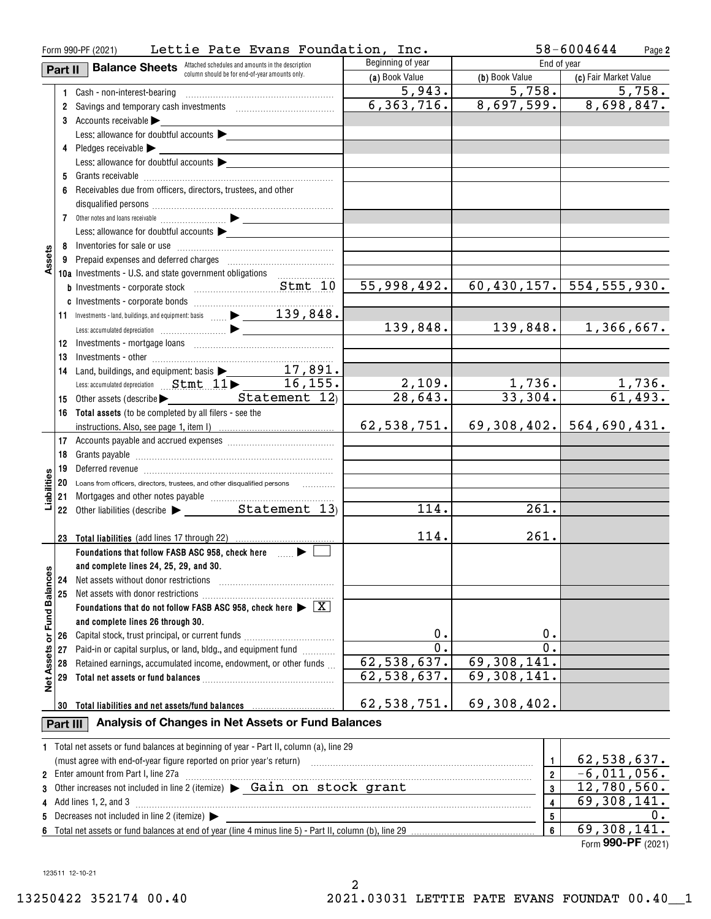| Form 990-PF (2021)   | 58-6004644<br>Page 2 |                                                                                                                                                                                                                                |                        |                          |                                |
|----------------------|----------------------|--------------------------------------------------------------------------------------------------------------------------------------------------------------------------------------------------------------------------------|------------------------|--------------------------|--------------------------------|
|                      | Part II              | <b>Balance Sheets</b> Attached schedules and amounts in the description                                                                                                                                                        | Beginning of year      | End of year              |                                |
|                      |                      | column should be for end-of-year amounts only.                                                                                                                                                                                 | (a) Book Value         | (b) Book Value           | (c) Fair Market Value          |
|                      |                      | 1 Cash - non-interest-bearing                                                                                                                                                                                                  | 5,943.                 | $\overline{5,758.}$      | 5,758.                         |
|                      |                      |                                                                                                                                                                                                                                | 6, 363, 716.           |                          | $8,697,599.$ $8,698,847.$      |
|                      |                      | 3 Accounts receivable                                                                                                                                                                                                          |                        |                          |                                |
|                      |                      | Less: allowance for doubtful accounts                                                                                                                                                                                          |                        |                          |                                |
|                      |                      | 4 Pledges receivable                                                                                                                                                                                                           |                        |                          |                                |
|                      |                      | Less: allowance for doubtful accounts $\blacktriangleright$                                                                                                                                                                    |                        |                          |                                |
|                      |                      |                                                                                                                                                                                                                                |                        |                          |                                |
|                      |                      | 6 Receivables due from officers, directors, trustees, and other                                                                                                                                                                |                        |                          |                                |
|                      |                      |                                                                                                                                                                                                                                |                        |                          |                                |
|                      |                      |                                                                                                                                                                                                                                |                        |                          |                                |
|                      |                      | Less: allowance for doubtful accounts                                                                                                                                                                                          |                        |                          |                                |
|                      |                      |                                                                                                                                                                                                                                |                        |                          |                                |
| Assets               |                      |                                                                                                                                                                                                                                |                        |                          |                                |
|                      |                      | 10a Investments - U.S. and state government obligations                                                                                                                                                                        |                        |                          |                                |
|                      |                      |                                                                                                                                                                                                                                | 55,998,492.            |                          | $60, 430, 157.$ 554, 555, 930. |
|                      |                      |                                                                                                                                                                                                                                |                        |                          |                                |
|                      |                      | 11 Investments - land, buildings, and equipment: basis  239, 848.                                                                                                                                                              |                        |                          |                                |
|                      |                      |                                                                                                                                                                                                                                | 139,848.               | 139,848.                 | 1,366,667.                     |
|                      | 12                   |                                                                                                                                                                                                                                |                        |                          |                                |
|                      | 13                   | $Inves the rest of the following equations are given by the following equations. The first equation is:\n\begin{bmatrix}\n a_{11} & a_{12} & a_{13} \\  a_{21} & a_{22} & a_{23} \\  a_{31} & a_{32} & a_{33}\n \end{bmatrix}$ |                        |                          |                                |
|                      | 14                   | Land, buildings, and equipment: basis $\blacktriangleright$ 17,891.                                                                                                                                                            |                        |                          |                                |
|                      |                      | Less: accumulated depreciation Stmt 11 - 16, 155.                                                                                                                                                                              |                        |                          |                                |
|                      | 15                   | Other assets (describe > Statement 12)                                                                                                                                                                                         | $\frac{2,109}{28,643}$ | $\frac{1,736.}{33,304.}$ | $\frac{1,736}{61,493}$ .       |
|                      |                      | 16 Total assets (to be completed by all filers - see the                                                                                                                                                                       |                        |                          |                                |
|                      |                      |                                                                                                                                                                                                                                | 62,538,751.            |                          | $69,308,402.$ 564,690,431.     |
|                      |                      |                                                                                                                                                                                                                                |                        |                          |                                |
|                      | 18                   |                                                                                                                                                                                                                                |                        |                          |                                |
|                      | 19                   | Deferred revenue informational contracts and all the contracts and all the contracts and all the contracts are contracts and all the contracts are contracted and all the contracts are contracted and contract are contracted |                        |                          |                                |
| abilities            |                      | 20 Loans from officers, directors, trustees, and other disqualified persons                                                                                                                                                    |                        |                          |                                |
|                      | 21                   |                                                                                                                                                                                                                                |                        |                          |                                |
|                      |                      |                                                                                                                                                                                                                                | 114.                   | 261.                     |                                |
|                      |                      |                                                                                                                                                                                                                                |                        |                          |                                |
|                      |                      |                                                                                                                                                                                                                                | 114.                   | 261.                     |                                |
|                      |                      | Foundations that follow FASB ASC 958, check here many states                                                                                                                                                                   |                        |                          |                                |
|                      |                      | and complete lines 24, 25, 29, and 30.                                                                                                                                                                                         |                        |                          |                                |
|                      | 24                   | Net assets without donor restrictions                                                                                                                                                                                          |                        |                          |                                |
|                      | 25                   | Net assets with donor restrictions                                                                                                                                                                                             |                        |                          |                                |
| <b>Fund Balances</b> |                      | Foundations that do not follow FASB ASC 958, check here $\blacktriangleright \boxed{\text{X}}$                                                                                                                                 |                        |                          |                                |
|                      |                      | and complete lines 26 through 30.                                                                                                                                                                                              |                        |                          |                                |
| ŏ                    | 26                   | Capital stock, trust principal, or current funds                                                                                                                                                                               | 0.                     | 0.                       |                                |
|                      | 27                   | Paid-in or capital surplus, or land, bldg., and equipment fund                                                                                                                                                                 | $\overline{0}$ .       | $\overline{0}$ .         |                                |
|                      | 28                   | Retained earnings, accumulated income, endowment, or other funds                                                                                                                                                               | 62,538,637.            | 69,308,141.              |                                |
| <b>Net Assets</b>    | 29                   |                                                                                                                                                                                                                                | 62,538,637.            | 69,308,141.              |                                |
|                      |                      |                                                                                                                                                                                                                                |                        |                          |                                |
|                      | 30                   |                                                                                                                                                                                                                                | 62,538,751.            | 69,308,402.              |                                |
|                      | Part III             | Analysis of Changes in Net Assets or Fund Balances                                                                                                                                                                             |                        |                          |                                |
|                      |                      | 1 Total net assets or fund balances at beginning of year - Part II, column (a), line 29                                                                                                                                        |                        |                          |                                |
|                      |                      | (must agree with end-of-year figure reported on prior year's return)                                                                                                                                                           |                        | 1                        | 62,538,637.                    |
|                      |                      | 2 Enter amount from Part I, line 27a                                                                                                                                                                                           |                        | $\overline{2}$           | $-6,011,056.$                  |
| 3                    |                      | Other increases not included in line 2 (itemize) > Gain on stock grant                                                                                                                                                         |                        | 3                        | 12,780,560.                    |
| 4                    |                      | Add lines 1, 2, and 3                                                                                                                                                                                                          |                        | 4                        | 69,308,141.                    |
| 5                    |                      | Decreases not included in line 2 (itemize)                                                                                                                                                                                     |                        | 5                        | 0.                             |
|                      |                      |                                                                                                                                                                                                                                |                        | $\overline{\bf{6}}$      | 69,308,141.                    |

**6**Total net assets or fund balances at end of year (line 4 minus line 5) - Part II, column (b), line 29

Form (2021) **990-PF** 69,308,141.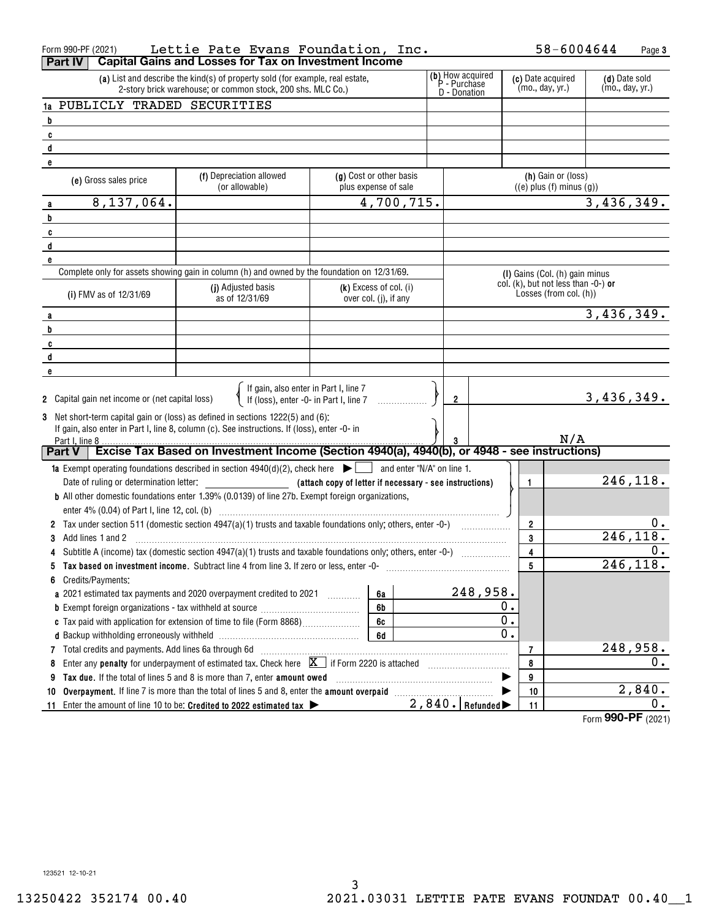| Form 990-PF (2021)                                                                                                        | Lettie Pate Evans Foundation, Inc.                                                                                                           |                                                         |  |                                                  |                                                                  | 58-6004644                       | Page 3                |
|---------------------------------------------------------------------------------------------------------------------------|----------------------------------------------------------------------------------------------------------------------------------------------|---------------------------------------------------------|--|--------------------------------------------------|------------------------------------------------------------------|----------------------------------|-----------------------|
| <b>Part IV</b>                                                                                                            | <b>Capital Gains and Losses for Tax on Investment Income</b>                                                                                 |                                                         |  |                                                  |                                                                  |                                  |                       |
|                                                                                                                           | (a) List and describe the kind(s) of property sold (for example, real estate,<br>2-story brick warehouse; or common stock, 200 shs. MLC Co.) |                                                         |  | (b) How acquired<br>P - Purchase<br>D - Donation | (c) Date acquired<br>(mo., day, yr.)                             | (d) Date sold<br>(mo., day, yr.) |                       |
| 1a PUBLICLY TRADED SECURITIES                                                                                             |                                                                                                                                              |                                                         |  |                                                  |                                                                  |                                  |                       |
| $\overline{\mathbf{b}}$                                                                                                   |                                                                                                                                              |                                                         |  |                                                  |                                                                  |                                  |                       |
| $\mathbf{c}$                                                                                                              |                                                                                                                                              |                                                         |  |                                                  |                                                                  |                                  |                       |
| $\mathbf{d}$                                                                                                              |                                                                                                                                              |                                                         |  |                                                  |                                                                  |                                  |                       |
| e                                                                                                                         |                                                                                                                                              |                                                         |  |                                                  |                                                                  |                                  |                       |
| (e) Gross sales price                                                                                                     | (f) Depreciation allowed<br>(or allowable)                                                                                                   | (g) Cost or other basis<br>plus expense of sale         |  |                                                  | (h) Gain or (loss)<br>$((e)$ plus $(f)$ minus $(g)$ )            |                                  |                       |
| 8,137,064.<br>a                                                                                                           |                                                                                                                                              | 4,700,715.                                              |  |                                                  |                                                                  | 3,436,349.                       |                       |
| b                                                                                                                         |                                                                                                                                              |                                                         |  |                                                  |                                                                  |                                  |                       |
| C                                                                                                                         |                                                                                                                                              |                                                         |  |                                                  |                                                                  |                                  |                       |
| d                                                                                                                         |                                                                                                                                              |                                                         |  |                                                  |                                                                  |                                  |                       |
| e                                                                                                                         |                                                                                                                                              |                                                         |  |                                                  |                                                                  |                                  |                       |
|                                                                                                                           | Complete only for assets showing gain in column (h) and owned by the foundation on 12/31/69.                                                 |                                                         |  |                                                  | (I) Gains (Col. (h) gain minus                                   |                                  |                       |
| (i) FMV as of 12/31/69                                                                                                    | (j) Adjusted basis<br>as of 12/31/69                                                                                                         | $(k)$ Excess of col. $(i)$<br>over col. (j), if any     |  |                                                  | col. $(k)$ , but not less than -0-) or<br>Losses (from col. (h)) |                                  |                       |
|                                                                                                                           |                                                                                                                                              |                                                         |  |                                                  |                                                                  | 3,436,349.                       |                       |
| b                                                                                                                         |                                                                                                                                              |                                                         |  |                                                  |                                                                  |                                  |                       |
| C                                                                                                                         |                                                                                                                                              |                                                         |  |                                                  |                                                                  |                                  |                       |
| d                                                                                                                         |                                                                                                                                              |                                                         |  |                                                  |                                                                  |                                  |                       |
| e                                                                                                                         |                                                                                                                                              |                                                         |  |                                                  |                                                                  |                                  |                       |
| 2 Capital gain net income or (net capital loss)                                                                           | If gain, also enter in Part I, line 7<br>If (loss), enter -0- in Part I, line 7                                                              |                                                         |  | $\overline{2}$                                   |                                                                  | 3,436,349.                       |                       |
|                                                                                                                           | 3 Net short-term capital gain or (loss) as defined in sections 1222(5) and (6):                                                              |                                                         |  |                                                  |                                                                  |                                  |                       |
| Part I, line 8                                                                                                            | If gain, also enter in Part I, line 8, column (c). See instructions. If (loss), enter -0- in                                                 |                                                         |  | 3                                                | N/A                                                              |                                  |                       |
| <b>Part V</b>                                                                                                             | Excise Tax Based on Investment Income (Section 4940(a), 4940(b), or 4948 - see instructions)                                                 |                                                         |  |                                                  |                                                                  |                                  |                       |
|                                                                                                                           | <b>1a</b> Exempt operating foundations described in section $4940(d)(2)$ , check here $\Box$ and enter "N/A" on line 1.                      |                                                         |  |                                                  |                                                                  |                                  |                       |
|                                                                                                                           |                                                                                                                                              | (attach copy of letter if necessary - see instructions) |  |                                                  | $\mathbf{1}$                                                     |                                  | 246,118.              |
|                                                                                                                           | <b>b</b> All other domestic foundations enter 1.39% (0.0139) of line 27b. Exempt foreign organizations,                                      |                                                         |  |                                                  |                                                                  |                                  |                       |
|                                                                                                                           |                                                                                                                                              |                                                         |  |                                                  |                                                                  |                                  |                       |
|                                                                                                                           | 2 Tax under section 511 (domestic section 4947(a)(1) trusts and taxable foundations only; others, enter -0-)                                 |                                                         |  |                                                  | $\overline{2}$                                                   |                                  | $0 \cdot$             |
| Add lines 1 and 2                                                                                                         |                                                                                                                                              |                                                         |  |                                                  | 3                                                                |                                  | $\overline{246,118.}$ |
|                                                                                                                           |                                                                                                                                              |                                                         |  |                                                  | 4                                                                |                                  | 0.                    |
| 5                                                                                                                         | Tax based on investment income. Subtract line 4 from line 3. If zero or less, enter -0-                                                      |                                                         |  |                                                  | 5                                                                |                                  | 246, 118.             |
| 6<br>Credits/Payments:                                                                                                    |                                                                                                                                              |                                                         |  |                                                  |                                                                  |                                  |                       |
|                                                                                                                           | a 2021 estimated tax payments and 2020 overpayment credited to 2021 [100]                                                                    | 6a                                                      |  | 248,958.                                         |                                                                  |                                  |                       |
|                                                                                                                           |                                                                                                                                              | 6b                                                      |  |                                                  | 0.                                                               |                                  |                       |
|                                                                                                                           |                                                                                                                                              | 6c                                                      |  |                                                  | 0.                                                               |                                  |                       |
|                                                                                                                           |                                                                                                                                              | 6d                                                      |  | 0.                                               |                                                                  |                                  |                       |
| Total credits and payments. Add lines 6a through 6d<br>$7^{\circ}$                                                        |                                                                                                                                              |                                                         |  |                                                  | 7                                                                |                                  | 248,958.              |
| Enter any <b>penalty</b> for underpayment of estimated tax. Check here $\boxed{\mathbf{X}}$ if Form 2220 is attached<br>8 |                                                                                                                                              |                                                         |  |                                                  | 8                                                                |                                  | 0.                    |
| 9                                                                                                                         | Tax due. If the total of lines 5 and 8 is more than 7, enter amount owed                                                                     |                                                         |  |                                                  | 9                                                                |                                  |                       |
| 10                                                                                                                        | Overpayment. If line 7 is more than the total of lines 5 and 8, enter the amount overpaid                                                    |                                                         |  |                                                  | 10                                                               |                                  | 2,840.                |
| 11                                                                                                                        | Enter the amount of line 10 to be: Credited to 2022 estimated tax                                                                            |                                                         |  | $2,840.$ Refunded                                | 11                                                               |                                  | 0.                    |
|                                                                                                                           |                                                                                                                                              |                                                         |  |                                                  |                                                                  | Form 990-PF (2021)               |                       |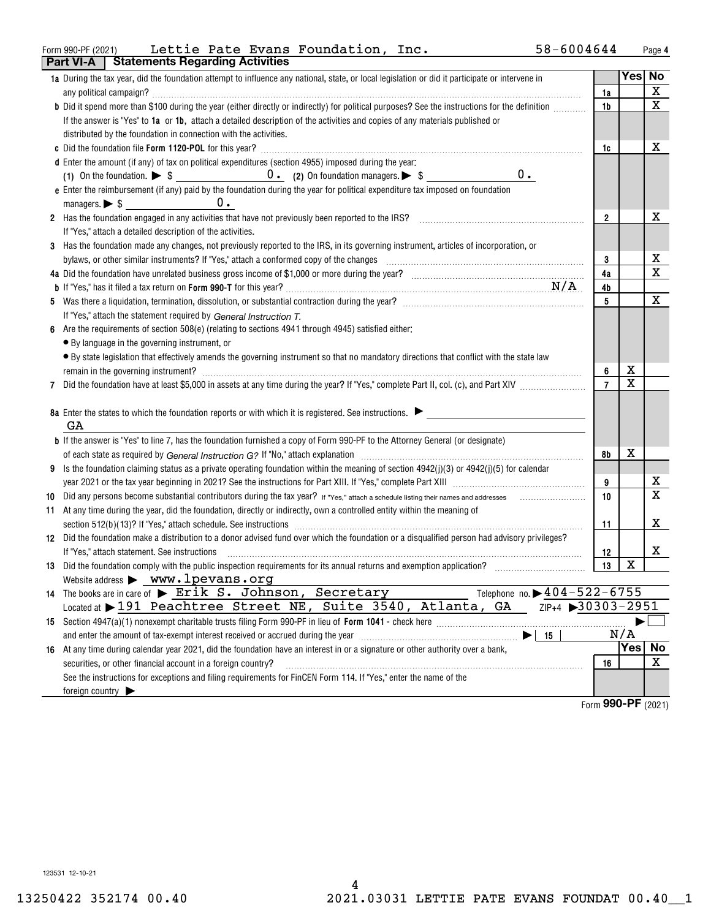#### Form 990-PF (2021) Lettie Pate Evans Foundation, Inc. 58-6004644 Page **Part VI-A Statements Regarding Activities** Lettie Pate Evans Foundation, Inc. 58-6004644

|     | Fail VI-M<br><b>Proteinents negarally Activities</b>                                                                                                                                                                           |                |             |                         |
|-----|--------------------------------------------------------------------------------------------------------------------------------------------------------------------------------------------------------------------------------|----------------|-------------|-------------------------|
|     | 1a During the tax year, did the foundation attempt to influence any national, state, or local legislation or did it participate or intervene in                                                                                | 1a             |             | Yes No<br>$\mathbf X$   |
|     | b Did it spend more than \$100 during the year (either directly or indirectly) for political purposes? See the instructions for the definition                                                                                 | 1b             |             | X                       |
|     | If the answer is "Yes" to 1a or 1b, attach a detailed description of the activities and copies of any materials published or                                                                                                   |                |             |                         |
|     | distributed by the foundation in connection with the activities.                                                                                                                                                               |                |             |                         |
|     |                                                                                                                                                                                                                                | 1c             |             | x                       |
|     | d Enter the amount (if any) of tax on political expenditures (section 4955) imposed during the year:                                                                                                                           |                |             |                         |
|     | $0$ .                                                                                                                                                                                                                          |                |             |                         |
|     | e Enter the reimbursement (if any) paid by the foundation during the year for political expenditure tax imposed on foundation                                                                                                  |                |             |                         |
|     | $0 -$                                                                                                                                                                                                                          |                |             |                         |
|     | 2 Has the foundation engaged in any activities that have not previously been reported to the IRS?                                                                                                                              | $\overline{2}$ |             | x                       |
|     | If "Yes," attach a detailed description of the activities.                                                                                                                                                                     |                |             |                         |
|     | 3 Has the foundation made any changes, not previously reported to the IRS, in its governing instrument, articles of incorporation, or                                                                                          |                |             |                         |
|     |                                                                                                                                                                                                                                | 3              |             | x                       |
|     |                                                                                                                                                                                                                                | 4a             |             | $\mathbf X$             |
|     |                                                                                                                                                                                                                                | 4b             |             |                         |
|     |                                                                                                                                                                                                                                | 5              |             | X                       |
|     | If "Yes," attach the statement required by General Instruction T.                                                                                                                                                              |                |             |                         |
|     | Are the requirements of section 508(e) (relating to sections 4941 through 4945) satisfied either:                                                                                                                              |                |             |                         |
|     | • By language in the governing instrument, or                                                                                                                                                                                  |                |             |                         |
|     | • By state legislation that effectively amends the governing instrument so that no mandatory directions that conflict with the state law                                                                                       |                |             |                         |
|     | remain in the governing instrument? Manual Communication and the contract of the contract of the contract of the contract of the contract of the contract of the contract of the contract of the contract of the contract of t | 6              | х           |                         |
|     |                                                                                                                                                                                                                                | $\overline{7}$ | $\mathbf x$ |                         |
|     |                                                                                                                                                                                                                                |                |             |                         |
|     | 8a Enter the states to which the foundation reports or with which it is registered. See instructions.                                                                                                                          |                |             |                         |
|     | GA                                                                                                                                                                                                                             |                |             |                         |
|     | <b>b</b> If the answer is "Yes" to line 7, has the foundation furnished a copy of Form 990-PF to the Attorney General (or designate)                                                                                           |                |             |                         |
|     |                                                                                                                                                                                                                                | 8b             | x           |                         |
| 9   | Is the foundation claiming status as a private operating foundation within the meaning of section 4942(j)(3) or 4942(j)(5) for calendar                                                                                        |                |             |                         |
|     |                                                                                                                                                                                                                                | 9              |             | х                       |
| 10  |                                                                                                                                                                                                                                | 10             |             | $\overline{\mathbf{x}}$ |
| 11. | At any time during the year, did the foundation, directly or indirectly, own a controlled entity within the meaning of                                                                                                         |                |             |                         |
|     |                                                                                                                                                                                                                                | 11             |             | x                       |
|     | 12 Did the foundation make a distribution to a donor advised fund over which the foundation or a disqualified person had advisory privileges?                                                                                  |                |             |                         |
|     | If "Yes," attach statement. See instructions                                                                                                                                                                                   | 12             |             | x                       |
|     |                                                                                                                                                                                                                                | 13             | х           |                         |
|     | Website address > www.lpevans.org                                                                                                                                                                                              |                |             |                         |
|     | Telephone no. $\blacktriangleright$ 404-522-6755<br>14 The books are in care of > Erik S. Johnson, Secretary                                                                                                                   |                |             |                         |
|     | $ZIP+4$ 30303-2951<br>Located at 191 Peachtree Street NE, Suite 3540, Atlanta, GA                                                                                                                                              |                |             |                         |
|     |                                                                                                                                                                                                                                |                |             |                         |
|     | and enter the amount of tax-exempt interest received or accrued during the year [11] [11] and enter the amount of tax-exempt interest received or accrued during the year<br>15                                                |                | N/A         |                         |
| 16  | At any time during calendar year 2021, did the foundation have an interest in or a signature or other authority over a bank,                                                                                                   |                |             | Yes No                  |
|     | securities, or other financial account in a foreign country?                                                                                                                                                                   | 16             |             | X                       |
|     | See the instructions for exceptions and filing requirements for FinCEN Form 114. If "Yes," enter the name of the                                                                                                               |                |             |                         |
|     | foreign country $\blacktriangleright$                                                                                                                                                                                          |                | 000 DE      |                         |

Form (2021) **990-PF**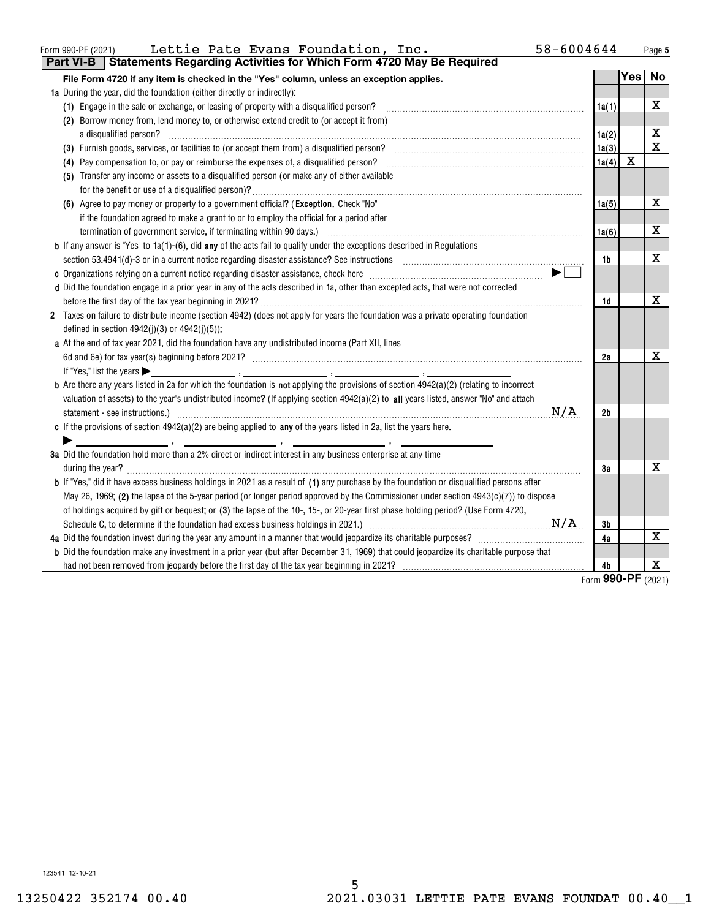| Form 990-PF (2021)       | Lettie Pate Evans Foundation, | 58-6004644<br>Inc. | Page |
|--------------------------|-------------------------------|--------------------|------|
| $\overline{\phantom{a}}$ |                               |                    |      |

| <b>Part VI-B</b><br><b>Statements Regarding Activities for Which Form 4720 May Be Required</b>                                                                                                                                                                                                                                                                                                                                                              |                        |            |                              |
|-------------------------------------------------------------------------------------------------------------------------------------------------------------------------------------------------------------------------------------------------------------------------------------------------------------------------------------------------------------------------------------------------------------------------------------------------------------|------------------------|------------|------------------------------|
| File Form 4720 if any item is checked in the "Yes" column, unless an exception applies.                                                                                                                                                                                                                                                                                                                                                                     |                        | <b>Yes</b> | No                           |
| 1a During the year, did the foundation (either directly or indirectly):                                                                                                                                                                                                                                                                                                                                                                                     |                        |            |                              |
| (1) Engage in the sale or exchange, or leasing of property with a disqualified person?                                                                                                                                                                                                                                                                                                                                                                      | 1a(1)                  |            | X                            |
| (2) Borrow money from, lend money to, or otherwise extend credit to (or accept it from)                                                                                                                                                                                                                                                                                                                                                                     |                        |            |                              |
| a disqualified person?                                                                                                                                                                                                                                                                                                                                                                                                                                      | 1a(2)                  |            | х                            |
|                                                                                                                                                                                                                                                                                                                                                                                                                                                             | 1a(3)                  |            | $\mathbf X$                  |
| (4) Pay compensation to, or pay or reimburse the expenses of, a disqualified person?                                                                                                                                                                                                                                                                                                                                                                        | 1a(4)                  | X          |                              |
| (5) Transfer any income or assets to a disqualified person (or make any of either available                                                                                                                                                                                                                                                                                                                                                                 |                        |            |                              |
|                                                                                                                                                                                                                                                                                                                                                                                                                                                             |                        |            |                              |
| (6) Agree to pay money or property to a government official? (Exception. Check "No"                                                                                                                                                                                                                                                                                                                                                                         | 1a(5)                  |            | X                            |
| if the foundation agreed to make a grant to or to employ the official for a period after                                                                                                                                                                                                                                                                                                                                                                    |                        |            |                              |
| termination of government service, if terminating within 90 days.) [11] manufacture manufacture manufacture manufacture manufacture manufacture manufacture manufacture manufacture manufacture manufacture manufacture manufa                                                                                                                                                                                                                              | 1a(6)                  |            | x                            |
| <b>b</b> If any answer is "Yes" to $1a(1)-(6)$ , did any of the acts fail to qualify under the exceptions described in Regulations                                                                                                                                                                                                                                                                                                                          |                        |            |                              |
|                                                                                                                                                                                                                                                                                                                                                                                                                                                             | 1b                     |            | X                            |
|                                                                                                                                                                                                                                                                                                                                                                                                                                                             |                        |            |                              |
| d Did the foundation engage in a prior year in any of the acts described in 1a, other than excepted acts, that were not corrected                                                                                                                                                                                                                                                                                                                           |                        |            |                              |
|                                                                                                                                                                                                                                                                                                                                                                                                                                                             | 1d                     |            | X                            |
| 2 Taxes on failure to distribute income (section 4942) (does not apply for years the foundation was a private operating foundation                                                                                                                                                                                                                                                                                                                          |                        |            |                              |
| defined in section $4942(j)(3)$ or $4942(j)(5)$ :                                                                                                                                                                                                                                                                                                                                                                                                           |                        |            |                              |
| a At the end of tax year 2021, did the foundation have any undistributed income (Part XII, lines                                                                                                                                                                                                                                                                                                                                                            |                        |            |                              |
|                                                                                                                                                                                                                                                                                                                                                                                                                                                             | 2a                     |            | X                            |
| If "Yes," list the years                                                                                                                                                                                                                                                                                                                                                                                                                                    |                        |            |                              |
| <b>b</b> Are there any years listed in 2a for which the foundation is not applying the provisions of section $4942(a)(2)$ (relating to incorrect                                                                                                                                                                                                                                                                                                            |                        |            |                              |
| valuation of assets) to the year's undistributed income? (If applying section 4942(a)(2) to all years listed, answer "No" and attach                                                                                                                                                                                                                                                                                                                        |                        |            |                              |
| N/A                                                                                                                                                                                                                                                                                                                                                                                                                                                         | 2b                     |            |                              |
| c If the provisions of section $4942(a)(2)$ are being applied to any of the years listed in 2a, list the years here.                                                                                                                                                                                                                                                                                                                                        |                        |            |                              |
| $\mathcal{L} = \mathcal{L} \mathcal{L} = \mathcal{L} \mathcal{L} = \mathcal{L} \mathcal{L} = \mathcal{L} \mathcal{L} = \mathcal{L} \mathcal{L} = \mathcal{L} \mathcal{L} = \mathcal{L} \mathcal{L} = \mathcal{L} \mathcal{L} \mathcal{L} = \mathcal{L} \mathcal{L} \mathcal{L} = \mathcal{L} \mathcal{L} \mathcal{L} \mathcal{L} = \mathcal{L} \mathcal{L} \mathcal{L} \mathcal{L} \mathcal{L} = \mathcal{L} \mathcal{L} \mathcal{L} \mathcal{L} \mathcal{$ |                        |            |                              |
| 3a Did the foundation hold more than a 2% direct or indirect interest in any business enterprise at any time                                                                                                                                                                                                                                                                                                                                                |                        |            |                              |
|                                                                                                                                                                                                                                                                                                                                                                                                                                                             | 3a                     |            | х                            |
| <b>b</b> If "Yes," did it have excess business holdings in 2021 as a result of (1) any purchase by the foundation or disqualified persons after                                                                                                                                                                                                                                                                                                             |                        |            |                              |
| May 26, 1969; (2) the lapse of the 5-year period (or longer period approved by the Commissioner under section 4943(c)(7)) to dispose                                                                                                                                                                                                                                                                                                                        |                        |            |                              |
| of holdings acquired by gift or bequest; or (3) the lapse of the 10-, 15-, or 20-year first phase holding period? (Use Form 4720,                                                                                                                                                                                                                                                                                                                           |                        |            |                              |
| N/A                                                                                                                                                                                                                                                                                                                                                                                                                                                         | 3b                     |            |                              |
|                                                                                                                                                                                                                                                                                                                                                                                                                                                             | 4a                     |            | х                            |
| <b>b</b> Did the foundation make any investment in a prior year (but after December 31, 1969) that could jeopardize its charitable purpose that                                                                                                                                                                                                                                                                                                             |                        |            |                              |
|                                                                                                                                                                                                                                                                                                                                                                                                                                                             | 4b<br>$r_{\text{arm}}$ |            | X<br>$QQ$ $Q$ $QQ$ $QQ$ $QQ$ |

Form (2021) **990-PF**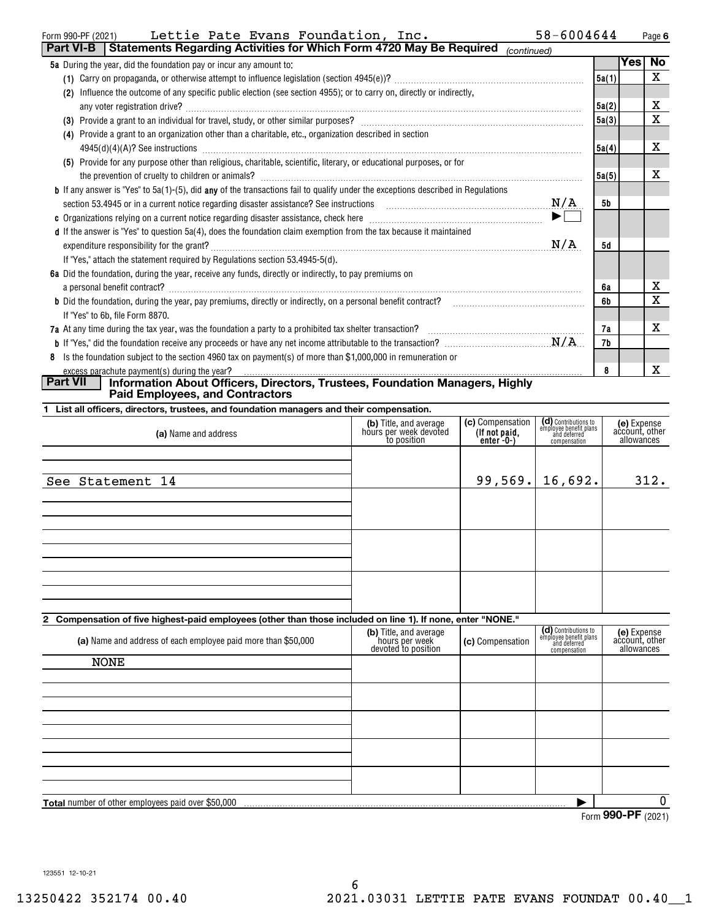| Lettie Pate Evans Foundation, Inc.<br>Form 990-PF (2021)                                                                                                                                    | 58-6004644                        |           |     | Page 6    |
|---------------------------------------------------------------------------------------------------------------------------------------------------------------------------------------------|-----------------------------------|-----------|-----|-----------|
| <b>Part VI-B</b> Statements Regarding Activities for Which Form 4720 May Be Required                                                                                                        | (continued)                       |           |     |           |
| 5a During the year, did the foundation pay or incur any amount to:                                                                                                                          |                                   |           | Yes | <b>No</b> |
|                                                                                                                                                                                             |                                   | 5a(1)     |     | X         |
| Influence the outcome of any specific public election (see section 4955); or to carry on, directly or indirectly,<br>(2)                                                                    |                                   |           |     |           |
|                                                                                                                                                                                             |                                   | 5a(2)     |     | x         |
|                                                                                                                                                                                             |                                   | 5a(3)     |     | Χ         |
| (4) Provide a grant to an organization other than a charitable, etc., organization described in section                                                                                     |                                   |           |     |           |
| $4945(d)(4)(A)?$ See instructions                                                                                                                                                           |                                   | 5a(4)     |     | х         |
| (5) Provide for any purpose other than religious, charitable, scientific, literary, or educational purposes, or for                                                                         |                                   |           |     |           |
|                                                                                                                                                                                             |                                   | 5a(5)     |     | x         |
| <b>b</b> If any answer is "Yes" to 5a(1)-(5), did any of the transactions fail to qualify under the exceptions described in Regulations                                                     |                                   |           |     |           |
| section 53.4945 or in a current notice regarding disaster assistance? See instructions $M/A$                                                                                                |                                   | 5b        |     |           |
|                                                                                                                                                                                             | $\blacktriangleright$ $\sqsubset$ |           |     |           |
| d If the answer is "Yes" to question 5a(4), does the foundation claim exemption from the tax because it maintained                                                                          |                                   |           |     |           |
|                                                                                                                                                                                             | N/A                               | <b>5d</b> |     |           |
| If "Yes," attach the statement required by Regulations section 53.4945-5(d).                                                                                                                |                                   |           |     |           |
| 6a Did the foundation, during the year, receive any funds, directly or indirectly, to pay premiums on                                                                                       |                                   |           |     |           |
| a personal benefit contract?                                                                                                                                                                |                                   | 6а        |     | x         |
| <b>b</b> Did the foundation, during the year, pay premiums, directly or indirectly, on a personal benefit contract?                                                                         |                                   | 6b        |     | X         |
| If "Yes" to 6b, file Form 8870.                                                                                                                                                             |                                   |           |     |           |
| 7a At any time during the tax year, was the foundation a party to a prohibited tax shelter transaction?<br>The Management of the successive context of the transmission of the transaction? |                                   | 7а        |     | x         |
|                                                                                                                                                                                             |                                   | 7b        |     |           |
| Is the foundation subject to the section 4960 tax on payment(s) of more than \$1,000,000 in remuneration or<br>8                                                                            |                                   |           |     |           |
| excess parachute payment(s) during the year?<br><b>Part VII</b>                                                                                                                             |                                   | 8         |     | X         |
| Information About Officers, Directors, Trustees, Foundation Managers, Highly                                                                                                                |                                   |           |     |           |

**Paid Employees, and Contractors**

**1 List all officers, directors, trustees, and foundation managers and their compensation.**

| (a) Name and address | (b) Title, and average<br>hours per week devoted<br>to position | (c) Compensation<br>(If not paid,<br>enter -0-) | (d) Contributions to<br>employee benefit plans<br>and deferred<br>compensation | (e) Expense<br>account, other<br>allowances |
|----------------------|-----------------------------------------------------------------|-------------------------------------------------|--------------------------------------------------------------------------------|---------------------------------------------|
| See Statement 14     |                                                                 |                                                 | $99,569.$ 16,692.                                                              | 312.                                        |
|                      |                                                                 |                                                 |                                                                                |                                             |
|                      |                                                                 |                                                 |                                                                                |                                             |
|                      |                                                                 |                                                 |                                                                                |                                             |
|                      |                                                                 |                                                 |                                                                                |                                             |

**2 Compensation of five highest-paid employees (other than those included on line 1). If none, enter "NONE."**

| (a) Name and address of each employee paid more than \$50,000 | (b) Title, and average<br>hours per week<br>devoted to position | (c) Compensation | (d) Contributions to<br>employee benefit plans<br>and deferred<br>compensation | (e) Expense<br>account, other<br>allowances |
|---------------------------------------------------------------|-----------------------------------------------------------------|------------------|--------------------------------------------------------------------------------|---------------------------------------------|
| <b>NONE</b>                                                   |                                                                 |                  |                                                                                |                                             |
|                                                               |                                                                 |                  |                                                                                |                                             |
|                                                               |                                                                 |                  |                                                                                |                                             |
|                                                               |                                                                 |                  |                                                                                |                                             |
|                                                               |                                                                 |                  |                                                                                |                                             |
|                                                               |                                                                 |                  |                                                                                |                                             |
|                                                               |                                                                 |                  |                                                                                |                                             |
|                                                               |                                                                 |                  |                                                                                |                                             |
|                                                               |                                                                 |                  |                                                                                |                                             |
|                                                               |                                                                 |                  |                                                                                |                                             |
| <b>Total</b> number of other employees paid over \$50,000     |                                                                 |                  |                                                                                | 0                                           |
|                                                               |                                                                 |                  |                                                                                | $\sim$ $\sim$ $\sim$ $\sim$                 |

Form (2021) **990-PF**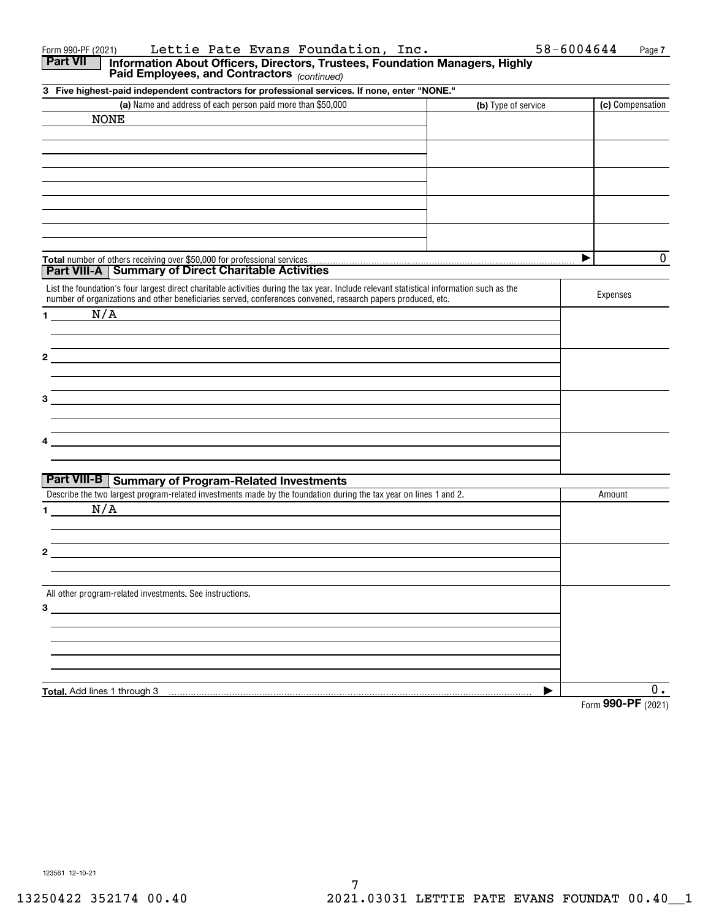| Part VII     | Information About Officers, Directors, Trustees, Foundation Managers, Highly<br>Paid Employees, and Contractors (continued)                                                                                                                               |   |                     |
|--------------|-----------------------------------------------------------------------------------------------------------------------------------------------------------------------------------------------------------------------------------------------------------|---|---------------------|
|              | 3 Five highest-paid independent contractors for professional services. If none, enter "NONE."                                                                                                                                                             |   |                     |
|              | (a) Name and address of each person paid more than \$50,000<br>(b) Type of service                                                                                                                                                                        |   | (c) Compensation    |
|              | <b>NONE</b>                                                                                                                                                                                                                                               |   |                     |
|              |                                                                                                                                                                                                                                                           |   |                     |
|              |                                                                                                                                                                                                                                                           |   |                     |
|              |                                                                                                                                                                                                                                                           |   |                     |
|              |                                                                                                                                                                                                                                                           |   |                     |
|              |                                                                                                                                                                                                                                                           |   |                     |
|              |                                                                                                                                                                                                                                                           |   |                     |
|              |                                                                                                                                                                                                                                                           |   |                     |
|              |                                                                                                                                                                                                                                                           |   |                     |
|              |                                                                                                                                                                                                                                                           |   |                     |
|              |                                                                                                                                                                                                                                                           | ▶ | 0                   |
|              | <b>Part VIII-A   Summary of Direct Charitable Activities</b>                                                                                                                                                                                              |   |                     |
|              | List the foundation's four largest direct charitable activities during the tax year. Include relevant statistical information such as the<br>number of organizations and other beneficiaries served, conferences convened, research papers produced, etc. |   | Expenses            |
| $\mathbf 1$  | N/A                                                                                                                                                                                                                                                       |   |                     |
|              |                                                                                                                                                                                                                                                           |   |                     |
|              |                                                                                                                                                                                                                                                           |   |                     |
| $\mathbf{2}$ |                                                                                                                                                                                                                                                           |   |                     |
|              |                                                                                                                                                                                                                                                           |   |                     |
|              |                                                                                                                                                                                                                                                           |   |                     |
| 3            |                                                                                                                                                                                                                                                           |   |                     |
|              |                                                                                                                                                                                                                                                           |   |                     |
|              |                                                                                                                                                                                                                                                           |   |                     |
| 4            |                                                                                                                                                                                                                                                           |   |                     |
|              |                                                                                                                                                                                                                                                           |   |                     |
|              | <b>Part VIII-B   Summary of Program-Related Investments</b>                                                                                                                                                                                               |   |                     |
|              | Describe the two largest program-related investments made by the foundation during the tax year on lines 1 and 2.                                                                                                                                         |   | Amount              |
| 1.           | N/A                                                                                                                                                                                                                                                       |   |                     |
|              |                                                                                                                                                                                                                                                           |   |                     |
|              |                                                                                                                                                                                                                                                           |   |                     |
| 2            |                                                                                                                                                                                                                                                           |   |                     |
|              |                                                                                                                                                                                                                                                           |   |                     |
|              |                                                                                                                                                                                                                                                           |   |                     |
|              | All other program-related investments. See instructions.                                                                                                                                                                                                  |   |                     |
| $3\qquad$    |                                                                                                                                                                                                                                                           |   |                     |
|              |                                                                                                                                                                                                                                                           |   |                     |
|              |                                                                                                                                                                                                                                                           |   |                     |
|              |                                                                                                                                                                                                                                                           |   |                     |
|              |                                                                                                                                                                                                                                                           |   |                     |
|              |                                                                                                                                                                                                                                                           |   |                     |
|              | Total. Add lines 1 through 3                                                                                                                                                                                                                              | ▶ | 0.<br>$QQQD = QQQQ$ |

Form 990-PF(2021) Lettie Pate Evans Foundation, Inc. 58-6004644 Page

Form (2021) **990-PF**

**7**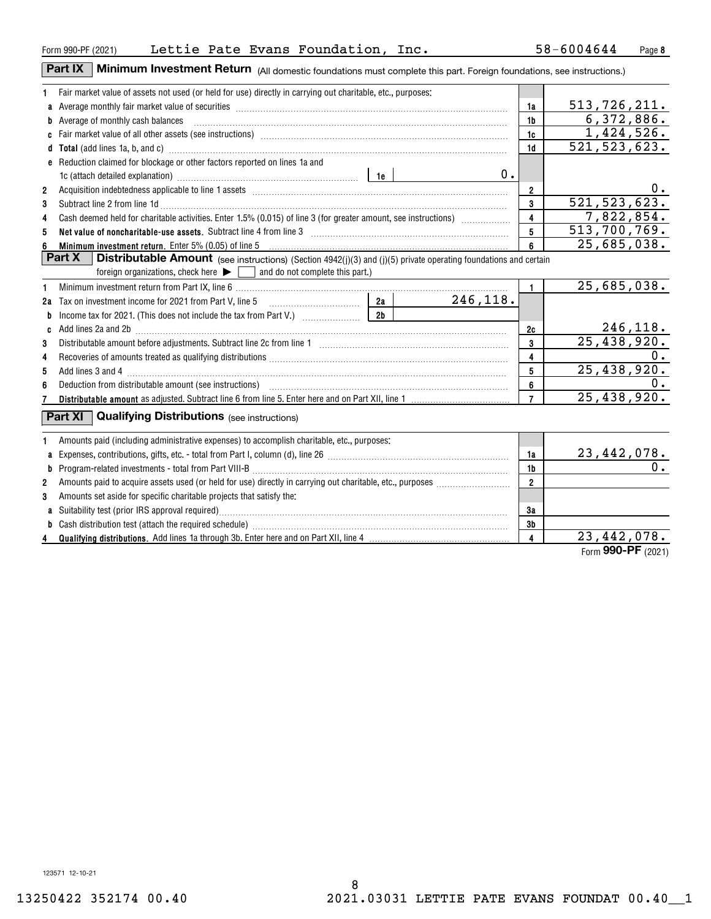#### Form 990-PF (2021) Lettie Pate Evans Foundation, Inc.  $58-6004644$  Page

**Part IX** | Minimum Investment Return (All domestic foundations must complete this part. Foreign foundations, see instructions.)

| 1.             | Fair market value of assets not used (or held for use) directly in carrying out charitable, etc., purposes:                                                                                                                             |                         |                    |
|----------------|-----------------------------------------------------------------------------------------------------------------------------------------------------------------------------------------------------------------------------------------|-------------------------|--------------------|
|                |                                                                                                                                                                                                                                         | 1a                      | 513,726,211.       |
|                | <b>b</b> Average of monthly cash balances                                                                                                                                                                                               | 1 <sub>b</sub>          | 6,372,886.         |
|                |                                                                                                                                                                                                                                         | 1c                      | 1,424,526.         |
|                | d Total (add lines 1a, b, and c) manufactured and control and control of the control of the control of the control of the control of the control of the control of the control of the control of the control of the control of          | 1 <sub>d</sub>          | 521, 523, 623.     |
|                | e Reduction claimed for blockage or other factors reported on lines 1a and                                                                                                                                                              |                         |                    |
|                | $0$ .<br>1e (attach detailed explanation) manufactured and the last series and the last series and the last series and the last series and the last series and the last series of the last series and the last series of the last serie |                         |                    |
| $\overline{2}$ |                                                                                                                                                                                                                                         | $\overline{2}$          | $0$ .              |
| 3              | Subtract line 2 from line 1d <b>Machinese and Contract Line 2</b> from line 1d <b>machinese and contract line 2</b> from line 1d                                                                                                        | $\mathbf{3}$            | 521, 523, 623.     |
| 4              | Cash deemed held for charitable activities. Enter 1.5% (0.015) of line 3 (for greater amount, see instructions)                                                                                                                         | $\overline{\mathbf{4}}$ | 7,822,854.         |
| 5              | Net value of noncharitable-use assets. Subtract line 4 from line 3 [11] manufacture contracts are non-manufactured to the Net value of noncharitable-use assets. Subtract line 4 from line 3                                            | 5                       | 513,700,769.       |
| 6              | Minimum investment return. Enter 5% (0.05) of line 5                                                                                                                                                                                    | $6\phantom{a}$          | 25,685,038.        |
|                | <b>Part X</b><br><b>Distributable Amount</b> (see instructions) (Section 4942(j)(3) and (j)(5) private operating foundations and certain                                                                                                |                         |                    |
|                | foreign organizations, check here $\blacktriangleright \Box$ and do not complete this part.)                                                                                                                                            |                         |                    |
| 1              |                                                                                                                                                                                                                                         | $\mathbf{1}$            | 25,685,038.        |
|                | 246,118.                                                                                                                                                                                                                                |                         |                    |
| b              | 2b                                                                                                                                                                                                                                      |                         |                    |
| C              | Add lines 2a and 2b [11] matter contract the contract of the contract of the contract of the contract of the contract of the contract of the contract of the contract of the contract of the contract of the contract of the c          | 2c                      | <u>246,118.</u>    |
| 3              |                                                                                                                                                                                                                                         | 3                       | 25,438,920.        |
| 4              | Recoveries of amounts treated as qualifying distributions [11] match material material material material material material material material material material material material material material material material material           | $\overline{\mathbf{4}}$ | 0.                 |
| 5              |                                                                                                                                                                                                                                         | $5\phantom{.0}$         | 25,438,920.        |
| 6              |                                                                                                                                                                                                                                         | 6                       | 0.                 |
|                |                                                                                                                                                                                                                                         | $\overline{7}$          | 25,438,920.        |
|                | Part XI $\vert$<br><b>Qualifying Distributions</b> (see instructions)                                                                                                                                                                   |                         |                    |
| 1              | Amounts paid (including administrative expenses) to accomplish charitable, etc., purposes:                                                                                                                                              |                         |                    |
| a              |                                                                                                                                                                                                                                         | 1a                      | <u>23,442,078.</u> |
|                |                                                                                                                                                                                                                                         | 1 <sub>b</sub>          | 0.                 |
| 2              |                                                                                                                                                                                                                                         | $\overline{2}$          |                    |
| 3              | Amounts set aside for specific charitable projects that satisfy the:                                                                                                                                                                    |                         |                    |
|                |                                                                                                                                                                                                                                         | 3a                      |                    |
| b              |                                                                                                                                                                                                                                         | 3 <sub>b</sub>          |                    |
| 4              |                                                                                                                                                                                                                                         | $\overline{\mathbf{4}}$ | 23,442,078.        |
|                |                                                                                                                                                                                                                                         |                         | Form 990-PF (2021) |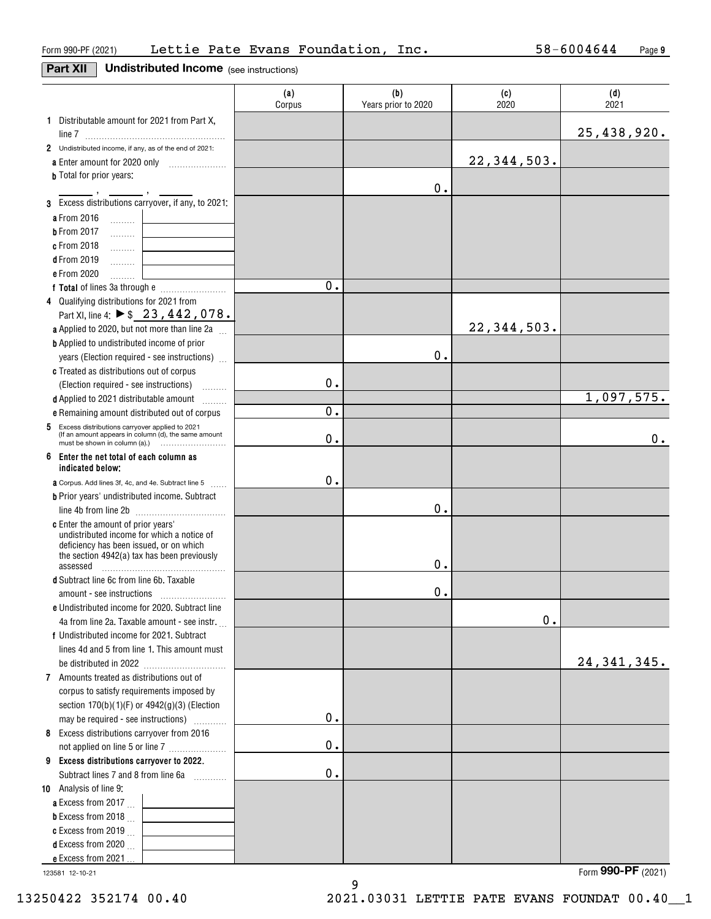# **Part XII Undistributed Income** (see instructions)

|                                                                                                          | (a)<br>Corpus | (b)<br>Years prior to 2020 | (c)<br>2020 | (d)<br>2021   |
|----------------------------------------------------------------------------------------------------------|---------------|----------------------------|-------------|---------------|
| 1 Distributable amount for 2021 from Part X,                                                             |               |                            |             |               |
|                                                                                                          |               |                            |             | 25,438,920.   |
| 2 Undistributed income, if any, as of the end of 2021:                                                   |               |                            |             |               |
| a Enter amount for 2020 only                                                                             |               |                            | 22,344,503. |               |
| <b>b</b> Total for prior years:                                                                          |               |                            |             |               |
|                                                                                                          |               | 0.                         |             |               |
| 3 Excess distributions carryover, if any, to 2021:                                                       |               |                            |             |               |
| a From 2016<br>$\ldots \ldots \ldots$                                                                    |               |                            |             |               |
| <b>b</b> From 2017<br>.                                                                                  |               |                            |             |               |
| c From 2018<br>.                                                                                         |               |                            |             |               |
| <b>d</b> From 2019<br>.                                                                                  |               |                            |             |               |
| e From 2020<br>.                                                                                         |               |                            |             |               |
|                                                                                                          | 0.            |                            |             |               |
| 4 Qualifying distributions for 2021 from                                                                 |               |                            |             |               |
| Part XI, line 4: ▶ \$ 23, 442, 078.                                                                      |               |                            |             |               |
| a Applied to 2020, but not more than line 2a                                                             |               |                            | 22,344,503. |               |
| <b>b</b> Applied to undistributed income of prior                                                        |               |                            |             |               |
| years (Election required - see instructions)                                                             |               | 0.                         |             |               |
| c Treated as distributions out of corpus                                                                 |               |                            |             |               |
| (Election required - see instructions)                                                                   | 0.            |                            |             |               |
| d Applied to 2021 distributable amount                                                                   |               |                            |             | 1,097,575.    |
| e Remaining amount distributed out of corpus                                                             | $\mathbf 0$ . |                            |             |               |
| 5 Excess distributions carryover applied to 2021<br>(If an amount appears in column (d), the same amount | 0.            |                            |             | 0.            |
| 6 Enter the net total of each column as<br>indicated below:                                              |               |                            |             |               |
| a Corpus. Add lines 3f, 4c, and 4e. Subtract line 5<br><b>Contract</b>                                   | 0.            |                            |             |               |
| <b>b</b> Prior years' undistributed income. Subtract                                                     |               |                            |             |               |
|                                                                                                          |               | 0.                         |             |               |
| c Enter the amount of prior years'                                                                       |               |                            |             |               |
| undistributed income for which a notice of                                                               |               |                            |             |               |
| deficiency has been issued, or on which<br>the section 4942(a) tax has been previously                   |               |                            |             |               |
| assessed                                                                                                 |               | 0.                         |             |               |
| d Subtract line 6c from line 6b. Taxable                                                                 |               |                            |             |               |
|                                                                                                          |               | $0$ .                      |             |               |
| e Undistributed income for 2020. Subtract line                                                           |               |                            |             |               |
| 4a from line 2a. Taxable amount - see instr.                                                             |               |                            | 0.          |               |
| f Undistributed income for 2021. Subtract                                                                |               |                            |             |               |
| lines 4d and 5 from line 1. This amount must                                                             |               |                            |             |               |
|                                                                                                          |               |                            |             | 24, 341, 345. |
| 7 Amounts treated as distributions out of                                                                |               |                            |             |               |
| corpus to satisfy requirements imposed by                                                                |               |                            |             |               |
| section 170(b)(1)(F) or 4942(g)(3) (Election                                                             |               |                            |             |               |
| may be required - see instructions)                                                                      | $\mathbf 0$ . |                            |             |               |
| 8 Excess distributions carryover from 2016                                                               |               |                            |             |               |
| not applied on line 5 or line 7                                                                          | $\mathbf 0$ . |                            |             |               |
| 9 Excess distributions carryover to 2022.                                                                |               |                            |             |               |
| Subtract lines 7 and 8 from line 6a                                                                      | $0$ .         |                            |             |               |
| 10 Analysis of line 9:                                                                                   |               |                            |             |               |
| a Excess from 2017                                                                                       |               |                            |             |               |
| <b>b</b> Excess from 2018 $\ldots$                                                                       |               |                            |             |               |
| c Excess from 2019 $\ldots$                                                                              |               |                            |             |               |
| <b>d</b> Excess from 2020 $\ldots$                                                                       |               |                            |             |               |
| e Excess from 2021                                                                                       |               |                            |             |               |

9

123581 12-10-21

Form (2021) **990-PF**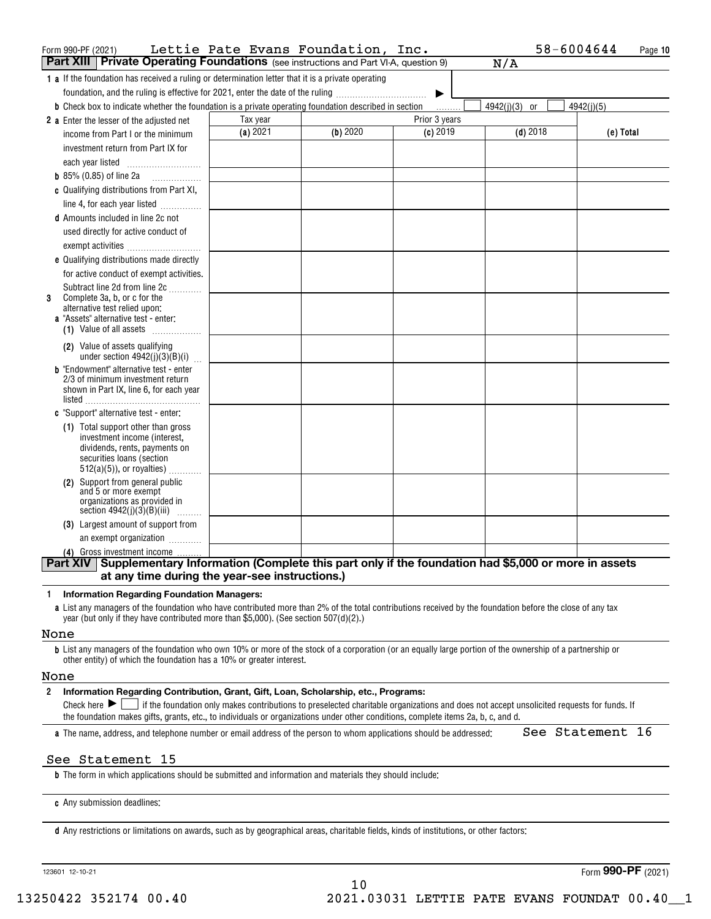| Form 990-PF (2021)                                                                                                                                        | Lettie Pate Evans Foundation, |          | Inc.          | 58-6004644    | Page 10    |
|-----------------------------------------------------------------------------------------------------------------------------------------------------------|-------------------------------|----------|---------------|---------------|------------|
| <b>Part XIII Private Operating Foundations</b> (see instructions and Part VI-A, question 9)                                                               |                               |          |               | N/A           |            |
| <b>1 a</b> If the foundation has received a ruling or determination letter that it is a private operating                                                 |                               |          |               |               |            |
| foundation, and the ruling is effective for 2021, enter the date of the ruling                                                                            |                               |          |               |               |            |
| <b>b</b> Check box to indicate whether the foundation is a private operating foundation described in section                                              |                               |          | .             | 4942(j)(3) or | 4942(j)(5) |
| 2 a Enter the lesser of the adjusted net                                                                                                                  | Tax year                      |          | Prior 3 years |               |            |
| income from Part I or the minimum                                                                                                                         | (a) 2021                      | (b) 2020 | $(c)$ 2019    | $(d)$ 2018    | (e) Total  |
| investment return from Part IX for                                                                                                                        |                               |          |               |               |            |
|                                                                                                                                                           |                               |          |               |               |            |
| <b>b</b> 85% (0.85) of line 2a $\ldots$                                                                                                                   |                               |          |               |               |            |
| c Qualifying distributions from Part XI,                                                                                                                  |                               |          |               |               |            |
| line 4, for each year listed                                                                                                                              |                               |          |               |               |            |
| <b>d</b> Amounts included in line 2c not                                                                                                                  |                               |          |               |               |            |
| used directly for active conduct of                                                                                                                       |                               |          |               |               |            |
|                                                                                                                                                           |                               |          |               |               |            |
| <b>e</b> Qualifying distributions made directly                                                                                                           |                               |          |               |               |            |
| for active conduct of exempt activities.                                                                                                                  |                               |          |               |               |            |
| Subtract line 2d from line 2c                                                                                                                             |                               |          |               |               |            |
| Complete 3a, b, or c for the<br>3                                                                                                                         |                               |          |               |               |            |
| alternative test relied upon:<br>a "Assets" alternative test - enter:                                                                                     |                               |          |               |               |            |
| (1) Value of all assets                                                                                                                                   |                               |          |               |               |            |
| (2) Value of assets qualifying                                                                                                                            |                               |          |               |               |            |
| under section $4942(j)(3)(B)(i)$                                                                                                                          |                               |          |               |               |            |
| <b>b</b> "Endowment" alternative test - enter                                                                                                             |                               |          |               |               |            |
| 2/3 of minimum investment return                                                                                                                          |                               |          |               |               |            |
| shown in Part IX, line 6, for each year<br>listed                                                                                                         |                               |          |               |               |            |
| c "Support" alternative test - enter:                                                                                                                     |                               |          |               |               |            |
| (1) Total support other than gross                                                                                                                        |                               |          |               |               |            |
| investment income (interest,                                                                                                                              |                               |          |               |               |            |
| dividends, rents, payments on                                                                                                                             |                               |          |               |               |            |
| securities loans (section<br>$512(a)(5)$ , or royalties)                                                                                                  |                               |          |               |               |            |
| (2) Support from general public                                                                                                                           |                               |          |               |               |            |
| and 5 or more exempt                                                                                                                                      |                               |          |               |               |            |
| organizations as provided in<br>section $4942(j)(3)(B)(iii)$<br>.                                                                                         |                               |          |               |               |            |
| (3) Largest amount of support from                                                                                                                        |                               |          |               |               |            |
| an exempt organization                                                                                                                                    |                               |          |               |               |            |
| (4) Gross investment income                                                                                                                               |                               |          |               |               |            |
| Part XIV Supplementary Information (Complete this part only if the foundation had \$5,000 or more in assets                                               |                               |          |               |               |            |
| at any time during the year-see instructions.)                                                                                                            |                               |          |               |               |            |
| <b>Information Regarding Foundation Managers:</b><br>1                                                                                                    |                               |          |               |               |            |
| a List any managers of the foundation who have contributed more than 2% of the total contributions received by the foundation before the close of any tax |                               |          |               |               |            |
| year (but only if they have contributed more than \$5,000). (See section $507(d)(2)$ .)                                                                   |                               |          |               |               |            |
| None                                                                                                                                                      |                               |          |               |               |            |

**b**List any managers of the foundation who own 10% or more of the stock of a corporation (or an equally large portion of the ownership of a partnership or other entity) of which the foundation has a 10% or greater interest.

#### None

#### **2Information Regarding Contribution, Grant, Gift, Loan, Scholarship, etc., Programs:**

Check here  $\blacktriangleright\Box$  if the foundation only makes contributions to preselected charitable organizations and does not accept unsolicited requests for funds. If the foundation makes gifts, grants, etc., to individuals or organizations under other conditions, complete items 2a, b, c, and d.

**a**The name, address, and telephone number or email address of the person to whom applications should be addressed:

### See Statement 16

### See Statement 15

**b**The form in which applications should be submitted and information and materials they should include:

**c**Any submission deadlines:

**d** Any restrictions or limitations on awards, such as by geographical areas, charitable fields, kinds of institutions, or other factors:

123601 12-10-21

Form (2021) **990-PF**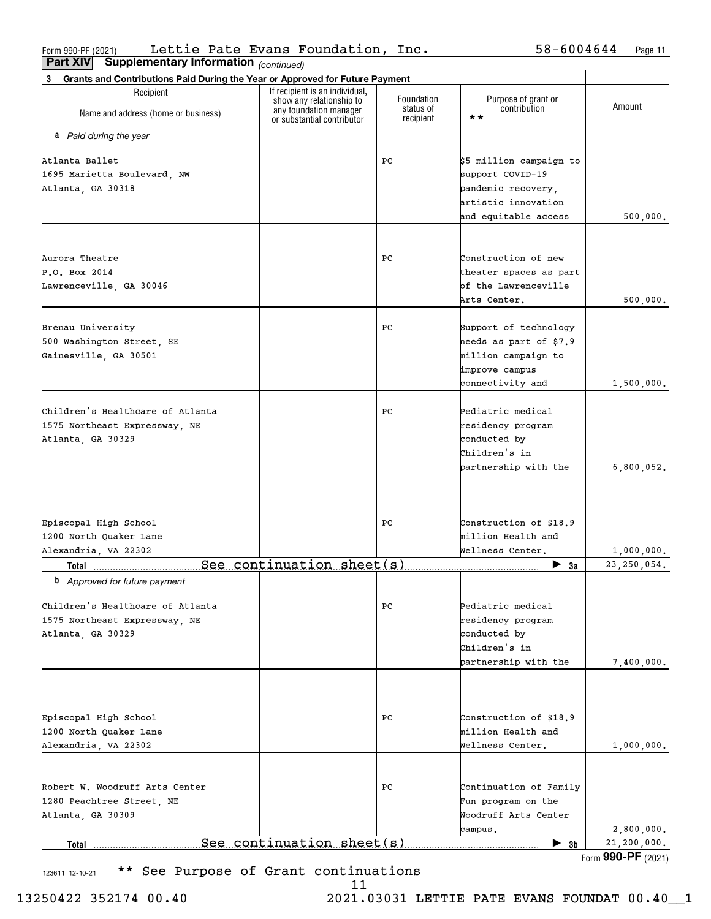Form 990-PF (2021) Lettie Pate Evans Foundation, Inc.  $58-6004644$  Page Lettie Pate Evans Foundation, Inc. 58-6004644

| Part XIV<br><b>Supplementary Information</b> (continued)                          |                                                                                      |                         |                                     |               |
|-----------------------------------------------------------------------------------|--------------------------------------------------------------------------------------|-------------------------|-------------------------------------|---------------|
| Grants and Contributions Paid During the Year or Approved for Future Payment<br>3 |                                                                                      |                         |                                     |               |
| Recipient                                                                         | If recipient is an individual,<br>show any relationship to<br>any foundation manager | Foundation<br>status of | Purpose of grant or<br>contribution | Amount        |
| Name and address (home or business)                                               | or substantial contributor                                                           | recipient               | $\star\star$                        |               |
| <b>a</b> Paid during the year                                                     |                                                                                      |                         |                                     |               |
| Atlanta Ballet                                                                    |                                                                                      | PС                      | \$5 million campaign to             |               |
| 1695 Marietta Boulevard, NW                                                       |                                                                                      |                         | support COVID-19                    |               |
| Atlanta, GA 30318                                                                 |                                                                                      |                         | pandemic recovery,                  |               |
|                                                                                   |                                                                                      |                         | artistic innovation                 |               |
|                                                                                   |                                                                                      |                         | and equitable access                | 500,000.      |
|                                                                                   |                                                                                      |                         |                                     |               |
| Aurora Theatre                                                                    |                                                                                      | PС                      | Construction of new                 |               |
| P.O. Box 2014                                                                     |                                                                                      |                         | theater spaces as part              |               |
| Lawrenceville, GA 30046                                                           |                                                                                      |                         | bf the Lawrenceville                |               |
|                                                                                   |                                                                                      |                         | Arts Center.                        | 500,000.      |
| Brenau University                                                                 |                                                                                      | PС                      | Support of technology               |               |
| 500 Washington Street, SE                                                         |                                                                                      |                         | heeds as part of \$7.9              |               |
| Gainesville, GA 30501                                                             |                                                                                      |                         | million campaign to                 |               |
|                                                                                   |                                                                                      |                         | improve campus                      |               |
|                                                                                   |                                                                                      |                         | connectivity and                    | 1,500,000.    |
| Children's Healthcare of Atlanta                                                  |                                                                                      | PС                      | Pediatric medical                   |               |
| 1575 Northeast Expressway, NE                                                     |                                                                                      |                         | residency program                   |               |
| Atlanta, GA 30329                                                                 |                                                                                      |                         | conducted by                        |               |
|                                                                                   |                                                                                      |                         | Children's in                       |               |
|                                                                                   |                                                                                      |                         | partnership with the                | 6,800,052.    |
|                                                                                   |                                                                                      |                         |                                     |               |
| Episcopal High School                                                             |                                                                                      | PС                      | Construction of \$18.9              |               |
| 1200 North Quaker Lane                                                            |                                                                                      |                         | million Health and                  |               |
| Alexandria, VA 22302                                                              |                                                                                      |                         | Wellness Center.                    | 1,000,000.    |
| Total                                                                             | See continuation sheet(s)                                                            |                         | $\blacktriangleright$ 3a            | 23, 250, 054. |
| <b>b</b> Approved for future payment                                              |                                                                                      |                         |                                     |               |
| Children's Healthcare of Atlanta                                                  |                                                                                      | PС                      | Pediatric medical                   |               |
| 1575 Northeast Expressway, NE                                                     |                                                                                      |                         | residency program                   |               |
| Atlanta, GA 30329                                                                 |                                                                                      |                         | conducted by                        |               |
|                                                                                   |                                                                                      |                         | Children's in                       |               |
|                                                                                   |                                                                                      |                         | partnership with the                | 7,400,000.    |
|                                                                                   |                                                                                      |                         |                                     |               |
| Episcopal High School                                                             |                                                                                      | PС                      | Construction of \$18.9              |               |
| 1200 North Quaker Lane                                                            |                                                                                      |                         | million Health and                  |               |
| Alexandria, VA 22302                                                              |                                                                                      |                         | Wellness Center.                    | 1,000,000.    |
|                                                                                   |                                                                                      |                         |                                     |               |
| Robert W. Woodruff Arts Center                                                    |                                                                                      | РC                      | Continuation of Family              |               |
| 1280 Peachtree Street, NE                                                         |                                                                                      |                         | Fun program on the                  |               |
| Atlanta, GA 30309                                                                 |                                                                                      |                         | Woodruff Arts Center                |               |
|                                                                                   |                                                                                      |                         | campus.                             | 2,800,000.    |
| Total                                                                             | See continuation sheet(s)                                                            |                         | $\blacktriangleright$ 3b            | 21, 200, 000. |

123611 12-10-21 \*\* See Purpose of Grant continuations

<sup>11</sup>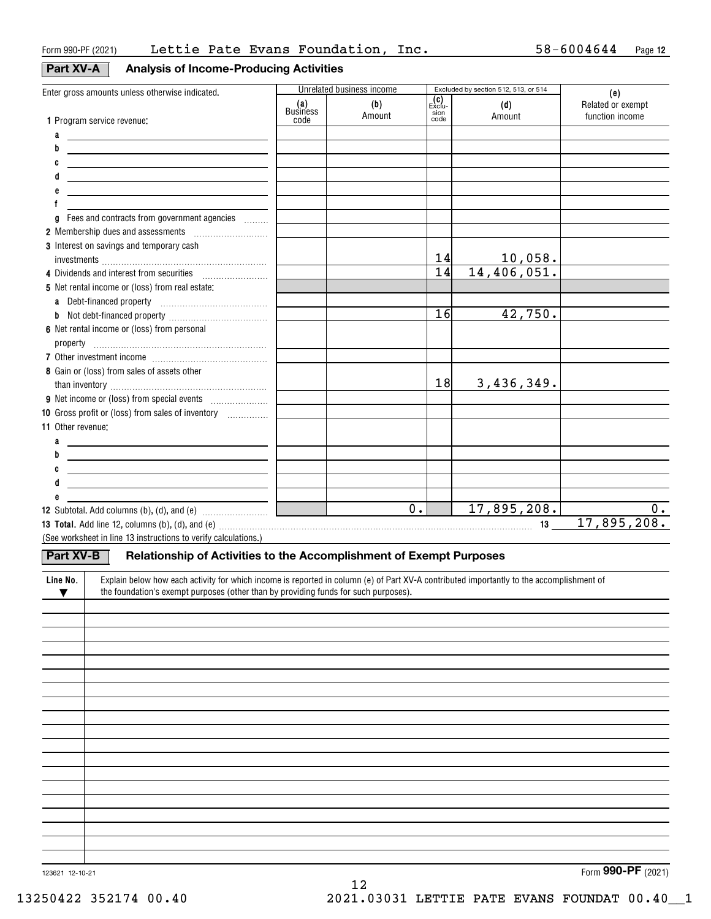## **Part XV-A**

| V-A |  |  | <b>Analysis of Income-Producing Activities</b> |  |
|-----|--|--|------------------------------------------------|--|
|-----|--|--|------------------------------------------------|--|

| Enter gross amounts unless otherwise indicated.                                                                                                      | Unrelated business income |                  | Excluded by section 512, 513, or 514 |               | (e)                                  |
|------------------------------------------------------------------------------------------------------------------------------------------------------|---------------------------|------------------|--------------------------------------|---------------|--------------------------------------|
|                                                                                                                                                      | (a)<br>Business<br>code   | (b)<br>Amount    | (C)<br>Exclu-<br>sion<br>code        | (d)<br>Amount | Related or exempt<br>function income |
| 1 Program service revenue:                                                                                                                           |                           |                  |                                      |               |                                      |
| a<br>and the company of the company of                                                                                                               |                           |                  |                                      |               |                                      |
| b<br><u> 1989 - Johann Barbara, martxa alemaniar arg</u>                                                                                             |                           |                  |                                      |               |                                      |
| C<br><u> 1989 - Johann John Stone, meil in der Stone aus der Stone aus der Stone aus der Stone aus der Stone aus der S</u>                           |                           |                  |                                      |               |                                      |
| <u> 1980 - Johann Barn, mars ann an t-Amhain Aonaich an t-Aonaich an t-Aonaich ann an t-Aonaich ann an t-Aonaich</u>                                 |                           |                  |                                      |               |                                      |
| f                                                                                                                                                    |                           |                  |                                      |               |                                      |
| Fees and contracts from government agencies<br>g                                                                                                     |                           |                  |                                      |               |                                      |
| 2 Membership dues and assessments <i>manufactured</i> membership dues and assessments                                                                |                           |                  |                                      |               |                                      |
| 3 Interest on savings and temporary cash                                                                                                             |                           |                  |                                      |               |                                      |
|                                                                                                                                                      |                           |                  | 14                                   | 10,058.       |                                      |
|                                                                                                                                                      |                           |                  | 14                                   | 14,406,051.   |                                      |
| 5 Net rental income or (loss) from real estate:                                                                                                      |                           |                  |                                      |               |                                      |
|                                                                                                                                                      |                           |                  |                                      |               |                                      |
|                                                                                                                                                      |                           |                  | 16                                   | 42,750.       |                                      |
| 6 Net rental income or (loss) from personal                                                                                                          |                           |                  |                                      |               |                                      |
|                                                                                                                                                      |                           |                  |                                      |               |                                      |
|                                                                                                                                                      |                           |                  |                                      |               |                                      |
| 8 Gain or (loss) from sales of assets other                                                                                                          |                           |                  |                                      |               |                                      |
|                                                                                                                                                      |                           |                  | 18                                   | 3,436,349.    |                                      |
|                                                                                                                                                      |                           |                  |                                      |               |                                      |
| 10 Gross profit or (loss) from sales of inventory                                                                                                    |                           |                  |                                      |               |                                      |
| 11 Other revenue:                                                                                                                                    |                           |                  |                                      |               |                                      |
| a                                                                                                                                                    |                           |                  |                                      |               |                                      |
| b                                                                                                                                                    |                           |                  |                                      |               |                                      |
|                                                                                                                                                      |                           |                  |                                      |               |                                      |
| <u> 1989 - Johann Barn, mars and de Brasilian (b. 1989)</u>                                                                                          |                           |                  |                                      |               |                                      |
| <u> 1989 - Johann Barn, fransk politik (d. 1989)</u>                                                                                                 |                           |                  |                                      |               |                                      |
|                                                                                                                                                      |                           | $\overline{0}$ . |                                      | 17,895,208.   | 0.                                   |
|                                                                                                                                                      |                           |                  |                                      |               | 17,895,208.                          |
| (See worksheet in line 13 instructions to verify calculations.)                                                                                      |                           |                  |                                      |               |                                      |
| <b>Part XV-B</b><br>Relationship of Activities to the Accomplishment of Exempt Purposes                                                              |                           |                  |                                      |               |                                      |
|                                                                                                                                                      |                           |                  |                                      |               |                                      |
| Explain below how each activity for which income is reported in column (e) of Part XV-A contributed importantly to the accomplishment of<br>Line No. |                           |                  |                                      |               |                                      |
| the foundation's exempt purposes (other than by providing funds for such purposes).<br>▼                                                             |                           |                  |                                      |               |                                      |
|                                                                                                                                                      |                           |                  |                                      |               |                                      |
|                                                                                                                                                      |                           |                  |                                      |               |                                      |
|                                                                                                                                                      |                           |                  |                                      |               |                                      |
|                                                                                                                                                      |                           |                  |                                      |               |                                      |
|                                                                                                                                                      |                           |                  |                                      |               |                                      |
|                                                                                                                                                      |                           |                  |                                      |               |                                      |
|                                                                                                                                                      |                           |                  |                                      |               |                                      |
|                                                                                                                                                      |                           |                  |                                      |               |                                      |
|                                                                                                                                                      |                           |                  |                                      |               |                                      |
|                                                                                                                                                      |                           |                  |                                      |               |                                      |
|                                                                                                                                                      |                           |                  |                                      |               |                                      |
|                                                                                                                                                      |                           |                  |                                      |               |                                      |
|                                                                                                                                                      |                           |                  |                                      |               |                                      |
|                                                                                                                                                      |                           |                  |                                      |               |                                      |
|                                                                                                                                                      |                           |                  |                                      |               |                                      |
|                                                                                                                                                      |                           |                  |                                      |               |                                      |
|                                                                                                                                                      |                           |                  |                                      |               |                                      |
|                                                                                                                                                      |                           |                  |                                      |               |                                      |

12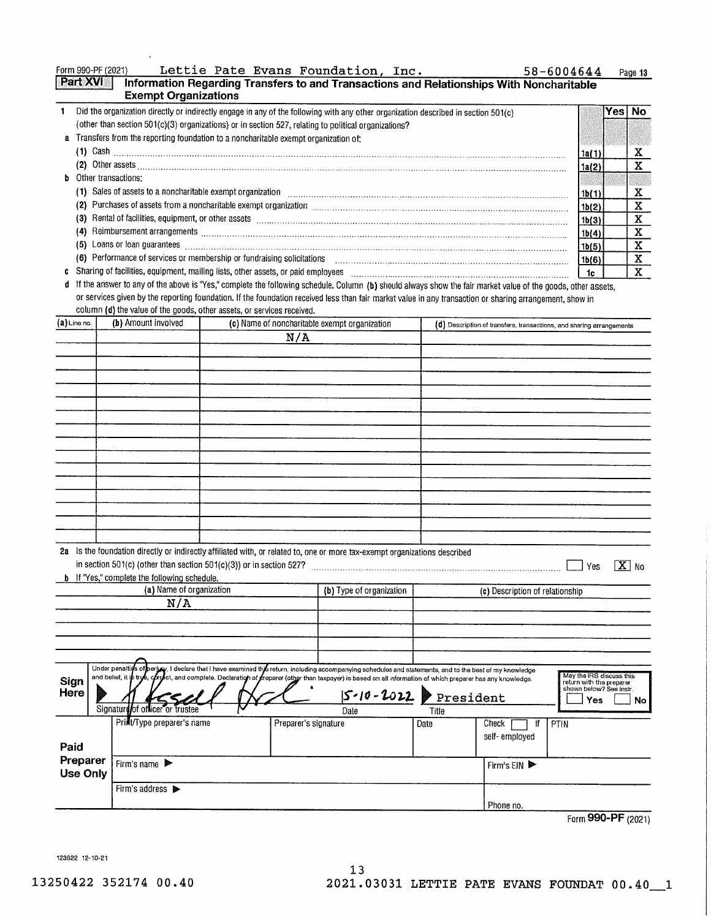Form 990-PF (2021) Lettie Pate Evans Foundation, Inc.

| <b>Part XVI</b><br>Information Regarding Transfers to and Transactions and Relationships With Noncharitable<br><b>Exempt Organizations</b>                                                                                            |       |      |     |  |  |
|---------------------------------------------------------------------------------------------------------------------------------------------------------------------------------------------------------------------------------------|-------|------|-----|--|--|
| Did the organization directly or indirectly engage in any of the following with any other organization described in section 501(c)                                                                                                    |       | Yesl | No. |  |  |
| (other than section 501(c)(3) organizations) or in section 527, relating to political organizations?                                                                                                                                  |       |      |     |  |  |
| Transfers from the reporting foundation to a noncharitable exempt organization of:<br>a                                                                                                                                               |       |      |     |  |  |
| (1) Cash $\ldots$<br>1a(1)                                                                                                                                                                                                            |       |      |     |  |  |
|                                                                                                                                                                                                                                       |       |      |     |  |  |
| <b>b</b> Other transactions:                                                                                                                                                                                                          |       |      |     |  |  |
| (1) Sales of assets to a noncharitable exempt organization                                                                                                                                                                            | 1b(1) |      | x   |  |  |
| Purchases of assets from a noncharitable exempt organization with the content of the content of the content of the content of the content of the content of the content of the content of the content of the content of the co<br>(2) | 1b(2) |      | x   |  |  |
| Rental of facilities, equipment, or other assets entitled and contain an according to the assets of facilities, equipment, or other assets<br>(3)                                                                                     | 1b(3) |      |     |  |  |
| Reimbursement arrangements www.communications.communications.communications.com<br>(4)                                                                                                                                                | 1b(4) |      | x   |  |  |
| Loans or loan guarantees <b>Production Communication Communication</b> Communication Communication Communication<br>(5).                                                                                                              | 1b(5) |      | х   |  |  |
| (6) Performance of services or membership or fundraising solicitations                                                                                                                                                                | 1b(6) |      | x   |  |  |
| Sharing of facilities, equipment, mailing lists, other assets, or paid employees                                                                                                                                                      | 1c    |      | x   |  |  |

d If the answer to any of the above is "Yes," complete the following schedule. Column (b) should always show the fair market value of the goods, other assets, or services given by the reporting foundation. If the foundation received less than fair market value in any transaction or sharing arrangement, show in column (d) the value of the goods, other assets, or services received.

| (a) Line no.                | (b) Amount involved                                                                                                                                                                                                                                                                                                                                         |                      | (c) Name of noncharitable exempt organization |       |                                 | (d) Description of transfers, transactions, and sharing arrangements                         |  |
|-----------------------------|-------------------------------------------------------------------------------------------------------------------------------------------------------------------------------------------------------------------------------------------------------------------------------------------------------------------------------------------------------------|----------------------|-----------------------------------------------|-------|---------------------------------|----------------------------------------------------------------------------------------------|--|
|                             |                                                                                                                                                                                                                                                                                                                                                             | N/A                  |                                               |       |                                 |                                                                                              |  |
|                             |                                                                                                                                                                                                                                                                                                                                                             |                      |                                               |       |                                 |                                                                                              |  |
|                             |                                                                                                                                                                                                                                                                                                                                                             |                      |                                               |       |                                 |                                                                                              |  |
|                             |                                                                                                                                                                                                                                                                                                                                                             |                      |                                               |       |                                 |                                                                                              |  |
|                             |                                                                                                                                                                                                                                                                                                                                                             |                      |                                               |       |                                 |                                                                                              |  |
|                             |                                                                                                                                                                                                                                                                                                                                                             |                      |                                               |       |                                 |                                                                                              |  |
|                             |                                                                                                                                                                                                                                                                                                                                                             |                      |                                               |       |                                 |                                                                                              |  |
|                             |                                                                                                                                                                                                                                                                                                                                                             |                      |                                               |       |                                 |                                                                                              |  |
|                             |                                                                                                                                                                                                                                                                                                                                                             |                      |                                               |       |                                 |                                                                                              |  |
|                             |                                                                                                                                                                                                                                                                                                                                                             |                      |                                               |       |                                 |                                                                                              |  |
|                             |                                                                                                                                                                                                                                                                                                                                                             |                      |                                               |       |                                 |                                                                                              |  |
|                             |                                                                                                                                                                                                                                                                                                                                                             |                      |                                               |       |                                 |                                                                                              |  |
|                             |                                                                                                                                                                                                                                                                                                                                                             |                      |                                               |       |                                 |                                                                                              |  |
|                             | 2a Is the foundation directly or indirectly affiliated with, or related to, one or more tax-exempt organizations described<br>in section 501(c) (other than section 501(c)(3)) or in section 527?<br><b>b</b> If "Yes," complete the following schedule.                                                                                                    |                      |                                               |       |                                 | $\mathbf{X}$ No<br>Yes                                                                       |  |
|                             | (a) Name of organization                                                                                                                                                                                                                                                                                                                                    |                      | (b) Type of organization                      |       | (c) Description of relationship |                                                                                              |  |
|                             | N/A                                                                                                                                                                                                                                                                                                                                                         |                      |                                               |       |                                 |                                                                                              |  |
|                             |                                                                                                                                                                                                                                                                                                                                                             |                      |                                               |       |                                 |                                                                                              |  |
|                             |                                                                                                                                                                                                                                                                                                                                                             |                      |                                               |       |                                 |                                                                                              |  |
|                             |                                                                                                                                                                                                                                                                                                                                                             |                      |                                               |       |                                 |                                                                                              |  |
| Sign<br>Here                | Under penaltics of perima. I declare that I have examined this return, including accompanying schedules and statements, and to the best of my knowledge<br>and belief, it is trye, correct, and complete. Declaration of freparer (other than taxpayer) is based on all information of which preparer has any knowledge.<br>Signature of officer or trustee |                      | $5 - 10 - 2022$ President<br>Date             | Title |                                 | May the IRS discuss this<br>return with the preparer<br>shown below? See Instr.<br>Yes<br>No |  |
|                             | Print/Type preparer's name                                                                                                                                                                                                                                                                                                                                  | Preparer's signature |                                               | Date  | Check<br>if                     | PTIN                                                                                         |  |
| Paid                        |                                                                                                                                                                                                                                                                                                                                                             |                      |                                               |       | self-employed                   |                                                                                              |  |
| Preparer<br><b>Use Only</b> | Firm's name                                                                                                                                                                                                                                                                                                                                                 |                      |                                               |       | Firm's $EN$                     |                                                                                              |  |
|                             | Firm's address >                                                                                                                                                                                                                                                                                                                                            |                      |                                               |       | Phone no.                       |                                                                                              |  |

 $13$ 

Form 990-PF (2021)

123622 12-10-21

58-6004644 Page 13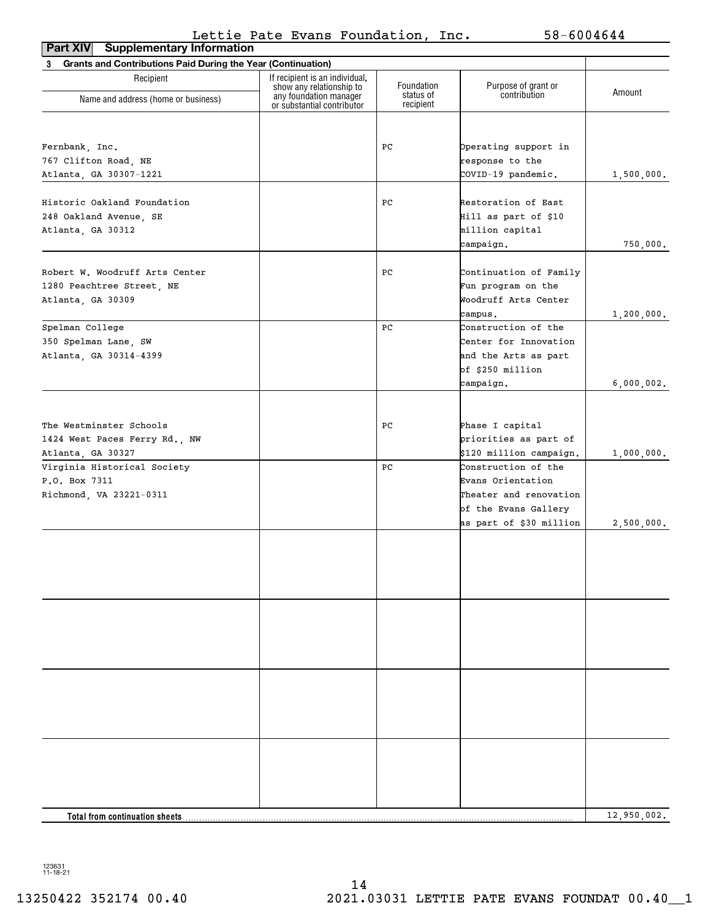| <b>Supplementary Information</b><br>Part XIV                             |                                                                                  |                        |                                                |             |
|--------------------------------------------------------------------------|----------------------------------------------------------------------------------|------------------------|------------------------------------------------|-------------|
| <b>Grants and Contributions Paid During the Year (Continuation)</b><br>3 |                                                                                  |                        |                                                |             |
| Recipient                                                                | If recipient is an individual,                                                   | Foundation             |                                                |             |
| Name and address (home or business)                                      | show any relationship to<br>any foundation manager<br>or substantial contributor | status of<br>recipient | Purpose of grant or<br>contribution            | Amount      |
|                                                                          |                                                                                  |                        |                                                |             |
| Fernbank, Inc.                                                           |                                                                                  | PС                     | Operating support in                           |             |
| 767 Clifton Road, NE                                                     |                                                                                  |                        | response to the                                |             |
| Atlanta, GA 30307-1221                                                   |                                                                                  |                        | COVID-19 pandemic.                             | 1,500,000.  |
|                                                                          |                                                                                  |                        |                                                |             |
| Historic Oakland Foundation                                              |                                                                                  | PС                     | Restoration of East                            |             |
| 248 Oakland Avenue, SE                                                   |                                                                                  |                        | Hill as part of \$10                           |             |
| Atlanta, GA 30312                                                        |                                                                                  |                        | million capital                                |             |
|                                                                          |                                                                                  |                        | campaign.                                      | 750,000.    |
|                                                                          |                                                                                  |                        |                                                |             |
| Robert W. Woodruff Arts Center                                           |                                                                                  | PС                     | Continuation of Family                         |             |
| 1280 Peachtree Street, NE                                                |                                                                                  |                        | Fun program on the                             |             |
| Atlanta, GA 30309                                                        |                                                                                  |                        | Woodruff Arts Center                           |             |
|                                                                          |                                                                                  |                        | campus.                                        | 1,200,000.  |
| Spelman College                                                          |                                                                                  | PС                     | Construction of the                            |             |
| 350 Spelman Lane, SW                                                     |                                                                                  |                        | Center for Innovation                          |             |
| Atlanta, GA 30314-4399                                                   |                                                                                  |                        | and the Arts as part                           |             |
|                                                                          |                                                                                  |                        | of \$250 million                               |             |
|                                                                          |                                                                                  |                        | campaign.                                      | 6,000,002.  |
|                                                                          |                                                                                  |                        |                                                |             |
|                                                                          |                                                                                  |                        |                                                |             |
| The Westminster Schools                                                  |                                                                                  | PС                     | Phase I capital                                |             |
| 1424 West Paces Ferry Rd., NW                                            |                                                                                  |                        | priorities as part of                          |             |
| Atlanta, GA 30327                                                        |                                                                                  |                        | \$120 million campaign.                        | 1,000,000.  |
| Virginia Historical Society                                              |                                                                                  | PС                     | Construction of the                            |             |
| P.O. Box 7311                                                            |                                                                                  |                        | Evans Orientation                              |             |
| Richmond, VA 23221-0311                                                  |                                                                                  |                        | Theater and renovation<br>of the Evans Gallery |             |
|                                                                          |                                                                                  |                        | as part of \$30 million                        | 2,500,000.  |
|                                                                          |                                                                                  |                        |                                                |             |
|                                                                          |                                                                                  |                        |                                                |             |
|                                                                          |                                                                                  |                        |                                                |             |
|                                                                          |                                                                                  |                        |                                                |             |
|                                                                          |                                                                                  |                        |                                                |             |
|                                                                          |                                                                                  |                        |                                                |             |
|                                                                          |                                                                                  |                        |                                                |             |
|                                                                          |                                                                                  |                        |                                                |             |
|                                                                          |                                                                                  |                        |                                                |             |
|                                                                          |                                                                                  |                        |                                                |             |
|                                                                          |                                                                                  |                        |                                                |             |
|                                                                          |                                                                                  |                        |                                                |             |
|                                                                          |                                                                                  |                        |                                                |             |
|                                                                          |                                                                                  |                        |                                                |             |
| Total from continuation sheets                                           |                                                                                  |                        |                                                | 12,950,002. |
|                                                                          |                                                                                  |                        |                                                |             |

123631 11-18-21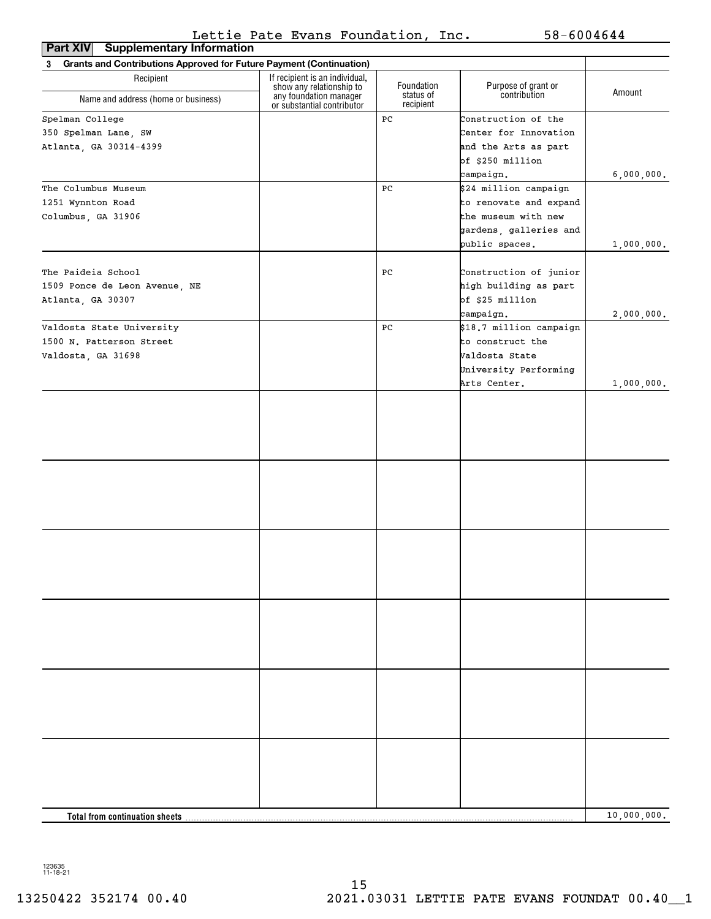| <b>Supplementary Information</b><br><b>Part XIV</b>                             |                                                            |                         |                                     |             |
|---------------------------------------------------------------------------------|------------------------------------------------------------|-------------------------|-------------------------------------|-------------|
| <b>Grants and Contributions Approved for Future Payment (Continuation)</b><br>3 |                                                            |                         |                                     |             |
| Recipient                                                                       | If recipient is an individual,<br>show any relationship to | Foundation<br>status of | Purpose of grant or<br>contribution | Amount      |
| Name and address (home or business)                                             | any foundation manager<br>or substantial contributor       | recipient               |                                     |             |
| Spelman College                                                                 |                                                            | PC                      | Construction of the                 |             |
| 350 Spelman Lane, SW                                                            |                                                            |                         | Center for Innovation               |             |
| Atlanta, GA 30314-4399                                                          |                                                            |                         | and the Arts as part                |             |
|                                                                                 |                                                            |                         | of \$250 million                    |             |
|                                                                                 |                                                            |                         | campaign.                           | 6,000,000.  |
| The Columbus Museum                                                             |                                                            | PС                      | \$24 million campaign               |             |
| 1251 Wynnton Road                                                               |                                                            |                         | to renovate and expand              |             |
| Columbus, GA 31906                                                              |                                                            |                         | the museum with new                 |             |
|                                                                                 |                                                            |                         | gardens, galleries and              |             |
|                                                                                 |                                                            |                         | public spaces.                      | 1,000,000.  |
|                                                                                 |                                                            |                         |                                     |             |
| The Paideia School                                                              |                                                            | PС                      | Construction of junior              |             |
| 1509 Ponce de Leon Avenue, NE                                                   |                                                            |                         | high building as part               |             |
| Atlanta, GA 30307                                                               |                                                            |                         | of \$25 million                     |             |
|                                                                                 |                                                            |                         | campaign.                           | 2,000,000.  |
| Valdosta State University                                                       |                                                            | PС                      | \$18.7 million campaign             |             |
| 1500 N. Patterson Street                                                        |                                                            |                         | to construct the                    |             |
| Valdosta, GA 31698                                                              |                                                            |                         | Valdosta State                      |             |
|                                                                                 |                                                            |                         | University Performing               |             |
|                                                                                 |                                                            |                         | Arts Center.                        | 1,000,000.  |
|                                                                                 |                                                            |                         |                                     |             |
|                                                                                 |                                                            |                         |                                     |             |
|                                                                                 |                                                            |                         |                                     |             |
|                                                                                 |                                                            |                         |                                     |             |
|                                                                                 |                                                            |                         |                                     |             |
|                                                                                 |                                                            |                         |                                     |             |
|                                                                                 |                                                            |                         |                                     |             |
|                                                                                 |                                                            |                         |                                     |             |
|                                                                                 |                                                            |                         |                                     |             |
|                                                                                 |                                                            |                         |                                     |             |
|                                                                                 |                                                            |                         |                                     |             |
|                                                                                 |                                                            |                         |                                     |             |
|                                                                                 |                                                            |                         |                                     |             |
|                                                                                 |                                                            |                         |                                     |             |
|                                                                                 |                                                            |                         |                                     |             |
|                                                                                 |                                                            |                         |                                     |             |
|                                                                                 |                                                            |                         |                                     |             |
|                                                                                 |                                                            |                         |                                     |             |
|                                                                                 |                                                            |                         |                                     |             |
|                                                                                 |                                                            |                         |                                     |             |
|                                                                                 |                                                            |                         |                                     |             |
|                                                                                 |                                                            |                         |                                     |             |
|                                                                                 |                                                            |                         |                                     |             |
|                                                                                 |                                                            |                         |                                     |             |
|                                                                                 |                                                            |                         |                                     |             |
|                                                                                 |                                                            |                         |                                     |             |
|                                                                                 |                                                            |                         |                                     |             |
|                                                                                 |                                                            |                         |                                     |             |
|                                                                                 |                                                            |                         |                                     |             |
| Total from continuation sheets                                                  |                                                            |                         |                                     | 10,000,000. |

123635 11-18-21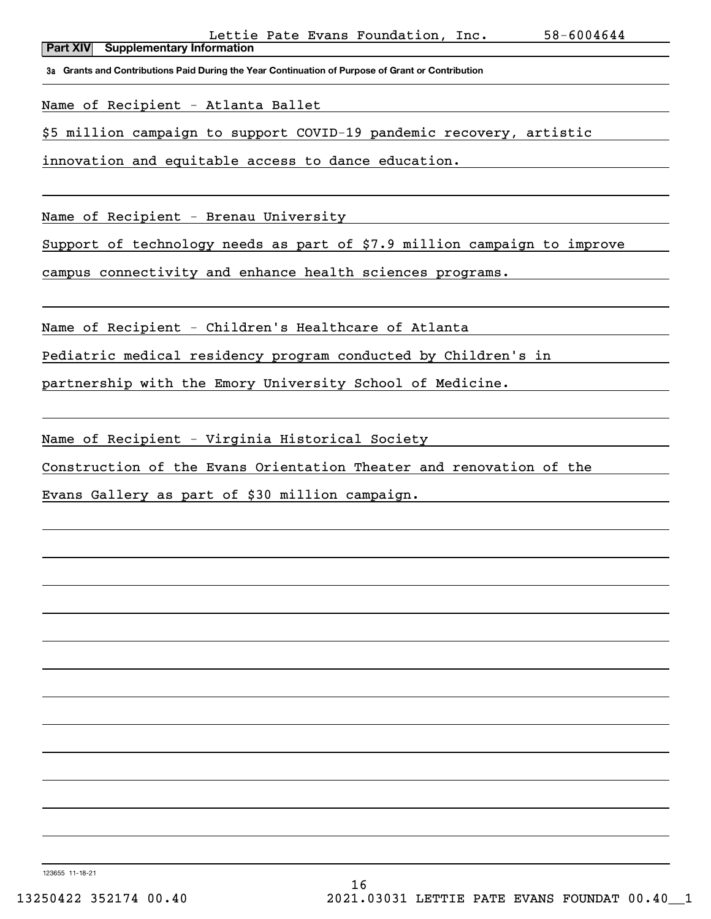**3a Grants and Contributions Paid During the Year Continuation of Purpose of Grant or Contribution**

Name of Recipient - Atlanta Ballet

\$5 million campaign to support COVID-19 pandemic recovery, artistic

innovation and equitable access to dance education.

Name of Recipient - Brenau University

Support of technology needs as part of \$7.9 million campaign to improve

campus connectivity and enhance health sciences programs.

Name of Recipient - Children's Healthcare of Atlanta

Pediatric medical residency program conducted by Children's in

partnership with the Emory University School of Medicine.

Name of Recipient - Virginia Historical Society

Construction of the Evans Orientation Theater and renovation of the

Evans Gallery as part of \$30 million campaign.

123655 11-18-21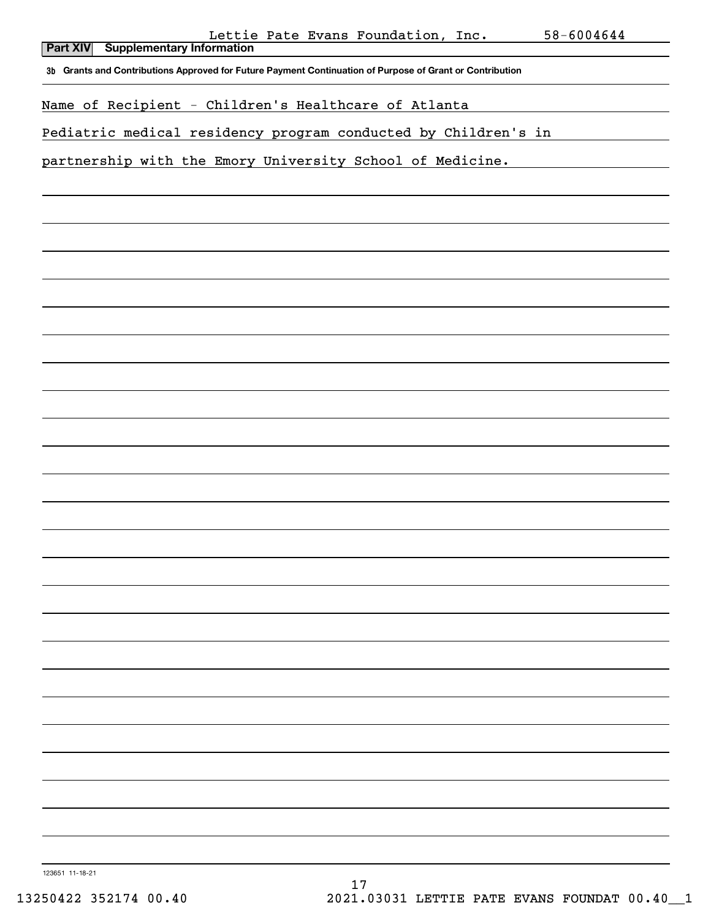| Lettie Pate Evans Foundation, Inc. |  | 58-6004644 |
|------------------------------------|--|------------|
|                                    |  |            |

| <u>neeere raee nvans roanaacron,</u><br>-----<br>J U<br>いいいせいせき<br><b>Supplementary Information</b><br><b>Part XIV</b> |
|------------------------------------------------------------------------------------------------------------------------|
| 3b Grants and Contributions Approved for Future Payment Continuation of Purpose of Grant or Contribution               |
| Name of Recipient - Children's Healthcare of Atlanta                                                                   |
| Pediatric medical residency program conducted by Children's in                                                         |
| partnership with the Emory University School of Medicine.                                                              |
|                                                                                                                        |
|                                                                                                                        |
|                                                                                                                        |
|                                                                                                                        |
|                                                                                                                        |
|                                                                                                                        |
|                                                                                                                        |
|                                                                                                                        |
|                                                                                                                        |
|                                                                                                                        |
|                                                                                                                        |
|                                                                                                                        |
|                                                                                                                        |
|                                                                                                                        |
|                                                                                                                        |
|                                                                                                                        |
|                                                                                                                        |
|                                                                                                                        |
|                                                                                                                        |
|                                                                                                                        |
|                                                                                                                        |
|                                                                                                                        |
|                                                                                                                        |
| 123651 11-18-21                                                                                                        |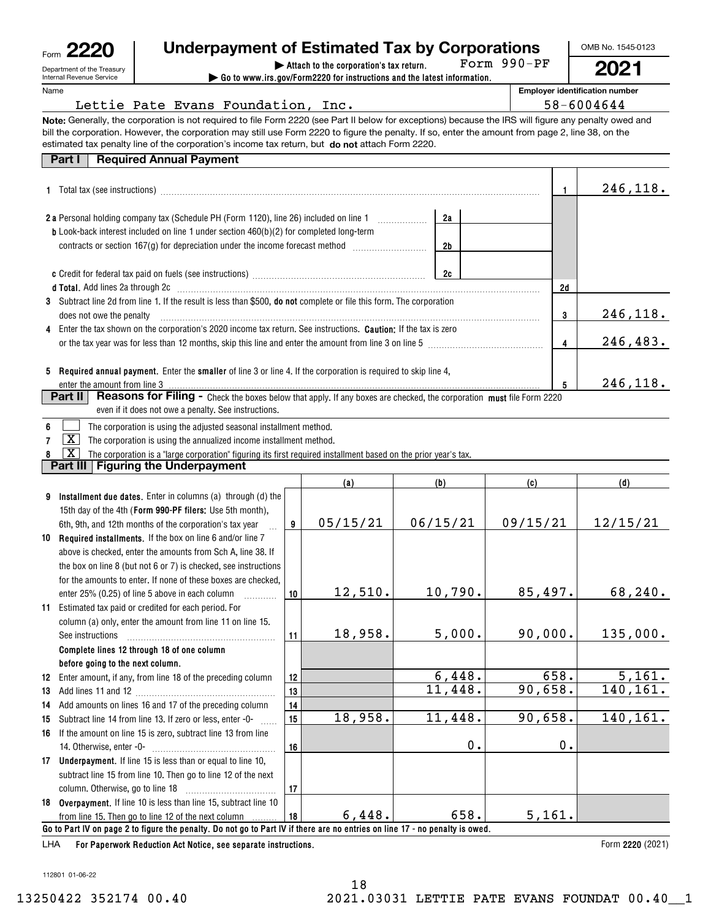| Form | உ                                                      |
|------|--------------------------------------------------------|
|      | Department of the Treasury<br>Internal Revenue Service |

# **Underpayment of Estimated Tax by Corporations**

**Note:** Generally, the corporation is not required to file Form 2220 (see Part II below for exceptions) because the IRS will figure any penalty owed and

**| Go to www.irs.gov/Form2220 for instructions and the latest information.** Form 990-PF OMB No. 1545-0123

**2021**

Name

| nt of the Treasury<br>evenue Service |  |                                    | Attach to the corporation's tax return.<br>$\triangleright$ Go to www.irs.gov/Form2220 for instructions and the latest information. | FOrm YYU-PF | <b>202</b>                         |
|--------------------------------------|--|------------------------------------|-------------------------------------------------------------------------------------------------------------------------------------|-------------|------------------------------------|
|                                      |  |                                    |                                                                                                                                     |             | <b>Employer identification num</b> |
|                                      |  | Lettie Pate Evans Foundation, Inc. |                                                                                                                                     |             | 58-6004644                         |

**Employer identification number**

|    | <b>Required Annual Payment</b><br>Part I                                                                                                                                                                                       |    |          |  |                |          |       |                 |
|----|--------------------------------------------------------------------------------------------------------------------------------------------------------------------------------------------------------------------------------|----|----------|--|----------------|----------|-------|-----------------|
| 1. | Total tax (see instructions) manufactured and content to the set of the set of the set of the set of the set of the set of the set of the set of the set of the set of the set of the set of the set of the set of the set of  |    |          |  |                |          | -1    | 246,118.        |
|    |                                                                                                                                                                                                                                |    |          |  | 2a             |          |       |                 |
|    | <b>b</b> Look-back interest included on line 1 under section 460(b)(2) for completed long-term                                                                                                                                 |    |          |  |                |          |       |                 |
|    | contracts or section 167(g) for depreciation under the income forecast method [111][11][11][11][11][11][11][11                                                                                                                 |    |          |  | 2 <sub>b</sub> |          |       |                 |
|    |                                                                                                                                                                                                                                |    |          |  | 2c             |          |       |                 |
|    | d Total. Add lines 2a through 2c [11] matter contract the contract of the contract of the contract of the contract of the contract of the contract of the contract of the contract of the contract of the contract of the cont |    |          |  |                |          | 2d    |                 |
| 3  | Subtract line 2d from line 1. If the result is less than \$500, do not complete or file this form. The corporation                                                                                                             |    |          |  |                |          |       |                 |
|    | does not owe the penalty                                                                                                                                                                                                       |    |          |  |                |          | 3     | <u>246,118.</u> |
|    | Enter the tax shown on the corporation's 2020 income tax return. See instructions. Caution: If the tax is zero                                                                                                                 |    |          |  |                |          | 4     | 246,483.        |
|    |                                                                                                                                                                                                                                |    |          |  |                |          |       |                 |
| 5  | Required annual payment. Enter the smaller of line 3 or line 4. If the corporation is required to skip line 4,                                                                                                                 |    |          |  |                |          |       |                 |
|    | enter the amount from line 3                                                                                                                                                                                                   |    |          |  |                |          | 5     | 246,118.        |
|    | Reasons for Filing - Check the boxes below that apply. If any boxes are checked, the corporation must file Form 2220<br>Part II                                                                                                |    |          |  |                |          |       |                 |
|    | even if it does not owe a penalty. See instructions.                                                                                                                                                                           |    |          |  |                |          |       |                 |
| 6  | The corporation is using the adjusted seasonal installment method.                                                                                                                                                             |    |          |  |                |          |       |                 |
|    | $\boxed{\text{X}}$<br>The corporation is using the annualized income installment method.                                                                                                                                       |    |          |  |                |          |       |                 |
|    | $\overline{\texttt{X}}$<br>The corporation is a "large corporation" figuring its first required installment based on the prior year's tax.                                                                                     |    |          |  |                |          |       |                 |
|    | <b>Part III   Figuring the Underpayment</b>                                                                                                                                                                                    |    |          |  |                |          |       |                 |
|    |                                                                                                                                                                                                                                |    | (a)      |  | (b)            | (c)      |       | (d)             |
| 9  | Installment due dates. Enter in columns (a) through (d) the                                                                                                                                                                    |    |          |  |                |          |       |                 |
|    | 15th day of the 4th (Form 990-PF filers: Use 5th month),                                                                                                                                                                       |    |          |  |                |          |       |                 |
|    | 6th, 9th, and 12th months of the corporation's tax year                                                                                                                                                                        | 9  | 05/15/21 |  | 06/15/21       | 09/15/21 |       | 12/15/21        |
| 10 | Required installments. If the box on line 6 and/or line 7                                                                                                                                                                      |    |          |  |                |          |       |                 |
|    | above is checked, enter the amounts from Sch A, line 38. If                                                                                                                                                                    |    |          |  |                |          |       |                 |
|    | the box on line 8 (but not 6 or 7) is checked, see instructions                                                                                                                                                                |    |          |  |                |          |       |                 |
|    | for the amounts to enter. If none of these boxes are checked,                                                                                                                                                                  |    | 12,510.  |  | 10,790.        | 85,497.  |       | 68,240.         |
|    | enter 25% (0.25) of line 5 above in each column                                                                                                                                                                                | 10 |          |  |                |          |       |                 |
| 11 | Estimated tax paid or credited for each period. For<br>column (a) only, enter the amount from line 11 on line 15.                                                                                                              |    |          |  |                |          |       |                 |
|    |                                                                                                                                                                                                                                | 11 | 18,958.  |  | 5,000.         | 90,000.  |       | 135,000.        |
|    | Complete lines 12 through 18 of one column                                                                                                                                                                                     |    |          |  |                |          |       |                 |
|    | before going to the next column.                                                                                                                                                                                               |    |          |  |                |          |       |                 |
| 12 | Enter amount, if any, from line 18 of the preceding column                                                                                                                                                                     | 12 |          |  | 6,448.         |          | 658.  | 5,161.          |
| 13 |                                                                                                                                                                                                                                | 13 |          |  | 11,448.        | 90,658.  |       | 140, 161.       |
| 14 | Add amounts on lines 16 and 17 of the preceding column                                                                                                                                                                         | 14 |          |  |                |          |       |                 |
| 15 | Subtract line 14 from line 13. If zero or less, enter -0-                                                                                                                                                                      | 15 | 18,958.  |  | 11,448.        | 90,658.  |       | 140,161.        |
| 16 | If the amount on line 15 is zero, subtract line 13 from line                                                                                                                                                                   |    |          |  |                |          |       |                 |
|    |                                                                                                                                                                                                                                |    |          |  | $\mathbf 0$ .  |          | $0$ . |                 |
|    |                                                                                                                                                                                                                                | 16 |          |  |                |          |       |                 |

**17**

**18**

**Go to Part IV on page 2 to figure the penalty. Do not go to Part IV if there are no entries on line 17 - no penalty is owed.**

**18Overpayment.**  If line 10 is less than line 15, subtract line 10

from line 15. Then go to line 12 of the next column

subtract line 15 from line 10. Then go to line 12 of the next column**.** Otherwise, go to line 18  $\quad \ldots \ldots \ldots \ldots \ldots \ldots \ldots \ldots \ldots$ 

**For Paperwork Reduction Act Notice, see separate instructions.** 

112801 01-06-22

LHA

6,448. 658. 5,161.

Form 2220 (2021)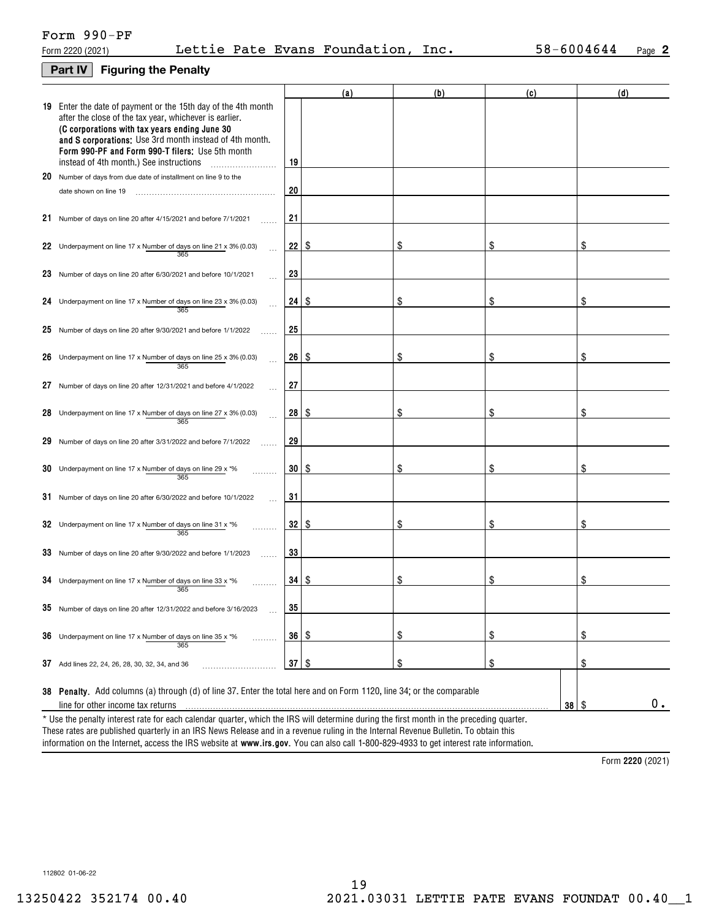## **Part IV Figuring the Penalty**

|     |                                                                                                                                                                                                                                                                                                                                         |                 | (a)  | (b) | (c)        | (d) |
|-----|-----------------------------------------------------------------------------------------------------------------------------------------------------------------------------------------------------------------------------------------------------------------------------------------------------------------------------------------|-----------------|------|-----|------------|-----|
|     | 19 Enter the date of payment or the 15th day of the 4th month<br>after the close of the tax year, whichever is earlier.<br>(C corporations with tax years ending June 30<br>and S corporations: Use 3rd month instead of 4th month.<br>Form 990-PF and Form 990-T filers: Use 5th month<br>instead of 4th month.) See instructions<br>. | 19              |      |     |            |     |
|     | 20 Number of days from due date of installment on line 9 to the                                                                                                                                                                                                                                                                         |                 |      |     |            |     |
|     | date shown on line 19                                                                                                                                                                                                                                                                                                                   | 20              |      |     |            |     |
|     | 21 Number of days on line 20 after 4/15/2021 and before 7/1/2021                                                                                                                                                                                                                                                                        | 21              |      |     |            |     |
|     | 22 Underpayment on line 17 x Number of days on line 21 x 3% (0.03)<br>365                                                                                                                                                                                                                                                               | 22              | ∣\$. | \$  | \$         | \$  |
|     | 23 Number of days on line 20 after 6/30/2021 and before 10/1/2021                                                                                                                                                                                                                                                                       | 23              |      |     |            |     |
| 24. | Underpayment on line 17 x Number of days on line 23 x 3% (0.03)<br>365                                                                                                                                                                                                                                                                  | 24              | -\$  | \$  | \$         | \$  |
|     | 25 Number of days on line 20 after 9/30/2021 and before $1/1/2022$                                                                                                                                                                                                                                                                      | 25              |      |     |            |     |
|     | 26 Underpayment on line 17 x Number of days on line 25 x 3% (0.03)<br>365                                                                                                                                                                                                                                                               | 26              | -S   | \$  | \$         | \$  |
| 27  | Number of days on line 20 after 12/31/2021 and before 4/1/2022                                                                                                                                                                                                                                                                          | 27              |      |     |            |     |
|     | 28 Underpayment on line 17 x Number of days on line 27 x 3% (0.03)<br>365                                                                                                                                                                                                                                                               | 28              | ∣\$. | \$  | \$         | \$  |
|     | 29 Number of days on line 20 after 3/31/2022 and before 7/1/2022                                                                                                                                                                                                                                                                        | 29              |      |     |            |     |
|     | 30 Underpayment on line 17 x Number of days on line 29 x $*$ %<br>365                                                                                                                                                                                                                                                                   | 30              | -\$  | \$  | \$         | \$  |
|     | 31 Number of days on line 20 after 6/30/2022 and before 10/1/2022                                                                                                                                                                                                                                                                       | 31              |      |     |            |     |
|     | 32 Underpayment on line 17 x Number of days on line 31 x $*$ %<br>365                                                                                                                                                                                                                                                                   | 32              | -\$  | \$  | \$         | \$  |
|     | 33 Number of days on line 20 after 9/30/2022 and before 1/1/2023                                                                                                                                                                                                                                                                        | 33              |      |     |            |     |
|     | 34 Underpayment on line 17 x Number of days on line 33 x $*$ %<br>365                                                                                                                                                                                                                                                                   | 34 <sup>1</sup> | \$   | \$  | \$         | \$  |
|     | 35 Number of days on line 20 after 12/31/2022 and before 3/16/2023                                                                                                                                                                                                                                                                      | 35              |      |     |            |     |
|     | 36 Underpayment on line 17 x Number of days on line 35 x $*$ %<br>.<br>365                                                                                                                                                                                                                                                              | 36 <sup>°</sup> | \$   | \$  | \$         | \$  |
|     | 37 Add lines 22, 24, 26, 28, 30, 32, 34, and 36                                                                                                                                                                                                                                                                                         | 37              | \$   | \$  | \$         | \$  |
|     | 38 Penalty. Add columns (a) through (d) of line 37. Enter the total here and on Form 1120, line 34; or the comparable<br>line for other income tax returns                                                                                                                                                                              |                 |      |     | $38 \quad$ | 0.  |
|     | * Use the penalty interest rate for each calendar quarter, which the IRS will determine during the first month in the preceding quarter.                                                                                                                                                                                                |                 |      |     |            |     |

information on the Internet, access the IRS website at **www.irs.gov**. You can also call 1-800-829-4933 to get interest rate information. These rates are published quarterly in an IRS News Release and in a revenue ruling in the Internal Revenue Bulletin. To obtain this

**2220**  Form (2021)

112802 01-06-22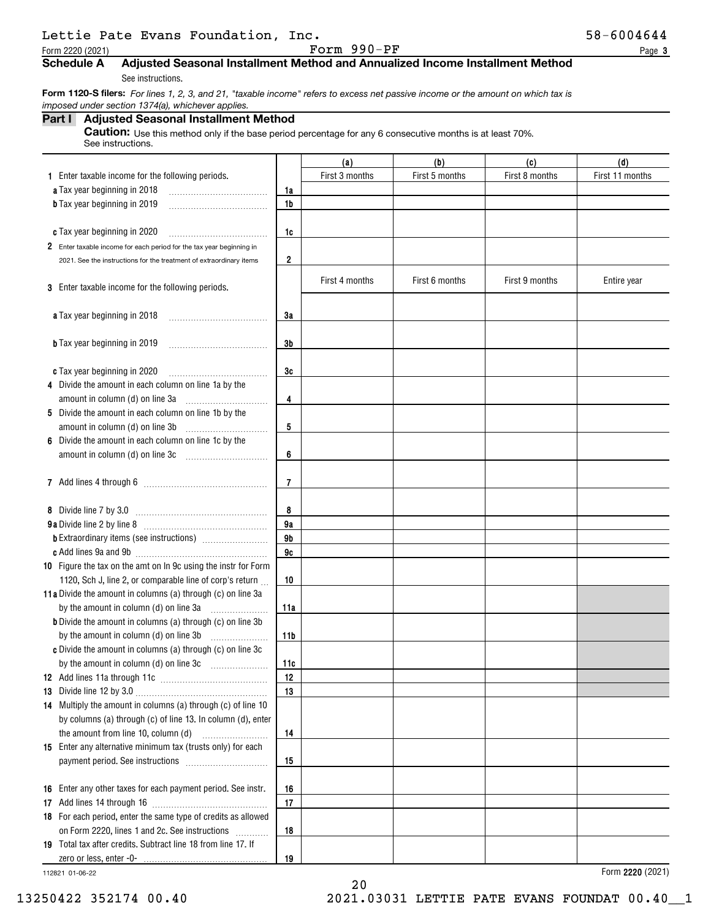|  | Lettie Pate Evans Foundation, Inc |  |
|--|-----------------------------------|--|
|  |                                   |  |

Form 2220 (2021) Page Form 990-PF

### **3**

# **Schedule A Adjusted Seasonal Installment Method and Annualized Income Installment Method**

See instructions.

 **Form 1120-S filers:** *For lines 1, 2, 3, and 21, "taxable income" refers to excess net passive income or the amount on which tax is imposed under section 1374(a), whichever applies.*

## **Part I Adjusted Seasonal Installment Method**

**Caution:** Use this method only if the base period percentage for any 6 consecutive months is at least 70%. See instructions.

|                                                                      |                | (a)            | (b)            | (c)            | (d)             |
|----------------------------------------------------------------------|----------------|----------------|----------------|----------------|-----------------|
| 1 Enter taxable income for the following periods.                    |                | First 3 months | First 5 months | First 8 months | First 11 months |
| a Tax year beginning in 2018                                         | 1a             |                |                |                |                 |
| <b>b</b> Tax year beginning in 2019                                  | 1b             |                |                |                |                 |
|                                                                      |                |                |                |                |                 |
| c Tax year beginning in 2020                                         | 1c             |                |                |                |                 |
| 2 Enter taxable income for each period for the tax year beginning in |                |                |                |                |                 |
| 2021. See the instructions for the treatment of extraordinary items  | $\overline{2}$ |                |                |                |                 |
|                                                                      |                |                |                |                |                 |
| 3 Enter taxable income for the following periods.                    |                | First 4 months | First 6 months | First 9 months | Entire year     |
|                                                                      |                |                |                |                |                 |
| a Tax year beginning in 2018                                         | 3a             |                |                |                |                 |
|                                                                      |                |                |                |                |                 |
| <b>b</b> Tax year beginning in 2019                                  | 3b             |                |                |                |                 |
|                                                                      |                |                |                |                |                 |
| c Tax year beginning in 2020                                         | 3c             |                |                |                |                 |
| 4 Divide the amount in each column on line 1a by the                 |                |                |                |                |                 |
| amount in column (d) on line 3a                                      | 4              |                |                |                |                 |
| 5 Divide the amount in each column on line 1b by the                 |                |                |                |                |                 |
| amount in column (d) on line 3b                                      | 5              |                |                |                |                 |
| 6 Divide the amount in each column on line 1c by the                 |                |                |                |                |                 |
| amount in column (d) on line 3c                                      | 6              |                |                |                |                 |
|                                                                      |                |                |                |                |                 |
|                                                                      | $\overline{7}$ |                |                |                |                 |
|                                                                      |                |                |                |                |                 |
| 8 Divide line 7 by 3.0                                               | 8              |                |                |                |                 |
|                                                                      | 9a             |                |                |                |                 |
|                                                                      | 9b             |                |                |                |                 |
|                                                                      | 9c             |                |                |                |                 |
| 10 Figure the tax on the amt on In 9c using the instr for Form       |                |                |                |                |                 |
| 1120, Sch J, line 2, or comparable line of corp's return             | 10             |                |                |                |                 |
| 11a Divide the amount in columns (a) through (c) on line 3a          |                |                |                |                |                 |
| by the amount in column (d) on line 3a                               | 11a            |                |                |                |                 |
| <b>b</b> Divide the amount in columns (a) through (c) on line 3b     |                |                |                |                |                 |
| by the amount in column (d) on line 3b                               | 11b            |                |                |                |                 |
| c Divide the amount in columns (a) through (c) on line 3c            |                |                |                |                |                 |
|                                                                      | 11c            |                |                |                |                 |
|                                                                      | 12             |                |                |                |                 |
|                                                                      | 13             |                |                |                |                 |
| 14 Multiply the amount in columns (a) through (c) of line 10         |                |                |                |                |                 |
| by columns (a) through (c) of line 13. In column (d), enter          |                |                |                |                |                 |
| the amount from line 10, column (d)                                  | 14             |                |                |                |                 |
| 15 Enter any alternative minimum tax (trusts only) for each          |                |                |                |                |                 |
|                                                                      | 15             |                |                |                |                 |
|                                                                      |                |                |                |                |                 |
| 16 Enter any other taxes for each payment period. See instr.         | 16             |                |                |                |                 |
|                                                                      | 17             |                |                |                |                 |
| 18 For each period, enter the same type of credits as allowed        |                |                |                |                |                 |
| on Form 2220, lines 1 and 2c. See instructions                       | 18             |                |                |                |                 |
| 19 Total tax after credits. Subtract line 18 from line 17. If        |                |                |                |                |                 |
|                                                                      | 19             |                |                |                |                 |

20

112821 01-06-22

**2220**  Form (2021)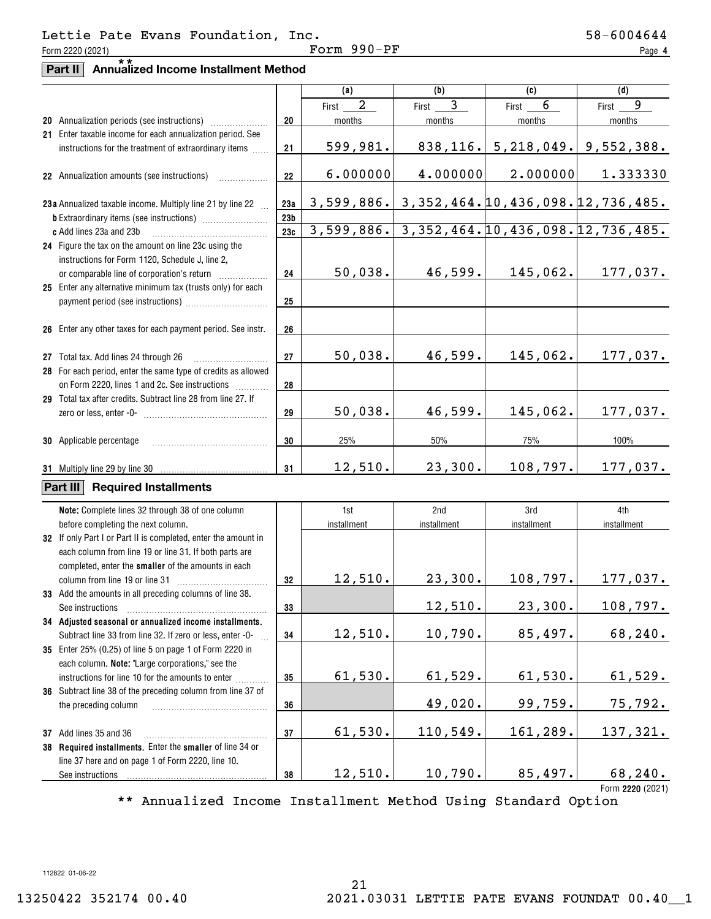**4**

# **Part II Annualized Income Installment Method** \*\*

|                                                                                                      |                 | (a)                     | (b)                   | (c)         | (d)                                           |
|------------------------------------------------------------------------------------------------------|-----------------|-------------------------|-----------------------|-------------|-----------------------------------------------|
|                                                                                                      |                 | $\overline{a}$<br>First | $\mathbf{3}$<br>First | 6<br>First  | 9<br>First                                    |
|                                                                                                      | 20              | months                  | months                | months      | months                                        |
| 21 Enter taxable income for each annualization period. See                                           |                 |                         |                       |             |                                               |
| instructions for the treatment of extraordinary items                                                | 21              | 599,981.                | 838, 116.             |             | $5,218,049.$ $9,552,388.$                     |
|                                                                                                      |                 | 6.000000                | 4.000000              | 2.000000    | 1.333330                                      |
| 22 Annualization amounts (see instructions)                                                          | 22              |                         |                       |             |                                               |
| 23a Annualized taxable income. Multiply line 21 by line 22                                           | 23a             | 3,599,886.              |                       |             | 3, 352, 464. 10, 436, 098. 12, 736, 485.      |
|                                                                                                      | 23 <sub>b</sub> |                         |                       |             |                                               |
| c Add lines 23a and 23b                                                                              | 23c             |                         |                       |             | 3,599,886. 3,352,464. 10,436,098. 12,736,485. |
| 24 Figure the tax on the amount on line 23c using the                                                |                 |                         |                       |             |                                               |
| instructions for Form 1120, Schedule J, line 2,                                                      |                 |                         |                       |             |                                               |
|                                                                                                      | 24              | 50,038.                 | 46,599.               | 145,062.    | 177,037.                                      |
| 25 Enter any alternative minimum tax (trusts only) for each                                          |                 |                         |                       |             |                                               |
|                                                                                                      | 25              |                         |                       |             |                                               |
|                                                                                                      |                 |                         |                       |             |                                               |
| 26 Enter any other taxes for each payment period. See instr.                                         | 26              |                         |                       |             |                                               |
|                                                                                                      | 27              | 50,038.                 | 46,599.               | 145,062.    | 177,037.                                      |
| 27 Total tax. Add lines 24 through 26 [11, 12, 13, 13, 13, 14, 14, 15, 16, 17, 18, 18, 18, 18, 18, 1 |                 |                         |                       |             |                                               |
| 28 For each period, enter the same type of credits as allowed                                        |                 |                         |                       |             |                                               |
| on Form 2220, lines 1 and 2c. See instructions                                                       | 28              |                         |                       |             |                                               |
| 29 Total tax after credits. Subtract line 28 from line 27. If                                        |                 | 50,038.                 | 46,599.               | 145,062.    | 177,037.                                      |
|                                                                                                      | 29              |                         |                       |             |                                               |
| 30 Applicable percentage                                                                             | 30              | 25%                     | 50%                   | 75%         | 100%                                          |
| 31 Multiply line 29 by line 30                                                                       | 31              | 12,510.                 | 23,300.               | 108,797.    | 177,037.                                      |
|                                                                                                      |                 |                         |                       |             |                                               |
| Part III<br><b>Required Installments</b>                                                             |                 |                         |                       |             |                                               |
| Note: Complete lines 32 through 38 of one column                                                     |                 | 1st                     | 2nd                   | 3rd         | 4th                                           |
| before completing the next column.                                                                   |                 | installment             | installment           | installment | installment                                   |
| 32 If only Part I or Part II is completed, enter the amount in                                       |                 |                         |                       |             |                                               |
| each column from line 19 or line 31. If both parts are                                               |                 |                         |                       |             |                                               |
| completed, enter the smaller of the amounts in each                                                  |                 |                         |                       |             |                                               |
| column from line 19 or line 31                                                                       | 32              | 12,510.                 | 23,300.               | 108, 797.   | 177,037.                                      |
| 33 Add the amounts in all preceding columns of line 38.                                              |                 |                         |                       |             |                                               |
| See instructions                                                                                     | 33              |                         | 12,510.               | 23,300.     | 108,797.                                      |
| 34 Adjusted seasonal or annualized income installments.                                              |                 |                         |                       |             |                                               |
| Subtract line 33 from line 32. If zero or less, enter -0-                                            | 34              | 12,510.                 | 10,790.               | 85,497.     | 68,240.                                       |
| 35 Enter 25% (0.25) of line 5 on page 1 of Form 2220 in                                              |                 |                         |                       |             |                                               |
| each column. Note: "Large corporations," see the                                                     |                 |                         |                       |             |                                               |
| instructions for line 10 for the amounts to enter                                                    | 35              | 61,530.                 | 61,529.               | 61,530.     | <u>61,529.</u>                                |
| 36 Subtract line 38 of the preceding column from line 37 of<br>the preceding column                  | 36              |                         | 49,020.               | 99,759.     | 75,792.                                       |
|                                                                                                      |                 |                         |                       |             |                                               |
| 37 Add lines 35 and 36                                                                               | 37              | 61,530.                 | 110, 549.             | 161,289.    | 137,321.                                      |
| 38 Required installments. Enter the smaller of line 34 or                                            |                 |                         |                       |             |                                               |
| line 37 here and on page 1 of Form 2220, line 10.                                                    |                 |                         |                       |             |                                               |
| See instructions                                                                                     | 38              | 12,510.                 | 10,790.               | 85,497.     | 68,240.                                       |
|                                                                                                      |                 |                         |                       |             | Form 2220 (2021)                              |

\*\* Annualized Income Installment Method Using Standard Option

21

112822 01-06-22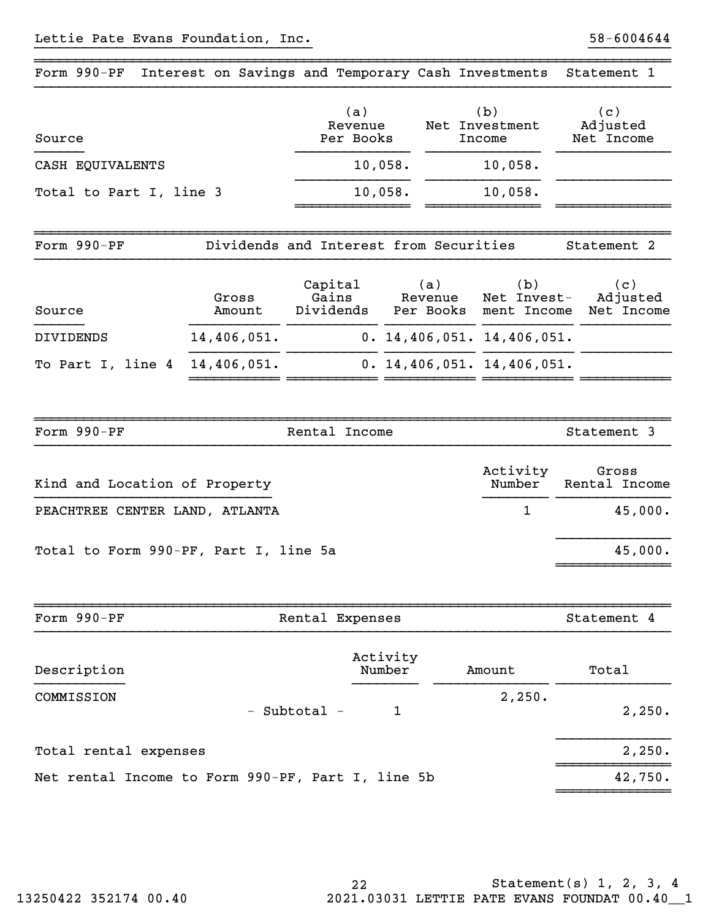| Form $990-PF$                    | Interest on Savings and Temporary Cash Investments |                                         |                |                                   | Statement 1                        |
|----------------------------------|----------------------------------------------------|-----------------------------------------|----------------|-----------------------------------|------------------------------------|
| Source                           |                                                    | (a)<br>Revenue<br>Per Books             |                | (b)<br>Net Investment<br>Income   | (c)<br>Adjusted<br>Net Income      |
| CASH EQUIVALENTS                 |                                                    | 10,058.                                 | 10,058.        |                                   |                                    |
| Total to Part I, line 3          |                                                    | 10,058.                                 | 10,058.        |                                   |                                    |
| Form 990-PF                      |                                                    | Dividends and Interest from Securities  |                |                                   | Statement 2                        |
| Source                           | Gross<br>Amount                                    | Capital<br>Gains<br>Dividends Per Books | (a)<br>Revenue | (b)<br>Net Invest-<br>ment Income | (c)<br>Adjusted<br>Net Income      |
| <b>DIVIDENDS</b>                 | 14,406,051.                                        |                                         |                | 0.14,406,051.14,406,051.          |                                    |
| To Part I, line 4                | 14,406,051.                                        |                                         |                | 0.14, 406, 051.14, 406, 051.      |                                    |
|                                  |                                                    |                                         |                |                                   |                                    |
| Form 990-PF                      |                                                    | Rental Income                           |                |                                   | Statement 3                        |
| $V$ ind and Location of Droportu |                                                    |                                         |                | Activity                          | Gross<br>$Numbox$ $Donto1$ $Tnaam$ |

~~~~~~~~~~~~~~~~~~~~~~~~~~~~~~~~~~~~~~~~~~~~~~~~~~~~~~~~~~~~~~~~~~~~~~~~~~~~~~

| Kind and Location of Property         | Number   | Rental Income |
|---------------------------------------|----------|---------------|
| PEACHTREE CENTER LAND, ATLANTA        | $\sim$ 1 | 45,000.       |
| Total to Form 990-PF, Part I, line 5a |          | 45,000.       |
|                                       |          |               |

| Form 990-PF                                       |              | Rental Expenses    |        | Statement 4 |
|---------------------------------------------------|--------------|--------------------|--------|-------------|
| Description                                       |              | Activity<br>Number | Amount | Total       |
| COMMISSION                                        | - Subtotal - |                    | 2,250. | 2,250.      |
| Total rental expenses                             |              |                    |        | 2,250.      |
| Net rental Income to Form 990-PF, Part I, line 5b |              |                    |        | 42,750.     |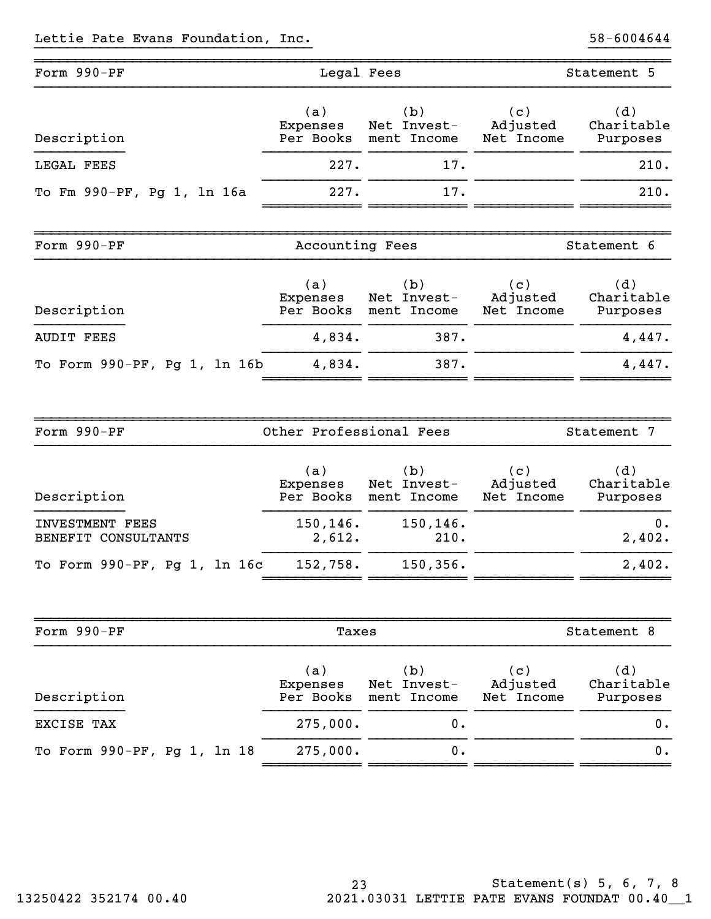| Form 990-PF                  | Legal Fees                   |                                             | Statement 5                   |                               |
|------------------------------|------------------------------|---------------------------------------------|-------------------------------|-------------------------------|
| Description                  | (a)<br>Expenses              | (b)<br>Net Invest-<br>Per Books ment Income | (c)<br>Adjusted<br>Net Income | (d)<br>Charitable<br>Purposes |
| LEGAL FEES                   | 227.                         | 17.                                         |                               | 210.                          |
| To Fm 990-PF, Pg 1, 1n 16a   | 227.                         | 17.                                         |                               | 210.                          |
|                              |                              |                                             |                               |                               |
| Form 990-PF                  | Accounting Fees              |                                             |                               | Statement 6                   |
| Description                  | (a)<br>Expenses<br>Per Books | (b)<br>Net Invest-<br>ment Income           | (c)<br>Adjusted<br>Net Income | (d)<br>Charitable<br>Purposes |
| <b>AUDIT FEES</b>            | 4,834.                       | 387.                                        |                               | 4,447.                        |
| To Form 990-PF, Pg 1, 1n 16b | 4,834.                       | 387.                                        |                               | 4,447.                        |
|                              |                              |                                             |                               |                               |

| Form 990-PF                  | Other Professional Fees |             |            | Statement 7 |
|------------------------------|-------------------------|-------------|------------|-------------|
| Description                  | (a)                     | (b)         | (c)        | (d)         |
|                              | Expenses                | Net Invest- | Adjusted   | Charitable  |
|                              | Per Books               | ment Income | Net Income | Purposes    |
| <b>INVESTMENT FEES</b>       | 150, 146.               | 150, 146.   |            | 0.          |
| BENEFIT CONSULTANTS          | 2,612.                  | 210.        |            | 2,402.      |
| To Form 990-PF, Pg 1, 1n 16c | 152,758.                | 150, 356.   |            | 2,402.      |

| Form 990-PF                 | Taxes                        |                                   |                               | Statement 8                   |  |  |
|-----------------------------|------------------------------|-----------------------------------|-------------------------------|-------------------------------|--|--|
| Description                 | (a)<br>Expenses<br>Per Books | (b)<br>Net Invest-<br>ment Income | (c)<br>Adjusted<br>Net Income | (d)<br>Charitable<br>Purposes |  |  |
| EXCISE TAX                  | 275,000.                     | 0.                                |                               | 0.                            |  |  |
| To Form 990-PF, Pg 1, 1n 18 | 275,000.                     | $0$ .                             |                               | $0$ .                         |  |  |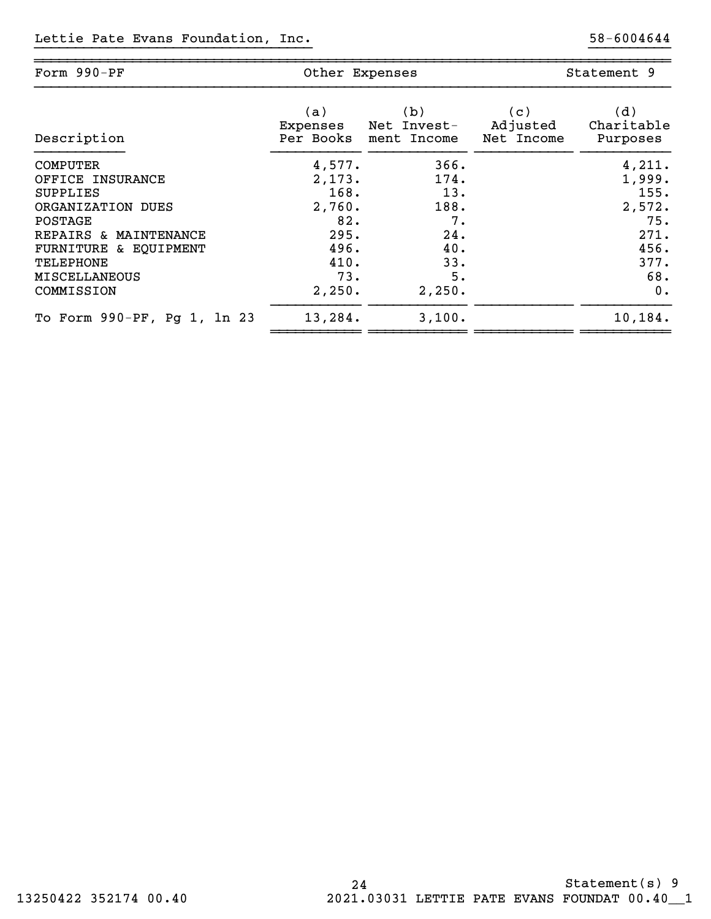| Form 990-PF                 | Other Expenses |             | Statement 9 |            |
|-----------------------------|----------------|-------------|-------------|------------|
| Description                 | (a)            | (b)         | (c)         | (d)        |
|                             | Expenses       | Net Invest- | Adjusted    | Charitable |
|                             | Per Books      | ment Income | Net Income  | Purposes   |
| <b>COMPUTER</b>             | 4,577.         | 366.        |             | 4,211.     |
| OFFICE INSURANCE            | 2,173.         | 174.        |             | 1,999.     |
| <b>SUPPLIES</b>             | 168.           | 13.         |             | 155.       |
| ORGANIZATION DUES           | 2,760.         | 188.        |             | 2,572.     |
| POSTAGE                     | 82.            | 7.          |             | 75.        |
| REPAIRS & MAINTENANCE       | 295.           | 24.         |             | 271.       |
| FURNITURE & EQUIPMENT       | 496.           | 40.         |             | 456.       |
| TELEPHONE                   | 410.           | 33.         |             | 377.       |
| <b>MISCELLANEOUS</b>        | 73.            | 5.          |             | 68.        |
| COMMISSION                  | 2,250.         | 2,250.      |             | 0.         |
| To Form 990-PF, Pg 1, 1n 23 | 13,284.        | 3,100.      |             | 10,184.    |

~~~~~~~~~~~~~~~~~~~~~~~~~~~~~~~~~~~~~~~~~~~~~~~~~~~~~~~~~~~~~~~~~~~~~~~~~~~~~~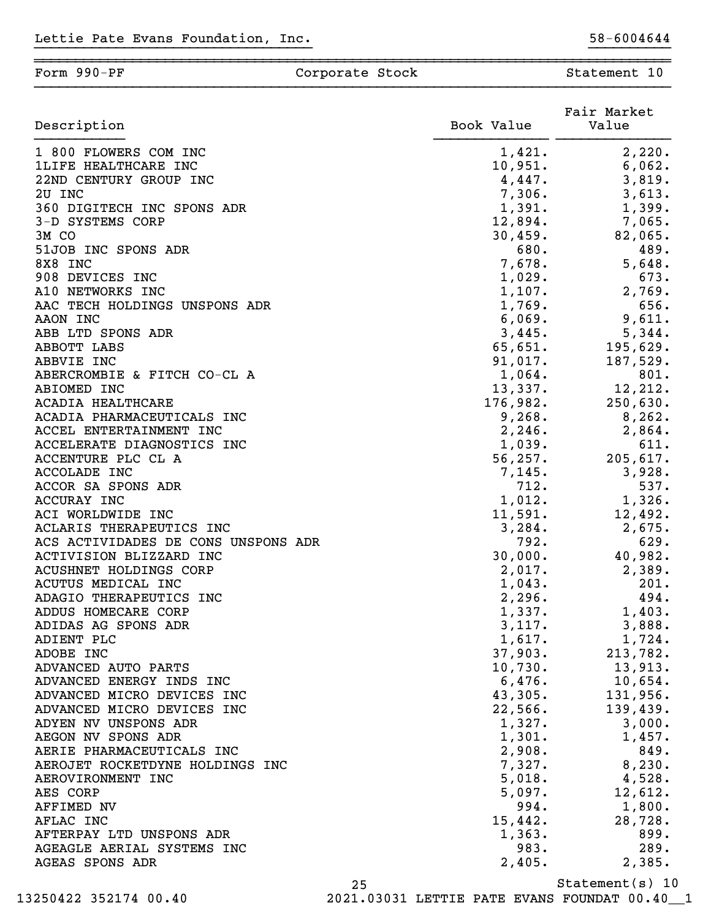#### ~~~~~~~~~~~~~~~~~~~~~~~~~~~~~~~~~~~~~~~~~~~~~~~~~~~~~~~~~~~~~~~~~~~~~~~~~~~~~~Form 990-PF Corporate Stock Stock Statement 10

}}}}}}}}}}}}}}}}}}}}}}}}}}}}}}}}}} }}}}}}}}}}

|                                     |            | Fair Market |
|-------------------------------------|------------|-------------|
| Description                         | Book Value | Value       |
| 1 800 FLOWERS COM INC               | 1,421.     | 2,220.      |
| <b>1LIFE HEALTHCARE INC</b>         | 10,951.    | 6,062.      |
| 22ND CENTURY GROUP INC              | 4,447.     | 3,819.      |
| 2U INC                              | 7,306.     | 3,613.      |
| 360 DIGITECH INC SPONS ADR          | 1,391.     | 1,399.      |
| 3-D SYSTEMS CORP                    | 12,894.    | 7,065.      |
| 3M CO                               | 30,459.    | 82,065.     |
| 51JOB INC SPONS ADR                 | 680.       | 489.        |
| 8X8 INC                             | 7,678.     | 5,648.      |
| 908 DEVICES INC                     | 1,029.     | 673.        |
| A10 NETWORKS INC                    | 1,107.     | 2,769.      |
| AAC TECH HOLDINGS UNSPONS ADR       | 1,769.     | 656.        |
| AAON INC                            | 6,069.     | 9,611.      |
| ABB LTD SPONS ADR                   | 3,445.     | 5,344.      |
| ABBOTT LABS                         | 65,651.    | 195,629.    |
| ABBVIE INC                          | 91,017.    | 187,529.    |
| ABERCROMBIE & FITCH CO-CL A         | 1,064.     | 801.        |
| ABIOMED INC                         | 13,337.    | 12,212.     |
| <b>ACADIA HEALTHCARE</b>            | 176,982.   | 250,630.    |
| ACADIA PHARMACEUTICALS INC          | 9,268.     | 8, 262.     |
| ACCEL ENTERTAINMENT INC             | 2, 246.    | 2,864.      |
| ACCELERATE DIAGNOSTICS INC          | 1,039.     | 611.        |
| ACCENTURE PLC CL A                  | 56, 257.   | 205,617.    |
| <b>ACCOLADE INC</b>                 | 7,145.     | 3,928.      |
| ACCOR SA SPONS ADR                  | 712.       | 537.        |
| ACCURAY INC                         | 1,012.     | 1,326.      |
| ACI WORLDWIDE INC                   | 11,591.    | 12,492.     |
| ACLARIS THERAPEUTICS INC            | 3,284.     | 2,675.      |
| ACS ACTIVIDADES DE CONS UNSPONS ADR | 792.       | 629.        |
| ACTIVISION BLIZZARD INC             | 30,000.    | 40,982.     |
| <b>ACUSHNET HOLDINGS CORP</b>       | 2,017.     | 2,389.      |
| ACUTUS MEDICAL INC                  | 1,043.     | 201.        |
| ADAGIO THERAPEUTICS INC             | 2,296.     | 494.        |
| ADDUS HOMECARE CORP                 | 1,337.     | 1,403.      |
| ADIDAS AG SPONS ADR                 | 3,117.     | 3,888.      |
| ADIENT PLC                          | 1,617.     | 1,724.      |
| ADOBE INC                           | 37,903.    | 213,782.    |
| ADVANCED AUTO PARTS                 | 10,730.    | 13,913.     |
| ADVANCED ENERGY INDS INC            | 6,476.     | 10,654.     |
| ADVANCED MICRO DEVICES INC          | 43,305.    | 131,956.    |
| ADVANCED MICRO DEVICES INC          | 22,566.    | 139,439.    |
| ADYEN NV UNSPONS ADR                | 1,327.     | 3,000.      |
| AEGON NV SPONS ADR                  | 1,301.     | 1,457.      |
| AERIE PHARMACEUTICALS INC           | 2,908.     | 849.        |
| AEROJET ROCKETDYNE HOLDINGS INC     | 7,327.     | 8,230.      |
| AEROVIRONMENT INC                   | 5,018.     | 4,528.      |
| AES CORP                            | 5,097.     | 12,612.     |
| AFFIMED NV                          | 994.       | 1,800.      |
| AFLAC INC                           | 15,442.    | 28,728.     |
| AFTERPAY LTD UNSPONS ADR            | 1,363.     | 899.        |
| AGEAGLE AERIAL SYSTEMS INC          | 983.       | 289.        |
| AGEAS SPONS ADR                     | 2,405.     | 2,385.      |
|                                     |            |             |

13250422 352174 00.40 2021.03031 LETTIE PATE EVANS FOUNDAT 00.40\_\_1

<sup>25</sup> Statement(s) 10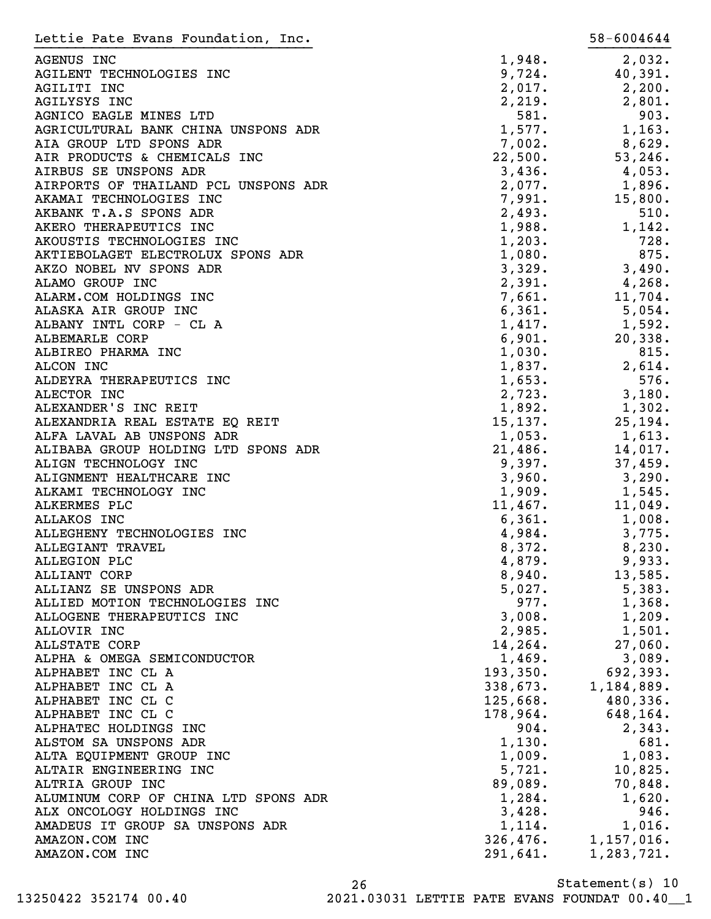| Lettie Pate Evans Foundation, Inc.               |                      | 58-6004644         |
|--------------------------------------------------|----------------------|--------------------|
| AGENUS INC                                       | 1,948.               | 2,032.             |
| AGILENT TECHNOLOGIES INC                         | 9,724.               | 40,391.            |
| AGILITI INC                                      | 2,017.               | 2,200.             |
| AGILYSYS INC                                     | 2,219.               | 2,801.             |
| AGNICO EAGLE MINES LTD                           | 581.                 | 903.               |
| AGRICULTURAL BANK CHINA UNSPONS ADR              | 1,577.               | 1,163.             |
| AIA GROUP LTD SPONS ADR                          | 7,002.               | 8,629.             |
| AIR PRODUCTS & CHEMICALS INC                     | 22,500.              | 53, 246.           |
| AIRBUS SE UNSPONS ADR                            | 3,436.               | 4,053.             |
| AIRPORTS OF THAILAND PCL UNSPONS ADR             | 2,077.               | 1,896.             |
| AKAMAI TECHNOLOGIES INC                          | 7,991.               | 15,800.            |
| AKBANK T.A.S SPONS ADR                           | 2,493.               | 510.               |
| AKERO THERAPEUTICS INC                           | 1,988.               | 1,142.             |
| AKOUSTIS TECHNOLOGIES INC                        | 1,203.               | 728.               |
| AKTIEBOLAGET ELECTROLUX SPONS ADR                | 1,080.               | 875.               |
| AKZO NOBEL NV SPONS ADR                          | 3,329.               | 3,490.             |
| ALAMO GROUP INC                                  | 2,391.               | 4,268.             |
| ALARM.COM HOLDINGS INC                           | 7,661.               | 11,704.            |
| ALASKA AIR GROUP INC                             | 6,361.               | 5,054.             |
| ALBANY INTL CORP - CL A                          | 1,417.               | 1,592.             |
| ALBEMARLE CORP                                   | 6,901.               | 20, 338.           |
| ALBIREO PHARMA INC                               | 1,030.               | 815.               |
| ALCON INC                                        | 1,837.               | 2,614.             |
| ALDEYRA THERAPEUTICS INC                         | 1,653.               | 576.               |
| ALECTOR INC                                      | 2,723.               | 3,180.             |
| ALEXANDER'S INC REIT                             | 1,892.               | 1,302.             |
| ALEXANDRIA REAL ESTATE EQ REIT                   | 15, 137.             | 25, 194.           |
| ALFA LAVAL AB UNSPONS ADR                        | 1,053.               | 1,613.             |
| ALIBABA GROUP HOLDING LTD SPONS ADR              | 21,486.              | 14,017.            |
| ALIGN TECHNOLOGY INC                             | 9,397.               | 37,459.            |
| ALIGNMENT HEALTHCARE INC                         | 3,960.               | 3,290.             |
| ALKAMI TECHNOLOGY INC                            | 1,909.               | 1,545.             |
| ALKERMES PLC                                     | 11,467.              | 11,049.            |
| ALLAKOS INC                                      | 6,361.               | 1,008.             |
| ALLEGHENY TECHNOLOGIES INC                       | 4,984.               | 3,775.             |
| ALLEGIANT TRAVEL                                 | 8,372.               | 8,230.             |
| ALLEGION PLC                                     | 4,879.               | 9,933.             |
| ALLIANT CORP                                     | 8,940.               | 13,585.            |
| ALLIANZ SE UNSPONS ADR                           | 5,027.               | 5,383.             |
| ALLIED MOTION TECHNOLOGIES INC                   | 977.                 | 1,368.             |
| ALLOGENE THERAPEUTICS INC                        | 3,008.               | 1,209.             |
| ALLOVIR INC                                      | 2,985.               | 1,501.             |
| <b>ALLSTATE CORP</b>                             | 14,264.              | 27,060.            |
| ALPHA & OMEGA SEMICONDUCTOR<br>ALPHABET INC CL A | 1,469.<br>193,350.   | 3,089.<br>692,393. |
| ALPHABET INC CL A                                |                      | 1,184,889.         |
| ALPHABET INC CL C                                | 338,673.<br>125,668. | 480,336.           |
| ALPHABET INC CL C                                | 178,964.             | 648,164.           |
| ALPHATEC HOLDINGS INC                            | 904.                 | 2,343.             |
| ALSTOM SA UNSPONS ADR                            | 1,130.               | 681.               |
| ALTA EQUIPMENT GROUP INC                         | 1,009.               | 1,083.             |
| ALTAIR ENGINEERING INC                           | 5,721.               | 10,825.            |
| ALTRIA GROUP INC                                 | 89,089.              | 70,848.            |
| ALUMINUM CORP OF CHINA LTD SPONS ADR             | 1,284.               | 1,620.             |
| ALX ONCOLOGY HOLDINGS INC                        | 3,428.               | 946.               |
| AMADEUS IT GROUP SA UNSPONS ADR                  | 1,114.               | 1,016.             |
| AMAZON.COM INC                                   | 326,476.             | 1,157,016.         |
| AMAZON.COM INC                                   | 291,641.             | 1,283,721.         |
|                                                  |                      |                    |

Statement(s) 10 26 13250422 352174 00.40 2021.03031 LETTIE PATE EVANS FOUNDAT 00.40\_\_1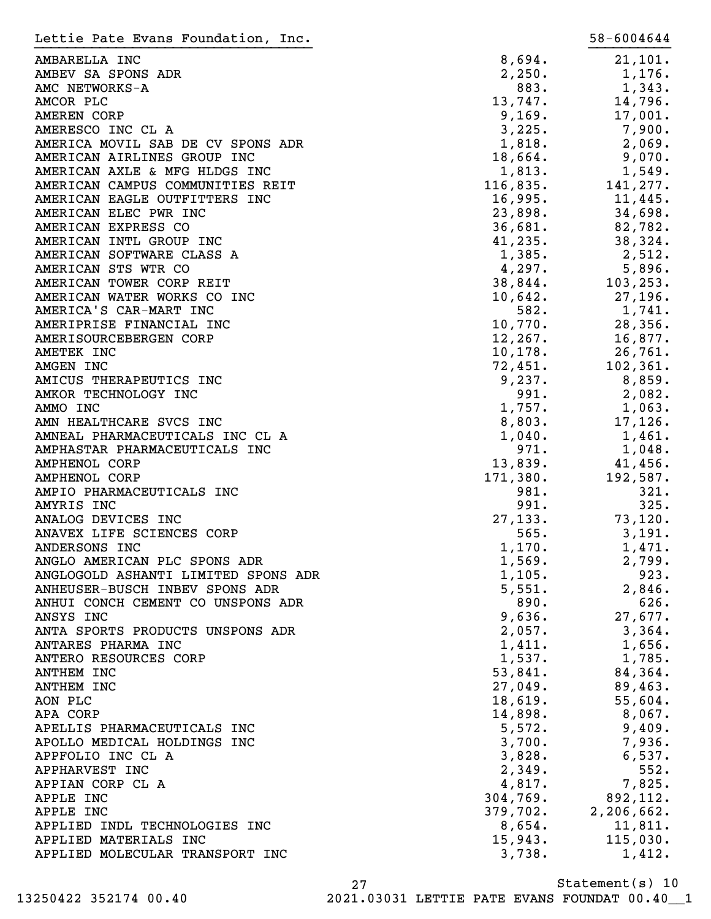| Lettie Pate Evans Foundation, Inc.  |                    | 58-6004644   |
|-------------------------------------|--------------------|--------------|
| AMBARELLA INC                       | 8,694.             | 21,101.      |
| AMBEV SA SPONS ADR                  | 2,250.             | 1,176.       |
| AMC NETWORKS-A                      | 883.               | 1,343.       |
| AMCOR PLC                           | 13,747.            | 14,796.      |
| <b>AMEREN CORP</b>                  | 9,169.             | 17,001.      |
| AMERESCO INC CL A                   | 3,225.             | 7,900.       |
| AMERICA MOVIL SAB DE CV SPONS ADR   | 1,818.             | 2,069.       |
| AMERICAN AIRLINES GROUP INC         | 18,664.            | 9,070.       |
| AMERICAN AXLE & MFG HLDGS INC       | 1,813.             | 1,549.       |
| AMERICAN CAMPUS COMMUNITIES REIT    | 116,835.           | 141,277.     |
| AMERICAN EAGLE OUTFITTERS INC       | 16,995.            | 11,445.      |
| AMERICAN ELEC PWR INC               | 23,898.            | 34,698.      |
| AMERICAN EXPRESS CO                 | 36,681.            | 82,782.      |
| AMERICAN INTL GROUP INC             | 41, 235.           | 38,324.      |
| AMERICAN SOFTWARE CLASS A           | 1,385.             | 2,512.       |
| AMERICAN STS WTR CO                 | 4,297.             | 5,896.       |
| AMERICAN TOWER CORP REIT            | 38,844.            | 103,253.     |
| AMERICAN WATER WORKS CO INC         | 10,642.            | 27,196.      |
| AMERICA'S CAR-MART INC              | 582.               | 1,741.       |
| AMERIPRISE FINANCIAL INC            | 10,770.            | 28,356.      |
| AMERISOURCEBERGEN CORP              | 12, 267.           | 16,877.      |
| AMETEK INC                          | 10, 178.           | 26,761.      |
| AMGEN INC                           | 72,451.            | 102, 361.    |
| AMICUS THERAPEUTICS INC             | 9,237.             | 8,859.       |
| AMKOR TECHNOLOGY INC                | 991.               | 2,082.       |
| AMMO INC                            | 1,757.             | 1,063.       |
| AMN HEALTHCARE SVCS INC             | 8,803.             | 17,126.      |
| AMNEAL PHARMACEUTICALS INC CL A     | 1,040.             | 1,461.       |
| AMPHASTAR PHARMACEUTICALS INC       | 971.               | 1,048.       |
| <b>AMPHENOL CORP</b>                | 13,839.            | 41,456.      |
| <b>AMPHENOL CORP</b>                | 171,380.           | 192,587.     |
| AMPIO PHARMACEUTICALS INC           | 981.               | 321.         |
| AMYRIS INC                          | 991.               | 325.         |
| ANALOG DEVICES INC                  | 27, 133.           | 73,120.      |
| ANAVEX LIFE SCIENCES CORP           | 565.               | 3,191.       |
| ANDERSONS INC                       | 1,170.             | 1,471.       |
| ANGLO AMERICAN PLC SPONS ADR        | 1,569.             | 2,799.       |
| ANGLOGOLD ASHANTI LIMITED SPONS ADR | 1,105.             | 923.         |
| ANHEUSER-BUSCH INBEV SPONS ADR      | 5,551.             | 2,846.       |
| ANHUI CONCH CEMENT CO UNSPONS ADR   | 890.               | 626.         |
| ANSYS INC                           | 9,636.             | 27,677.      |
| ANTA SPORTS PRODUCTS UNSPONS ADR    | 2,057.             | 3,364.       |
| ANTARES PHARMA INC                  | 1,411.             | 1,656.       |
| ANTERO RESOURCES CORP               | 1,537.             | 1,785.       |
| <b>ANTHEM INC</b>                   | 53,841.            | 84,364.      |
| <b>ANTHEM INC</b>                   | 27,049.            | 89,463.      |
| AON PLC                             | 18,619.            | 55,604.      |
| APA CORP                            | 14,898.            | 8,067.       |
| APELLIS PHARMACEUTICALS INC         | 5,572.             | 9,409.       |
| APOLLO MEDICAL HOLDINGS INC         | 3,700.             | 7,936.       |
| APPFOLIO INC CL A                   | 3,828.             | 6,537.       |
| APPHARVEST INC                      | 2,349.             | 552.         |
|                                     |                    |              |
| APPIAN CORP CL A                    | 4,817.<br>304,769. | 7,825.       |
| APPLE INC                           |                    | 892,112.     |
| APPLE INC                           | 379,702.           | 2, 206, 662. |
| APPLIED INDL TECHNOLOGIES INC       | 8,654.             | 11,811.      |
| APPLIED MATERIALS INC               | 15,943.            | 115,030.     |
| APPLIED MOLECULAR TRANSPORT INC     | 3,738.             | 1,412.       |

Statement(s) 10 27 13250422 352174 00.40 2021.03031 LETTIE PATE EVANS FOUNDAT 00.40\_\_1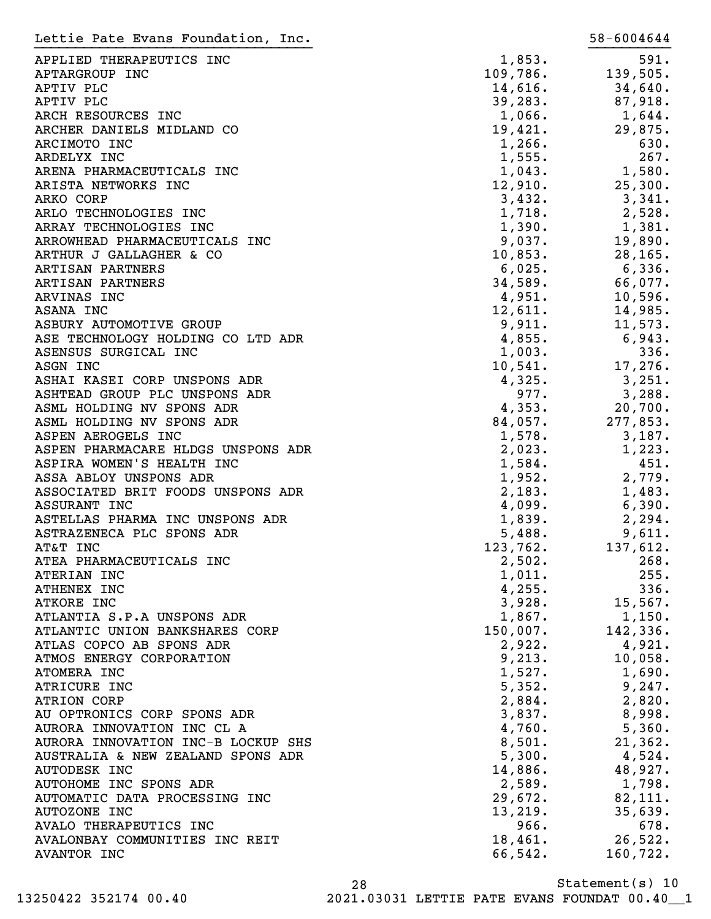| Lettie Pate Evans Foundation, Inc. |          | 58-6004644 |
|------------------------------------|----------|------------|
| APPLIED THERAPEUTICS INC           | 1,853.   | 591.       |
| APTARGROUP INC                     | 109,786. | 139,505.   |
| APTIV PLC                          | 14,616.  | 34,640.    |
| APTIV PLC                          | 39, 283. | 87,918.    |
| ARCH RESOURCES INC                 | 1,066.   | 1,644.     |
| ARCHER DANIELS MIDLAND CO          | 19,421.  | 29,875.    |
| ARCIMOTO INC                       | 1,266.   | 630.       |
| ARDELYX INC                        | 1,555.   | 267.       |
| ARENA PHARMACEUTICALS INC          | 1,043.   | 1,580.     |
| ARISTA NETWORKS INC                | 12,910.  | 25,300.    |
| ARKO CORP                          | 3,432.   | 3,341.     |
| ARLO TECHNOLOGIES INC              | 1,718.   | 2,528.     |
| ARRAY TECHNOLOGIES INC             | 1,390.   | 1,381.     |
| ARROWHEAD PHARMACEUTICALS INC      | 9,037.   | 19,890.    |
| ARTHUR J GALLAGHER & CO            | 10,853.  | 28, 165.   |
| ARTISAN PARTNERS                   | 6,025.   | 6,336.     |
| ARTISAN PARTNERS                   | 34,589.  | 66,077.    |
| ARVINAS INC                        | 4,951.   | 10,596.    |
| ASANA INC                          | 12,611.  | 14,985.    |
| ASBURY AUTOMOTIVE GROUP            | 9,911.   | 11,573.    |
| ASE TECHNOLOGY HOLDING CO LTD ADR  | 4,855.   | 6,943.     |
| ASENSUS SURGICAL INC               | 1,003.   | 336.       |
| ASGN INC                           | 10,541.  | 17,276.    |
| ASHAI KASEI CORP UNSPONS ADR       | 4,325.   | 3,251.     |
| ASHTEAD GROUP PLC UNSPONS ADR      | 977.     | 3,288.     |
| ASML HOLDING NV SPONS ADR          | 4,353.   | 20,700.    |
| ASML HOLDING NV SPONS ADR          | 84,057.  | 277,853.   |
| ASPEN AEROGELS INC                 | 1,578.   | 3,187.     |
| ASPEN PHARMACARE HLDGS UNSPONS ADR | 2,023.   | 1,223.     |
| ASPIRA WOMEN'S HEALTH INC          | 1,584.   | 451.       |
| ASSA ABLOY UNSPONS ADR             | 1,952.   | 2,779.     |
| ASSOCIATED BRIT FOODS UNSPONS ADR  | 2,183.   | 1,483.     |
| ASSURANT INC                       | 4,099.   | 6,390.     |
| ASTELLAS PHARMA INC UNSPONS ADR    | 1,839.   | 2, 294.    |
| ASTRAZENECA PLC SPONS ADR          | 5,488.   | 9,611.     |
| AT&T INC                           | 123,762. | 137,612.   |
| ATEA PHARMACEUTICALS INC           | 2,502.   | 268.       |
| ATERIAN INC                        | 1,011.   | 255.       |
| ATHENEX INC                        | 4,255.   | 336.       |
| ATKORE INC                         | 3,928.   | 15,567.    |
| ATLANTIA S.P.A UNSPONS ADR         | 1,867.   | 1,150.     |
| ATLANTIC UNION BANKSHARES CORP     | 150,007. | 142,336.   |
| ATLAS COPCO AB SPONS ADR           | 2,922.   | 4,921.     |
| ATMOS ENERGY CORPORATION           | 9,213.   | 10,058.    |
| ATOMERA INC                        | 1,527.   | 1,690.     |
| ATRICURE INC                       | 5,352.   | 9,247.     |
| <b>ATRION CORP</b>                 | 2,884.   | 2,820.     |
| AU OPTRONICS CORP SPONS ADR        | 3,837.   | 8,998.     |
| AURORA INNOVATION INC CL A         | 4,760.   | 5,360.     |
| AURORA INNOVATION INC-B LOCKUP SHS | 8,501.   | 21,362.    |
| AUSTRALIA & NEW ZEALAND SPONS ADR  | 5,300.   | $4,524$ .  |
| <b>AUTODESK INC</b>                | 14,886.  | 48,927.    |
| AUTOHOME INC SPONS ADR             | 2,589.   | 1,798.     |
| AUTOMATIC DATA PROCESSING INC      | 29,672.  | 82,111.    |
| <b>AUTOZONE INC</b>                | 13,219.  | 35,639.    |
| AVALO THERAPEUTICS INC             | 966.     | 678.       |
| AVALONBAY COMMUNITIES INC REIT     | 18,461.  | 26,522.    |
| <b>AVANTOR INC</b>                 | 66,542.  | 160,722.   |
|                                    |          |            |

Statement(s) 10 28 13250422 352174 00.40 2021.03031 LETTIE PATE EVANS FOUNDAT 00.40\_\_1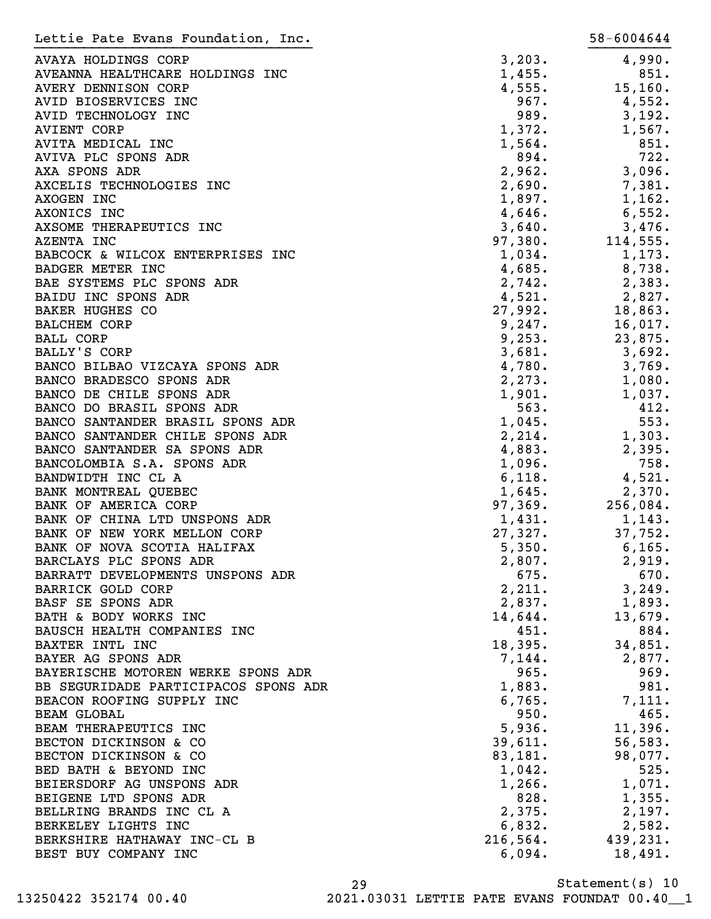| Lettie Pate Evans Foundation, Inc.   |          | 58-6004644 |
|--------------------------------------|----------|------------|
| AVAYA HOLDINGS CORP                  | 3,203.   | 4,990.     |
| AVEANNA HEALTHCARE HOLDINGS INC      | 1,455.   | 851.       |
| AVERY DENNISON CORP                  | 4,555.   | 15, 160.   |
| AVID BIOSERVICES INC                 | 967.     | 4,552.     |
| AVID TECHNOLOGY INC                  | 989.     | 3,192.     |
| <b>AVIENT CORP</b>                   | 1,372.   | 1,567.     |
| AVITA MEDICAL INC                    | 1,564.   | 851.       |
| AVIVA PLC SPONS ADR                  | 894.     | 722.       |
| AXA SPONS ADR                        | 2,962.   | 3,096.     |
| AXCELIS TECHNOLOGIES INC             | 2,690.   | 7,381.     |
| AXOGEN INC                           | 1,897.   | 1,162.     |
| AXONICS INC                          | 4,646.   | 6,552.     |
| AXSOME THERAPEUTICS INC              | 3,640.   | 3,476.     |
| AZENTA INC                           | 97,380.  | 114,555.   |
| BABCOCK & WILCOX ENTERPRISES INC     | 1,034.   | 1,173.     |
| <b>BADGER METER INC</b>              | 4,685.   | 8,738.     |
| BAE SYSTEMS PLC SPONS ADR            | 2,742.   | 2,383.     |
| BAIDU INC SPONS ADR                  | 4,521.   | 2,827.     |
| <b>BAKER HUGHES CO</b>               | 27,992.  | 18,863.    |
| <b>BALCHEM CORP</b>                  | 9,247.   | 16,017.    |
| <b>BALL CORP</b>                     | 9,253.   | 23,875.    |
| BALLY'S CORP                         | 3,681.   | 3,692.     |
| BANCO BILBAO VIZCAYA SPONS ADR       | 4,780.   | 3,769.     |
| BANCO BRADESCO SPONS ADR             | 2,273.   | 1,080.     |
| BANCO DE CHILE SPONS ADR             | 1,901.   | 1,037.     |
| BANCO DO BRASIL SPONS ADR            | 563.     | 412.       |
| BANCO SANTANDER BRASIL SPONS ADR     | 1,045.   | 553.       |
| BANCO SANTANDER CHILE SPONS ADR      | 2,214.   | 1,303.     |
| BANCO SANTANDER SA SPONS ADR         | 4,883.   | 2,395.     |
| BANCOLOMBIA S.A. SPONS ADR           | 1,096.   | 758.       |
| BANDWIDTH INC CL A                   | 6,118.   | 4,521.     |
| BANK MONTREAL QUEBEC                 | 1,645.   | 2,370.     |
| BANK OF AMERICA CORP                 | 97,369.  | 256,084.   |
| BANK OF CHINA LTD UNSPONS ADR        | 1,431.   | 1,143.     |
| BANK OF NEW YORK MELLON CORP         | 27,327.  | 37,752.    |
| BANK OF NOVA SCOTIA HALIFAX          | 5,350.   | 6, 165.    |
| BARCLAYS PLC SPONS ADR               | 2,807.   | 2,919.     |
| BARRATT DEVELOPMENTS UNSPONS ADR     | 675.     | 670.       |
| BARRICK GOLD CORP                    | 2,211.   | 3,249.     |
| BASF SE SPONS ADR                    | 2,837.   | 1,893.     |
| BATH & BODY WORKS INC                | 14,644.  | 13,679.    |
| BAUSCH HEALTH COMPANIES INC          | 451.     | 884.       |
| BAXTER INTL INC                      | 18,395.  | 34,851.    |
| BAYER AG SPONS ADR                   | 7,144.   | 2,877.     |
| BAYERISCHE MOTOREN WERKE SPONS ADR   | 965.     | 969.       |
| BB SEGURIDADE PARTICIPACOS SPONS ADR | 1,883.   | 981.       |
| BEACON ROOFING SUPPLY INC            | 6,765.   | 7,111.     |
| <b>BEAM GLOBAL</b>                   | 950.     | 465.       |
| BEAM THERAPEUTICS INC                | 5,936.   | 11,396.    |
| BECTON DICKINSON & CO                | 39,611.  | 56, 583.   |
| BECTON DICKINSON & CO                | 83,181.  | 98,077.    |
| BED BATH & BEYOND INC                | 1,042.   | 525.       |
| BEIERSDORF AG UNSPONS ADR            | 1,266.   | 1,071.     |
| BEIGENE LTD SPONS ADR                | 828.     | 1,355.     |
| BELLRING BRANDS INC CL A             | 2,375.   | 2,197.     |
| BERKELEY LIGHTS INC                  | 6,832.   | 2,582.     |
| BERKSHIRE HATHAWAY INC-CL B          | 216,564. | 439,231.   |
| BEST BUY COMPANY INC                 | 6,094.   | 18,491.    |

Statement(s) 10 29

13250422 352174 00.40 2021.03031 LETTIE PATE EVANS FOUNDAT 00.40\_\_1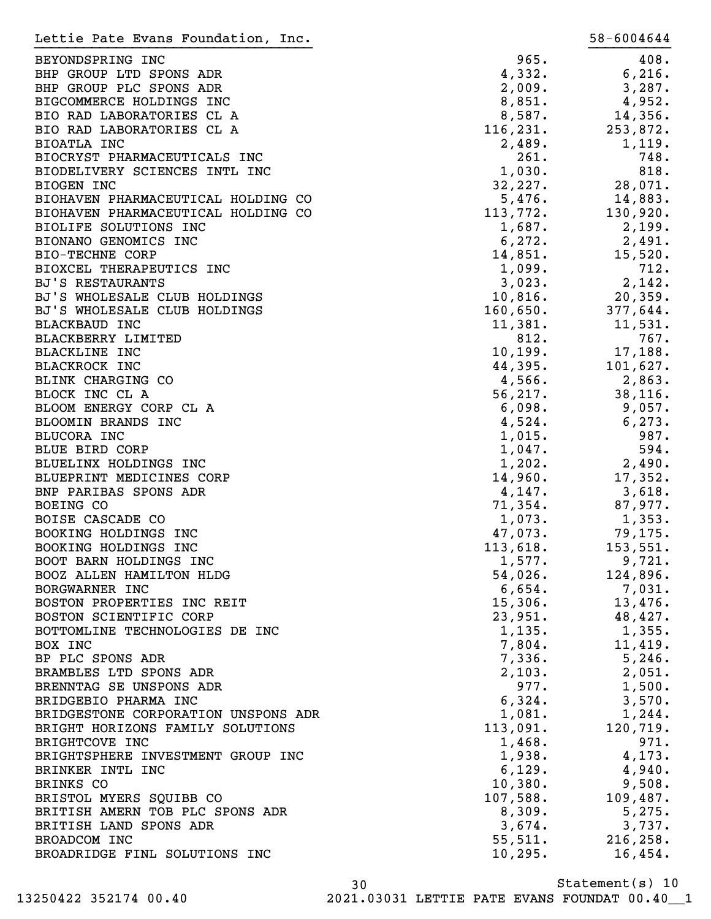| Lettie Pate Evans Foundation, Inc.                  |                  | 58-6004644         |
|-----------------------------------------------------|------------------|--------------------|
| BEYONDSPRING INC                                    | 965.             | 408.               |
| BHP GROUP LTD SPONS ADR                             | 4,332.           | 6,216.             |
| BHP GROUP PLC SPONS ADR                             | 2,009.           | 3,287.             |
| BIGCOMMERCE HOLDINGS INC                            | 8,851.           | 4,952.             |
| BIO RAD LABORATORIES CL A                           | 8,587.           | 14,356.            |
| BIO RAD LABORATORIES CL A                           | 116, 231.        | 253,872.           |
| BIOATLA INC                                         | 2,489.           | 1,119.             |
| BIOCRYST PHARMACEUTICALS INC                        | 261.             | 748.               |
| BIODELIVERY SCIENCES INTL INC                       | 1,030.           | 818.               |
| <b>BIOGEN INC</b>                                   | 32,227.          | 28,071.            |
| BIOHAVEN PHARMACEUTICAL HOLDING CO                  | 5,476.           | 14,883.            |
| BIOHAVEN PHARMACEUTICAL HOLDING CO                  | 113,772.         | 130,920.           |
| BIOLIFE SOLUTIONS INC                               | 1,687.           | 2,199.             |
| BIONANO GENOMICS INC                                | 6, 272.          | 2,491.             |
| <b>BIO-TECHNE CORP</b>                              | 14,851.          | 15,520.            |
| BIOXCEL THERAPEUTICS INC                            | 1,099.           | 712.               |
| <b>BJ'S RESTAURANTS</b>                             | 3,023.           | 2,142.             |
| BJ'S WHOLESALE CLUB HOLDINGS                        | 10,816.          | 20, 359.           |
| BJ'S WHOLESALE CLUB HOLDINGS                        | 160,650.         | 377,644.           |
| <b>BLACKBAUD INC</b>                                | 11,381.          | 11,531.            |
| BLACKBERRY LIMITED                                  | 812.             | 767.               |
| <b>BLACKLINE INC</b>                                | 10, 199.         | 17,188.            |
| <b>BLACKROCK INC</b>                                | 44,395.          | 101,627.           |
| BLINK CHARGING CO                                   | 4,566.           | 2,863.             |
| BLOCK INC CL A                                      | 56, 217.         | 38, 116.           |
| BLOOM ENERGY CORP CL A                              | 6,098.           | 9,057.             |
| BLOOMIN BRANDS INC                                  | 4,524.           | 6, 273.            |
| BLUCORA INC                                         | 1,015.           | 987.               |
| BLUE BIRD CORP                                      | 1,047.           | 594.               |
| BLUELINX HOLDINGS INC                               | 1,202.           | 2,490.             |
| BLUEPRINT MEDICINES CORP                            | 14,960.          | 17,352.            |
| BNP PARIBAS SPONS ADR                               | 4,147.           | 3,618.             |
| BOEING CO                                           | 71,354.          | 87,977.            |
| BOISE CASCADE CO                                    | 1,073.           | 1,353.             |
| BOOKING HOLDINGS INC                                | 47,073.          | 79,175.            |
| BOOKING HOLDINGS INC                                | 113,618.         | 153,551.           |
| BOOT BARN HOLDINGS INC                              | 1,577.           | 9,721.             |
| BOOZ ALLEN HAMILTON HLDG                            | 54,026.          | 124,896.           |
| BORGWARNER INC                                      | 6,654.           | 7,031.             |
| BOSTON PROPERTIES INC REIT                          | 15,306.          | 13,476.            |
| BOSTON SCIENTIFIC CORP                              | 23,951.          | 48,427.            |
| BOTTOMLINE TECHNOLOGIES DE INC                      | 1,135.           | 1,355.             |
| BOX INC                                             | 7,804.           | 11,419.            |
| BP PLC SPONS ADR                                    | 7,336.           | 5, 246.            |
| BRAMBLES LTD SPONS ADR                              | 2,103.           | 2,051.             |
| BRENNTAG SE UNSPONS ADR                             | 977.             | 1,500.             |
| BRIDGEBIO PHARMA INC                                | 6,324.           | 3,570.             |
| BRIDGESTONE CORPORATION UNSPONS ADR                 | 1,081.           | 1,244.<br>120,719. |
| BRIGHT HORIZONS FAMILY SOLUTIONS                    | 113,091.         | 971.               |
| BRIGHTCOVE INC<br>BRIGHTSPHERE INVESTMENT GROUP INC | 1,468.<br>1,938. | 4,173.             |
| BRINKER INTL INC                                    | 6,129.           | 4,940.             |
| BRINKS CO                                           | 10,380.          | 9,508.             |
| BRISTOL MYERS SQUIBB CO                             | 107,588.         | 109,487.           |
| BRITISH AMERN TOB PLC SPONS ADR                     | 8,309.           | 5,275.             |
| BRITISH LAND SPONS ADR                              | 3,674.           | 3,737.             |
| BROADCOM INC                                        | 55,511.          | 216, 258.          |
| BROADRIDGE FINL SOLUTIONS INC                       | 10, 295.         | 16,454.            |
|                                                     |                  |                    |

Statement(s) 10 30 13250422 352174 00.40 2021.03031 LETTIE PATE EVANS FOUNDAT 00.40\_\_1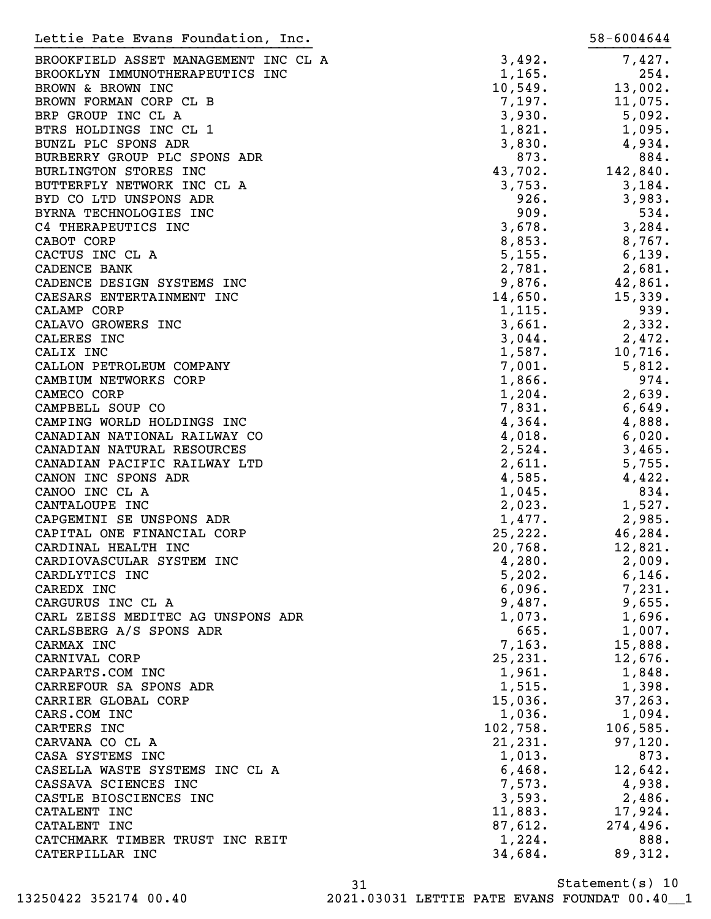| Lettie Pate Evans Foundation, Inc.   |          | 58-6004644 |
|--------------------------------------|----------|------------|
| BROOKFIELD ASSET MANAGEMENT INC CL A | 3,492.   | 7,427.     |
| BROOKLYN IMMUNOTHERAPEUTICS INC      | 1,165.   | 254.       |
| BROWN & BROWN INC                    | 10,549.  | 13,002.    |
| BROWN FORMAN CORP CL B               | 7,197.   | 11,075.    |
| BRP GROUP INC CL A                   | 3,930.   | 5,092.     |
| BTRS HOLDINGS INC CL 1               | 1,821.   | 1,095.     |
| BUNZL PLC SPONS ADR                  | 3,830.   | 4,934.     |
| BURBERRY GROUP PLC SPONS ADR         | 873.     | 884.       |
| BURLINGTON STORES INC                | 43,702.  | 142,840.   |
| BUTTERFLY NETWORK INC CL A           | 3,753.   | 3,184.     |
| BYD CO LTD UNSPONS ADR               | 926.     | 3,983.     |
| BYRNA TECHNOLOGIES INC               | 909.     | 534.       |
| C4 THERAPEUTICS INC                  | 3,678.   | 3,284.     |
| CABOT CORP                           | 8,853.   | 8,767.     |
| CACTUS INC CL A                      | 5,155.   | 6,139.     |
| CADENCE BANK                         | 2,781.   | 2,681.     |
| CADENCE DESIGN SYSTEMS INC           | 9,876.   | 42,861.    |
| CAESARS ENTERTAINMENT INC            | 14,650.  | 15,339.    |
| CALAMP CORP                          | 1,115.   | 939.       |
| CALAVO GROWERS INC                   | 3,661.   | 2,332.     |
| CALERES INC                          | 3,044.   | 2,472.     |
| CALIX INC                            | 1,587.   | 10,716.    |
| CALLON PETROLEUM COMPANY             | 7,001.   | 5,812.     |
| CAMBIUM NETWORKS CORP                | 1,866.   | 974.       |
| CAMECO CORP                          | 1,204.   | 2,639.     |
| CAMPBELL SOUP CO                     | 7,831.   | 6,649.     |
| CAMPING WORLD HOLDINGS INC           | 4,364.   | 4,888.     |
| CANADIAN NATIONAL RAILWAY CO         | 4,018.   | 6,020.     |
| CANADIAN NATURAL RESOURCES           | 2,524.   | 3,465.     |
| CANADIAN PACIFIC RAILWAY LTD         | 2,611.   | 5,755.     |
| CANON INC SPONS ADR                  | 4,585.   | 4,422.     |
| CANOO INC CL A                       | 1,045.   | 834.       |
| CANTALOUPE INC                       | 2,023.   | 1,527.     |
| CAPGEMINI SE UNSPONS ADR             | 1,477.   | 2,985.     |
| CAPITAL ONE FINANCIAL CORP           | 25,222.  | 46,284.    |
| CARDINAL HEALTH INC                  | 20,768.  | 12,821.    |
| CARDIOVASCULAR SYSTEM INC            | 4,280.   | 2,009.     |
| CARDLYTICS INC                       | 5,202.   | 6,146.     |
| CAREDX INC                           | 6,096.   | 7,231.     |
| CARGURUS INC CL A                    | 9,487.   | 9,655.     |
| CARL ZEISS MEDITEC AG UNSPONS ADR    | 1,073.   | 1,696.     |
| CARLSBERG A/S SPONS ADR              | 665.     | 1,007.     |
| CARMAX INC                           | 7,163.   | 15,888.    |
| CARNIVAL CORP                        | 25, 231. | 12,676.    |
| CARPARTS.COM INC                     | 1,961.   | 1,848.     |
| CARREFOUR SA SPONS ADR               | 1,515.   | 1,398.     |
| CARRIER GLOBAL CORP                  | 15,036.  | 37, 263.   |
| CARS.COM INC                         | 1,036.   | 1,094.     |
| CARTERS INC                          | 102,758. | 106,585.   |
| CARVANA CO CL A                      | 21, 231. | 97,120.    |
| CASA SYSTEMS INC                     | 1,013.   | 873.       |
| CASELLA WASTE SYSTEMS INC CL A       | 6,468.   | 12,642.    |
| CASSAVA SCIENCES INC                 | 7,573.   | 4,938.     |
| CASTLE BIOSCIENCES INC               | 3,593.   | 2,486.     |
| CATALENT INC                         | 11,883.  | 17,924.    |
| CATALENT INC                         | 87,612.  | 274,496.   |
| CATCHMARK TIMBER TRUST INC REIT      | 1,224.   | 888.       |
| CATERPILLAR INC                      | 34,684.  | 89,312.    |
|                                      |          |            |

Statement(s) 10 31 13250422 352174 00.40 2021.03031 LETTIE PATE EVANS FOUNDAT 00.40\_\_1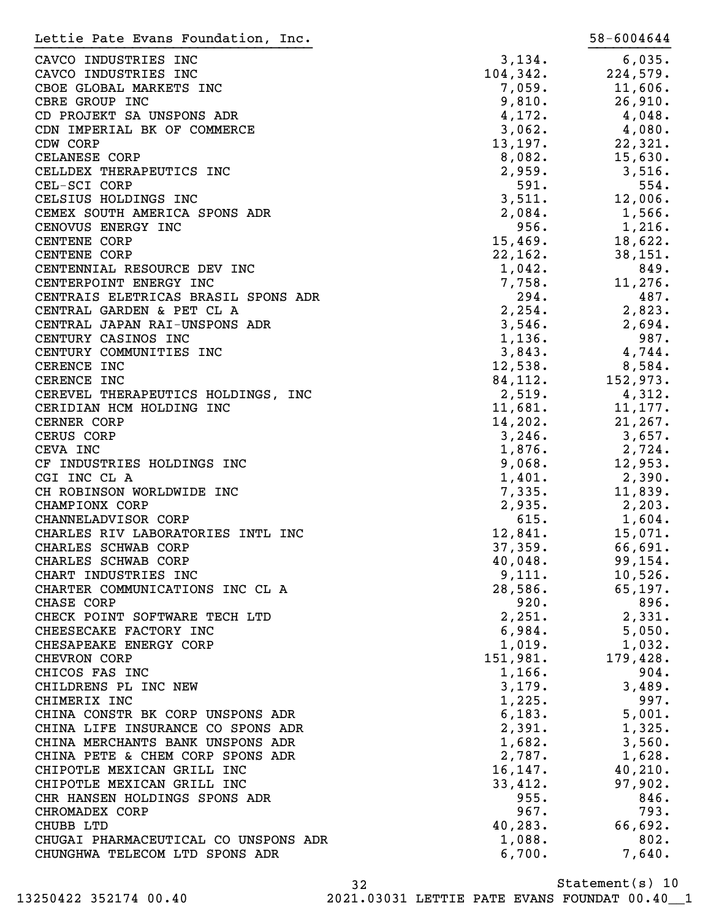| Lettie Pate Evans Foundation, Inc.   |           | 58-6004644 |
|--------------------------------------|-----------|------------|
| CAVCO INDUSTRIES INC                 | 3,134.    | 6,035.     |
| CAVCO INDUSTRIES INC                 | 104, 342. | 224,579.   |
| CBOE GLOBAL MARKETS INC              | 7,059.    | 11,606.    |
| CBRE GROUP INC                       | 9,810.    | 26,910.    |
| CD PROJEKT SA UNSPONS ADR            | 4,172.    | $4,048$ .  |
| CDN IMPERIAL BK OF COMMERCE          | 3,062.    | 4,080.     |
| CDW CORP                             | 13, 197.  | 22,321.    |
| CELANESE CORP                        | 8,082.    | 15,630.    |
| CELLDEX THERAPEUTICS INC             | 2,959.    | 3,516.     |
| CEL-SCI CORP                         | 591.      | 554.       |
| CELSIUS HOLDINGS INC                 | 3,511.    | 12,006.    |
| CEMEX SOUTH AMERICA SPONS ADR        | 2,084.    | 1,566.     |
| CENOVUS ENERGY INC                   | 956.      | 1,216.     |
| <b>CENTENE CORP</b>                  | 15,469.   | 18,622.    |
| CENTENE CORP                         | 22,162.   | 38, 151.   |
| CENTENNIAL RESOURCE DEV INC          | 1,042.    | 849.       |
| CENTERPOINT ENERGY INC               | 7,758.    | 11,276.    |
| CENTRAIS ELETRICAS BRASIL SPONS ADR  | 294.      | 487.       |
| CENTRAL GARDEN & PET CL A            | 2, 254.   | 2,823.     |
| CENTRAL JAPAN RAI-UNSPONS ADR        | 3,546.    | 2,694.     |
| CENTURY CASINOS INC                  | 1,136.    | 987.       |
| CENTURY COMMUNITIES INC              | 3,843.    | 4,744.     |
| CERENCE INC                          | 12,538.   | 8,584.     |
| CERENCE INC                          | 84,112.   | 152,973.   |
| CEREVEL THERAPEUTICS HOLDINGS, INC   | 2,519.    | 4,312.     |
| CERIDIAN HCM HOLDING INC             | 11,681.   | 11,177.    |
| CERNER CORP                          | 14,202.   | 21, 267.   |
| CERUS CORP                           | 3,246.    | 3,657.     |
| CEVA INC                             | 1,876.    | 2,724.     |
| CF INDUSTRIES HOLDINGS INC           | 9,068.    | 12,953.    |
| CGI INC CL A                         | 1,401.    | 2,390.     |
| CH ROBINSON WORLDWIDE INC            | 7,335.    | 11,839.    |
| CHAMPIONX CORP                       | 2,935.    | 2,203.     |
| CHANNELADVISOR CORP                  | 615.      | 1,604.     |
| CHARLES RIV LABORATORIES INTL INC    | 12,841.   | 15,071.    |
| CHARLES SCHWAB CORP                  | 37,359.   | 66,691.    |
| CHARLES SCHWAB CORP                  | 40,048.   | 99, 154.   |
| CHART INDUSTRIES INC                 | 9,111.    | 10,526.    |
| CHARTER COMMUNICATIONS INC CL A      | 28,586.   | 65, 197.   |
| CHASE CORP                           | 920.      | 896.       |
| CHECK POINT SOFTWARE TECH LTD        | 2,251.    | 2,331.     |
| CHEESECAKE FACTORY INC               | 6,984.    | 5,050.     |
| CHESAPEAKE ENERGY CORP               | 1,019.    | 1,032.     |
| CHEVRON CORP                         | 151,981.  | 179,428.   |
| CHICOS FAS INC                       | 1,166.    | 904.       |
| CHILDRENS PL INC NEW                 | 3,179.    | 3,489.     |
| CHIMERIX INC                         | 1,225.    | 997.       |
| CHINA CONSTR BK CORP UNSPONS ADR     | 6,183.    | 5,001.     |
| CHINA LIFE INSURANCE CO SPONS ADR    | 2,391.    | 1,325.     |
| CHINA MERCHANTS BANK UNSPONS ADR     | 1,682.    | 3,560.     |
| CHINA PETE & CHEM CORP SPONS ADR     | 2,787.    | 1,628.     |
| CHIPOTLE MEXICAN GRILL INC           | 16, 147.  | 40, 210.   |
| CHIPOTLE MEXICAN GRILL INC           | 33,412.   | 97,902.    |
| CHR HANSEN HOLDINGS SPONS ADR        | 955.      | 846.       |
| CHROMADEX CORP                       | 967.      | 793.       |
| CHUBB LTD                            | 40, 283.  | 66,692.    |
| CHUGAI PHARMACEUTICAL CO UNSPONS ADR | 1,088.    | 802.       |
| CHUNGHWA TELECOM LTD SPONS ADR       | 6,700.    | 7,640.     |
|                                      |           |            |

32 13250422 352174 00.40 2021.03031 LETTIE PATE EVANS FOUNDAT 00.40\_\_1

Statement(s) 10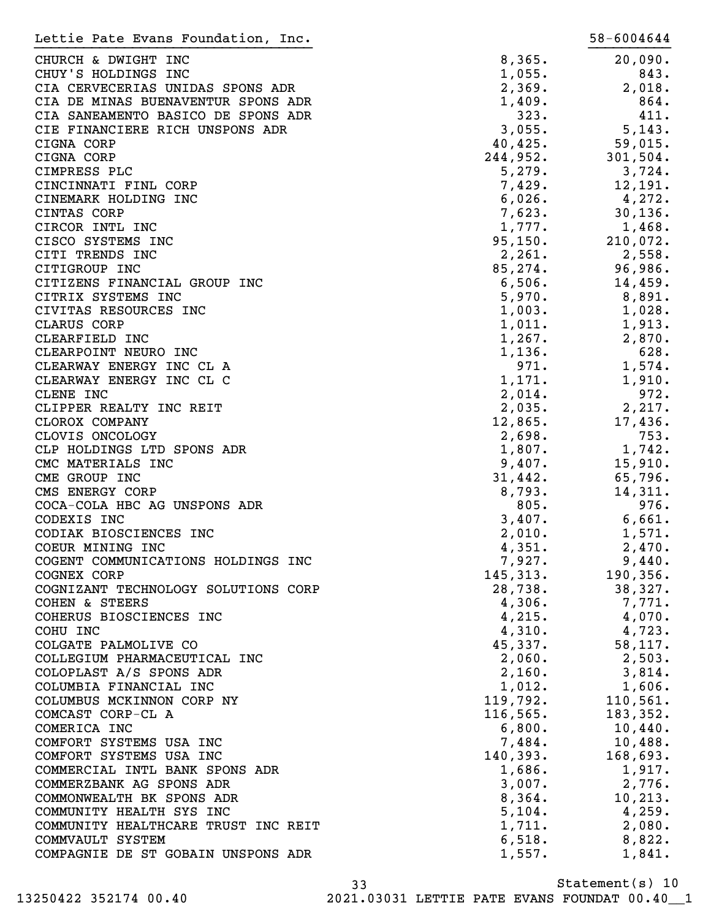| Lettie Pate Evans Foundation, Inc.                    |                  | 58-6004644         |
|-------------------------------------------------------|------------------|--------------------|
| CHURCH & DWIGHT INC                                   | 8,365.           | 20,090.            |
| CHUY'S HOLDINGS INC                                   | 1,055.           | 843.               |
| CIA CERVECERIAS UNIDAS SPONS ADR                      | 2,369.           | 2,018.             |
| CIA DE MINAS BUENAVENTUR SPONS ADR                    | 1,409.           | 864.               |
| CIA SANEAMENTO BASICO DE SPONS ADR                    | 323.             | 411.               |
| CIE FINANCIERE RICH UNSPONS ADR                       | 3,055.           | 5,143.             |
| CIGNA CORP                                            | 40,425.          | 59,015.            |
| CIGNA CORP                                            | 244,952.         | 301,504.           |
| CIMPRESS PLC                                          | 5,279.           | 3,724.             |
| CINCINNATI FINL CORP                                  | 7,429.           | 12,191.            |
| CINEMARK HOLDING INC                                  | 6,026.           | 4,272.             |
| CINTAS CORP                                           | 7,623.           | 30, 136.           |
| CIRCOR INTL INC                                       | 1,777.           | 1,468.             |
| CISCO SYSTEMS INC                                     | 95, 150.         | 210,072.           |
| CITI TRENDS INC                                       | 2,261.           | 2,558.             |
| CITIGROUP INC                                         | 85,274.          | 96,986.            |
| CITIZENS FINANCIAL GROUP INC                          | 6,506.           | 14,459.            |
| CITRIX SYSTEMS INC                                    | 5,970.           | 8,891.             |
| CIVITAS RESOURCES INC                                 | 1,003.           | 1,028.             |
| CLARUS CORP                                           | 1,011.           | 1,913.             |
| CLEARFIELD INC                                        | 1,267.           | 2,870.             |
| CLEARPOINT NEURO INC                                  | 1,136.           | 628.               |
| CLEARWAY ENERGY INC CL A                              | 971.             | 1,574.             |
| CLEARWAY ENERGY INC CL C                              | 1,171.           | 1,910.             |
| CLENE INC                                             | 2,014.           | 972.               |
| CLIPPER REALTY INC REIT                               | 2,035.           | 2,217.             |
| CLOROX COMPANY                                        | 12,865.          | 17,436.            |
| CLOVIS ONCOLOGY                                       | 2,698.           | 753.               |
| CLP HOLDINGS LTD SPONS ADR                            | 1,807.           | 1,742.             |
| CMC MATERIALS INC                                     | 9,407.           | 15,910.            |
| CME GROUP INC                                         | 31,442.          | 65,796.            |
| CMS ENERGY CORP                                       | 8,793.           | 14,311.            |
| COCA-COLA HBC AG UNSPONS ADR                          | 805.             | 976.               |
| CODEXIS INC                                           | 3,407.           | 6,661.             |
| CODIAK BIOSCIENCES INC                                | 2,010.           | 1,571.             |
| COEUR MINING INC                                      | 4,351.           | 2,470.             |
| COGENT COMMUNICATIONS HOLDINGS INC                    | 7,927.           | 9,440.             |
| COGNEX CORP                                           | 145, 313.        | 190, 356.          |
| COGNIZANT TECHNOLOGY SOLUTIONS CORP                   | 28,738.          | 38,327.            |
| <b>COHEN &amp; STEERS</b>                             | 4,306.           | 7,771.             |
| COHERUS BIOSCIENCES INC                               | 4,215.           | 4,070.             |
| COHU INC                                              | 4,310.           | 4,723.             |
| COLGATE PALMOLIVE CO                                  | 45,337.          | 58,117.            |
| COLLEGIUM PHARMACEUTICAL INC                          | 2,060.           | 2,503.             |
| COLOPLAST A/S SPONS ADR                               | 2,160.           | 3,814.             |
| COLUMBIA FINANCIAL INC                                | 1,012.           | 1,606.             |
| COLUMBUS MCKINNON CORP NY                             | 119,792.         | 110,561.           |
| COMCAST CORP-CL A                                     | 116, 565.        | 183, 352.          |
| COMERICA INC                                          | 6,800.           | 10,440.            |
| COMFORT SYSTEMS USA INC                               | 7,484.           | 10,488.            |
| COMFORT SYSTEMS USA INC                               | 140,393.         | 168,693.<br>1,917. |
| COMMERCIAL INTL BANK SPONS ADR                        | 1,686.           |                    |
| COMMERZBANK AG SPONS ADR<br>COMMONWEALTH BK SPONS ADR | 3,007.<br>8,364. | 2,776.<br>10, 213. |
| COMMUNITY HEALTH SYS INC                              | 5,104.           | 4,259.             |
| COMMUNITY HEALTHCARE TRUST INC REIT                   | 1,711.           | 2,080.             |
| COMMVAULT SYSTEM                                      | 6,518.           | 8,822.             |
| COMPAGNIE DE ST GOBAIN UNSPONS ADR                    | 1,557.           | 1,841.             |
|                                                       |                  |                    |

Statement(s) 10 33 13250422 352174 00.40 2021.03031 LETTIE PATE EVANS FOUNDAT 00.40\_\_1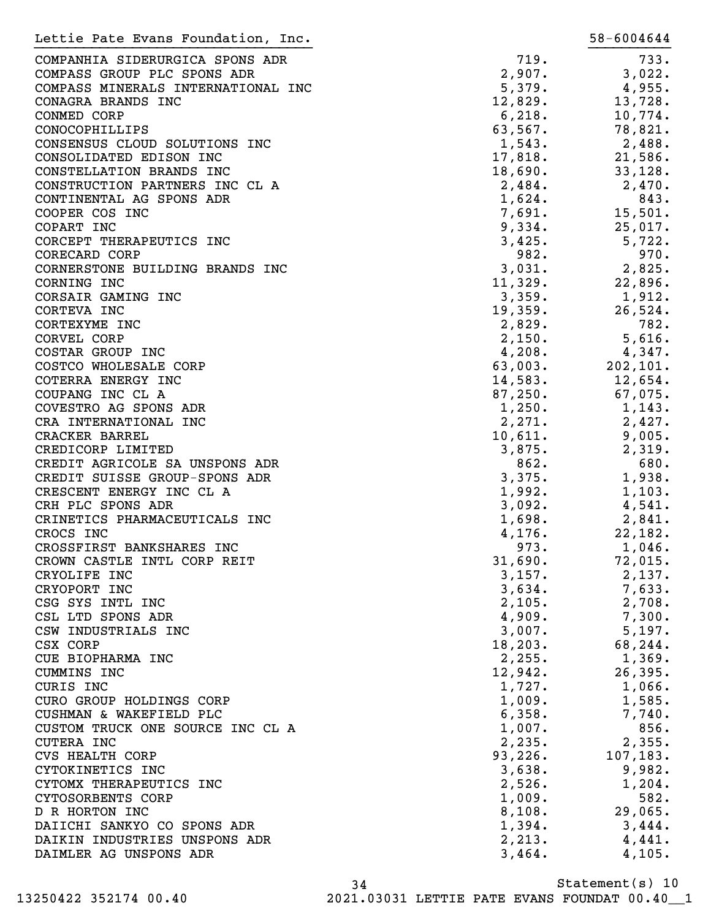| Lettie Pate Evans Foundation, Inc.                        |                   | 58-6004644        |
|-----------------------------------------------------------|-------------------|-------------------|
| COMPANHIA SIDERURGICA SPONS ADR                           | 719.              | 733.              |
| COMPASS GROUP PLC SPONS ADR                               | 2,907.            | 3,022.            |
| COMPASS MINERALS INTERNATIONAL INC                        | 5,379.            | 4,955.            |
| CONAGRA BRANDS INC                                        | 12,829.           | 13,728.           |
| CONMED CORP                                               | 6,218.            | 10,774.           |
| CONOCOPHILLIPS                                            | 63,567.           | 78,821.           |
| CONSENSUS CLOUD SOLUTIONS INC                             | 1,543.            | 2,488.            |
| CONSOLIDATED EDISON INC                                   | 17,818.           | 21,586.           |
| CONSTELLATION BRANDS INC                                  | 18,690.           | 33,128.           |
| CONSTRUCTION PARTNERS INC CL A                            | 2,484.            | 2,470.            |
| CONTINENTAL AG SPONS ADR                                  | 1,624.            | 843.              |
| COOPER COS INC                                            | 7,691.            | 15,501.           |
| COPART INC                                                | 9,334.            | 25,017.           |
| CORCEPT THERAPEUTICS INC                                  | 3,425.            | 5,722.            |
| CORECARD CORP                                             | 982.              | 970.              |
| CORNERSTONE BUILDING BRANDS INC                           | 3,031.            | 2,825.            |
| CORNING INC                                               | 11,329.           | 22,896.           |
| CORSAIR GAMING INC                                        | 3,359.            | 1,912.            |
| CORTEVA INC                                               | 19,359.           | 26,524.           |
| CORTEXYME INC                                             |                   | 782.              |
| CORVEL CORP                                               | 2,829.            |                   |
| COSTAR GROUP INC                                          | 2,150.            | 5,616.            |
|                                                           | 4,208.            | 4,347.            |
| COSTCO WHOLESALE CORP                                     | 63,003.           | 202,101.          |
| COTERRA ENERGY INC                                        | 14,583.           | 12,654.           |
| COUPANG INC CL A                                          | 87,250.           | 67,075.           |
| COVESTRO AG SPONS ADR                                     | 1,250.            | 1,143.            |
| CRA INTERNATIONAL INC                                     | 2,271.            | 2,427.            |
| CRACKER BARREL                                            | 10,611.           | 9,005.            |
| CREDICORP LIMITED                                         | 3,875.            | 2,319.            |
| CREDIT AGRICOLE SA UNSPONS ADR                            | 862.              | 680.              |
| CREDIT SUISSE GROUP-SPONS ADR<br>CRESCENT ENERGY INC CL A | 3,375.            | 1,938.            |
|                                                           | 1,992.            | 1,103.            |
| CRH PLC SPONS ADR<br>CRINETICS PHARMACEUTICALS INC        | 3,092.            | 4,541.            |
| CROCS INC                                                 | 1,698.            | 2,841.            |
| CROSSFIRST BANKSHARES INC                                 | 4,176.<br>973.    | 22,182.<br>1,046. |
| CROWN CASTLE INTL CORP REIT                               | 31,690.           | 72,015.           |
| CRYOLIFE INC                                              | 3,157.            | 2,137.            |
| CRYOPORT INC                                              | 3,634.            | 7,633.            |
| CSG SYS INTL INC                                          | 2,105.            | 2,708.            |
| CSL LTD SPONS ADR                                         | 4,909.            | 7,300.            |
| CSW INDUSTRIALS INC                                       |                   | 5,197.            |
| CSX CORP                                                  | 3,007.            |                   |
|                                                           | 18, 203.          | 68,244.           |
| CUE BIOPHARMA INC<br>CUMMINS INC                          | 2,255.            | 1,369.            |
| CURIS INC                                                 | 12,942.<br>1,727. | 26,395.           |
| CURO GROUP HOLDINGS CORP                                  | 1,009.            | 1,066.<br>1,585.  |
| CUSHMAN & WAKEFIELD PLC                                   | 6,358.            | 7,740.            |
| CUSTOM TRUCK ONE SOURCE INC CL A                          | 1,007.            | 856.              |
| <b>CUTERA INC</b>                                         | 2,235.            | 2,355.            |
| <b>CVS HEALTH CORP</b>                                    | 93,226.           | 107, 183.         |
| CYTOKINETICS INC                                          | 3,638.            | 9,982.            |
| CYTOMX THERAPEUTICS INC                                   |                   | 1,204.            |
| CYTOSORBENTS CORP                                         | 2,526.<br>1,009.  | 582.              |
| D R HORTON INC                                            | 8,108.            | 29,065.           |
| DAIICHI SANKYO CO SPONS ADR                               | 1,394.            | 3,444.            |
| DAIKIN INDUSTRIES UNSPONS ADR                             | 2,213.            | 4,441.            |
| DAIMLER AG UNSPONS ADR                                    | 3,464.            | 4,105.            |
|                                                           |                   |                   |

Statement(s) 10 34 13250422 352174 00.40 2021.03031 LETTIE PATE EVANS FOUNDAT 00.40\_\_1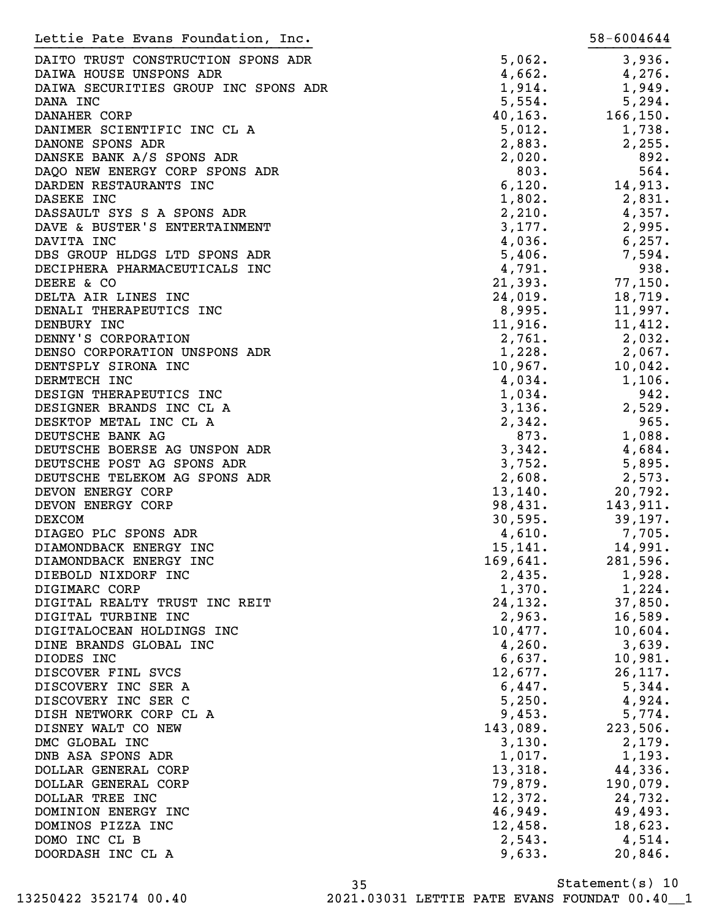| Lettie Pate Evans Foundation, Inc.   |          | 58-6004644 |
|--------------------------------------|----------|------------|
| DAITO TRUST CONSTRUCTION SPONS ADR   | 5,062.   | 3,936.     |
| DAIWA HOUSE UNSPONS ADR              | 4,662.   | 4,276.     |
| DAIWA SECURITIES GROUP INC SPONS ADR | 1,914.   | 1,949.     |
|                                      |          |            |
| DANA INC                             | 5,554.   | 5,294.     |
| DANAHER CORP                         | 40, 163. | 166, 150.  |
| DANIMER SCIENTIFIC INC CL A          | 5,012.   | 1,738.     |
| DANONE SPONS ADR                     | 2,883.   | 2,255.     |
| DANSKE BANK A/S SPONS ADR            | 2,020.   | 892.       |
| DAQO NEW ENERGY CORP SPONS ADR       | 803.     | 564.       |
| DARDEN RESTAURANTS INC               | 6,120.   | 14,913.    |
| DASEKE INC                           | 1,802.   | 2,831.     |
| DASSAULT SYS S A SPONS ADR           | 2,210.   | 4,357.     |
| DAVE & BUSTER'S ENTERTAINMENT        | 3,177.   | 2,995.     |
| DAVITA INC                           | 4,036.   | 6, 257.    |
| DBS GROUP HLDGS LTD SPONS ADR        | 5,406.   | 7,594.     |
| DECIPHERA PHARMACEUTICALS INC        | 4,791.   | 938.       |
| DEERE & CO                           | 21,393.  | 77,150.    |
| DELTA AIR LINES INC                  | 24,019.  | 18,719.    |
| DENALI THERAPEUTICS INC              | 8,995.   | 11,997.    |
| DENBURY INC                          | 11,916.  | 11,412.    |
| DENNY'S CORPORATION                  | 2,761.   | 2,032.     |
| DENSO CORPORATION UNSPONS ADR        | 1,228.   |            |
|                                      |          | 2,067.     |
| DENTSPLY SIRONA INC                  | 10,967.  | 10,042.    |
| DERMTECH INC                         | 4,034.   | 1,106.     |
| DESIGN THERAPEUTICS INC              | 1,034.   | 942.       |
| DESIGNER BRANDS INC CL A             | 3,136.   | 2,529.     |
| DESKTOP METAL INC CL A               | 2,342.   | 965.       |
| DEUTSCHE BANK AG                     | 873.     | 1,088.     |
| DEUTSCHE BOERSE AG UNSPON ADR        | 3,342.   | 4,684.     |
| DEUTSCHE POST AG SPONS ADR           | 3,752.   | 5,895.     |
| DEUTSCHE TELEKOM AG SPONS ADR        | 2,608.   | 2,573.     |
| DEVON ENERGY CORP                    | 13, 140. | 20,792.    |
| DEVON ENERGY CORP                    | 98,431.  | 143,911.   |
| <b>DEXCOM</b>                        | 30,595.  | 39,197.    |
| DIAGEO PLC SPONS ADR                 | 4,610.   | 7,705.     |
| DIAMONDBACK ENERGY INC               | 15, 141. | 14,991.    |
| DIAMONDBACK ENERGY INC               | 169,641. | 281,596.   |
| DIEBOLD NIXDORF INC                  | 2,435.   | 1,928.     |
| DIGIMARC CORP                        | 1,370.   | 1,224.     |
| DIGITAL REALTY TRUST INC REIT        | 24, 132. | 37,850.    |
| DIGITAL TURBINE INC                  | 2,963.   | 16,589.    |
|                                      |          |            |
| DIGITALOCEAN HOLDINGS INC            | 10,477.  | 10,604.    |
| DINE BRANDS GLOBAL INC               | 4,260.   | 3,639.     |
| DIODES INC                           | 6,637.   | 10,981.    |
| DISCOVER FINL SVCS                   | 12,677.  | 26, 117.   |
| DISCOVERY INC SER A                  | 6,447.   | 5,344.     |
| DISCOVERY INC SER C                  | 5,250.   | 4,924.     |
| DISH NETWORK CORP CL A               | 9,453.   | 5,774.     |
| DISNEY WALT CO NEW                   | 143,089. | 223,506.   |
| DMC GLOBAL INC                       | 3,130.   | 2,179.     |
| DNB ASA SPONS ADR                    | 1,017.   | 1,193.     |
| DOLLAR GENERAL CORP                  | 13,318.  | 44,336.    |
| DOLLAR GENERAL CORP                  | 79,879.  | 190,079.   |
| DOLLAR TREE INC                      | 12,372.  | 24,732.    |
| DOMINION ENERGY INC                  | 46,949.  | 49,493.    |
| DOMINOS PIZZA INC                    | 12,458.  | 18,623.    |
| DOMO INC CL B                        | 2,543.   | 4,514.     |
|                                      | 9,633.   | 20,846.    |
| DOORDASH INC CL A                    |          |            |
|                                      |          |            |

Statement(s) 10 35 13250422 352174 00.40 2021.03031 LETTIE PATE EVANS FOUNDAT 00.40\_\_1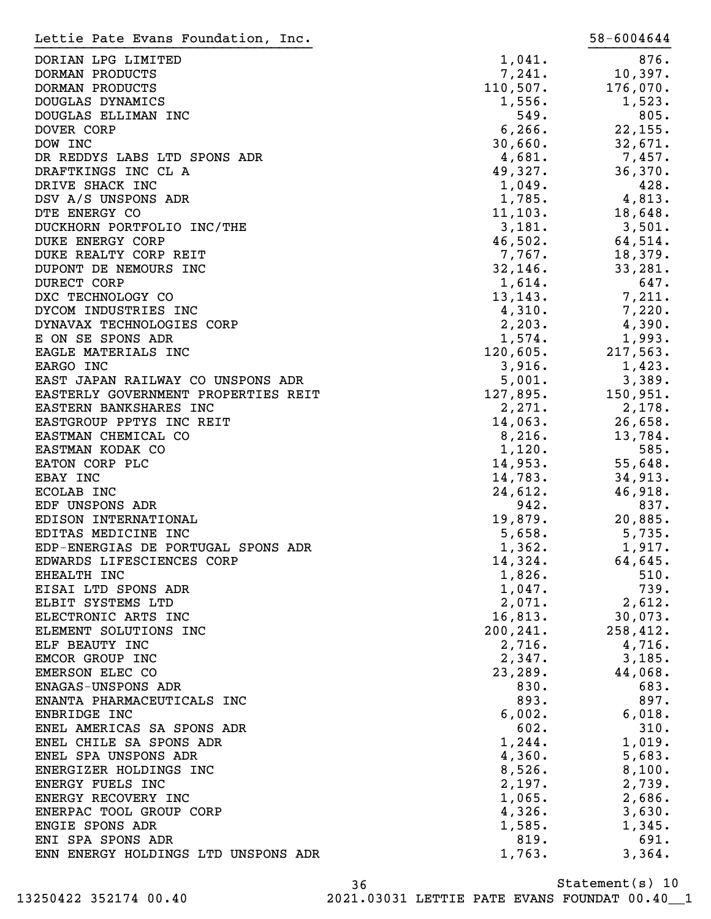| Lettie Pate Evans Foundation, Inc.  |           | 58-6004644 |
|-------------------------------------|-----------|------------|
| DORIAN LPG LIMITED                  | 1,041.    | 876.       |
| DORMAN PRODUCTS                     | 7,241.    | 10,397.    |
| DORMAN PRODUCTS                     | 110,507.  | 176,070.   |
| DOUGLAS DYNAMICS                    | 1,556.    | 1,523.     |
| DOUGLAS ELLIMAN INC                 | 549.      | 805.       |
| DOVER CORP                          | 6, 266.   | 22,155.    |
| DOW INC                             | 30,660.   | 32,671.    |
| DR REDDYS LABS LTD SPONS ADR        | 4,681.    | 7,457.     |
| DRAFTKINGS INC CL A                 | 49,327.   | 36,370.    |
| DRIVE SHACK INC                     | 1,049.    | 428.       |
| DSV A/S UNSPONS ADR                 | 1,785.    | 4,813.     |
| DTE ENERGY CO                       | 11, 103.  | 18,648.    |
| DUCKHORN PORTFOLIO INC/THE          | 3,181.    | 3,501.     |
| <b>DUKE ENERGY CORP</b>             | 46,502.   | 64,514.    |
| DUKE REALTY CORP REIT               | 7,767.    | 18,379.    |
| DUPONT DE NEMOURS INC               | 32, 146.  | 33,281.    |
| DURECT CORP                         | 1,614.    | 647.       |
| DXC TECHNOLOGY CO                   | 13, 143.  | 7,211.     |
| DYCOM INDUSTRIES INC                | 4,310.    | 7,220.     |
| DYNAVAX TECHNOLOGIES CORP           | 2, 203.   | 4,390.     |
| E ON SE SPONS ADR                   | 1,574.    | 1,993.     |
| EAGLE MATERIALS INC                 | 120,605.  | 217,563.   |
| EARGO INC                           | 3,916.    | 1,423.     |
| EAST JAPAN RAILWAY CO UNSPONS ADR   | 5,001.    | 3,389.     |
| EASTERLY GOVERNMENT PROPERTIES REIT | 127,895.  | 150,951.   |
| EASTERN BANKSHARES INC              | 2,271.    | 2,178.     |
| EASTGROUP PPTYS INC REIT            | 14,063.   | 26,658.    |
| EASTMAN CHEMICAL CO                 | 8,216.    | 13,784.    |
| EASTMAN KODAK CO                    | 1,120.    | 585.       |
| EATON CORP PLC                      | 14,953.   | 55,648.    |
| EBAY INC                            | 14,783.   | 34,913.    |
| <b>ECOLAB INC</b>                   | 24,612.   | 46,918.    |
| EDF UNSPONS ADR                     | 942.      | 837.       |
| EDISON INTERNATIONAL                | 19,879.   | 20,885.    |
| EDITAS MEDICINE INC                 | 5,658.    | 5,735.     |
| EDP-ENERGIAS DE PORTUGAL SPONS ADR  | 1,362.    | 1,917.     |
| EDWARDS LIFESCIENCES CORP           | 14,324.   | 64,645.    |
| EHEALTH INC                         | 1,826.    | 510.       |
| EISAI LTD SPONS ADR                 | 1,047.    | 739.       |
| ELBIT SYSTEMS LTD                   | 2,071.    | 2,612.     |
| ELECTRONIC ARTS INC                 | 16,813.   | 30,073.    |
| ELEMENT SOLUTIONS INC               | 200, 241. | 258,412.   |
| ELF BEAUTY INC                      | 2,716.    | 4,716.     |
| EMCOR GROUP INC                     | 2,347.    | 3,185.     |
| EMERSON ELEC CO                     | 23, 289.  | 44,068.    |
| ENAGAS-UNSPONS ADR                  | 830.      | 683.       |
| ENANTA PHARMACEUTICALS INC          | 893.      | 897.       |
| ENBRIDGE INC                        | 6,002.    | 6,018.     |
| ENEL AMERICAS SA SPONS ADR          | 602.      | 310.       |
| ENEL CHILE SA SPONS ADR             | 1,244.    | 1,019.     |
| ENEL SPA UNSPONS ADR                | 4,360.    | 5,683.     |
| ENERGIZER HOLDINGS INC              | 8,526.    | 8,100.     |
| ENERGY FUELS INC                    | 2,197.    | 2,739.     |
| ENERGY RECOVERY INC                 | 1,065.    | 2,686.     |
| ENERPAC TOOL GROUP CORP             | 4,326.    | 3,630.     |
| ENGIE SPONS ADR                     | 1,585.    | 1,345.     |
| ENI SPA SPONS ADR                   | 819.      | 691.       |
| ENN ENERGY HOLDINGS LTD UNSPONS ADR | 1,763.    | 3,364.     |
|                                     |           |            |

Statement(s) 10 36

13250422 352174 00.40 2021.03031 LETTIE PATE EVANS FOUNDAT 00.40\_\_1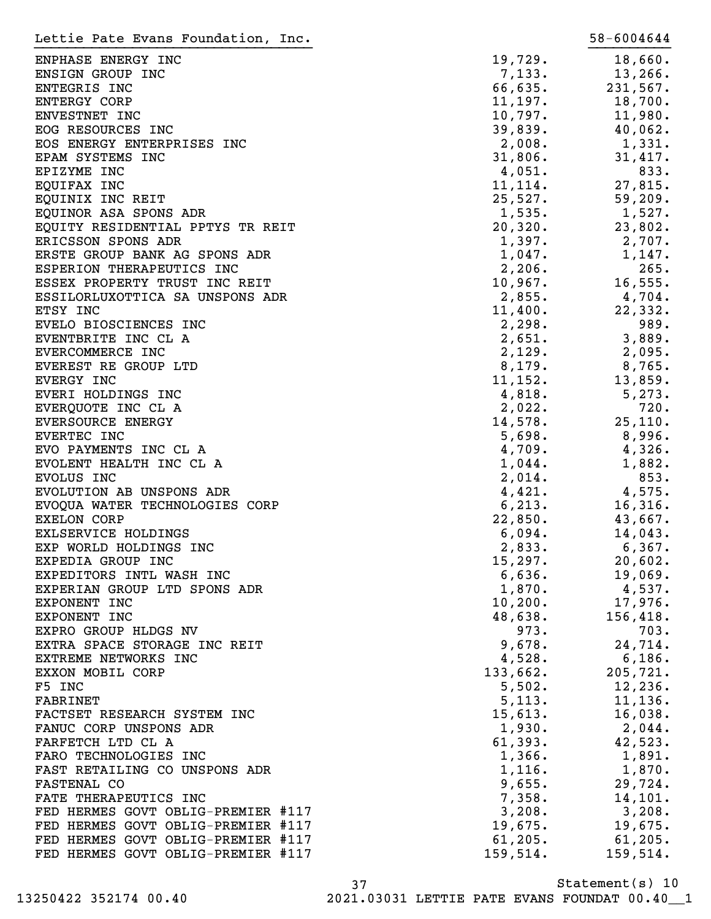| Lettie Pate Evans Foundation, Inc. |          | 58-6004644 |
|------------------------------------|----------|------------|
| ENPHASE ENERGY INC                 | 19,729.  | 18,660.    |
| ENSIGN GROUP INC                   | 7,133.   | 13, 266.   |
| ENTEGRIS INC                       | 66,635.  | 231,567.   |
| <b>ENTERGY CORP</b>                | 11,197.  | 18,700.    |
| ENVESTNET INC                      | 10,797.  | 11,980.    |
| EOG RESOURCES INC                  | 39,839.  | 40,062.    |
| EOS ENERGY ENTERPRISES INC         | 2,008.   | 1,331.     |
| EPAM SYSTEMS INC                   | 31,806.  | 31,417.    |
| EPIZYME INC                        | 4,051.   | 833.       |
|                                    |          |            |
| EQUIFAX INC                        | 11, 114. | 27,815.    |
| EQUINIX INC REIT                   | 25,527.  | 59,209.    |
| EQUINOR ASA SPONS ADR              | 1,535.   | 1,527.     |
| EQUITY RESIDENTIAL PPTYS TR REIT   | 20,320.  | 23,802.    |
| ERICSSON SPONS ADR                 | 1,397.   | 2,707.     |
| ERSTE GROUP BANK AG SPONS ADR      | 1,047.   | 1,147.     |
| ESPERION THERAPEUTICS INC          | 2,206.   | 265.       |
| ESSEX PROPERTY TRUST INC REIT      | 10,967.  | 16, 555.   |
| ESSILORLUXOTTICA SA UNSPONS ADR    | 2,855.   | $4,704$ .  |
| ETSY INC                           | 11,400.  | 22,332.    |
| EVELO BIOSCIENCES INC              | 2,298.   | 989.       |
| EVENTBRITE INC CL A                | 2,651.   | 3,889.     |
| EVERCOMMERCE INC                   | 2,129.   | 2,095.     |
| EVEREST RE GROUP LTD               | 8,179.   | 8,765.     |
| EVERGY INC                         | 11, 152. | 13,859.    |
| EVERI HOLDINGS INC                 | 4,818.   | 5,273.     |
| EVERQUOTE INC CL A                 | 2,022.   | 720.       |
| EVERSOURCE ENERGY                  | 14,578.  | 25,110.    |
| EVERTEC INC                        | 5,698.   | 8,996.     |
| EVO PAYMENTS INC CL A              | 4,709.   | 4,326.     |
| EVOLENT HEALTH INC CL A            | 1,044.   | 1,882.     |
| EVOLUS INC                         | 2,014.   | 853.       |
| EVOLUTION AB UNSPONS ADR           | 4,421.   | 4,575.     |
| EVOQUA WATER TECHNOLOGIES CORP     | 6, 213.  | 16,316.    |
| <b>EXELON CORP</b>                 | 22,850.  | 43,667.    |
| EXLSERVICE HOLDINGS                | 6,094.   | 14,043.    |
| EXP WORLD HOLDINGS INC             | 2,833.   | 6,367.     |
| EXPEDIA GROUP INC                  | 15,297.  | 20,602.    |
| EXPEDITORS INTL WASH INC           | 6,636.   | 19,069.    |
| EXPERIAN GROUP LTD SPONS ADR       | 1,870.   | 4,537.     |
| EXPONENT INC                       | 10, 200. | 17,976.    |
| EXPONENT INC                       | 48,638.  | 156,418.   |
| EXPRO GROUP HLDGS NV               | 973.     | 703.       |
| EXTRA SPACE STORAGE INC REIT       | 9,678.   | 24,714.    |
| EXTREME NETWORKS INC               |          | 6,186.     |
|                                    | 4,528.   |            |
| EXXON MOBIL CORP                   | 133,662. | 205,721.   |
| F5 INC                             | 5,502.   | 12,236.    |
| FABRINET                           | 5,113.   | 11, 136.   |
| FACTSET RESEARCH SYSTEM INC        | 15,613.  | 16,038.    |
| FANUC CORP UNSPONS ADR             | 1,930.   | $2,044$ .  |
| FARFETCH LTD CL A                  | 61,393.  | 42,523.    |
| FARO TECHNOLOGIES INC              | 1,366.   | 1,891.     |
| FAST RETAILING CO UNSPONS ADR      | 1,116.   | 1,870.     |
| FASTENAL CO                        | 9,655.   | 29,724.    |
| FATE THERAPEUTICS INC              | 7,358.   | 14,101.    |
| FED HERMES GOVT OBLIG-PREMIER #117 | 3,208.   | 3,208.     |
| FED HERMES GOVT OBLIG-PREMIER #117 | 19,675.  | 19,675.    |
| FED HERMES GOVT OBLIG-PREMIER #117 | 61, 205. | 61, 205.   |
| FED HERMES GOVT OBLIG-PREMIER #117 | 159,514. | 159,514.   |

Statement(s) 10 37 13250422 352174 00.40 2021.03031 LETTIE PATE EVANS FOUNDAT 00.40\_\_1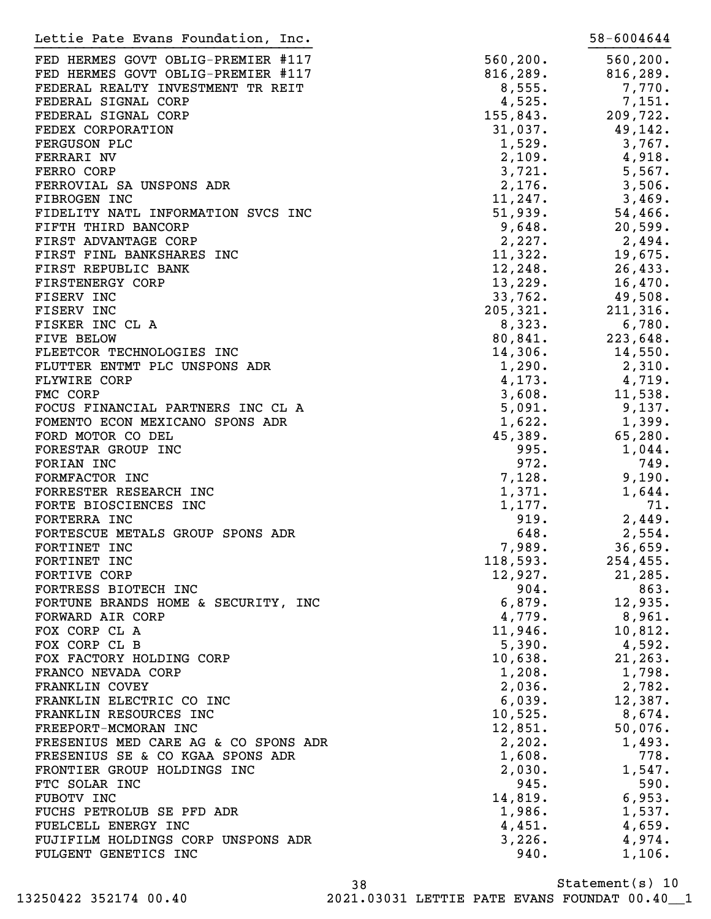FED HERMES GOVT OBLIG-PREMIER #117 560,200. 560,200. FED HERMES GOVT OBLIG-PREMIER #117 816,289. 816,289. FEDERAL REALTY INVESTMENT TR REIT 6,555. The set of the set of the set of the set of the set of the set of the set of the set of the set of the set of the set of the set of the set of the set of the set of the set of the s FEDERAL SIGNAL CORP 4,525. 7,151. FEDERAL SIGNAL CORP 155,843. 209,722. FEDEX CORPORATION 31,037. 49,142. FERGUSON PLC 2, 2008 1,529. 2009 1,529. 2009 1,529. 2009 1,529. FERRARI NV  $\begin{array}{cccc} 2,109 & 4,918 \end{array}$ FERRO CORP 3,721. 5,567. FERROVIAL SA UNSPONS ADR 2,176. 3,506. FIBROGEN INC 3,469. FIDELITY NATL INFORMATION SVCS INC 60 000 51,939. 54,466. FIFTH THIRD BANCORP 30,648. THESE 20,599. FIRST ADVANTAGE CORP 2,227. 2,494. FIRST FINL BANKSHARES INC<br>
11,322. 19,675. FIRST REPUBLIC BANK 12,248. 26,433. FIRSTENERGY CORP 13,229. 16,470. FISERV INC 2008. THE SERVING SERVICE SERVICE SERVICE SERVICE SERVICE SERVICE SERVICE SERVICE SERVICE SERVICE S FISERV INC 205,321. 211,316. FISKER INC CL A  $8,323.$  6,780. FIVE BELOW 80,841. 223,648. FLEETCOR TECHNOLOGIES INC<br>
14,306. 14,550. FLUTTER ENTMT PLC UNSPONS ADR 1,290. 2,310. FLYWIRE CORP 4, 173. 4, 719. FMC CORP 3,608. 11,538. FOCUS FINANCIAL PARTNERS INC CL A 5,091. 9,137. FOMENTO ECON MEXICANO SPONS ADR 1,622. 1,399. FORD MOTOR CO DEL 280. FORESTAR GROUP INC  $995.$  1,044. FORIAN INC 749. FORMFACTOR INC 3. 2001. THE 2002 SERVICE 2008 128. THE 2008 120. FORRESTER RESEARCH INC  $1,371.$   $1,644.$ FORTE BIOSCIENCES INC  $1,177$ . 71. FORTERRA INC 2,449. FORTESCUE METALS GROUP SPONS ADR  $648.$  2,554. FORTINET INC 36,659. FORTINET INC 254,455. FORTIVE CORP 21, 285. FORTRESS BIOTECH INC 663. FORTUNE BRANDS HOME & SECURITY, INC 6,879. 12,935. FORWARD AIR CORP  $\begin{array}{cccc} 4,779 & 8,961 \end{array}$ FOX CORP CL A 11,946. 10,812. FOX CORP CL B 390. 4,592. FOX FACTORY HOLDING CORP  $10,638$ . 21,263. FRANCO NEVADA CORP  $1,208.$   $1,798.$ FRANKLIN COVEY 2.036. 2.782. FRANKLIN ELECTRIC CO INC 6,039. 12,387. FRANKLIN RESOURCES INC **10,525.** 8,674. FREEPORT-MCMORAN INC  $12,851.$  50,076. FRESENIUS MED CARE AG & CO SPONS ADR  $2,202.$  1,493. FRESENIUS SE & CO KGAA SPONS ADR  $1,608$ .  $778$ . FRONTIER GROUP HOLDINGS INC  $2,030$ . 1,547. FTC SOLAR INC 590. FUBOTV INC 6,953. FUCHS PETROLUB SE PFD ADR 1,986. 1,537. FUELCELL ENERGY INC  $\begin{array}{cccc} 4,451. & 4,659. \end{array}$ FUJIFILM HOLDINGS CORP UNSPONS ADR 3,226. 4,974. FULGENT GENETICS INC 340. 1,106. Lettie Pate Evans Foundation, Inc. 1982. The state of the S8-6004644 }}}}}}}}}}}}}}}}}}}}}}}}}}}}}}}}}} }}}}}}}}}}

Statement(s) 10 38 13250422 352174 00.40 2021.03031 LETTIE PATE EVANS FOUNDAT 00.40\_\_1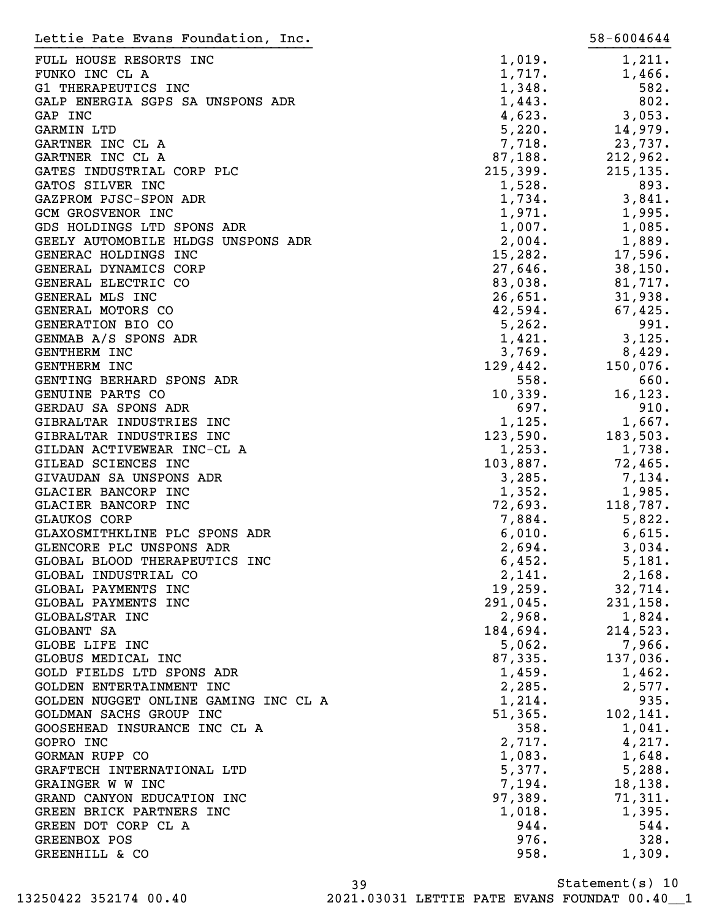| Lettie Pate Evans Foundation, Inc.                        |                  | 58-6004644       |
|-----------------------------------------------------------|------------------|------------------|
| FULL HOUSE RESORTS INC                                    | 1,019.           | 1,211.           |
| FUNKO INC CL A                                            | 1,717.           | 1,466.           |
| G1 THERAPEUTICS INC                                       | 1,348.           | 582.             |
| GALP ENERGIA SGPS SA UNSPONS ADR                          | 1,443.           | 802.             |
| GAP INC                                                   | 4,623.           | 3,053.           |
| GARMIN LTD                                                | 5,220.           | 14,979.          |
| GARTNER INC CL A                                          | 7,718.           | 23,737.          |
| GARTNER INC CL A                                          | 87,188.          | 212,962.         |
| GATES INDUSTRIAL CORP PLC                                 | 215,399.         | 215, 135.        |
| GATOS SILVER INC                                          | 1,528.           | 893.             |
| GAZPROM PJSC-SPON ADR                                     | 1,734.           | 3,841.           |
| <b>GCM GROSVENOR INC</b>                                  | 1,971.           | 1,995.           |
| GDS HOLDINGS LTD SPONS ADR                                | 1,007.           | 1,085.           |
| GEELY AUTOMOBILE HLDGS UNSPONS ADR                        | 2,004.           | 1,889.           |
| GENERAC HOLDINGS INC                                      | 15,282.          | 17,596.          |
| GENERAL DYNAMICS CORP                                     | 27,646.          | 38, 150.         |
| GENERAL ELECTRIC CO                                       | 83,038.          | 81,717.          |
| GENERAL MLS INC                                           | 26,651.          | 31,938.          |
| GENERAL MOTORS CO                                         | 42,594.          | 67,425.          |
| GENERATION BIO CO                                         | 5,262.           | 991.             |
| GENMAB A/S SPONS ADR                                      | 1,421.           | 3,125.           |
| <b>GENTHERM INC</b>                                       | 3,769.           | 8,429.           |
| <b>GENTHERM INC</b>                                       | 129,442.         | 150,076.         |
| GENTING BERHARD SPONS ADR                                 | 558.             | 660.             |
| GENUINE PARTS CO                                          | 10,339.          | 16, 123.         |
| GERDAU SA SPONS ADR                                       | 697.             | 910.             |
| GIBRALTAR INDUSTRIES INC                                  | 1,125.           | 1,667.           |
| GIBRALTAR INDUSTRIES INC                                  | 123,590.         | 183,503.         |
| GILDAN ACTIVEWEAR INC-CL A                                | 1,253.           | 1,738.           |
| GILEAD SCIENCES INC                                       | 103,887.         | 72,465.          |
| GIVAUDAN SA UNSPONS ADR                                   | 3,285.           | 7,134.           |
| GLACIER BANCORP INC                                       | 1,352.           | 1,985.           |
| GLACIER BANCORP INC                                       | 72,693.          | 118,787.         |
| GLAUKOS CORP                                              | 7,884.           | 5,822.           |
| GLAXOSMITHKLINE PLC SPONS ADR                             | 6,010.           | 6,615.           |
| GLENCORE PLC UNSPONS ADR<br>GLOBAL BLOOD THERAPEUTICS INC | 2,694.<br>6,452. | 3,034.           |
| GLOBAL INDUSTRIAL CO                                      | 2,141.           | 5,181.<br>2,168. |
| GLOBAL PAYMENTS INC                                       | 19,259.          | 32,714.          |
| GLOBAL PAYMENTS INC                                       | 291,045.         | 231, 158.        |
| GLOBALSTAR INC                                            | 2,968.           | 1,824.           |
| GLOBANT SA                                                | 184,694.         | 214,523.         |
| GLOBE LIFE INC                                            | 5,062.           | 7,966.           |
| GLOBUS MEDICAL INC                                        | 87,335.          | 137,036.         |
| GOLD FIELDS LTD SPONS ADR                                 | 1,459.           | 1,462.           |
| GOLDEN ENTERTAINMENT INC                                  | 2,285.           | 2,577.           |
| GOLDEN NUGGET ONLINE GAMING INC CL A                      | 1,214.           | 935.             |
| GOLDMAN SACHS GROUP INC                                   | 51,365.          | 102,141.         |
| GOOSEHEAD INSURANCE INC CL A                              | 358.             | 1,041.           |
| GOPRO INC                                                 | 2,717.           | 4,217.           |
| GORMAN RUPP CO                                            | 1,083.           | 1,648.           |
| GRAFTECH INTERNATIONAL LTD                                | 5,377.           | 5,288.           |
| GRAINGER W W INC                                          | 7,194.           | 18, 138.         |
| GRAND CANYON EDUCATION INC                                | 97,389.          | 71,311.          |
| GREEN BRICK PARTNERS INC                                  | 1,018.           | 1,395.           |
| GREEN DOT CORP CL A                                       | 944.             | 544.             |
| GREENBOX POS                                              | 976.             | 328.             |
| GREENHILL & CO                                            | 958.             | 1,309.           |
|                                                           |                  |                  |

Statement(s) 10 39 13250422 352174 00.40 2021.03031 LETTIE PATE EVANS FOUNDAT 00.40\_\_1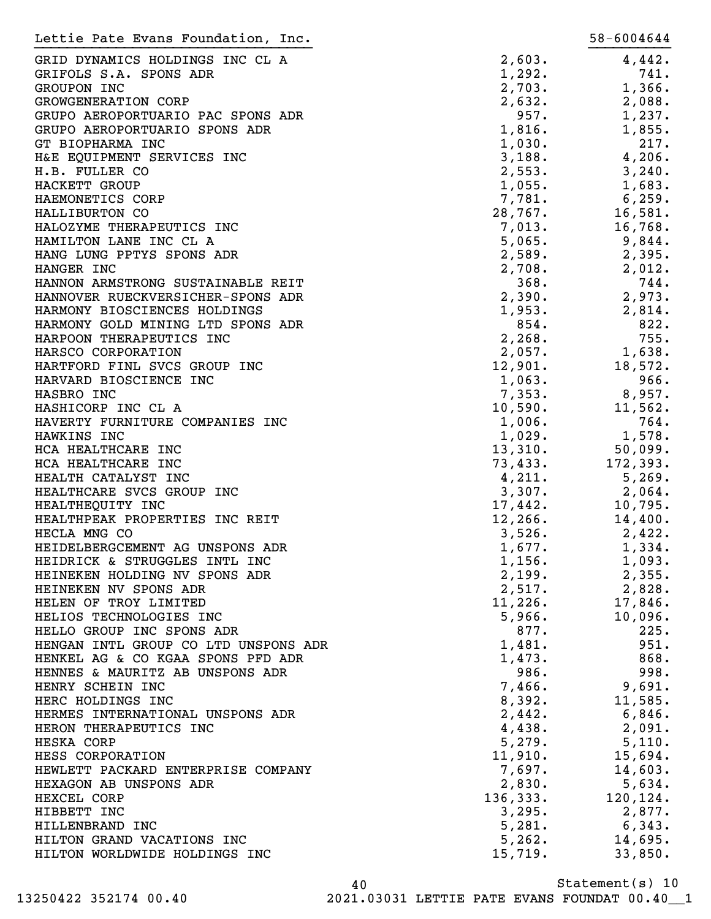| Lettie Pate Evans Foundation, Inc.   |          | 58-6004644 |
|--------------------------------------|----------|------------|
| GRID DYNAMICS HOLDINGS INC CL A      | 2,603.   | 4,442.     |
| GRIFOLS S.A. SPONS ADR               | 1,292.   | 741.       |
| GROUPON INC                          | 2,703.   | 1,366.     |
| <b>GROWGENERATION CORP</b>           | 2,632.   | 2,088.     |
| GRUPO AEROPORTUARIO PAC SPONS ADR    | 957.     | 1,237.     |
| GRUPO AEROPORTUARIO SPONS ADR        | 1,816.   | 1,855.     |
| GT BIOPHARMA INC                     | 1,030.   | 217.       |
| H&E EQUIPMENT SERVICES INC           | 3,188.   | 4,206.     |
| H.B. FULLER CO                       | 2,553.   | 3,240.     |
| HACKETT GROUP                        | 1,055.   | 1,683.     |
| HAEMONETICS CORP                     | 7,781.   | 6, 259.    |
| HALLIBURTON CO                       | 28,767.  | 16,581.    |
| HALOZYME THERAPEUTICS INC            | 7,013.   | 16,768.    |
| HAMILTON LANE INC CL A               | 5,065.   | 9,844.     |
| HANG LUNG PPTYS SPONS ADR            | 2,589.   | 2,395.     |
| HANGER INC                           | 2,708.   | 2,012.     |
| HANNON ARMSTRONG SUSTAINABLE REIT    | 368.     | 744.       |
| HANNOVER RUECKVERSICHER-SPONS ADR    | 2,390.   | 2,973.     |
|                                      | 1,953.   |            |
| HARMONY BIOSCIENCES HOLDINGS         |          | 2,814.     |
| HARMONY GOLD MINING LTD SPONS ADR    | 854.     | 822.       |
| HARPOON THERAPEUTICS INC             | 2,268.   | 755.       |
| HARSCO CORPORATION                   | 2,057.   | 1,638.     |
| HARTFORD FINL SVCS GROUP INC         | 12,901.  | 18,572.    |
| HARVARD BIOSCIENCE INC               | 1,063.   | 966.       |
| HASBRO INC                           | 7,353.   | 8,957.     |
| HASHICORP INC CL A                   | 10,590.  | 11,562.    |
| HAVERTY FURNITURE COMPANIES INC      | 1,006.   | 764.       |
| HAWKINS INC                          | 1,029.   | 1,578.     |
| HCA HEALTHCARE INC                   | 13,310.  | 50,099.    |
| HCA HEALTHCARE INC                   | 73,433.  | 172,393.   |
| HEALTH CATALYST INC                  | 4,211.   | 5,269.     |
| HEALTHCARE SVCS GROUP INC            | 3,307.   | 2,064.     |
| HEALTHEQUITY INC                     | 17,442.  | 10,795.    |
| HEALTHPEAK PROPERTIES INC REIT       | 12, 266. | 14,400.    |
| HECLA MNG CO                         | 3,526.   | 2,422.     |
| HEIDELBERGCEMENT AG UNSPONS ADR      | 1,677.   | 1,334.     |
| HEIDRICK & STRUGGLES INTL INC        | 1,156.   | 1,093.     |
| HEINEKEN HOLDING NV SPONS ADR        | 2,199.   | 2,355.     |
| HEINEKEN NV SPONS ADR                | 2,517.   | 2,828.     |
| HELEN OF TROY LIMITED                | 11,226.  | 17,846.    |
| HELIOS TECHNOLOGIES INC              | 5,966.   | 10,096.    |
| HELLO GROUP INC SPONS ADR            | 877.     | 225.       |
| HENGAN INTL GROUP CO LTD UNSPONS ADR | 1,481.   | 951.       |
| HENKEL AG & CO KGAA SPONS PFD ADR    | 1,473.   | 868.       |
| HENNES & MAURITZ AB UNSPONS ADR      | 986.     | 998.       |
| HENRY SCHEIN INC                     | 7,466.   | 9,691.     |
| HERC HOLDINGS INC                    | 8,392.   | 11,585.    |
| HERMES INTERNATIONAL UNSPONS ADR     | 2,442.   | 6,846.     |
| HERON THERAPEUTICS INC               | 4,438.   | 2,091.     |
| HESKA CORP                           | 5,279.   | 5,110.     |
| HESS CORPORATION                     | 11,910.  | 15,694.    |
| HEWLETT PACKARD ENTERPRISE COMPANY   | 7,697.   | 14,603.    |
| HEXAGON AB UNSPONS ADR               | 2,830.   | 5,634.     |
| HEXCEL CORP                          | 136,333. | 120, 124.  |
| HIBBETT INC                          | 3,295.   | 2,877.     |
| HILLENBRAND INC                      | 5,281.   | 6,343.     |
| HILTON GRAND VACATIONS INC           | 5,262.   | 14,695.    |
| HILTON WORLDWIDE HOLDINGS INC        | 15,719.  | 33,850.    |

Statement(s) 10 40 13250422 352174 00.40 2021.03031 LETTIE PATE EVANS FOUNDAT 00.40\_\_1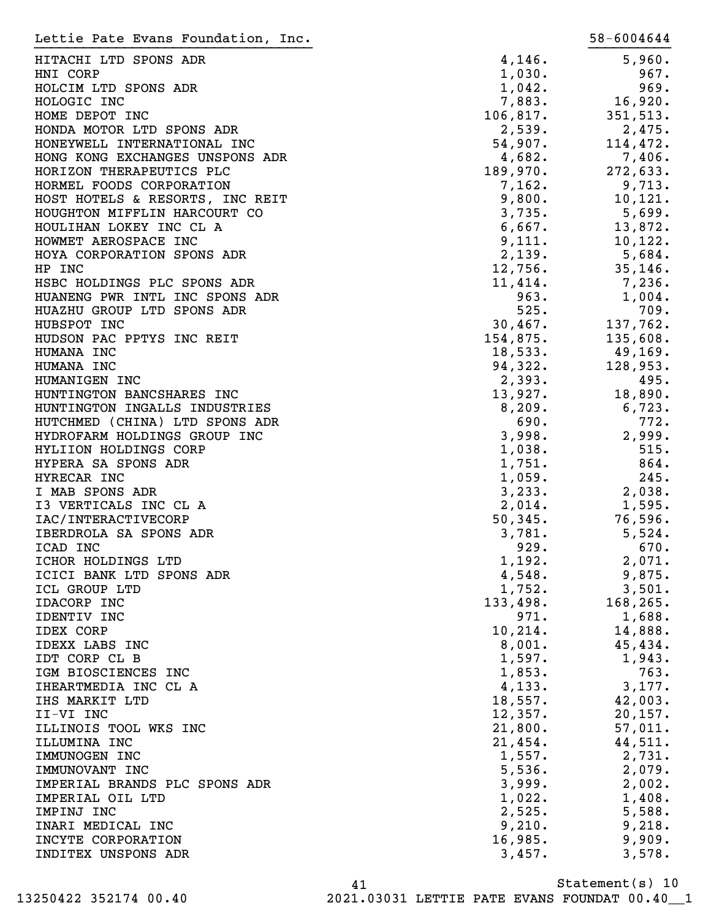| Lettie Pate Evans Foundation, Inc. |          | 58-6004644   |
|------------------------------------|----------|--------------|
| HITACHI LTD SPONS ADR              | 4,146.   | 5,960.       |
| HNI CORP                           | 1,030.   | 967.         |
| HOLCIM LTD SPONS ADR               | 1,042.   | 969.         |
| HOLOGIC INC                        | 7,883.   | 16,920.      |
| HOME DEPOT INC                     | 106,817. | 351, 513.    |
| HONDA MOTOR LTD SPONS ADR          | 2,539.   | 2,475.       |
| HONEYWELL INTERNATIONAL INC        | 54,907.  | 114,472.     |
| HONG KONG EXCHANGES UNSPONS ADR    | 4,682.   | 7,406.       |
| HORIZON THERAPEUTICS PLC           | 189,970. | 272,633.     |
| HORMEL FOODS CORPORATION           | 7,162.   | 9,713.       |
| HOST HOTELS & RESORTS, INC REIT    | 9,800.   | 10, 121.     |
| HOUGHTON MIFFLIN HARCOURT CO       | 3,735.   | 5,699.       |
| HOULIHAN LOKEY INC CL A            | 6,667.   | 13,872.      |
| HOWMET AEROSPACE INC               | 9,111.   | 10,122.      |
| HOYA CORPORATION SPONS ADR         | 2,139.   | 5,684.       |
| HP INC                             | 12,756.  | 35, 146.     |
| HSBC HOLDINGS PLC SPONS ADR        | 11,414.  | 7,236.       |
| HUANENG PWR INTL INC SPONS ADR     | 963.     | 1,004.       |
| HUAZHU GROUP LTD SPONS ADR         | 525.     | 709.         |
| HUBSPOT INC                        | 30,467.  | 137,762.     |
| HUDSON PAC PPTYS INC REIT          | 154,875. | 135,608.     |
| HUMANA INC                         | 18,533.  | 49,169.      |
| HUMANA INC                         | 94,322.  | 128,953.     |
| HUMANIGEN INC                      | 2,393.   | 495.         |
| HUNTINGTON BANCSHARES INC          | 13,927.  | 18,890.      |
| HUNTINGTON INGALLS INDUSTRIES      | 8,209.   | 6,723.       |
|                                    | 690.     | 772.         |
| HUTCHMED (CHINA) LTD SPONS ADR     | 3,998.   | 2,999.       |
| HYDROFARM HOLDINGS GROUP INC       |          |              |
| HYLIION HOLDINGS CORP              | 1,038.   | 515.<br>864. |
| HYPERA SA SPONS ADR                | 1,751.   | 245.         |
| HYRECAR INC                        | 1,059.   |              |
| I MAB SPONS ADR                    | 3, 233.  | 2,038.       |
| I3 VERTICALS INC CL A              | 2,014.   | 1,595.       |
| IAC/INTERACTIVECORP                | 50, 345. | 76,596.      |
| IBERDROLA SA SPONS ADR             | 3,781.   | 5,524.       |
| ICAD INC                           | 929.     | 670.         |
| ICHOR HOLDINGS LTD                 | 1,192.   | 2,071.       |
| ICICI BANK LTD SPONS ADR           | 4,548.   | 9,875.       |
| ICL GROUP LTD                      | 1,752.   | 3,501.       |
| IDACORP INC                        | 133,498. | 168,265.     |
| IDENTIV INC                        | 971.     | 1,688.       |
| <b>IDEX CORP</b>                   | 10,214.  | 14,888.      |
| IDEXX LABS INC                     | 8,001.   | 45,434.      |
| IDT CORP CL B                      | 1,597.   | 1,943.       |
| IGM BIOSCIENCES INC                | 1,853.   | 763.         |
| IHEARTMEDIA INC CL A               | 4, 133.  | 3,177.       |
| IHS MARKIT LTD                     | 18,557.  | 42,003.      |
| II-VI INC                          | 12,357.  | 20, 157.     |
| ILLINOIS TOOL WKS INC              | 21,800.  | 57,011.      |
| ILLUMINA INC                       | 21,454.  | 44,511.      |
| IMMUNOGEN INC                      | 1,557.   | 2,731.       |
| IMMUNOVANT INC                     | 5,536.   | 2,079.       |
| IMPERIAL BRANDS PLC SPONS ADR      | 3,999.   | 2,002.       |
| IMPERIAL OIL LTD                   | 1,022.   | 1,408.       |
| IMPINJ INC                         | 2,525.   | 5,588.       |
| INARI MEDICAL INC                  | 9,210.   | 9,218.       |
| INCYTE CORPORATION                 | 16,985.  | 9,909.       |
| INDITEX UNSPONS ADR                | 3,457.   | 3,578.       |

Statement(s) 10 41 13250422 352174 00.40 2021.03031 LETTIE PATE EVANS FOUNDAT 00.40\_\_1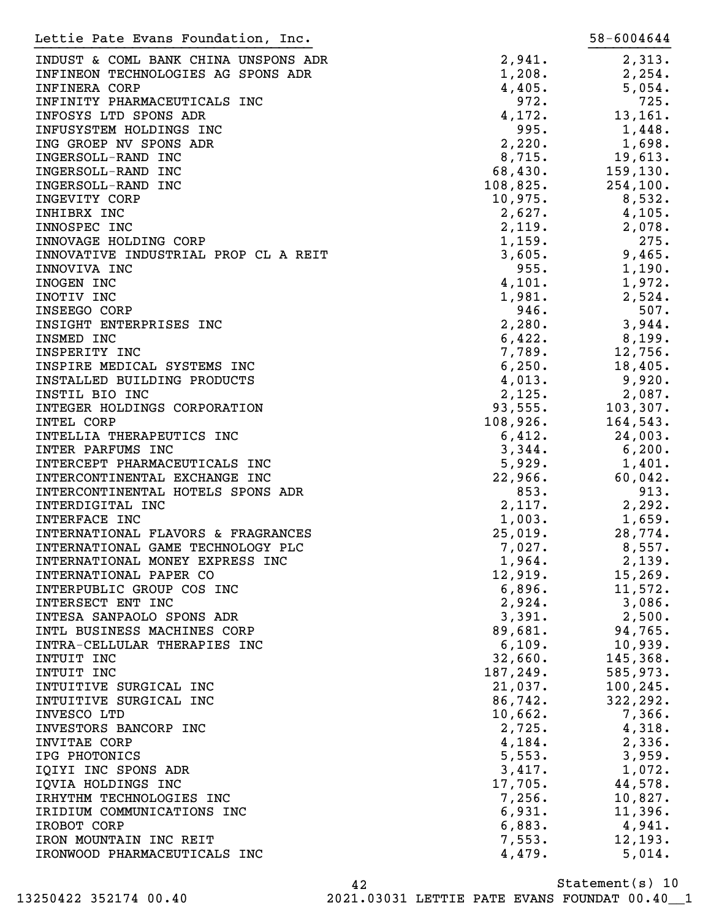| Lettie Pate Evans Foundation, Inc.   |          | 58-6004644 |
|--------------------------------------|----------|------------|
| INDUST & COML BANK CHINA UNSPONS ADR | 2,941.   | 2,313.     |
| INFINEON TECHNOLOGIES AG SPONS ADR   | 1,208.   | 2, 254.    |
| <b>INFINERA CORP</b>                 | 4,405.   | 5,054.     |
|                                      |          |            |
| INFINITY PHARMACEUTICALS INC         | 972.     | 725.       |
| INFOSYS LTD SPONS ADR                | 4,172.   | 13,161.    |
| INFUSYSTEM HOLDINGS INC              | 995.     | 1,448.     |
| ING GROEP NV SPONS ADR               | 2,220.   | 1,698.     |
| INGERSOLL-RAND INC                   | 8,715.   | 19,613.    |
| INGERSOLL-RAND INC                   | 68,430.  | 159, 130.  |
| INGERSOLL-RAND INC                   | 108,825. | 254, 100.  |
| INGEVITY CORP                        | 10,975.  | 8,532.     |
| INHIBRX INC                          | 2,627.   | 4,105.     |
| INNOSPEC INC                         | 2,119.   | 2,078.     |
| INNOVAGE HOLDING CORP                | 1,159.   | 275.       |
| INNOVATIVE INDUSTRIAL PROP CL A REIT | 3,605.   | 9,465.     |
| INNOVIVA INC                         | 955.     | 1,190.     |
| INOGEN INC                           | 4,101.   | 1,972.     |
| INOTIV INC                           | 1,981.   | 2,524.     |
| INSEEGO CORP                         | 946.     | 507.       |
| INSIGHT ENTERPRISES INC              | 2,280.   | 3,944.     |
| INSMED INC                           | 6,422.   | 8,199.     |
| INSPERITY INC                        | 7,789.   | 12,756.    |
| INSPIRE MEDICAL SYSTEMS INC          | 6, 250.  | 18,405.    |
| INSTALLED BUILDING PRODUCTS          |          |            |
|                                      | 4,013.   | 9,920.     |
| INSTIL BIO INC                       | 2,125.   | 2,087.     |
| INTEGER HOLDINGS CORPORATION         | 93,555.  | 103, 307.  |
| INTEL CORP                           | 108,926. | 164,543.   |
| INTELLIA THERAPEUTICS INC            | 6,412.   | 24,003.    |
| INTER PARFUMS INC                    | 3,344.   | 6,200.     |
| INTERCEPT PHARMACEUTICALS INC        | 5,929.   | 1,401.     |
| INTERCONTINENTAL EXCHANGE INC        | 22,966.  | 60,042.    |
| INTERCONTINENTAL HOTELS SPONS ADR    | 853.     | 913.       |
| INTERDIGITAL INC                     | 2,117.   | 2,292.     |
| INTERFACE INC                        | 1,003.   | 1,659.     |
| INTERNATIONAL FLAVORS & FRAGRANCES   | 25,019.  | 28,774.    |
| INTERNATIONAL GAME TECHNOLOGY PLC    | 7,027.   | 8,557.     |
| INTERNATIONAL MONEY EXPRESS INC      | 1,964.   | 2,139.     |
| INTERNATIONAL PAPER CO               | 12,919.  | 15, 269.   |
| INTERPUBLIC GROUP COS INC            | 6,896.   | 11,572.    |
| INTERSECT ENT INC                    | 2,924.   | 3,086.     |
| INTESA SANPAOLO SPONS ADR            | 3,391.   | 2,500.     |
| INTL BUSINESS MACHINES CORP          | 89,681.  | 94,765.    |
| INTRA-CELLULAR THERAPIES INC         | 6,109.   | 10,939.    |
| INTUIT INC                           | 32,660.  | 145,368.   |
| INTUIT INC                           | 187,249. | 585,973.   |
| INTUITIVE SURGICAL INC               | 21,037.  | 100, 245.  |
| INTUITIVE SURGICAL INC               | 86,742.  | 322, 292.  |
| INVESCO LTD                          | 10,662.  | 7,366.     |
|                                      |          |            |
| INVESTORS BANCORP INC                | 2,725.   | 4,318.     |
| INVITAE CORP                         | 4,184.   | 2,336.     |
| IPG PHOTONICS                        | 5,553.   | 3,959.     |
| IQIYI INC SPONS ADR                  | 3,417.   | 1,072.     |
| IQVIA HOLDINGS INC                   | 17,705.  | 44,578.    |
| IRHYTHM TECHNOLOGIES INC             | 7,256.   | 10,827.    |
| IRIDIUM COMMUNICATIONS INC           | 6,931.   | 11,396.    |
| IROBOT CORP                          | 6,883.   | 4,941.     |
| IRON MOUNTAIN INC REIT               | 7,553.   | 12, 193.   |
| IRONWOOD PHARMACEUTICALS INC         | 4,479.   | 5,014.     |
|                                      |          |            |

Statement(s) 10 42 13250422 352174 00.40 2021.03031 LETTIE PATE EVANS FOUNDAT 00.40\_\_1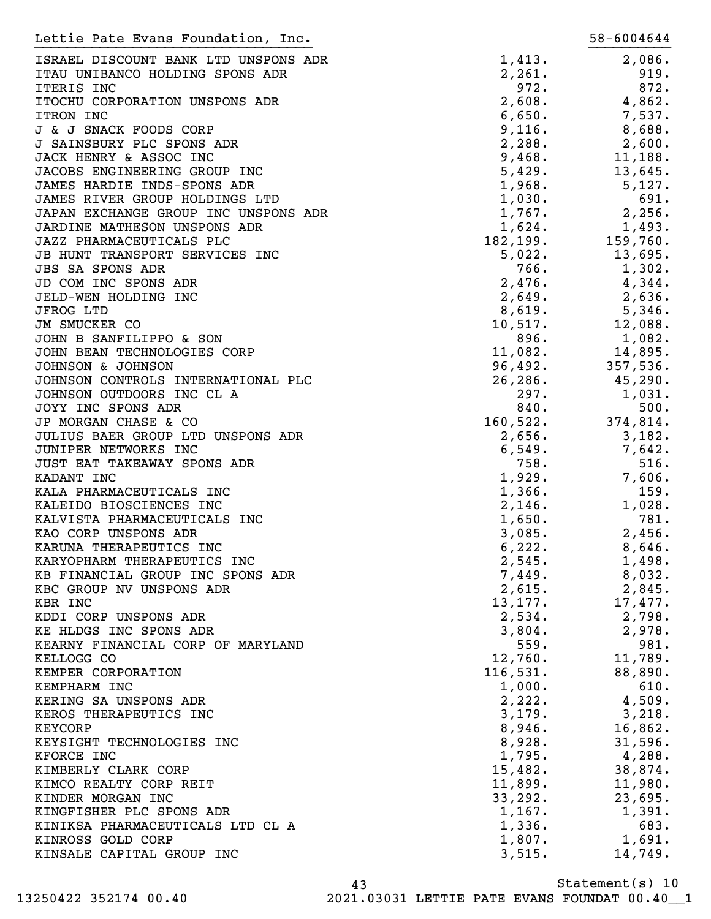| Lettie Pate Evans Foundation, Inc.            |                    | 58-6004644         |
|-----------------------------------------------|--------------------|--------------------|
| ISRAEL DISCOUNT BANK LTD UNSPONS ADR          | 1,413.             | 2,086.             |
| ITAU UNIBANCO HOLDING SPONS ADR               | 2,261.             | 919.               |
| ITERIS INC                                    | 972.               | 872.               |
| ITOCHU CORPORATION UNSPONS ADR                | 2,608.             | 4,862.             |
| ITRON INC                                     | 6,650.             | 7,537.             |
| J & J SNACK FOODS CORP                        | 9,116.             | 8,688.             |
| J SAINSBURY PLC SPONS ADR                     | 2,288.             | 2,600.             |
| JACK HENRY & ASSOC INC                        | 9,468.             | 11, 188.           |
| JACOBS ENGINEERING GROUP INC                  | 5,429.             | 13,645.            |
| JAMES HARDIE INDS-SPONS ADR                   | 1,968.             | 5,127.             |
| JAMES RIVER GROUP HOLDINGS LTD                | 1,030.             | 691.               |
| JAPAN EXCHANGE GROUP INC UNSPONS ADR          | 1,767.             | 2,256.             |
| JARDINE MATHESON UNSPONS ADR                  | 1,624.             | 1,493.             |
| JAZZ PHARMACEUTICALS PLC                      | 182,199.           | 159,760.           |
| JB HUNT TRANSPORT SERVICES INC                | 5,022.             | 13,695.            |
| <b>JBS SA SPONS ADR</b>                       | 766.               | 1,302.             |
| JD COM INC SPONS ADR                          | 2,476.             | 4,344.             |
| JELD-WEN HOLDING INC                          | 2,649.             | 2,636.             |
| <b>JFROG LTD</b>                              | 8,619.             | 5,346.             |
| JM SMUCKER CO                                 | 10,517.            | 12,088.            |
| JOHN B SANFILIPPO & SON                       | 896.               | 1,082.             |
| JOHN BEAN TECHNOLOGIES CORP                   | 11,082.            | 14,895.            |
| JOHNSON & JOHNSON                             | 96,492.            | 357,536.           |
| JOHNSON CONTROLS INTERNATIONAL PLC            | 26, 286.           | 45, 290.           |
| JOHNSON OUTDOORS INC CL A                     | 297.               | 1,031.             |
| JOYY INC SPONS ADR                            | 840.               | 500.               |
| JP MORGAN CHASE & CO                          | 160, 522.          | 374,814.           |
| JULIUS BAER GROUP LTD UNSPONS ADR             | 2,656.             | 3,182.             |
| JUNIPER NETWORKS INC                          | 6,549.             | 7,642.             |
| JUST EAT TAKEAWAY SPONS ADR                   | 758.               | 516.               |
| KADANT INC                                    | 1,929.             | 7,606.             |
| KALA PHARMACEUTICALS INC                      | 1,366.             | 159.               |
| KALEIDO BIOSCIENCES INC                       | 2,146.             | 1,028.             |
| KALVISTA PHARMACEUTICALS INC                  | 1,650.             | 781.               |
| KAO CORP UNSPONS ADR                          | 3,085.             | 2,456.             |
| KARUNA THERAPEUTICS INC                       | 6, 222.            | 8,646.             |
| KARYOPHARM THERAPEUTICS INC                   | 2,545.             | 1,498.             |
| KB FINANCIAL GROUP INC SPONS ADR              | 7,449.             | 8,032.             |
| KBC GROUP NV UNSPONS ADR                      | 2,615.             | 2,845.             |
| KBR INC                                       | 13,177.            | 17,477.            |
| KDDI CORP UNSPONS ADR                         | 2,534.             | 2,798.             |
| KE HLDGS INC SPONS ADR                        | 3,804.             | 2,978.             |
| KEARNY FINANCIAL CORP OF MARYLAND             | 559.               | 981.               |
| KELLOGG CO                                    | 12,760.            | 11,789.            |
| KEMPER CORPORATION                            | 116,531.           | 88,890.<br>610.    |
| KEMPHARM INC                                  | 1,000.             |                    |
| KERING SA UNSPONS ADR                         | 2,222.             | 4,509.             |
| KEROS THERAPEUTICS INC                        | 3,179.             | 3,218.             |
| <b>KEYCORP</b>                                | 8,946.             | 16,862.<br>31,596. |
| KEYSIGHT TECHNOLOGIES INC<br>KFORCE INC       | 8,928.<br>1,795.   | 4,288.             |
|                                               |                    |                    |
| KIMBERLY CLARK CORP<br>KIMCO REALTY CORP REIT | 15,482.<br>11,899. | 38,874.<br>11,980. |
| KINDER MORGAN INC                             | 33, 292.           | 23,695.            |
| KINGFISHER PLC SPONS ADR                      | 1,167.             | 1,391.             |
| KINIKSA PHARMACEUTICALS LTD CL A              | 1,336.             | 683.               |
| KINROSS GOLD CORP                             | 1,807.             | 1,691.             |
| KINSALE CAPITAL GROUP INC                     | 3,515.             | 14,749.            |
|                                               |                    |                    |

Statement(s) 10 43 13250422 352174 00.40 2021.03031 LETTIE PATE EVANS FOUNDAT 00.40\_\_1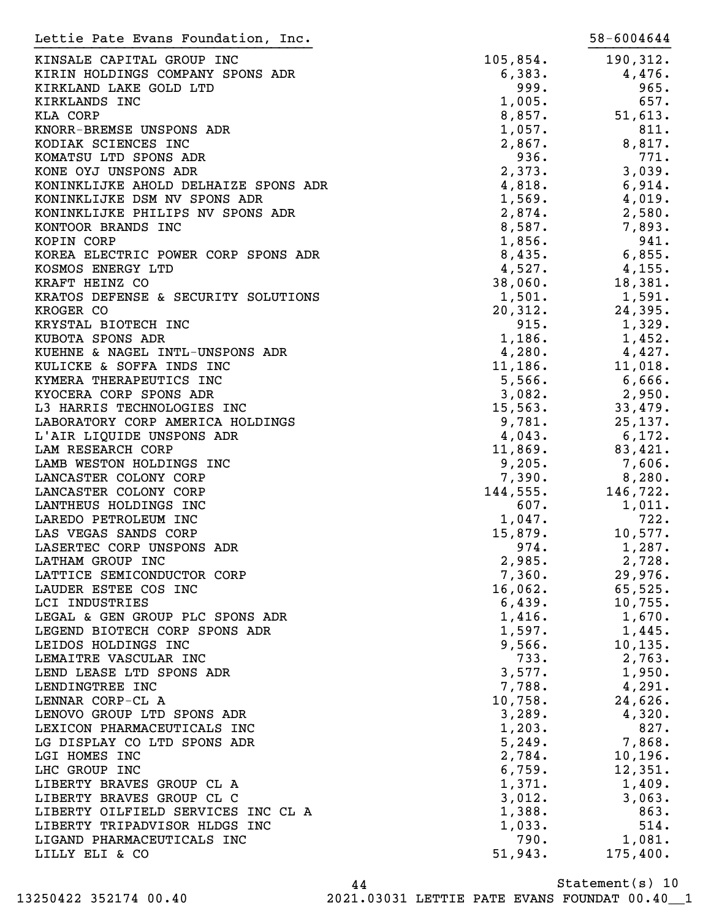| Lettie Pate Evans Foundation, Inc.   |          | 58-6004644 |
|--------------------------------------|----------|------------|
| KINSALE CAPITAL GROUP INC            | 105,854. | 190,312.   |
| KIRIN HOLDINGS COMPANY SPONS ADR     | 6,383.   | 4,476.     |
| KIRKLAND LAKE GOLD LTD               | 999.     | 965.       |
| KIRKLANDS INC                        | 1,005.   | 657.       |
| KLA CORP                             | 8,857.   | 51,613.    |
| KNORR-BREMSE UNSPONS ADR             | 1,057.   | 811.       |
| KODIAK SCIENCES INC                  | 2,867.   | 8,817.     |
| KOMATSU LTD SPONS ADR                | 936.     | 771.       |
| KONE OYJ UNSPONS ADR                 | 2,373.   | 3,039.     |
| KONINKLIJKE AHOLD DELHAIZE SPONS ADR | 4,818.   | 6,914.     |
| KONINKLIJKE DSM NV SPONS ADR         | 1,569.   | 4,019.     |
| KONINKLIJKE PHILIPS NV SPONS ADR     | 2,874.   | 2,580.     |
| KONTOOR BRANDS INC                   | 8,587.   | 7,893.     |
| KOPIN CORP                           | 1,856.   | 941.       |
| KOREA ELECTRIC POWER CORP SPONS ADR  | 8,435.   | 6,855.     |
| KOSMOS ENERGY LTD                    | 4,527.   | 4,155.     |
| KRAFT HEINZ CO                       | 38,060.  | 18,381.    |
| KRATOS DEFENSE & SECURITY SOLUTIONS  | 1,501.   | 1,591.     |
| KROGER CO                            | 20, 312. | 24,395.    |
| KRYSTAL BIOTECH INC                  | 915.     | 1,329.     |
| KUBOTA SPONS ADR                     | 1,186.   | 1,452.     |
| KUEHNE & NAGEL INTL-UNSPONS ADR      | 4,280.   | 4,427.     |
| KULICKE & SOFFA INDS INC             | 11,186.  | 11,018.    |
| KYMERA THERAPEUTICS INC              | 5,566.   | 6,666.     |
| KYOCERA CORP SPONS ADR               | 3,082.   |            |
|                                      |          | 2,950.     |
| L3 HARRIS TECHNOLOGIES INC           | 15, 563. | 33,479.    |
| LABORATORY CORP AMERICA HOLDINGS     | 9,781.   | 25, 137.   |
| L'AIR LIQUIDE UNSPONS ADR            | 4,043.   | 6,172.     |
| LAM RESEARCH CORP                    | 11,869.  | 83,421.    |
| LAMB WESTON HOLDINGS INC             | 9,205.   | 7,606.     |
| LANCASTER COLONY CORP                | 7,390.   | 8,280.     |
| LANCASTER COLONY CORP                | 144,555. | 146,722.   |
| LANTHEUS HOLDINGS INC                | 607.     | 1,011.     |
| LAREDO PETROLEUM INC                 | 1,047.   | 722.       |
| LAS VEGAS SANDS CORP                 | 15,879.  | 10,577.    |
| LASERTEC CORP UNSPONS ADR            | 974.     | 1,287.     |
| LATHAM GROUP INC                     | 2,985.   | 2,728.     |
| LATTICE SEMICONDUCTOR CORP           | 7,360.   | 29,976.    |
| LAUDER ESTEE COS INC                 | 16,062.  | 65,525.    |
| LCI INDUSTRIES                       | 6,439.   | 10,755.    |
| LEGAL & GEN GROUP PLC SPONS ADR      | 1,416.   | $1,670$ .  |
| LEGEND BIOTECH CORP SPONS ADR        | 1,597.   | 1,445.     |
| LEIDOS HOLDINGS INC                  | 9,566.   | 10, 135.   |
| LEMAITRE VASCULAR INC                | 733.     | 2,763.     |
| LEND LEASE LTD SPONS ADR             | 3,577.   | 1,950.     |
| LENDINGTREE INC                      | 7,788.   | 4,291.     |
| LENNAR CORP-CL A                     | 10,758.  | 24,626.    |
| LENOVO GROUP LTD SPONS ADR           | 3,289.   | 4,320.     |
| LEXICON PHARMACEUTICALS INC          | 1,203.   | 827.       |
| LG DISPLAY CO LTD SPONS ADR          | 5,249.   | 7,868.     |
| LGI HOMES INC                        | 2,784.   | 10, 196.   |
| LHC GROUP INC                        | 6,759.   | 12,351.    |
| LIBERTY BRAVES GROUP CL A            | 1,371.   | 1,409.     |
| LIBERTY BRAVES GROUP CL C            | 3,012.   | 3,063.     |
| LIBERTY OILFIELD SERVICES INC CL A   | 1,388.   | 863.       |
| LIBERTY TRIPADVISOR HLDGS INC        | 1,033.   | 514.       |
| LIGAND PHARMACEUTICALS INC           | 790.     | 1,081.     |
| LILLY ELI & CO                       | 51,943.  | 175,400.   |

Statement(s) 10 44 13250422 352174 00.40 2021.03031 LETTIE PATE EVANS FOUNDAT 00.40\_\_1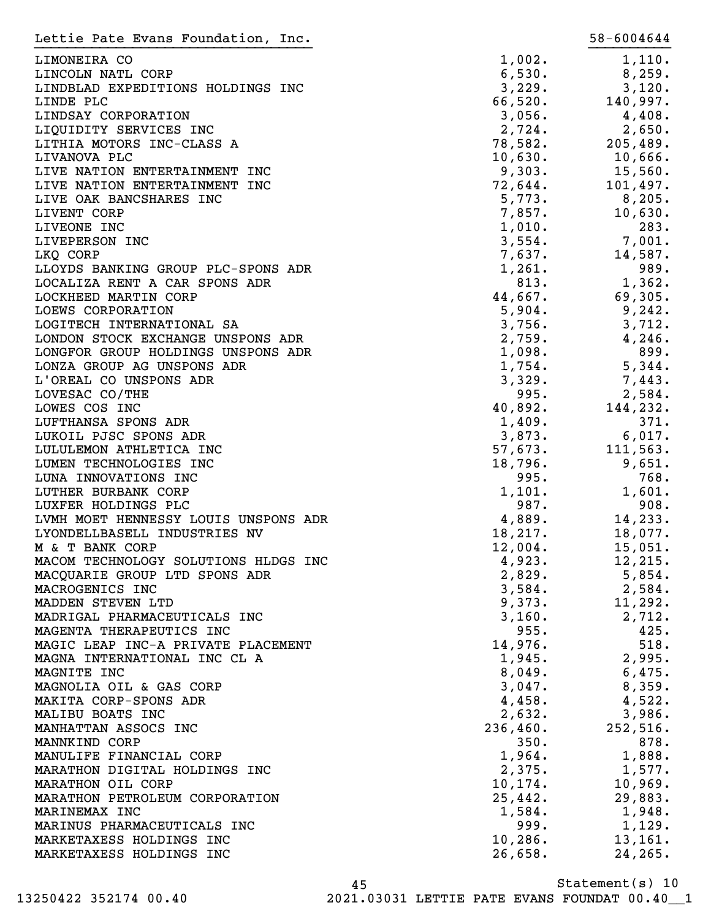| Lettie Pate Evans Foundation, Inc.                                 |                  | 58-6004644       |
|--------------------------------------------------------------------|------------------|------------------|
| LIMONEIRA CO                                                       | 1,002.           | 1,110.           |
| LINCOLN NATL CORP                                                  | 6,530.           | 8, 259.          |
| LINDBLAD EXPEDITIONS HOLDINGS INC                                  | 3,229.           | 3,120.           |
| LINDE PLC                                                          | 66,520.          | 140,997.         |
| LINDSAY CORPORATION                                                | 3,056.           | 4,408.           |
| LIQUIDITY SERVICES INC                                             | 2,724.           | 2,650.           |
| LITHIA MOTORS INC-CLASS A                                          | 78,582.          | 205,489.         |
| LIVANOVA PLC                                                       | 10,630.          | 10,666.          |
| LIVE NATION ENTERTAINMENT INC                                      | 9,303.           | 15,560.          |
| LIVE NATION ENTERTAINMENT INC                                      | 72,644.          | 101,497.         |
| LIVE OAK BANCSHARES INC                                            | 5,773.           | 8,205.           |
| LIVENT CORP                                                        | 7,857.           | 10,630.          |
| LIVEONE INC                                                        | 1,010.           | 283.             |
| LIVEPERSON INC                                                     | 3,554.           | 7,001.           |
| LKQ CORP                                                           | 7,637.           | 14,587.          |
| LLOYDS BANKING GROUP PLC-SPONS ADR                                 | 1,261.           | 989.             |
| LOCALIZA RENT A CAR SPONS ADR                                      | 813.             | 1,362.           |
| LOCKHEED MARTIN CORP                                               | 44,667.          | 69,305.          |
| LOEWS CORPORATION                                                  | 5,904.           | 9,242.           |
| LOGITECH INTERNATIONAL SA                                          | 3,756.           | 3,712.           |
| LONDON STOCK EXCHANGE UNSPONS ADR                                  | 2,759.           | 4,246.           |
| LONGFOR GROUP HOLDINGS UNSPONS ADR                                 | 1,098.           | 899.             |
| LONZA GROUP AG UNSPONS ADR                                         | 1,754.           | 5,344.           |
| L'OREAL CO UNSPONS ADR                                             | 3,329.           | 7,443.           |
| LOVESAC CO/THE                                                     | 995.             | 2,584.           |
| LOWES COS INC                                                      | 40,892.          | 144,232.         |
| LUFTHANSA SPONS ADR                                                | 1,409.           | 371.             |
| LUKOIL PJSC SPONS ADR                                              | 3,873.           | 6,017.           |
| LULULEMON ATHLETICA INC                                            | 57,673.          | 111,563.         |
| LUMEN TECHNOLOGIES INC                                             | 18,796.          | 9,651.           |
| LUNA INNOVATIONS INC                                               | 995.             | 768.             |
| LUTHER BURBANK CORP                                                | 1,101.           | 1,601.           |
| LUXFER HOLDINGS PLC                                                | 987.             | 908.             |
| LVMH MOET HENNESSY LOUIS UNSPONS ADR                               | 4,889.           | 14,233.          |
| LYONDELLBASELL INDUSTRIES NV                                       | 18,217.          | 18,077.          |
| M & T BANK CORP                                                    | 12,004.          | 15,051.          |
| MACOM TECHNOLOGY SOLUTIONS HLDGS INC                               | 4,923.           | 12,215.          |
| MACQUARIE GROUP LTD SPONS ADR                                      | 2,829.           | 5,854.           |
| MACROGENICS INC                                                    | 3,584.           | 2,584.           |
| MADDEN STEVEN LTD                                                  | 9,373.           | 11,292.          |
| MADRIGAL PHARMACEUTICALS INC                                       | 3,160.           | 2,712.           |
| MAGENTA THERAPEUTICS INC                                           | 955.             | 425.             |
| MAGIC LEAP INC-A PRIVATE PLACEMENT<br>MAGNA INTERNATIONAL INC CL A | 14,976.          | 518.             |
| MAGNITE INC                                                        | 1,945.           | 2,995.           |
|                                                                    | 8,049.           | 6,475.           |
| MAGNOLIA OIL & GAS CORP<br>MAKITA CORP-SPONS ADR                   | 3,047.<br>4,458. | 8,359.<br>4,522. |
| MALIBU BOATS INC                                                   | 2,632.           | 3,986.           |
| MANHATTAN ASSOCS INC                                               | 236,460.         | 252,516.         |
| MANNKIND CORP                                                      | 350.             | 878.             |
| MANULIFE FINANCIAL CORP                                            | 1,964.           | 1,888.           |
| MARATHON DIGITAL HOLDINGS INC                                      | 2,375.           | 1,577.           |
| MARATHON OIL CORP                                                  | $10, 174$ .      | 10,969.          |
| MARATHON PETROLEUM CORPORATION                                     | 25,442.          | 29,883.          |
| MARINEMAX INC                                                      | 1,584.           | $1,948$ .        |
| MARINUS PHARMACEUTICALS INC                                        | 999.             | 1,129.           |
| MARKETAXESS HOLDINGS INC                                           | 10, 286.         | 13, 161.         |
| MARKETAXESS HOLDINGS INC                                           | 26,658.          | 24, 265.         |
|                                                                    |                  |                  |

Statement(s) 10 45

13250422 352174 00.40 2021.03031 LETTIE PATE EVANS FOUNDAT 00.40\_\_1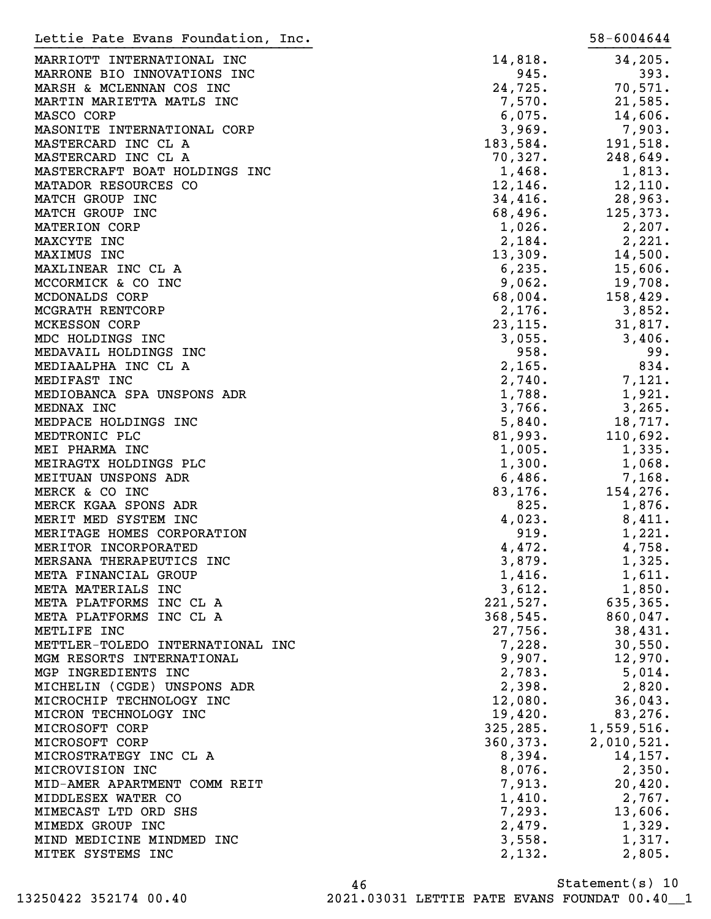| 34, 205.<br>14,818.<br>MARRIOTT INTERNATIONAL INC<br>945.<br>393.<br>MARRONE BIO INNOVATIONS INC<br>24,725.<br>70,571.<br>MARSH & MCLENNAN COS INC<br>7,570.<br>21,585.<br>MARTIN MARIETTA MATLS INC<br>6,075.<br>14,606.<br>MASCO CORP<br>3,969.<br>7,903.<br>MASONITE INTERNATIONAL CORP<br>183,584.<br>191,518.<br>MASTERCARD INC CL A<br>70,327.<br>248,649.<br>MASTERCARD INC CL A<br>1,468.<br>1,813.<br>MASTERCRAFT BOAT HOLDINGS INC<br>12,146.<br>12, 110.<br>MATADOR RESOURCES CO<br>34,416.<br>28,963.<br>MATCH GROUP INC<br>68,496.<br>125,373.<br>MATCH GROUP INC<br>1,026.<br>2,207.<br>MATERION CORP<br>2,184.<br>2,221.<br>MAXCYTE INC<br>13,309.<br>14,500.<br>MAXIMUS INC<br>6, 235.<br>15,606.<br>MAXLINEAR INC CL A<br>9,062.<br>19,708.<br>MCCORMICK & CO INC<br>68,004.<br>158,429.<br>MCDONALDS CORP<br>MCGRATH RENTCORP<br>2,176.<br>3,852.<br>23, 115.<br><b>MCKESSON CORP</b><br>31,817.<br>3,055.<br>3,406.<br>MDC HOLDINGS INC<br>958.<br>99.<br>MEDAVAIL HOLDINGS INC<br>834.<br>2,165.<br>MEDIAALPHA INC CL A<br>2,740.<br>7,121.<br>MEDIFAST INC<br>1,788.<br>1,921.<br>MEDIOBANCA SPA UNSPONS ADR<br>3,766.<br>3,265.<br>MEDNAX INC<br>5,840.<br>18,717.<br>MEDPACE HOLDINGS INC<br>81,993.<br>110,692.<br>MEDTRONIC PLC<br>1,005.<br>1,335.<br>MEI PHARMA INC<br>1,300.<br>1,068.<br>MEIRAGTX HOLDINGS PLC<br>MEITUAN UNSPONS ADR<br>6,486.<br>7,168.<br>154,276.<br>MERCK & CO INC<br>83, 176.<br>825.<br>MERCK KGAA SPONS ADR<br>1,876.<br>4,023.<br>MERIT MED SYSTEM INC<br>8,411.<br>919.<br>MERITAGE HOMES CORPORATION<br>1,221.<br>MERITOR INCORPORATED<br>4,472.<br>4,758.<br>3,879.<br>1,325.<br>MERSANA THERAPEUTICS INC<br>1,416.<br>1,611.<br>META FINANCIAL GROUP<br>3,612.<br>1,850.<br>META MATERIALS INC<br>221,527.<br>635, 365.<br>META PLATFORMS INC CL A<br>368,545.<br>860,047.<br>META PLATFORMS INC CL A<br>27,756.<br>38,431.<br>METLIFE INC<br>7,228.<br>30,550.<br>METTLER-TOLEDO INTERNATIONAL INC<br>9,907.<br>MGM RESORTS INTERNATIONAL<br>12,970.<br>2,783.<br>5,014.<br>MGP INGREDIENTS INC<br>2,398.<br>2,820.<br>MICHELIN (CGDE) UNSPONS ADR<br>12,080.<br>36,043.<br>MICROCHIP TECHNOLOGY INC<br>19,420.<br>83,276.<br>MICRON TECHNOLOGY INC<br>325, 285.<br>1,559,516.<br>MICROSOFT CORP<br>360, 373.<br>2,010,521.<br>MICROSOFT CORP<br>8,394.<br>14,157.<br>MICROSTRATEGY INC CL A<br>8,076.<br>2,350.<br>MICROVISION INC<br>7,913.<br>20,420.<br>MID-AMER APARTMENT COMM REIT<br>1,410.<br>2,767.<br>MIDDLESEX WATER CO<br>7,293.<br>13,606.<br>MIMECAST LTD ORD SHS<br>2,479.<br>1,329.<br>MIMEDX GROUP INC<br>1,317.<br>MIND MEDICINE MINDMED INC<br>3,558.<br>MITEK SYSTEMS INC<br>2,132.<br>2,805. | Lettie Pate Evans Foundation, Inc. | 58-6004644 |
|------------------------------------------------------------------------------------------------------------------------------------------------------------------------------------------------------------------------------------------------------------------------------------------------------------------------------------------------------------------------------------------------------------------------------------------------------------------------------------------------------------------------------------------------------------------------------------------------------------------------------------------------------------------------------------------------------------------------------------------------------------------------------------------------------------------------------------------------------------------------------------------------------------------------------------------------------------------------------------------------------------------------------------------------------------------------------------------------------------------------------------------------------------------------------------------------------------------------------------------------------------------------------------------------------------------------------------------------------------------------------------------------------------------------------------------------------------------------------------------------------------------------------------------------------------------------------------------------------------------------------------------------------------------------------------------------------------------------------------------------------------------------------------------------------------------------------------------------------------------------------------------------------------------------------------------------------------------------------------------------------------------------------------------------------------------------------------------------------------------------------------------------------------------------------------------------------------------------------------------------------------------------------------------------------------------------------------------------------------------------------------------------------------------------------------------------------------------------------------------------------------------------------------------------------------------------------------------------------------------------------------------------------------------------------|------------------------------------|------------|
|                                                                                                                                                                                                                                                                                                                                                                                                                                                                                                                                                                                                                                                                                                                                                                                                                                                                                                                                                                                                                                                                                                                                                                                                                                                                                                                                                                                                                                                                                                                                                                                                                                                                                                                                                                                                                                                                                                                                                                                                                                                                                                                                                                                                                                                                                                                                                                                                                                                                                                                                                                                                                                                                              |                                    |            |
|                                                                                                                                                                                                                                                                                                                                                                                                                                                                                                                                                                                                                                                                                                                                                                                                                                                                                                                                                                                                                                                                                                                                                                                                                                                                                                                                                                                                                                                                                                                                                                                                                                                                                                                                                                                                                                                                                                                                                                                                                                                                                                                                                                                                                                                                                                                                                                                                                                                                                                                                                                                                                                                                              |                                    |            |
|                                                                                                                                                                                                                                                                                                                                                                                                                                                                                                                                                                                                                                                                                                                                                                                                                                                                                                                                                                                                                                                                                                                                                                                                                                                                                                                                                                                                                                                                                                                                                                                                                                                                                                                                                                                                                                                                                                                                                                                                                                                                                                                                                                                                                                                                                                                                                                                                                                                                                                                                                                                                                                                                              |                                    |            |
|                                                                                                                                                                                                                                                                                                                                                                                                                                                                                                                                                                                                                                                                                                                                                                                                                                                                                                                                                                                                                                                                                                                                                                                                                                                                                                                                                                                                                                                                                                                                                                                                                                                                                                                                                                                                                                                                                                                                                                                                                                                                                                                                                                                                                                                                                                                                                                                                                                                                                                                                                                                                                                                                              |                                    |            |
|                                                                                                                                                                                                                                                                                                                                                                                                                                                                                                                                                                                                                                                                                                                                                                                                                                                                                                                                                                                                                                                                                                                                                                                                                                                                                                                                                                                                                                                                                                                                                                                                                                                                                                                                                                                                                                                                                                                                                                                                                                                                                                                                                                                                                                                                                                                                                                                                                                                                                                                                                                                                                                                                              |                                    |            |
|                                                                                                                                                                                                                                                                                                                                                                                                                                                                                                                                                                                                                                                                                                                                                                                                                                                                                                                                                                                                                                                                                                                                                                                                                                                                                                                                                                                                                                                                                                                                                                                                                                                                                                                                                                                                                                                                                                                                                                                                                                                                                                                                                                                                                                                                                                                                                                                                                                                                                                                                                                                                                                                                              |                                    |            |
|                                                                                                                                                                                                                                                                                                                                                                                                                                                                                                                                                                                                                                                                                                                                                                                                                                                                                                                                                                                                                                                                                                                                                                                                                                                                                                                                                                                                                                                                                                                                                                                                                                                                                                                                                                                                                                                                                                                                                                                                                                                                                                                                                                                                                                                                                                                                                                                                                                                                                                                                                                                                                                                                              |                                    |            |
|                                                                                                                                                                                                                                                                                                                                                                                                                                                                                                                                                                                                                                                                                                                                                                                                                                                                                                                                                                                                                                                                                                                                                                                                                                                                                                                                                                                                                                                                                                                                                                                                                                                                                                                                                                                                                                                                                                                                                                                                                                                                                                                                                                                                                                                                                                                                                                                                                                                                                                                                                                                                                                                                              |                                    |            |
|                                                                                                                                                                                                                                                                                                                                                                                                                                                                                                                                                                                                                                                                                                                                                                                                                                                                                                                                                                                                                                                                                                                                                                                                                                                                                                                                                                                                                                                                                                                                                                                                                                                                                                                                                                                                                                                                                                                                                                                                                                                                                                                                                                                                                                                                                                                                                                                                                                                                                                                                                                                                                                                                              |                                    |            |
|                                                                                                                                                                                                                                                                                                                                                                                                                                                                                                                                                                                                                                                                                                                                                                                                                                                                                                                                                                                                                                                                                                                                                                                                                                                                                                                                                                                                                                                                                                                                                                                                                                                                                                                                                                                                                                                                                                                                                                                                                                                                                                                                                                                                                                                                                                                                                                                                                                                                                                                                                                                                                                                                              |                                    |            |
|                                                                                                                                                                                                                                                                                                                                                                                                                                                                                                                                                                                                                                                                                                                                                                                                                                                                                                                                                                                                                                                                                                                                                                                                                                                                                                                                                                                                                                                                                                                                                                                                                                                                                                                                                                                                                                                                                                                                                                                                                                                                                                                                                                                                                                                                                                                                                                                                                                                                                                                                                                                                                                                                              |                                    |            |
|                                                                                                                                                                                                                                                                                                                                                                                                                                                                                                                                                                                                                                                                                                                                                                                                                                                                                                                                                                                                                                                                                                                                                                                                                                                                                                                                                                                                                                                                                                                                                                                                                                                                                                                                                                                                                                                                                                                                                                                                                                                                                                                                                                                                                                                                                                                                                                                                                                                                                                                                                                                                                                                                              |                                    |            |
|                                                                                                                                                                                                                                                                                                                                                                                                                                                                                                                                                                                                                                                                                                                                                                                                                                                                                                                                                                                                                                                                                                                                                                                                                                                                                                                                                                                                                                                                                                                                                                                                                                                                                                                                                                                                                                                                                                                                                                                                                                                                                                                                                                                                                                                                                                                                                                                                                                                                                                                                                                                                                                                                              |                                    |            |
|                                                                                                                                                                                                                                                                                                                                                                                                                                                                                                                                                                                                                                                                                                                                                                                                                                                                                                                                                                                                                                                                                                                                                                                                                                                                                                                                                                                                                                                                                                                                                                                                                                                                                                                                                                                                                                                                                                                                                                                                                                                                                                                                                                                                                                                                                                                                                                                                                                                                                                                                                                                                                                                                              |                                    |            |
|                                                                                                                                                                                                                                                                                                                                                                                                                                                                                                                                                                                                                                                                                                                                                                                                                                                                                                                                                                                                                                                                                                                                                                                                                                                                                                                                                                                                                                                                                                                                                                                                                                                                                                                                                                                                                                                                                                                                                                                                                                                                                                                                                                                                                                                                                                                                                                                                                                                                                                                                                                                                                                                                              |                                    |            |
|                                                                                                                                                                                                                                                                                                                                                                                                                                                                                                                                                                                                                                                                                                                                                                                                                                                                                                                                                                                                                                                                                                                                                                                                                                                                                                                                                                                                                                                                                                                                                                                                                                                                                                                                                                                                                                                                                                                                                                                                                                                                                                                                                                                                                                                                                                                                                                                                                                                                                                                                                                                                                                                                              |                                    |            |
|                                                                                                                                                                                                                                                                                                                                                                                                                                                                                                                                                                                                                                                                                                                                                                                                                                                                                                                                                                                                                                                                                                                                                                                                                                                                                                                                                                                                                                                                                                                                                                                                                                                                                                                                                                                                                                                                                                                                                                                                                                                                                                                                                                                                                                                                                                                                                                                                                                                                                                                                                                                                                                                                              |                                    |            |
|                                                                                                                                                                                                                                                                                                                                                                                                                                                                                                                                                                                                                                                                                                                                                                                                                                                                                                                                                                                                                                                                                                                                                                                                                                                                                                                                                                                                                                                                                                                                                                                                                                                                                                                                                                                                                                                                                                                                                                                                                                                                                                                                                                                                                                                                                                                                                                                                                                                                                                                                                                                                                                                                              |                                    |            |
|                                                                                                                                                                                                                                                                                                                                                                                                                                                                                                                                                                                                                                                                                                                                                                                                                                                                                                                                                                                                                                                                                                                                                                                                                                                                                                                                                                                                                                                                                                                                                                                                                                                                                                                                                                                                                                                                                                                                                                                                                                                                                                                                                                                                                                                                                                                                                                                                                                                                                                                                                                                                                                                                              |                                    |            |
|                                                                                                                                                                                                                                                                                                                                                                                                                                                                                                                                                                                                                                                                                                                                                                                                                                                                                                                                                                                                                                                                                                                                                                                                                                                                                                                                                                                                                                                                                                                                                                                                                                                                                                                                                                                                                                                                                                                                                                                                                                                                                                                                                                                                                                                                                                                                                                                                                                                                                                                                                                                                                                                                              |                                    |            |
|                                                                                                                                                                                                                                                                                                                                                                                                                                                                                                                                                                                                                                                                                                                                                                                                                                                                                                                                                                                                                                                                                                                                                                                                                                                                                                                                                                                                                                                                                                                                                                                                                                                                                                                                                                                                                                                                                                                                                                                                                                                                                                                                                                                                                                                                                                                                                                                                                                                                                                                                                                                                                                                                              |                                    |            |
|                                                                                                                                                                                                                                                                                                                                                                                                                                                                                                                                                                                                                                                                                                                                                                                                                                                                                                                                                                                                                                                                                                                                                                                                                                                                                                                                                                                                                                                                                                                                                                                                                                                                                                                                                                                                                                                                                                                                                                                                                                                                                                                                                                                                                                                                                                                                                                                                                                                                                                                                                                                                                                                                              |                                    |            |
|                                                                                                                                                                                                                                                                                                                                                                                                                                                                                                                                                                                                                                                                                                                                                                                                                                                                                                                                                                                                                                                                                                                                                                                                                                                                                                                                                                                                                                                                                                                                                                                                                                                                                                                                                                                                                                                                                                                                                                                                                                                                                                                                                                                                                                                                                                                                                                                                                                                                                                                                                                                                                                                                              |                                    |            |
|                                                                                                                                                                                                                                                                                                                                                                                                                                                                                                                                                                                                                                                                                                                                                                                                                                                                                                                                                                                                                                                                                                                                                                                                                                                                                                                                                                                                                                                                                                                                                                                                                                                                                                                                                                                                                                                                                                                                                                                                                                                                                                                                                                                                                                                                                                                                                                                                                                                                                                                                                                                                                                                                              |                                    |            |
|                                                                                                                                                                                                                                                                                                                                                                                                                                                                                                                                                                                                                                                                                                                                                                                                                                                                                                                                                                                                                                                                                                                                                                                                                                                                                                                                                                                                                                                                                                                                                                                                                                                                                                                                                                                                                                                                                                                                                                                                                                                                                                                                                                                                                                                                                                                                                                                                                                                                                                                                                                                                                                                                              |                                    |            |
|                                                                                                                                                                                                                                                                                                                                                                                                                                                                                                                                                                                                                                                                                                                                                                                                                                                                                                                                                                                                                                                                                                                                                                                                                                                                                                                                                                                                                                                                                                                                                                                                                                                                                                                                                                                                                                                                                                                                                                                                                                                                                                                                                                                                                                                                                                                                                                                                                                                                                                                                                                                                                                                                              |                                    |            |
|                                                                                                                                                                                                                                                                                                                                                                                                                                                                                                                                                                                                                                                                                                                                                                                                                                                                                                                                                                                                                                                                                                                                                                                                                                                                                                                                                                                                                                                                                                                                                                                                                                                                                                                                                                                                                                                                                                                                                                                                                                                                                                                                                                                                                                                                                                                                                                                                                                                                                                                                                                                                                                                                              |                                    |            |
|                                                                                                                                                                                                                                                                                                                                                                                                                                                                                                                                                                                                                                                                                                                                                                                                                                                                                                                                                                                                                                                                                                                                                                                                                                                                                                                                                                                                                                                                                                                                                                                                                                                                                                                                                                                                                                                                                                                                                                                                                                                                                                                                                                                                                                                                                                                                                                                                                                                                                                                                                                                                                                                                              |                                    |            |
|                                                                                                                                                                                                                                                                                                                                                                                                                                                                                                                                                                                                                                                                                                                                                                                                                                                                                                                                                                                                                                                                                                                                                                                                                                                                                                                                                                                                                                                                                                                                                                                                                                                                                                                                                                                                                                                                                                                                                                                                                                                                                                                                                                                                                                                                                                                                                                                                                                                                                                                                                                                                                                                                              |                                    |            |
|                                                                                                                                                                                                                                                                                                                                                                                                                                                                                                                                                                                                                                                                                                                                                                                                                                                                                                                                                                                                                                                                                                                                                                                                                                                                                                                                                                                                                                                                                                                                                                                                                                                                                                                                                                                                                                                                                                                                                                                                                                                                                                                                                                                                                                                                                                                                                                                                                                                                                                                                                                                                                                                                              |                                    |            |
|                                                                                                                                                                                                                                                                                                                                                                                                                                                                                                                                                                                                                                                                                                                                                                                                                                                                                                                                                                                                                                                                                                                                                                                                                                                                                                                                                                                                                                                                                                                                                                                                                                                                                                                                                                                                                                                                                                                                                                                                                                                                                                                                                                                                                                                                                                                                                                                                                                                                                                                                                                                                                                                                              |                                    |            |
|                                                                                                                                                                                                                                                                                                                                                                                                                                                                                                                                                                                                                                                                                                                                                                                                                                                                                                                                                                                                                                                                                                                                                                                                                                                                                                                                                                                                                                                                                                                                                                                                                                                                                                                                                                                                                                                                                                                                                                                                                                                                                                                                                                                                                                                                                                                                                                                                                                                                                                                                                                                                                                                                              |                                    |            |
|                                                                                                                                                                                                                                                                                                                                                                                                                                                                                                                                                                                                                                                                                                                                                                                                                                                                                                                                                                                                                                                                                                                                                                                                                                                                                                                                                                                                                                                                                                                                                                                                                                                                                                                                                                                                                                                                                                                                                                                                                                                                                                                                                                                                                                                                                                                                                                                                                                                                                                                                                                                                                                                                              |                                    |            |
|                                                                                                                                                                                                                                                                                                                                                                                                                                                                                                                                                                                                                                                                                                                                                                                                                                                                                                                                                                                                                                                                                                                                                                                                                                                                                                                                                                                                                                                                                                                                                                                                                                                                                                                                                                                                                                                                                                                                                                                                                                                                                                                                                                                                                                                                                                                                                                                                                                                                                                                                                                                                                                                                              |                                    |            |
|                                                                                                                                                                                                                                                                                                                                                                                                                                                                                                                                                                                                                                                                                                                                                                                                                                                                                                                                                                                                                                                                                                                                                                                                                                                                                                                                                                                                                                                                                                                                                                                                                                                                                                                                                                                                                                                                                                                                                                                                                                                                                                                                                                                                                                                                                                                                                                                                                                                                                                                                                                                                                                                                              |                                    |            |
|                                                                                                                                                                                                                                                                                                                                                                                                                                                                                                                                                                                                                                                                                                                                                                                                                                                                                                                                                                                                                                                                                                                                                                                                                                                                                                                                                                                                                                                                                                                                                                                                                                                                                                                                                                                                                                                                                                                                                                                                                                                                                                                                                                                                                                                                                                                                                                                                                                                                                                                                                                                                                                                                              |                                    |            |
|                                                                                                                                                                                                                                                                                                                                                                                                                                                                                                                                                                                                                                                                                                                                                                                                                                                                                                                                                                                                                                                                                                                                                                                                                                                                                                                                                                                                                                                                                                                                                                                                                                                                                                                                                                                                                                                                                                                                                                                                                                                                                                                                                                                                                                                                                                                                                                                                                                                                                                                                                                                                                                                                              |                                    |            |
|                                                                                                                                                                                                                                                                                                                                                                                                                                                                                                                                                                                                                                                                                                                                                                                                                                                                                                                                                                                                                                                                                                                                                                                                                                                                                                                                                                                                                                                                                                                                                                                                                                                                                                                                                                                                                                                                                                                                                                                                                                                                                                                                                                                                                                                                                                                                                                                                                                                                                                                                                                                                                                                                              |                                    |            |
|                                                                                                                                                                                                                                                                                                                                                                                                                                                                                                                                                                                                                                                                                                                                                                                                                                                                                                                                                                                                                                                                                                                                                                                                                                                                                                                                                                                                                                                                                                                                                                                                                                                                                                                                                                                                                                                                                                                                                                                                                                                                                                                                                                                                                                                                                                                                                                                                                                                                                                                                                                                                                                                                              |                                    |            |
|                                                                                                                                                                                                                                                                                                                                                                                                                                                                                                                                                                                                                                                                                                                                                                                                                                                                                                                                                                                                                                                                                                                                                                                                                                                                                                                                                                                                                                                                                                                                                                                                                                                                                                                                                                                                                                                                                                                                                                                                                                                                                                                                                                                                                                                                                                                                                                                                                                                                                                                                                                                                                                                                              |                                    |            |
|                                                                                                                                                                                                                                                                                                                                                                                                                                                                                                                                                                                                                                                                                                                                                                                                                                                                                                                                                                                                                                                                                                                                                                                                                                                                                                                                                                                                                                                                                                                                                                                                                                                                                                                                                                                                                                                                                                                                                                                                                                                                                                                                                                                                                                                                                                                                                                                                                                                                                                                                                                                                                                                                              |                                    |            |
|                                                                                                                                                                                                                                                                                                                                                                                                                                                                                                                                                                                                                                                                                                                                                                                                                                                                                                                                                                                                                                                                                                                                                                                                                                                                                                                                                                                                                                                                                                                                                                                                                                                                                                                                                                                                                                                                                                                                                                                                                                                                                                                                                                                                                                                                                                                                                                                                                                                                                                                                                                                                                                                                              |                                    |            |
|                                                                                                                                                                                                                                                                                                                                                                                                                                                                                                                                                                                                                                                                                                                                                                                                                                                                                                                                                                                                                                                                                                                                                                                                                                                                                                                                                                                                                                                                                                                                                                                                                                                                                                                                                                                                                                                                                                                                                                                                                                                                                                                                                                                                                                                                                                                                                                                                                                                                                                                                                                                                                                                                              |                                    |            |
|                                                                                                                                                                                                                                                                                                                                                                                                                                                                                                                                                                                                                                                                                                                                                                                                                                                                                                                                                                                                                                                                                                                                                                                                                                                                                                                                                                                                                                                                                                                                                                                                                                                                                                                                                                                                                                                                                                                                                                                                                                                                                                                                                                                                                                                                                                                                                                                                                                                                                                                                                                                                                                                                              |                                    |            |
|                                                                                                                                                                                                                                                                                                                                                                                                                                                                                                                                                                                                                                                                                                                                                                                                                                                                                                                                                                                                                                                                                                                                                                                                                                                                                                                                                                                                                                                                                                                                                                                                                                                                                                                                                                                                                                                                                                                                                                                                                                                                                                                                                                                                                                                                                                                                                                                                                                                                                                                                                                                                                                                                              |                                    |            |
|                                                                                                                                                                                                                                                                                                                                                                                                                                                                                                                                                                                                                                                                                                                                                                                                                                                                                                                                                                                                                                                                                                                                                                                                                                                                                                                                                                                                                                                                                                                                                                                                                                                                                                                                                                                                                                                                                                                                                                                                                                                                                                                                                                                                                                                                                                                                                                                                                                                                                                                                                                                                                                                                              |                                    |            |
|                                                                                                                                                                                                                                                                                                                                                                                                                                                                                                                                                                                                                                                                                                                                                                                                                                                                                                                                                                                                                                                                                                                                                                                                                                                                                                                                                                                                                                                                                                                                                                                                                                                                                                                                                                                                                                                                                                                                                                                                                                                                                                                                                                                                                                                                                                                                                                                                                                                                                                                                                                                                                                                                              |                                    |            |
|                                                                                                                                                                                                                                                                                                                                                                                                                                                                                                                                                                                                                                                                                                                                                                                                                                                                                                                                                                                                                                                                                                                                                                                                                                                                                                                                                                                                                                                                                                                                                                                                                                                                                                                                                                                                                                                                                                                                                                                                                                                                                                                                                                                                                                                                                                                                                                                                                                                                                                                                                                                                                                                                              |                                    |            |
|                                                                                                                                                                                                                                                                                                                                                                                                                                                                                                                                                                                                                                                                                                                                                                                                                                                                                                                                                                                                                                                                                                                                                                                                                                                                                                                                                                                                                                                                                                                                                                                                                                                                                                                                                                                                                                                                                                                                                                                                                                                                                                                                                                                                                                                                                                                                                                                                                                                                                                                                                                                                                                                                              |                                    |            |
|                                                                                                                                                                                                                                                                                                                                                                                                                                                                                                                                                                                                                                                                                                                                                                                                                                                                                                                                                                                                                                                                                                                                                                                                                                                                                                                                                                                                                                                                                                                                                                                                                                                                                                                                                                                                                                                                                                                                                                                                                                                                                                                                                                                                                                                                                                                                                                                                                                                                                                                                                                                                                                                                              |                                    |            |
|                                                                                                                                                                                                                                                                                                                                                                                                                                                                                                                                                                                                                                                                                                                                                                                                                                                                                                                                                                                                                                                                                                                                                                                                                                                                                                                                                                                                                                                                                                                                                                                                                                                                                                                                                                                                                                                                                                                                                                                                                                                                                                                                                                                                                                                                                                                                                                                                                                                                                                                                                                                                                                                                              |                                    |            |
|                                                                                                                                                                                                                                                                                                                                                                                                                                                                                                                                                                                                                                                                                                                                                                                                                                                                                                                                                                                                                                                                                                                                                                                                                                                                                                                                                                                                                                                                                                                                                                                                                                                                                                                                                                                                                                                                                                                                                                                                                                                                                                                                                                                                                                                                                                                                                                                                                                                                                                                                                                                                                                                                              |                                    |            |
|                                                                                                                                                                                                                                                                                                                                                                                                                                                                                                                                                                                                                                                                                                                                                                                                                                                                                                                                                                                                                                                                                                                                                                                                                                                                                                                                                                                                                                                                                                                                                                                                                                                                                                                                                                                                                                                                                                                                                                                                                                                                                                                                                                                                                                                                                                                                                                                                                                                                                                                                                                                                                                                                              |                                    |            |
|                                                                                                                                                                                                                                                                                                                                                                                                                                                                                                                                                                                                                                                                                                                                                                                                                                                                                                                                                                                                                                                                                                                                                                                                                                                                                                                                                                                                                                                                                                                                                                                                                                                                                                                                                                                                                                                                                                                                                                                                                                                                                                                                                                                                                                                                                                                                                                                                                                                                                                                                                                                                                                                                              |                                    |            |
|                                                                                                                                                                                                                                                                                                                                                                                                                                                                                                                                                                                                                                                                                                                                                                                                                                                                                                                                                                                                                                                                                                                                                                                                                                                                                                                                                                                                                                                                                                                                                                                                                                                                                                                                                                                                                                                                                                                                                                                                                                                                                                                                                                                                                                                                                                                                                                                                                                                                                                                                                                                                                                                                              |                                    |            |
|                                                                                                                                                                                                                                                                                                                                                                                                                                                                                                                                                                                                                                                                                                                                                                                                                                                                                                                                                                                                                                                                                                                                                                                                                                                                                                                                                                                                                                                                                                                                                                                                                                                                                                                                                                                                                                                                                                                                                                                                                                                                                                                                                                                                                                                                                                                                                                                                                                                                                                                                                                                                                                                                              |                                    |            |
|                                                                                                                                                                                                                                                                                                                                                                                                                                                                                                                                                                                                                                                                                                                                                                                                                                                                                                                                                                                                                                                                                                                                                                                                                                                                                                                                                                                                                                                                                                                                                                                                                                                                                                                                                                                                                                                                                                                                                                                                                                                                                                                                                                                                                                                                                                                                                                                                                                                                                                                                                                                                                                                                              |                                    |            |
|                                                                                                                                                                                                                                                                                                                                                                                                                                                                                                                                                                                                                                                                                                                                                                                                                                                                                                                                                                                                                                                                                                                                                                                                                                                                                                                                                                                                                                                                                                                                                                                                                                                                                                                                                                                                                                                                                                                                                                                                                                                                                                                                                                                                                                                                                                                                                                                                                                                                                                                                                                                                                                                                              |                                    |            |
|                                                                                                                                                                                                                                                                                                                                                                                                                                                                                                                                                                                                                                                                                                                                                                                                                                                                                                                                                                                                                                                                                                                                                                                                                                                                                                                                                                                                                                                                                                                                                                                                                                                                                                                                                                                                                                                                                                                                                                                                                                                                                                                                                                                                                                                                                                                                                                                                                                                                                                                                                                                                                                                                              |                                    |            |

Statement(s) 10 46 13250422 352174 00.40 2021.03031 LETTIE PATE EVANS FOUNDAT 00.40\_\_1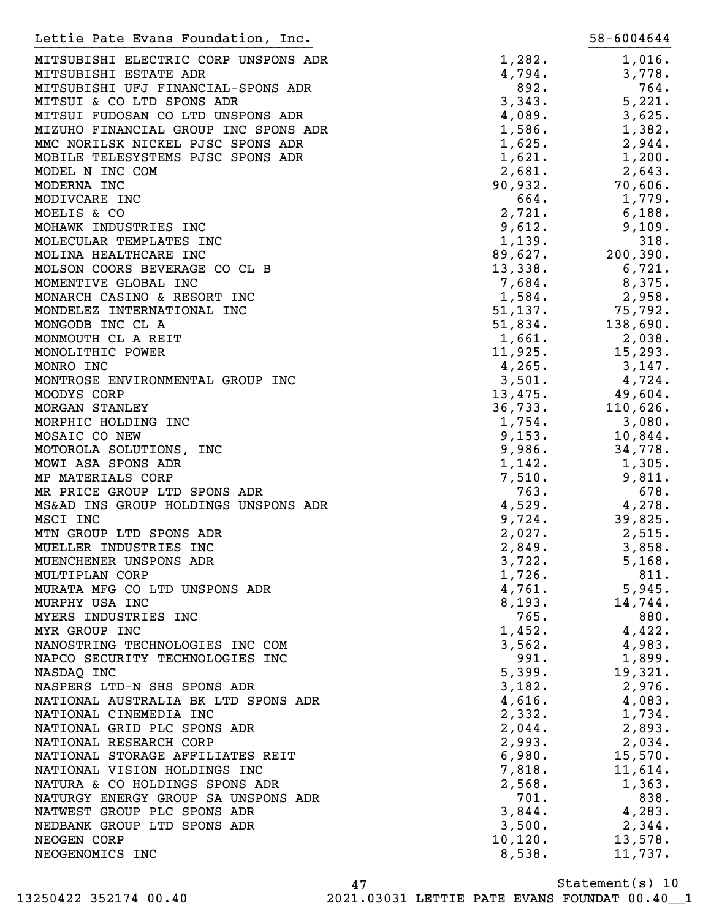| Lettie Pate Evans Foundation, Inc.                                                     | 58-6004644        |
|----------------------------------------------------------------------------------------|-------------------|
| MITSUBISHI ELECTRIC CORP UNSPONS ADR<br>1,282.                                         | 1,016.            |
| 4,794.<br>MITSUBISHI ESTATE ADR                                                        | 3,778.            |
| 892.<br>MITSUBISHI UFJ FINANCIAL-SPONS ADR                                             | 764.              |
| MITSUI & CO LTD SPONS ADR<br>3,343.                                                    | 5,221.            |
| MITSUI FUDOSAN CO LTD UNSPONS ADR<br>4,089.                                            | 3,625.            |
| MIZUHO FINANCIAL GROUP INC SPONS ADR<br>1,586.                                         | 1,382.            |
| MMC NORILSK NICKEL PJSC SPONS ADR<br>1,625.                                            | 2,944.            |
| MOBILE TELESYSTEMS PJSC SPONS ADR<br>1,621.                                            | 1,200.            |
| 2,681.<br>MODEL N INC COM                                                              | 2,643.            |
| 90,932.<br>MODERNA INC                                                                 | 70,606.           |
| 664.<br>MODIVCARE INC                                                                  | 1,779.            |
| 2,721.<br>MOELIS & CO                                                                  | 6,188.            |
| MOHAWK INDUSTRIES INC<br>9,612.                                                        | 9,109.            |
| MOLECULAR TEMPLATES INC<br>1,139.                                                      | 318.              |
| MOLINA HEALTHCARE INC<br>89,627.                                                       | 200, 390.         |
| MOLSON COORS BEVERAGE CO CL B<br>13,338.                                               | 6,721.            |
| MOMENTIVE GLOBAL INC<br>7,684.                                                         | 8,375.            |
| MONARCH CASINO & RESORT INC<br>1,584.                                                  | 2,958.            |
| MONDELEZ INTERNATIONAL INC<br>51,137.                                                  | 75,792.           |
| MONGODB INC CL A<br>51,834.                                                            | 138,690.          |
| MONMOUTH CL A REIT<br>1,661.                                                           | 2,038.            |
| MONOLITHIC POWER<br>11,925.                                                            | 15,293.           |
| 4,265.<br>MONRO INC                                                                    | 3,147.            |
| MONTROSE ENVIRONMENTAL GROUP INC<br>3,501.                                             | 4,724.            |
| MOODYS CORP<br>13,475.                                                                 | 49,604.           |
| MORGAN STANLEY<br>36,733.                                                              | 110,626.          |
| MORPHIC HOLDING INC<br>1,754.                                                          | 3,080.            |
| MOSAIC CO NEW<br>9,153.                                                                | 10,844.           |
| MOTOROLA SOLUTIONS, INC<br>9,986.                                                      | 34,778.           |
| MOWI ASA SPONS ADR<br>1,142.                                                           | 1,305.            |
| MP MATERIALS CORP<br>7,510.                                                            | 9,811.            |
| MR PRICE GROUP LTD SPONS ADR<br>763.                                                   | 678.              |
| MS&AD INS GROUP HOLDINGS UNSPONS ADR<br>4,529.                                         | 4,278.            |
| MSCI INC<br>9,724.                                                                     | 39,825.           |
| MTN GROUP LTD SPONS ADR<br>2,027.                                                      | 2,515.            |
| MUELLER INDUSTRIES INC<br>2,849.                                                       | 3,858.            |
| 3,722.<br>MUENCHENER UNSPONS ADR                                                       | 5,168.            |
| 1,726.<br>MULTIPLAN CORP                                                               | 811.              |
| MURATA MFG CO LTD UNSPONS ADR<br>4,761.                                                | 5,945.            |
| MURPHY USA INC<br>8,193.                                                               | 14,744.           |
| MYERS INDUSTRIES INC<br>765.                                                           | 880.              |
| MYR GROUP INC<br>1,452.                                                                | 4,422.            |
| NANOSTRING TECHNOLOGIES INC COM<br>3,562.<br>991.                                      | 4,983.            |
| NAPCO SECURITY TECHNOLOGIES INC                                                        | 1,899.            |
| 5,399.<br>NASDAQ INC                                                                   | 19,321.<br>2,976. |
| NASPERS LTD-N SHS SPONS ADR<br>3,182.<br>NATIONAL AUSTRALIA BK LTD SPONS ADR<br>4,616. |                   |
| NATIONAL CINEMEDIA INC<br>2,332.                                                       | 4,083.<br>1,734.  |
| NATIONAL GRID PLC SPONS ADR<br>2,044.                                                  | 2,893.            |
| NATIONAL RESEARCH CORP<br>2,993.                                                       | 2,034.            |
| NATIONAL STORAGE AFFILIATES REIT<br>6,980.                                             | 15,570.           |
| NATIONAL VISION HOLDINGS INC<br>7,818.                                                 | 11,614.           |
| NATURA & CO HOLDINGS SPONS ADR<br>2,568.                                               | 1,363.            |
| NATURGY ENERGY GROUP SA UNSPONS ADR<br>701.                                            | 838.              |
| NATWEST GROUP PLC SPONS ADR<br>3,844.                                                  | 4,283.            |
| NEDBANK GROUP LTD SPONS ADR<br>3,500.                                                  | 2,344.            |
| NEOGEN CORP<br>10, 120.                                                                | 13,578.           |
| 8,538.<br>NEOGENOMICS INC                                                              | 11,737.           |

47 13250422 352174 00.40 2021.03031 LETTIE PATE EVANS FOUNDAT 00.40\_\_1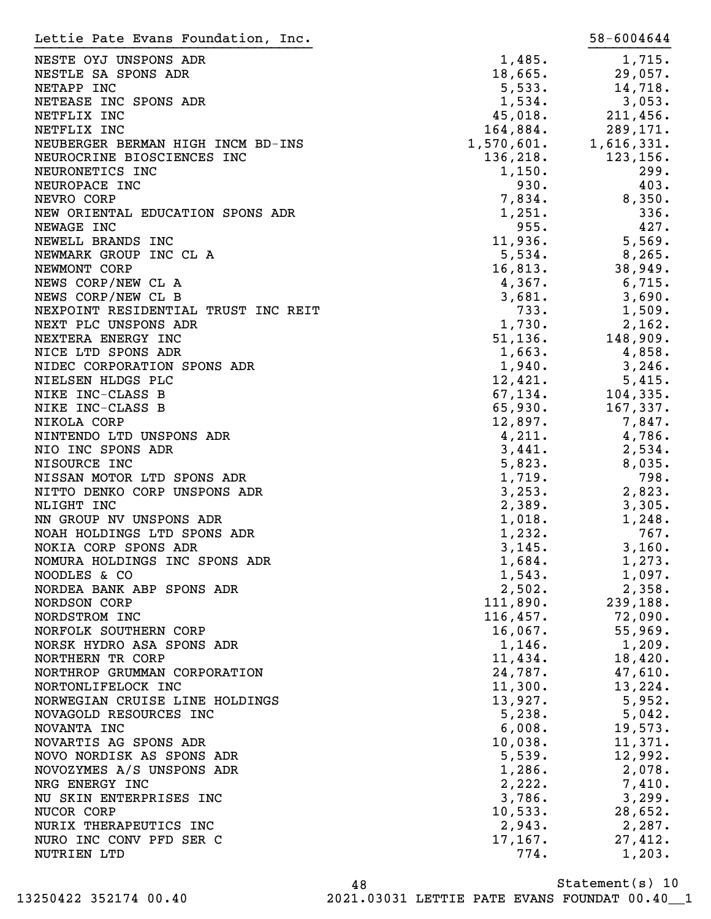| Lettie Pate Evans Foundation, Inc.  |            | 58-6004644 |
|-------------------------------------|------------|------------|
| NESTE OYJ UNSPONS ADR               | 1,485.     | 1,715.     |
| NESTLE SA SPONS ADR                 | 18,665.    | 29,057.    |
| NETAPP INC                          | 5,533.     | 14,718.    |
| NETEASE INC SPONS ADR               | 1,534.     | 3,053.     |
| NETFLIX INC                         | 45,018.    | 211,456.   |
| NETFLIX INC                         | 164,884.   | 289,171.   |
| NEUBERGER BERMAN HIGH INCM BD-INS   | 1,570,601. | 1,616,331. |
| NEUROCRINE BIOSCIENCES INC          | 136, 218.  | 123, 156.  |
| NEURONETICS INC                     | 1,150.     | 299.       |
| NEUROPACE INC                       | 930.       | 403.       |
|                                     |            |            |
| NEVRO CORP                          | 7,834.     | 8,350.     |
| NEW ORIENTAL EDUCATION SPONS ADR    | 1,251.     | 336.       |
| NEWAGE INC                          | 955.       | 427.       |
| NEWELL BRANDS INC                   | 11,936.    | 5,569.     |
| NEWMARK GROUP INC CL A              | 5,534.     | 8,265.     |
| NEWMONT CORP                        | 16,813.    | 38,949.    |
| NEWS CORP/NEW CL A                  | 4,367.     | 6,715.     |
| NEWS CORP/NEW CL B                  | 3,681.     | 3,690.     |
| NEXPOINT RESIDENTIAL TRUST INC REIT | 733.       | 1,509.     |
| NEXT PLC UNSPONS ADR                | 1,730.     | 2,162.     |
| NEXTERA ENERGY INC                  | 51, 136.   | 148,909.   |
| NICE LTD SPONS ADR                  | 1,663.     | 4,858.     |
| NIDEC CORPORATION SPONS ADR         | 1,940.     | 3,246.     |
| NIELSEN HLDGS PLC                   | 12,421.    | 5,415.     |
| NIKE INC-CLASS B                    | 67, 134.   | 104, 335.  |
| NIKE INC-CLASS B                    | 65,930.    | 167,337.   |
| NIKOLA CORP                         | 12,897.    | 7,847.     |
| NINTENDO LTD UNSPONS ADR            | 4,211.     | 4,786.     |
| NIO INC SPONS ADR                   | 3,441.     | 2,534.     |
| NISOURCE INC                        | 5,823.     | 8,035.     |
| NISSAN MOTOR LTD SPONS ADR          | 1,719.     | 798.       |
| NITTO DENKO CORP UNSPONS ADR        | 3, 253.    | 2,823.     |
| NLIGHT INC                          | 2,389.     | 3,305.     |
| NN GROUP NV UNSPONS ADR             | 1,018.     | 1,248.     |
| NOAH HOLDINGS LTD SPONS ADR         | 1,232.     | 767.       |
| NOKIA CORP SPONS ADR                | 3,145.     | 3,160.     |
| NOMURA HOLDINGS INC SPONS ADR       | 1,684.     | 1,273.     |
| NOODLES & CO                        | 1,543.     | 1,097.     |
| NORDEA BANK ABP SPONS ADR           | 2,502.     | 2,358.     |
| NORDSON CORP                        | 111,890.   | 239,188.   |
|                                     | 116,457.   |            |
| NORDSTROM INC                       |            | 72,090.    |
| NORFOLK SOUTHERN CORP               | 16,067.    | 55,969.    |
| NORSK HYDRO ASA SPONS ADR           | 1,146.     | 1,209.     |
| NORTHERN TR CORP                    | 11,434.    | 18,420.    |
| NORTHROP GRUMMAN CORPORATION        | 24,787.    | 47,610.    |
| NORTONLIFELOCK INC                  | 11,300.    | 13,224.    |
| NORWEGIAN CRUISE LINE HOLDINGS      | 13,927.    | 5,952.     |
| NOVAGOLD RESOURCES INC              | 5,238.     | 5,042.     |
| NOVANTA INC                         | 6,008.     | 19,573.    |
| NOVARTIS AG SPONS ADR               | 10,038.    | 11,371.    |
| NOVO NORDISK AS SPONS ADR           | 5,539.     | 12,992.    |
| NOVOZYMES A/S UNSPONS ADR           | 1,286.     | 2,078.     |
| NRG ENERGY INC                      | 2,222.     | 7,410.     |
| NU SKIN ENTERPRISES INC             | 3,786.     | 3,299.     |
| NUCOR CORP                          | 10,533.    | 28,652.    |
| NURIX THERAPEUTICS INC              | 2,943.     | 2,287.     |
| NURO INC CONV PFD SER C             | 17, 167.   | 27,412.    |
| NUTRIEN LTD                         | 774.       | 1,203.     |
|                                     |            |            |

Statement(s) 10 48 13250422 352174 00.40 2021.03031 LETTIE PATE EVANS FOUNDAT 00.40\_\_1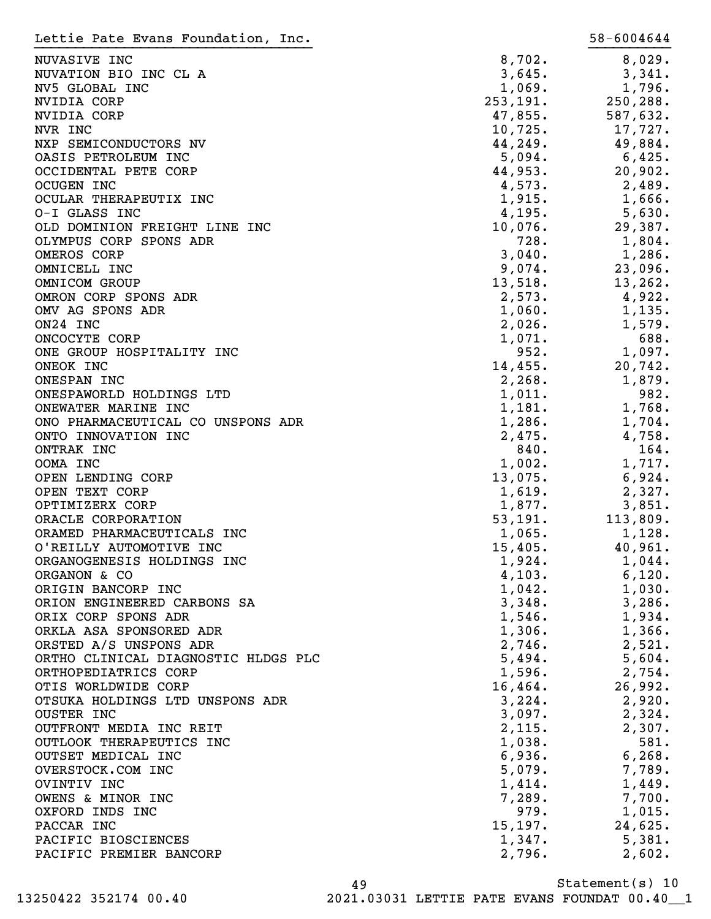| Lettie Pate Evans Foundation, Inc.  |           | 58-6004644 |
|-------------------------------------|-----------|------------|
| NUVASIVE INC                        | 8,702.    | 8,029.     |
| NUVATION BIO INC CL A               | 3,645.    | 3,341.     |
| NV5 GLOBAL INC                      | 1,069.    | 1,796.     |
| NVIDIA CORP                         | 253, 191. | 250,288.   |
| <b>NVIDIA CORP</b>                  | 47,855.   | 587,632.   |
| NVR INC                             | 10,725.   | 17,727.    |
| NXP SEMICONDUCTORS NV               | 44,249.   | 49,884.    |
| OASIS PETROLEUM INC                 | 5,094.    | 6,425.     |
| OCCIDENTAL PETE CORP                | 44,953.   | 20,902.    |
| <b>OCUGEN INC</b>                   | 4,573.    | 2,489.     |
| OCULAR THERAPEUTIX INC              | 1,915.    | 1,666.     |
| O-I GLASS INC                       | 4,195.    | 5,630.     |
| OLD DOMINION FREIGHT LINE INC       | 10,076.   | 29,387.    |
| OLYMPUS CORP SPONS ADR              | 728.      | 1,804.     |
| OMEROS CORP                         | 3,040.    | 1,286.     |
| OMNICELL INC                        | 9,074.    | 23,096.    |
| OMNICOM GROUP                       | 13,518.   | 13,262.    |
| OMRON CORP SPONS ADR                | 2,573.    | 4,922.     |
| OMV AG SPONS ADR                    | 1,060.    | 1,135.     |
| ON24 INC                            | 2,026.    | 1,579.     |
| ONCOCYTE CORP                       | 1,071.    | 688.       |
| ONE GROUP HOSPITALITY INC           | 952.      | 1,097.     |
| ONEOK INC                           | 14,455.   | 20,742.    |
| ONESPAN INC                         | 2,268.    | 1,879.     |
| ONESPAWORLD HOLDINGS LTD            | 1,011.    | 982.       |
| ONEWATER MARINE INC                 | 1,181.    | 1,768.     |
| ONO PHARMACEUTICAL CO UNSPONS ADR   | 1,286.    | 1,704.     |
| ONTO INNOVATION INC                 | 2,475.    | 4,758.     |
| ONTRAK INC                          | 840.      | 164.       |
| OOMA INC                            | 1,002.    | 1,717.     |
| OPEN LENDING CORP                   | 13,075.   | 6,924.     |
| OPEN TEXT CORP                      | 1,619.    | 2,327.     |
| OPTIMIZERX CORP                     | 1,877.    | 3,851.     |
| ORACLE CORPORATION                  | 53,191.   | 113,809.   |
| ORAMED PHARMACEUTICALS INC          | 1,065.    | 1,128.     |
| O'REILLY AUTOMOTIVE INC             | 15,405.   | 40,961.    |
| ORGANOGENESIS HOLDINGS INC          | 1,924.    | $1,044$ .  |
| ORGANON & CO                        | 4,103.    | 6,120.     |
| ORIGIN BANCORP INC                  | 1,042.    | 1,030.     |
| ORION ENGINEERED CARBONS SA         | 3,348.    | 3,286.     |
| ORIX CORP SPONS ADR                 | 1,546.    | 1,934.     |
| ORKLA ASA SPONSORED ADR             | 1,306.    | 1,366.     |
| ORSTED A/S UNSPONS ADR              | 2,746.    | 2,521.     |
| ORTHO CLINICAL DIAGNOSTIC HLDGS PLC | 5,494.    | 5,604.     |
| ORTHOPEDIATRICS CORP                | 1,596.    | 2,754.     |
| OTIS WORLDWIDE CORP                 | 16,464.   | 26,992.    |
| OTSUKA HOLDINGS LTD UNSPONS ADR     | 3,224.    | 2,920.     |
| <b>OUSTER INC</b>                   | 3,097.    | 2,324.     |
| OUTFRONT MEDIA INC REIT             | 2,115.    | 2,307.     |
| OUTLOOK THERAPEUTICS INC            | 1,038.    | 581.       |
| OUTSET MEDICAL INC                  | 6,936.    | 6, 268.    |
| OVERSTOCK.COM INC                   | 5,079.    | 7,789.     |
| OVINTIV INC                         | 1,414.    | 1,449.     |
| OWENS & MINOR INC                   | 7,289.    | 7,700.     |
| OXFORD INDS INC                     | 979.      | 1,015.     |
| PACCAR INC                          | 15, 197.  | 24,625.    |
| PACIFIC BIOSCIENCES                 | 1,347.    | 5,381.     |
|                                     |           |            |
| PACIFIC PREMIER BANCORP             | 2,796.    | 2,602.     |

Statement(s) 10 49

13250422 352174 00.40 2021.03031 LETTIE PATE EVANS FOUNDAT 00.40\_\_1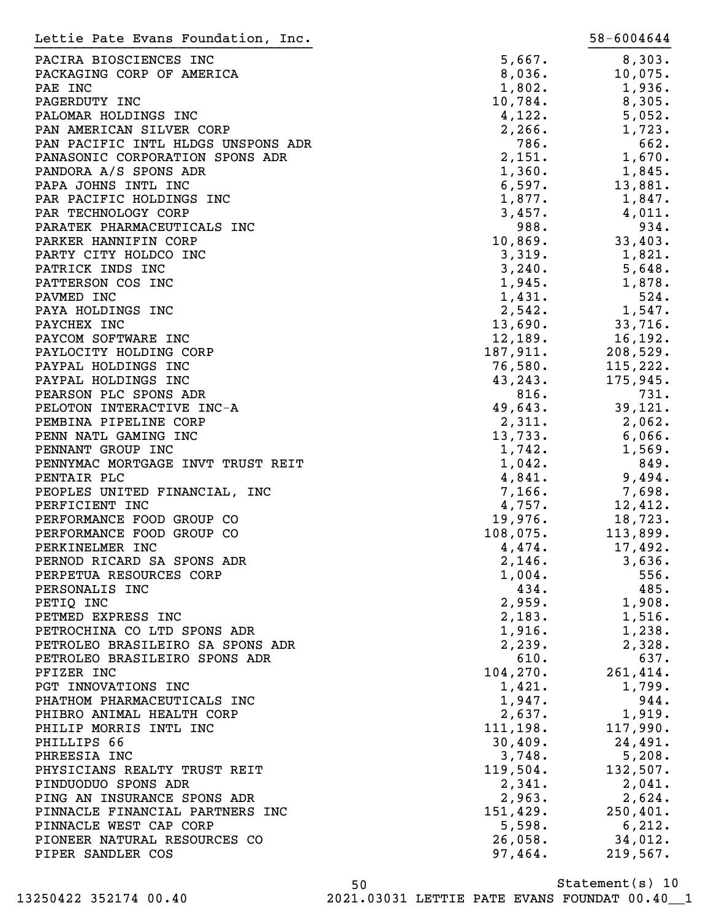| Lettie Pate Evans Foundation, Inc. |           | 58-6004644     |
|------------------------------------|-----------|----------------|
| PACIRA BIOSCIENCES INC             | 5,667.    | 8,303.         |
| PACKAGING CORP OF AMERICA          | 8,036.    | 10,075.        |
| PAE INC                            | 1,802.    | 1,936.         |
| PAGERDUTY INC                      | 10,784.   | 8,305.         |
| PALOMAR HOLDINGS INC               | 4,122.    | 5,052.         |
| PAN AMERICAN SILVER CORP           | 2, 266.   | 1,723.         |
| PAN PACIFIC INTL HLDGS UNSPONS ADR | 786.      | 662.           |
| PANASONIC CORPORATION SPONS ADR    | 2,151.    | 1,670.         |
| PANDORA A/S SPONS ADR              | 1,360.    | 1,845.         |
| PAPA JOHNS INTL INC                | 6,597.    | 13,881.        |
| PAR PACIFIC HOLDINGS INC           | 1,877.    | 1,847.         |
|                                    | 3,457.    |                |
| PAR TECHNOLOGY CORP                | 988.      | 4,011.<br>934. |
| PARATEK PHARMACEUTICALS INC        |           |                |
| PARKER HANNIFIN CORP               | 10,869.   | 33,403.        |
| PARTY CITY HOLDCO INC              | 3,319.    | 1,821.         |
| PATRICK INDS INC                   | 3,240.    | 5,648.         |
| PATTERSON COS INC                  | 1,945.    | 1,878.         |
| PAVMED INC                         | 1,431.    | 524.           |
| PAYA HOLDINGS INC                  | 2,542.    | 1,547.         |
| PAYCHEX INC                        | 13,690.   | 33,716.        |
| PAYCOM SOFTWARE INC                | 12,189.   | 16,192.        |
| PAYLOCITY HOLDING CORP             | 187,911.  | 208,529.       |
| PAYPAL HOLDINGS INC                | 76,580.   | 115,222.       |
| PAYPAL HOLDINGS INC                | 43,243.   | 175,945.       |
| PEARSON PLC SPONS ADR              | 816.      | 731.           |
| PELOTON INTERACTIVE INC-A          | 49,643.   | 39,121.        |
| PEMBINA PIPELINE CORP              | 2,311.    | 2,062.         |
| PENN NATL GAMING INC               | 13,733.   | 6,066.         |
| PENNANT GROUP INC                  | 1,742.    | 1,569.         |
| PENNYMAC MORTGAGE INVT TRUST REIT  | 1,042.    | 849.           |
| PENTAIR PLC                        | 4,841.    | 9,494.         |
| PEOPLES UNITED FINANCIAL, INC      | 7,166.    | 7,698.         |
| PERFICIENT INC                     | 4,757.    | 12,412.        |
| PERFORMANCE FOOD GROUP CO          | 19,976.   | 18,723.        |
| PERFORMANCE FOOD GROUP CO          | 108,075.  | 113,899.       |
| PERKINELMER INC                    | 4,474.    | 17,492.        |
| PERNOD RICARD SA SPONS ADR         | 2,146.    | 3,636.         |
| PERPETUA RESOURCES CORP            | 1,004.    | 556.           |
| PERSONALIS INC                     | 434.      | 485.           |
| PETIQ INC                          | 2,959.    | 1,908.         |
| PETMED EXPRESS INC                 | 2,183.    | 1,516.         |
| PETROCHINA CO LTD SPONS ADR        | 1,916.    | 1,238.         |
| PETROLEO BRASILEIRO SA SPONS ADR   | 2,239.    | 2,328.         |
| PETROLEO BRASILEIRO SPONS ADR      | 610.      | 637.           |
| PFIZER INC                         | 104, 270. | 261,414.       |
| PGT INNOVATIONS INC                | 1,421.    | 1,799.         |
| PHATHOM PHARMACEUTICALS INC        | 1,947.    | 944.           |
| PHIBRO ANIMAL HEALTH CORP          | 2,637.    | 1,919.         |
| PHILIP MORRIS INTL INC             | 111, 198. | 117,990.       |
| PHILLIPS 66                        | 30,409.   | 24,491.        |
| PHREESIA INC                       | 3,748.    | 5,208.         |
| PHYSICIANS REALTY TRUST REIT       | 119,504.  | 132,507.       |
| PINDUODUO SPONS ADR                | 2,341.    | 2,041.         |
| PING AN INSURANCE SPONS ADR        | 2,963.    | 2,624.         |
| PINNACLE FINANCIAL PARTNERS INC    | 151,429.  | 250, 401.      |
| PINNACLE WEST CAP CORP             | 5,598.    | 6,212.         |
| PIONEER NATURAL RESOURCES CO       | 26,058.   | 34,012.        |
| PIPER SANDLER COS                  | 97,464.   | 219,567.       |

Statement(s) 10 50 13250422 352174 00.40 2021.03031 LETTIE PATE EVANS FOUNDAT 00.40\_\_1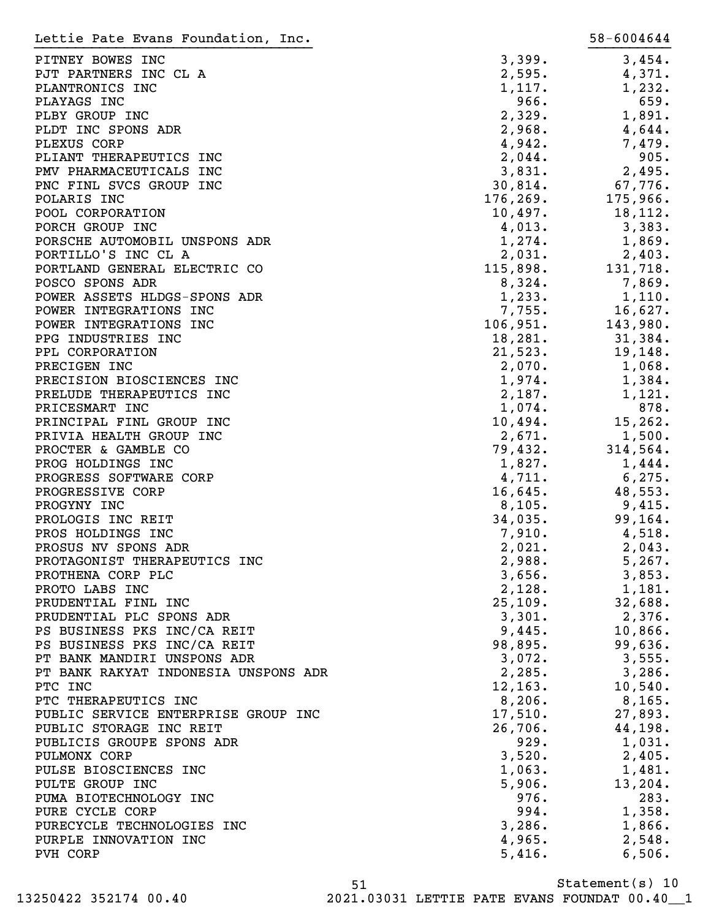| Lettie Pate Evans Foundation, Inc.        |                | 58-6004644       |
|-------------------------------------------|----------------|------------------|
| PITNEY BOWES INC                          | 3,399.         | 3,454.           |
| PJT PARTNERS INC CL A                     | 2,595.         | 4,371.           |
| PLANTRONICS INC                           | 1,117.         | 1,232.           |
| PLAYAGS INC                               | 966.           | 659.             |
| PLBY GROUP INC                            | 2,329.         | 1,891.           |
| PLDT INC SPONS ADR                        | 2,968.         | 4,644.           |
| PLEXUS CORP                               | 4,942.         | 7,479.           |
| PLIANT THERAPEUTICS INC                   | 2,044.         | 905.             |
| PMV PHARMACEUTICALS INC                   | 3,831.         | 2,495.           |
| PNC FINL SVCS GROUP INC                   | 30,814.        | 67,776.          |
| POLARIS INC                               | 176, 269.      | 175,966.         |
| POOL CORPORATION                          | 10,497.        | 18,112.          |
| PORCH GROUP INC                           | 4,013.         | 3,383.           |
| PORSCHE AUTOMOBIL UNSPONS ADR             | 1,274.         | 1,869.           |
| PORTILLO'S INC CL A                       | 2,031.         | 2,403.           |
| PORTLAND GENERAL ELECTRIC CO              | 115,898.       | 131,718.         |
| POSCO SPONS ADR                           | 8,324.         | 7,869.           |
| POWER ASSETS HLDGS-SPONS ADR              | 1,233.         | 1,110.           |
| POWER INTEGRATIONS INC                    | 7,755.         | 16,627.          |
| POWER INTEGRATIONS INC                    | 106,951.       | 143,980.         |
| PPG INDUSTRIES INC                        | 18,281.        | 31,384.          |
| PPL CORPORATION                           | 21,523.        | 19,148.          |
| PRECIGEN INC                              | 2,070.         | 1,068.           |
| PRECISION BIOSCIENCES INC                 | 1,974.         | 1,384.           |
| PRELUDE THERAPEUTICS INC                  | 2,187.         | 1,121.           |
| PRICESMART INC                            | 1,074.         | 878.             |
| PRINCIPAL FINL GROUP INC                  | 10,494.        | 15, 262.         |
| PRIVIA HEALTH GROUP INC                   | 2,671.         | 1,500.           |
| PROCTER & GAMBLE CO                       | 79,432.        | 314,564.         |
| PROG HOLDINGS INC                         | 1,827.         | 1,444.           |
| PROGRESS SOFTWARE CORP                    | 4,711.         | 6, 275.          |
| PROGRESSIVE CORP                          | 16,645.        | 48,553.          |
| PROGYNY INC                               | 8,105.         | 9,415.           |
| PROLOGIS INC REIT                         | 34,035.        | 99,164.          |
| PROS HOLDINGS INC                         | 7,910.         | 4,518.           |
| PROSUS NV SPONS ADR                       | 2,021.         | 2,043.           |
| PROTAGONIST THERAPEUTICS INC              | 2,988.         | 5,267.           |
| PROTHENA CORP PLC                         | 3,656.         | 3,853.           |
| PROTO LABS INC                            | 2,128.         | 1,181.           |
| PRUDENTIAL FINL INC                       | 25,109.        | 32,688.          |
| PRUDENTIAL PLC SPONS ADR                  | 3,301.         | 2,376.           |
| PS BUSINESS PKS INC/CA REIT               | 9,445.         | 10,866.          |
| PS BUSINESS PKS INC/CA REIT               | 98,895.        | 99,636.          |
| PT BANK MANDIRI UNSPONS ADR               | 3,072.         | 3,555.           |
| PT BANK RAKYAT INDONESIA UNSPONS ADR      | 2,285.         | 3,286.           |
| PTC INC                                   | 12, 163.       | 10,540.          |
| PTC THERAPEUTICS INC                      | 8,206.         | $8,165$ .        |
| PUBLIC SERVICE ENTERPRISE GROUP INC       | 17,510.        | 27,893.          |
| PUBLIC STORAGE INC REIT                   | 26,706.        | 44,198.          |
| PUBLICIS GROUPE SPONS ADR                 | 929.           | 1,031.           |
| PULMONX CORP                              | 3,520.         | 2,405.           |
| PULSE BIOSCIENCES INC                     | 1,063.         | 1,481.           |
| PULTE GROUP INC<br>PUMA BIOTECHNOLOGY INC | 5,906.<br>976. | 13, 204.<br>283. |
| PURE CYCLE CORP                           | 994.           | 1,358.           |
| PURECYCLE TECHNOLOGIES INC                | 3,286.         | 1,866.           |
| PURPLE INNOVATION INC                     | 4,965.         | 2,548.           |
| PVH CORP                                  | 5,416.         | 6,506.           |
|                                           |                |                  |

Statement(s) 10 51 13250422 352174 00.40 2021.03031 LETTIE PATE EVANS FOUNDAT 00.40\_\_1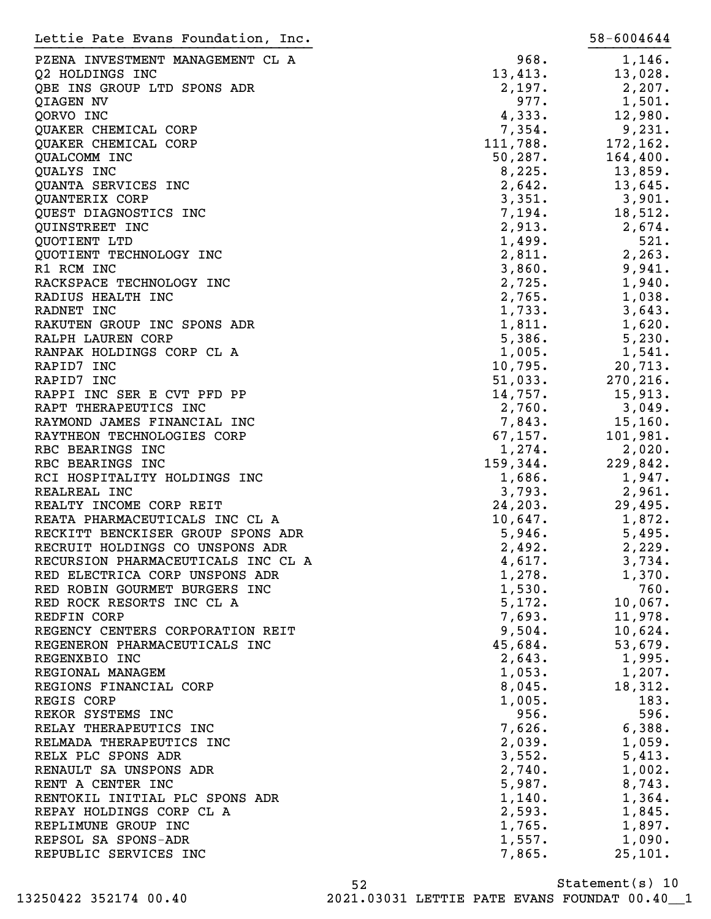| Lettie Pate Evans Foundation, Inc.                              |                  | 58-6004644 |
|-----------------------------------------------------------------|------------------|------------|
| PZENA INVESTMENT MANAGEMENT CL A                                | 968.             | 1,146.     |
| Q2 HOLDINGS INC                                                 | 13,413.          | 13,028.    |
| QBE INS GROUP LTD SPONS ADR                                     | 2,197.           | 2,207.     |
| QIAGEN NV                                                       | 977.             | 1,501.     |
| QORVO INC                                                       | 4,333.           | 12,980.    |
| QUAKER CHEMICAL CORP                                            | 7,354.           | 9,231.     |
| QUAKER CHEMICAL CORP                                            | 111,788.         | 172,162.   |
| QUALCOMM INC                                                    | 50, 287.         | 164,400.   |
| QUALYS INC                                                      | 8,225.           | 13,859.    |
| QUANTA SERVICES INC                                             | 2,642.           | 13,645.    |
| QUANTERIX CORP                                                  | 3,351.           | 3,901.     |
| QUEST DIAGNOSTICS INC                                           | 7,194.           | 18,512.    |
| QUINSTREET INC                                                  | 2,913.           | 2,674.     |
| QUOTIENT LTD                                                    | 1,499.           | 521.       |
| QUOTIENT TECHNOLOGY INC                                         | 2,811.           | 2, 263.    |
| R1 RCM INC                                                      | 3,860.           | 9,941.     |
| RACKSPACE TECHNOLOGY INC                                        | 2,725.           | 1,940.     |
| RADIUS HEALTH INC                                               | 2,765.           | 1,038.     |
| RADNET INC                                                      | 1,733.           | 3,643.     |
| RAKUTEN GROUP INC SPONS ADR                                     | 1,811.           | 1,620.     |
| RALPH LAUREN CORP                                               | 5,386.           | 5,230.     |
| RANPAK HOLDINGS CORP CL A                                       | 1,005.           | 1,541.     |
| RAPID7 INC                                                      | 10,795.          | 20,713.    |
| RAPID7 INC                                                      | 51,033.          | 270, 216.  |
| RAPPI INC SER E CVT PFD PP                                      | 14,757.          | 15,913.    |
| RAPT THERAPEUTICS INC                                           | 2,760.           | 3,049.     |
| RAYMOND JAMES FINANCIAL INC                                     | 7,843.           | 15, 160.   |
| RAYTHEON TECHNOLOGIES CORP                                      | 67,157.          | 101,981.   |
| RBC BEARINGS INC                                                | 1,274.           | 2,020.     |
| RBC BEARINGS INC                                                | 159,344.         | 229,842.   |
| RCI HOSPITALITY HOLDINGS INC                                    | 1,686.           | 1,947.     |
| REALREAL INC                                                    | 3,793.           | 2,961.     |
| REALTY INCOME CORP REIT                                         | 24, 203.         | 29,495.    |
| REATA PHARMACEUTICALS INC CL A                                  | 10,647.          | 1,872.     |
| RECKITT BENCKISER GROUP SPONS ADR                               | 5,946.           | 5,495.     |
| RECRUIT HOLDINGS CO UNSPONS ADR                                 |                  | 2,229.     |
| RECURSION PHARMACEUTICALS INC CL A                              | 2,492.<br>4,617. | 3,734.     |
|                                                                 | 1,278.           | 1,370.     |
| RED ELECTRICA CORP UNSPONS ADR<br>RED ROBIN GOURMET BURGERS INC | 1,530.           | 760.       |
| RED ROCK RESORTS INC CL A                                       | 5,172.           | 10,067.    |
| REDFIN CORP                                                     | 7,693.           | 11,978.    |
| REGENCY CENTERS CORPORATION REIT                                | 9,504.           | 10,624.    |
| REGENERON PHARMACEUTICALS INC                                   | 45,684.          | 53,679.    |
| REGENXBIO INC                                                   |                  | 1,995.     |
| REGIONAL MANAGEM                                                | 2,643.<br>1,053. |            |
|                                                                 |                  | 1,207.     |
| REGIONS FINANCIAL CORP                                          | 8,045.           | 18,312.    |
| REGIS CORP                                                      | 1,005.           | 183.       |
| REKOR SYSTEMS INC                                               | 956.             | 596.       |
| RELAY THERAPEUTICS INC                                          | 7,626.           | 6,388.     |
| RELMADA THERAPEUTICS INC                                        | 2,039.           | 1,059.     |
| RELX PLC SPONS ADR                                              | 3,552.           | 5,413.     |
| RENAULT SA UNSPONS ADR                                          | 2,740.           | 1,002.     |
| RENT A CENTER INC                                               | 5,987.           | 8,743.     |
| RENTOKIL INITIAL PLC SPONS ADR                                  | 1,140.           | 1,364.     |
| REPAY HOLDINGS CORP CL A                                        | 2,593.           | 1,845.     |
| REPLIMUNE GROUP INC                                             | 1,765.           | 1,897.     |
| REPSOL SA SPONS-ADR                                             | 1,557.           | 1,090.     |
| REPUBLIC SERVICES INC                                           | 7,865.           | 25,101.    |

Statement(s) 10 52 13250422 352174 00.40 2021.03031 LETTIE PATE EVANS FOUNDAT 00.40\_\_1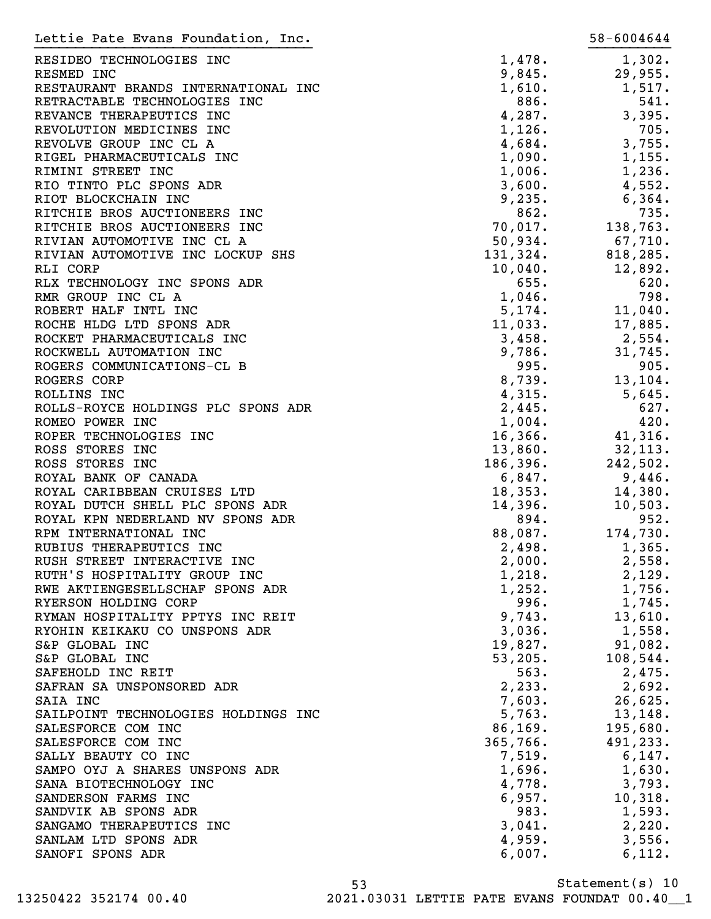| Lettie Pate Evans Foundation, Inc.  |          | 58-6004644 |
|-------------------------------------|----------|------------|
| RESIDEO TECHNOLOGIES INC            | 1,478.   | 1,302.     |
| RESMED INC                          | 9,845.   | 29,955.    |
| RESTAURANT BRANDS INTERNATIONAL INC | 1,610.   | 1,517.     |
| RETRACTABLE TECHNOLOGIES INC        | 886.     | 541.       |
| REVANCE THERAPEUTICS INC            | 4,287.   | 3,395.     |
| REVOLUTION MEDICINES INC            | 1,126.   | 705.       |
| REVOLVE GROUP INC CL A              | 4,684.   | 3,755.     |
| RIGEL PHARMACEUTICALS INC           | 1,090.   | 1,155.     |
| RIMINI STREET INC                   | 1,006.   | 1,236.     |
| RIO TINTO PLC SPONS ADR             | 3,600.   | 4,552.     |
| RIOT BLOCKCHAIN INC                 | 9,235.   | 6,364.     |
| RITCHIE BROS AUCTIONEERS INC        | 862.     | 735.       |
| RITCHIE BROS AUCTIONEERS INC        | 70,017.  | 138,763.   |
| RIVIAN AUTOMOTIVE INC CL A          | 50,934.  | 67,710.    |
| RIVIAN AUTOMOTIVE INC LOCKUP SHS    | 131,324. | 818,285.   |
| RLI CORP                            | 10,040.  | 12,892.    |
| RLX TECHNOLOGY INC SPONS ADR        | 655.     | 620.       |
| RMR GROUP INC CL A                  | 1,046.   | 798.       |
| ROBERT HALF INTL INC                | 5,174.   | 11,040.    |
| ROCHE HLDG LTD SPONS ADR            | 11,033.  | 17,885.    |
| ROCKET PHARMACEUTICALS INC          | 3,458.   | 2,554.     |
| ROCKWELL AUTOMATION INC             | 9,786.   | 31,745.    |
| ROGERS COMMUNICATIONS-CL B          | 995.     | 905.       |
| ROGERS CORP                         | 8,739.   | 13,104.    |
| ROLLINS INC                         | 4,315.   | 5,645.     |
| ROLLS-ROYCE HOLDINGS PLC SPONS ADR  | 2,445.   | 627.       |
| ROMEO POWER INC                     | 1,004.   | 420.       |
| ROPER TECHNOLOGIES INC              | 16, 366. | 41,316.    |
| ROSS STORES INC                     | 13,860.  | 32, 113.   |
| ROSS STORES INC                     | 186,396. | 242,502.   |
| ROYAL BANK OF CANADA                | 6,847.   | 9,446.     |
| ROYAL CARIBBEAN CRUISES LTD         | 18,353.  | 14,380.    |
| ROYAL DUTCH SHELL PLC SPONS ADR     | 14,396.  | 10,503.    |
| ROYAL KPN NEDERLAND NV SPONS ADR    | 894.     | 952.       |
| RPM INTERNATIONAL INC               | 88,087.  | 174,730.   |
| RUBIUS THERAPEUTICS INC             | 2,498.   | 1,365.     |
| RUSH STREET INTERACTIVE INC         | 2,000.   | 2,558.     |
| RUTH'S HOSPITALITY GROUP INC        | 1,218.   | 2,129.     |
| RWE AKTIENGESELLSCHAF SPONS ADR     | 1,252.   | 1,756.     |
| RYERSON HOLDING CORP                | 996.     | 1,745.     |
| RYMAN HOSPITALITY PPTYS INC REIT    | 9,743.   | 13,610.    |
| RYOHIN KEIKAKU CO UNSPONS ADR       | 3,036.   | 1,558.     |
| S&P GLOBAL INC                      | 19,827.  | 91,082.    |
| S&P GLOBAL INC                      | 53, 205. | 108,544.   |
| SAFEHOLD INC REIT                   | 563.     | 2,475.     |
| SAFRAN SA UNSPONSORED ADR           | 2, 233.  | 2,692.     |
| SAIA INC                            | 7,603.   | 26,625.    |
| SAILPOINT TECHNOLOGIES HOLDINGS INC | 5,763.   | 13, 148.   |
| SALESFORCE COM INC                  | 86, 169. | 195,680.   |
| SALESFORCE COM INC                  | 365,766. | 491,233.   |
| SALLY BEAUTY CO INC                 | 7,519.   | 6,147.     |
| SAMPO OYJ A SHARES UNSPONS ADR      | 1,696.   | 1,630.     |
| SANA BIOTECHNOLOGY INC              | 4,778.   | 3,793.     |
| SANDERSON FARMS INC                 | 6,957.   | 10,318.    |
| SANDVIK AB SPONS ADR                | 983.     | 1,593.     |
| SANGAMO THERAPEUTICS INC            | 3,041.   | 2,220.     |
| SANLAM LTD SPONS ADR                | 4,959.   | 3,556.     |
| SANOFI SPONS ADR                    | 6,007.   | 6,112.     |

Statement(s) 10 53 13250422 352174 00.40 2021.03031 LETTIE PATE EVANS FOUNDAT 00.40\_\_1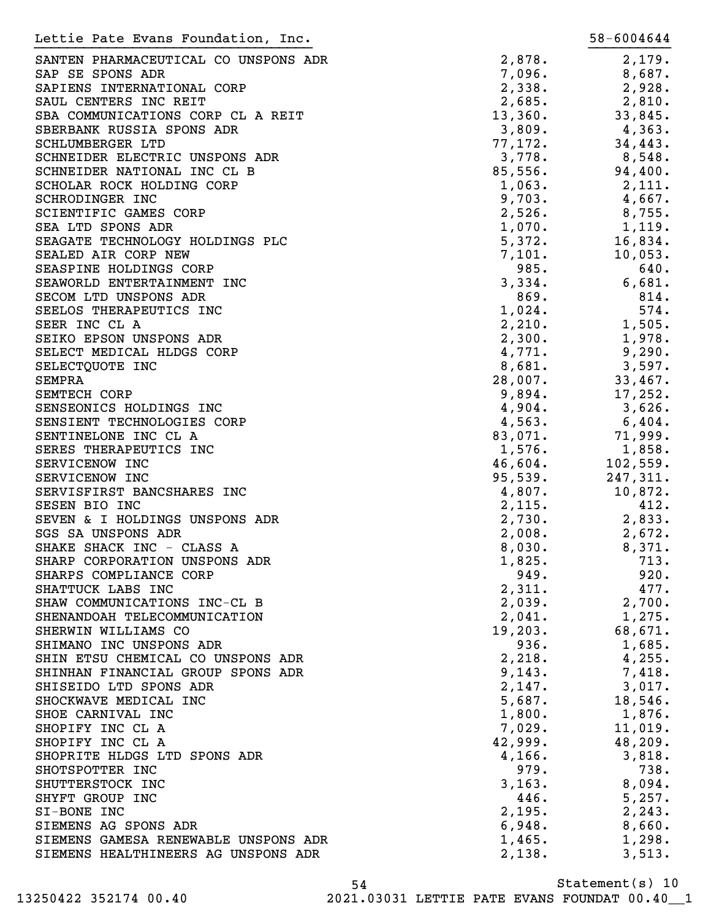| Lettie Pate Evans Foundation, Inc.   |         | 58-6004644 |
|--------------------------------------|---------|------------|
| SANTEN PHARMACEUTICAL CO UNSPONS ADR | 2,878.  | 2,179.     |
| SAP SE SPONS ADR                     | 7,096.  | 8,687.     |
| SAPIENS INTERNATIONAL CORP           | 2,338.  | 2,928.     |
| SAUL CENTERS INC REIT                | 2,685.  | 2,810.     |
| SBA COMMUNICATIONS CORP CL A REIT    | 13,360. | 33,845.    |
| SBERBANK RUSSIA SPONS ADR            | 3,809.  | 4,363.     |
| SCHLUMBERGER LTD                     | 77,172. | 34, 443.   |
| SCHNEIDER ELECTRIC UNSPONS ADR       | 3,778.  | 8,548.     |
| SCHNEIDER NATIONAL INC CL B          | 85,556. | 94,400.    |
| SCHOLAR ROCK HOLDING CORP            | 1,063.  |            |
|                                      |         | 2,111.     |
| SCHRODINGER INC                      | 9,703.  | 4,667.     |
| SCIENTIFIC GAMES CORP                | 2,526.  | 8,755.     |
| SEA LTD SPONS ADR                    | 1,070.  | 1,119.     |
| SEAGATE TECHNOLOGY HOLDINGS PLC      | 5,372.  | 16,834.    |
| SEALED AIR CORP NEW                  | 7,101.  | 10,053.    |
| SEASPINE HOLDINGS CORP               | 985.    | 640.       |
| SEAWORLD ENTERTAINMENT INC           | 3,334.  | 6,681.     |
| SECOM LTD UNSPONS ADR                | 869.    | 814.       |
| SEELOS THERAPEUTICS INC              | 1,024.  | 574.       |
| SEER INC CL A                        | 2,210.  | 1,505.     |
| SEIKO EPSON UNSPONS ADR              | 2,300.  | 1,978.     |
| SELECT MEDICAL HLDGS CORP            | 4,771.  | 9,290.     |
| SELECTQUOTE INC                      | 8,681.  | 3,597.     |
| <b>SEMPRA</b>                        | 28,007. | 33,467.    |
| SEMTECH CORP                         | 9,894.  | 17,252.    |
| SENSEONICS HOLDINGS INC              | 4,904.  | 3,626.     |
| SENSIENT TECHNOLOGIES CORP           | 4,563.  | 6,404.     |
| SENTINELONE INC CL A                 | 83,071. | 71,999.    |
| SERES THERAPEUTICS INC               | 1,576.  | 1,858.     |
| SERVICENOW INC                       | 46,604. | 102,559.   |
| SERVICENOW INC                       | 95,539. | 247,311.   |
| SERVISFIRST BANCSHARES INC           | 4,807.  | 10,872.    |
| SESEN BIO INC                        | 2,115.  | 412.       |
| SEVEN & I HOLDINGS UNSPONS ADR       | 2,730.  | 2,833.     |
|                                      |         |            |
| SGS SA UNSPONS ADR                   | 2,008.  | 2,672.     |
| SHAKE SHACK INC - CLASS A            | 8,030.  | 8,371.     |
| SHARP CORPORATION UNSPONS ADR        | 1,825.  | 713.       |
| SHARPS COMPLIANCE CORP               | 949.    | 920.       |
| SHATTUCK LABS INC                    | 2,311.  | 477.       |
| SHAW COMMUNICATIONS INC-CL B         | 2,039.  | 2,700.     |
| SHENANDOAH TELECOMMUNICATION         | 2,041.  | 1,275.     |
| SHERWIN WILLIAMS CO                  | 19,203. | 68,671.    |
| SHIMANO INC UNSPONS ADR              | 936.    | 1,685.     |
| SHIN ETSU CHEMICAL CO UNSPONS ADR    | 2,218.  | 4,255.     |
| SHINHAN FINANCIAL GROUP SPONS ADR    | 9,143.  | 7,418.     |
| SHISEIDO LTD SPONS ADR               | 2,147.  | 3,017.     |
| SHOCKWAVE MEDICAL INC                | 5,687.  | 18,546.    |
| SHOE CARNIVAL INC                    | 1,800.  | 1,876.     |
| SHOPIFY INC CL A                     | 7,029.  | 11,019.    |
| SHOPIFY INC CL A                     | 42,999. | 48, 209.   |
| SHOPRITE HLDGS LTD SPONS ADR         | 4,166.  | 3,818.     |
| SHOTSPOTTER INC                      | 979.    | 738.       |
| SHUTTERSTOCK INC                     | 3, 163. | 8,094.     |
| SHYFT GROUP INC                      | 446.    | 5,257.     |
| SI-BONE INC                          | 2,195.  | 2, 243.    |
| SIEMENS AG SPONS ADR                 | 6,948.  | 8,660.     |
| SIEMENS GAMESA RENEWABLE UNSPONS ADR | 1,465.  | 1,298.     |
| SIEMENS HEALTHINEERS AG UNSPONS ADR  | 2,138.  | 3,513.     |
|                                      |         |            |

Statement(s) 10 54 13250422 352174 00.40 2021.03031 LETTIE PATE EVANS FOUNDAT 00.40\_\_1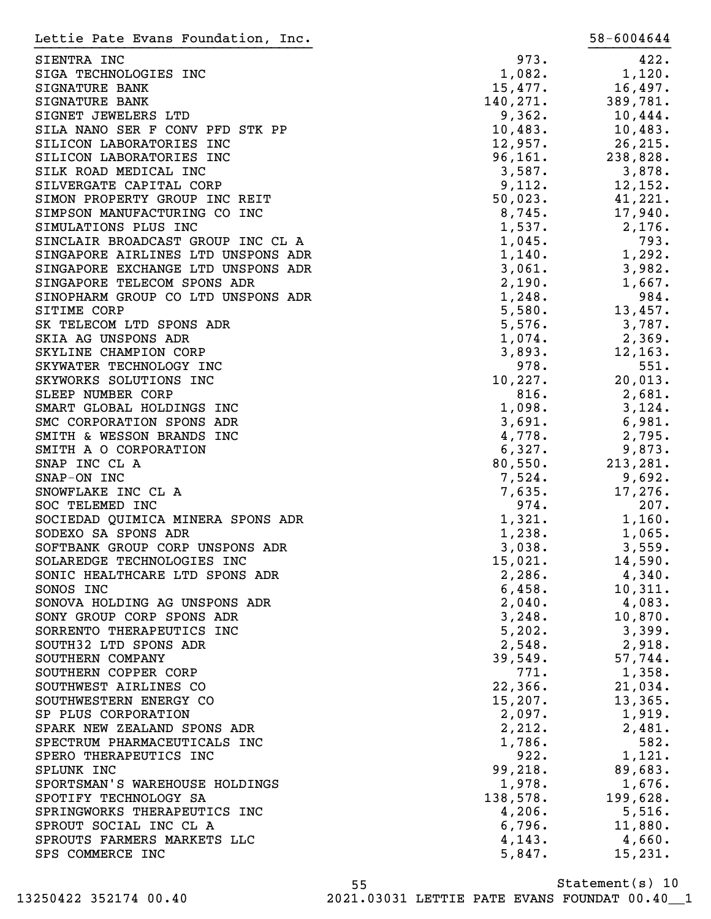| Lettie Pate Evans Foundation, Inc.                 |                  | 58-6004644       |
|----------------------------------------------------|------------------|------------------|
| SIENTRA INC                                        | 973.             | 422.             |
| SIGA TECHNOLOGIES INC                              | 1,082.           | 1,120.           |
| SIGNATURE BANK                                     | 15,477.          | 16,497.          |
| SIGNATURE BANK                                     | 140, 271.        | 389,781.         |
| SIGNET JEWELERS LTD                                | 9,362.           | 10,444.          |
| SILA NANO SER F CONV PFD STK PP                    | 10,483.          | 10,483.          |
| SILICON LABORATORIES INC                           | 12,957.          | 26, 215.         |
| SILICON LABORATORIES INC                           | 96, 161.         | 238,828.         |
| SILK ROAD MEDICAL INC                              | 3,587.           | 3,878.           |
| SILVERGATE CAPITAL CORP                            | 9,112.           | 12,152.          |
| SIMON PROPERTY GROUP INC REIT                      | 50,023.          | 41,221.          |
| SIMPSON MANUFACTURING CO INC                       | 8,745.           | 17,940.          |
| SIMULATIONS PLUS INC                               | 1,537.           | 2,176.           |
| SINCLAIR BROADCAST GROUP INC CL A                  | 1,045.           | 793.             |
| SINGAPORE AIRLINES LTD UNSPONS ADR                 | 1,140.           | 1,292.           |
| SINGAPORE EXCHANGE LTD UNSPONS ADR                 | 3,061.           | 3,982.           |
| SINGAPORE TELECOM SPONS ADR                        | 2,190.           | 1,667.           |
| SINOPHARM GROUP CO LTD UNSPONS ADR                 | 1,248.           | 984.             |
| SITIME CORP                                        | 5,580.           | 13,457.          |
| SK TELECOM LTD SPONS ADR                           | 5,576.           | 3,787.           |
| SKIA AG UNSPONS ADR                                | 1,074.           | 2,369.           |
| SKYLINE CHAMPION CORP                              | 3,893.           | 12,163.          |
| SKYWATER TECHNOLOGY INC                            | 978.             | 551.             |
| SKYWORKS SOLUTIONS INC                             | 10, 227.         | 20,013.          |
| SLEEP NUMBER CORP                                  | 816.             | 2,681.           |
| SMART GLOBAL HOLDINGS INC                          | 1,098.           | 3,124.           |
| SMC CORPORATION SPONS ADR                          | 3,691.           | 6,981.           |
| SMITH & WESSON BRANDS INC                          | 4,778.           | 2,795.           |
| SMITH A O CORPORATION                              | 6,327.           | 9,873.           |
| SNAP INC CL A                                      | 80,550.          | 213,281.         |
| SNAP-ON INC                                        | 7,524.           | 9,692.           |
| SNOWFLAKE INC CL A                                 | 7,635.           | 17,276.          |
| SOC TELEMED INC                                    | 974.             | 207.             |
| SOCIEDAD QUIMICA MINERA SPONS ADR                  | 1,321.           | 1,160.           |
| SODEXO SA SPONS ADR                                | 1,238.           | 1,065.           |
| SOFTBANK GROUP CORP UNSPONS ADR                    | 3,038.           | 3,559.           |
| SOLAREDGE TECHNOLOGIES INC                         | 15,021.          | 14,590.          |
| SONIC HEALTHCARE LTD SPONS ADR                     | 2,286.           | $4,340$ .        |
| SONOS INC                                          | 6,458.           | 10,311.          |
| SONOVA HOLDING AG UNSPONS ADR                      | 2,040.           | 4,083.           |
| SONY GROUP CORP SPONS ADR                          | 3,248.           | 10,870.          |
| SORRENTO THERAPEUTICS INC<br>SOUTH32 LTD SPONS ADR | 5,202.<br>2,548. | 3,399.<br>2,918. |
| SOUTHERN COMPANY                                   | 39,549.          | 57,744.          |
| SOUTHERN COPPER CORP                               | 771.             | 1,358.           |
| SOUTHWEST AIRLINES CO                              | 22,366.          | 21,034.          |
| SOUTHWESTERN ENERGY CO                             | 15,207.          | 13,365.          |
| SP PLUS CORPORATION                                | 2,097.           | 1,919.           |
| SPARK NEW ZEALAND SPONS ADR                        | 2,212.           | 2,481.           |
| SPECTRUM PHARMACEUTICALS INC                       | 1,786.           | 582.             |
| SPERO THERAPEUTICS INC                             | 922.             | 1,121.           |
| SPLUNK INC                                         | 99, 218.         | 89,683.          |
| SPORTSMAN'S WAREHOUSE HOLDINGS                     | 1,978.           | 1,676.           |
| SPOTIFY TECHNOLOGY SA                              | 138,578.         | 199,628.         |
| SPRINGWORKS THERAPEUTICS INC                       | 4,206.           | 5,516.           |
| SPROUT SOCIAL INC CL A                             | 6,796.           | 11,880.          |
| SPROUTS FARMERS MARKETS LLC                        | 4,143.           | 4,660.           |
| SPS COMMERCE INC                                   | 5,847.           | 15,231.          |
|                                                    |                  |                  |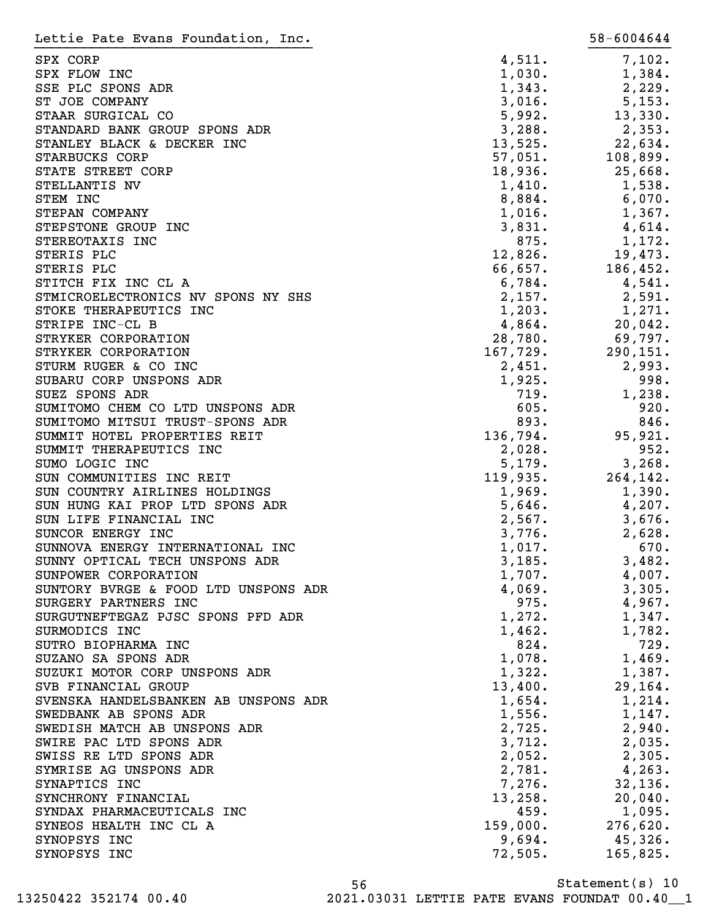| Lettie Pate Evans Foundation, Inc.   |          | 58-6004644 |
|--------------------------------------|----------|------------|
| SPX CORP                             | 4,511.   | 7,102.     |
| SPX FLOW INC                         | 1,030.   | 1,384.     |
| SSE PLC SPONS ADR                    | 1,343.   | 2,229.     |
| ST JOE COMPANY                       | 3,016.   | 5,153.     |
| STAAR SURGICAL CO                    | 5,992.   | 13,330.    |
| STANDARD BANK GROUP SPONS ADR        | 3,288.   | 2,353.     |
| STANLEY BLACK & DECKER INC           | 13,525.  | 22,634.    |
| STARBUCKS CORP                       | 57,051.  | 108,899.   |
| STATE STREET CORP                    | 18,936.  | 25,668.    |
| STELLANTIS NV                        | 1,410.   | 1,538.     |
| STEM INC                             | 8,884.   | 6,070.     |
| STEPAN COMPANY                       | 1,016.   | 1,367.     |
| STEPSTONE GROUP INC                  | 3,831.   | 4,614.     |
| STEREOTAXIS INC                      | 875.     | 1,172.     |
| STERIS PLC                           | 12,826.  | 19,473.    |
| STERIS PLC                           | 66,657.  | 186,452.   |
| STITCH FIX INC CL A                  | 6,784.   | 4,541.     |
| STMICROELECTRONICS NV SPONS NY SHS   | 2,157.   | 2,591.     |
| STOKE THERAPEUTICS INC               | 1,203.   | 1,271.     |
| STRIPE INC-CL B                      | 4,864.   | 20,042.    |
| STRYKER CORPORATION                  | 28,780.  | 69,797.    |
| STRYKER CORPORATION                  | 167,729. | 290, 151.  |
| STURM RUGER & CO INC                 | 2,451.   | 2,993.     |
| SUBARU CORP UNSPONS ADR              | 1,925.   | 998.       |
| SUEZ SPONS ADR                       | 719.     | 1,238.     |
| SUMITOMO CHEM CO LTD UNSPONS ADR     | 605.     | 920.       |
| SUMITOMO MITSUI TRUST-SPONS ADR      | 893.     | 846.       |
| SUMMIT HOTEL PROPERTIES REIT         | 136,794. | 95,921.    |
|                                      |          |            |
| SUMMIT THERAPEUTICS INC              | 2,028.   | 952.       |
| SUMO LOGIC INC                       | 5,179.   | 3,268.     |
| SUN COMMUNITIES INC REIT             | 119,935. | 264,142.   |
| SUN COUNTRY AIRLINES HOLDINGS        | 1,969.   | 1,390.     |
| SUN HUNG KAI PROP LTD SPONS ADR      | 5,646.   | 4,207.     |
| SUN LIFE FINANCIAL INC               | 2,567.   | 3,676.     |
| SUNCOR ENERGY INC                    | 3,776.   | 2,628.     |
| SUNNOVA ENERGY INTERNATIONAL INC     | 1,017.   | 670.       |
| SUNNY OPTICAL TECH UNSPONS ADR       | 3,185.   | 3,482.     |
| SUNPOWER CORPORATION                 | 1,707.   | 4,007.     |
| SUNTORY BVRGE & FOOD LTD UNSPONS ADR | 4,069.   | 3,305.     |
| SURGERY PARTNERS INC                 | 975.     | 4,967.     |
| SURGUTNEFTEGAZ PJSC SPONS PFD ADR    | 1,272.   | 1,347.     |
| SURMODICS INC                        | 1,462.   | 1,782.     |
| SUTRO BIOPHARMA INC                  | 824.     | 729.       |
| SUZANO SA SPONS ADR                  | 1,078.   | 1,469.     |
| SUZUKI MOTOR CORP UNSPONS ADR        | 1,322.   | 1,387.     |
| SVB FINANCIAL GROUP                  | 13,400.  | 29,164.    |
| SVENSKA HANDELSBANKEN AB UNSPONS ADR | 1,654.   | 1,214.     |
| SWEDBANK AB SPONS ADR                | 1,556.   | 1,147.     |
| SWEDISH MATCH AB UNSPONS ADR         | 2,725.   | 2,940.     |
| SWIRE PAC LTD SPONS ADR              | 3,712.   | $2,035$ .  |
| SWISS RE LTD SPONS ADR               | 2,052.   | 2,305.     |
| SYMRISE AG UNSPONS ADR               | 2,781.   | 4,263.     |
| SYNAPTICS INC                        | 7,276.   | 32,136.    |
| SYNCHRONY FINANCIAL                  | 13,258.  | 20,040.    |
| SYNDAX PHARMACEUTICALS INC           | 459.     | 1,095.     |
| SYNEOS HEALTH INC CL A               | 159,000. | 276,620.   |
| SYNOPSYS INC                         | 9,694.   | 45,326.    |
| SYNOPSYS INC                         | 72,505.  | 165,825.   |

Statement(s) 10 56 13250422 352174 00.40 2021.03031 LETTIE PATE EVANS FOUNDAT 00.40\_\_1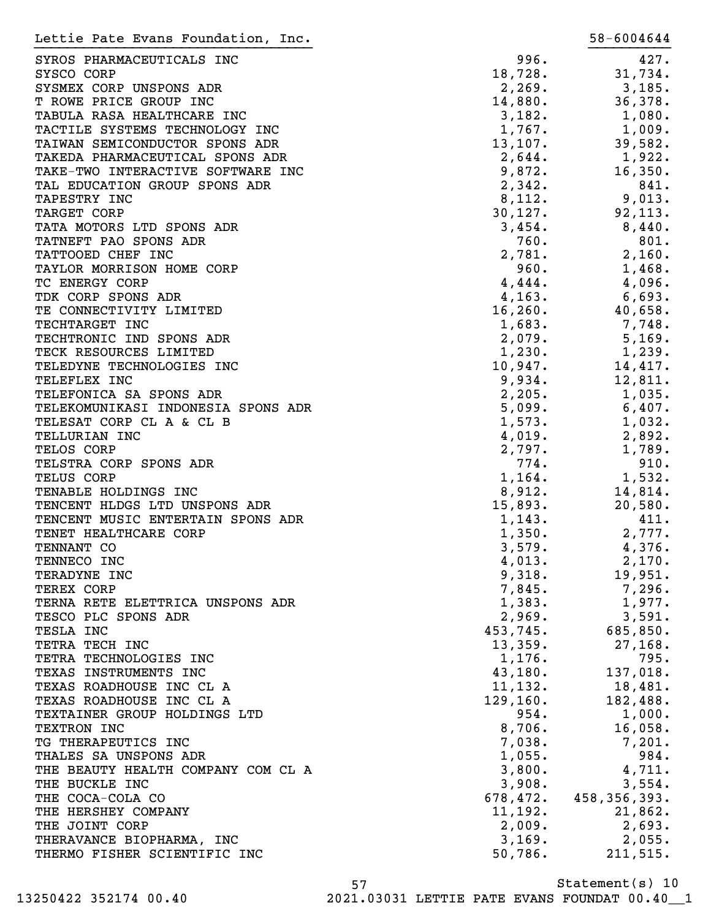| Lettie Pate Evans Foundation, Inc. |           | 58-6004644     |
|------------------------------------|-----------|----------------|
| SYROS PHARMACEUTICALS INC          | 996.      | 427.           |
| SYSCO CORP                         | 18,728.   | 31,734.        |
| SYSMEX CORP UNSPONS ADR            | 2,269.    | 3,185.         |
| T ROWE PRICE GROUP INC             | 14,880.   | 36,378.        |
|                                    |           |                |
| TABULA RASA HEALTHCARE INC         | 3,182.    | 1,080.         |
| TACTILE SYSTEMS TECHNOLOGY INC     | 1,767.    | 1,009.         |
| TAIWAN SEMICONDUCTOR SPONS ADR     | 13, 107.  | 39,582.        |
| TAKEDA PHARMACEUTICAL SPONS ADR    | 2,644.    | 1,922.         |
| TAKE-TWO INTERACTIVE SOFTWARE INC  | 9,872.    | 16,350.        |
| TAL EDUCATION GROUP SPONS ADR      | 2,342.    | 841.           |
| TAPESTRY INC                       | 8,112.    | 9,013.         |
| TARGET CORP                        | 30, 127.  | 92, 113.       |
| TATA MOTORS LTD SPONS ADR          | 3,454.    | 8,440.         |
| TATNEFT PAO SPONS ADR              | 760.      | 801.           |
| TATTOOED CHEF INC                  | 2,781.    | 2,160.         |
| TAYLOR MORRISON HOME CORP          | 960.      | 1,468.         |
| TC ENERGY CORP                     | 4,444.    | 4,096.         |
| TDK CORP SPONS ADR                 | 4, 163.   | 6,693.         |
| TE CONNECTIVITY LIMITED            | 16, 260.  | 40,658.        |
| TECHTARGET INC                     | 1,683.    | 7,748.         |
| TECHTRONIC IND SPONS ADR           | 2,079.    | 5,169.         |
| TECK RESOURCES LIMITED             | 1,230.    | 1,239.         |
|                                    |           |                |
| TELEDYNE TECHNOLOGIES INC          | 10,947.   | 14,417.        |
| TELEFLEX INC                       | 9,934.    | 12,811.        |
| TELEFONICA SA SPONS ADR            | 2,205.    | 1,035.         |
| TELEKOMUNIKASI INDONESIA SPONS ADR | 5,099.    | 6,407.         |
| TELESAT CORP CL A & CL B           | 1,573.    | 1,032.         |
| TELLURIAN INC                      | 4,019.    | 2,892.         |
| TELOS CORP                         | 2,797.    | 1,789.         |
| TELSTRA CORP SPONS ADR             | 774.      | 910.           |
| TELUS CORP                         | 1,164.    | 1,532.         |
| TENABLE HOLDINGS INC               | 8,912.    | 14,814.        |
| TENCENT HLDGS LTD UNSPONS ADR      | 15,893.   | 20,580.        |
| TENCENT MUSIC ENTERTAIN SPONS ADR  | 1,143.    | 411.           |
| TENET HEALTHCARE CORP              | 1,350.    | 2,777.         |
| TENNANT CO                         | 3,579.    | 4,376.         |
| TENNECO INC                        | 4,013.    | 2,170.         |
| TERADYNE INC                       | 9,318.    | 19,951.        |
| TEREX CORP                         | 7,845.    | 7,296.         |
| TERNA RETE ELETTRICA UNSPONS ADR   | 1,383.    | 1,977.         |
| TESCO PLC SPONS ADR                | 2,969.    |                |
|                                    |           | 3,591.         |
| TESLA INC                          | 453,745.  | 685,850.       |
| TETRA TECH INC                     | 13,359.   | 27,168.        |
| TETRA TECHNOLOGIES INC             | 1,176.    | 795.           |
| TEXAS INSTRUMENTS INC              | 43,180.   | 137,018.       |
| TEXAS ROADHOUSE INC CL A           | 11, 132.  | 18,481.        |
| TEXAS ROADHOUSE INC CL A           | 129, 160. | 182,488.       |
| TEXTAINER GROUP HOLDINGS LTD       | 954.      | 1,000.         |
| TEXTRON INC                        | 8,706.    | 16,058.        |
| TG THERAPEUTICS INC                | 7,038.    | 7,201.         |
| THALES SA UNSPONS ADR              | 1,055.    | 984.           |
| THE BEAUTY HEALTH COMPANY COM CL A | 3,800.    | 4,711.         |
| THE BUCKLE INC                     | 3,908.    | 3,554.         |
| THE COCA-COLA CO                   | 678,472.  | 458, 356, 393. |
| THE HERSHEY COMPANY                | 11,192.   | 21,862.        |
| THE JOINT CORP                     | 2,009.    | 2,693.         |
|                                    | 3,169.    |                |
| THERAVANCE BIOPHARMA, INC          |           | 2,055.         |
| THERMO FISHER SCIENTIFIC INC       | 50,786.   | 211,515.       |

Statement(s) 10 57

13250422 352174 00.40 2021.03031 LETTIE PATE EVANS FOUNDAT 00.40\_\_1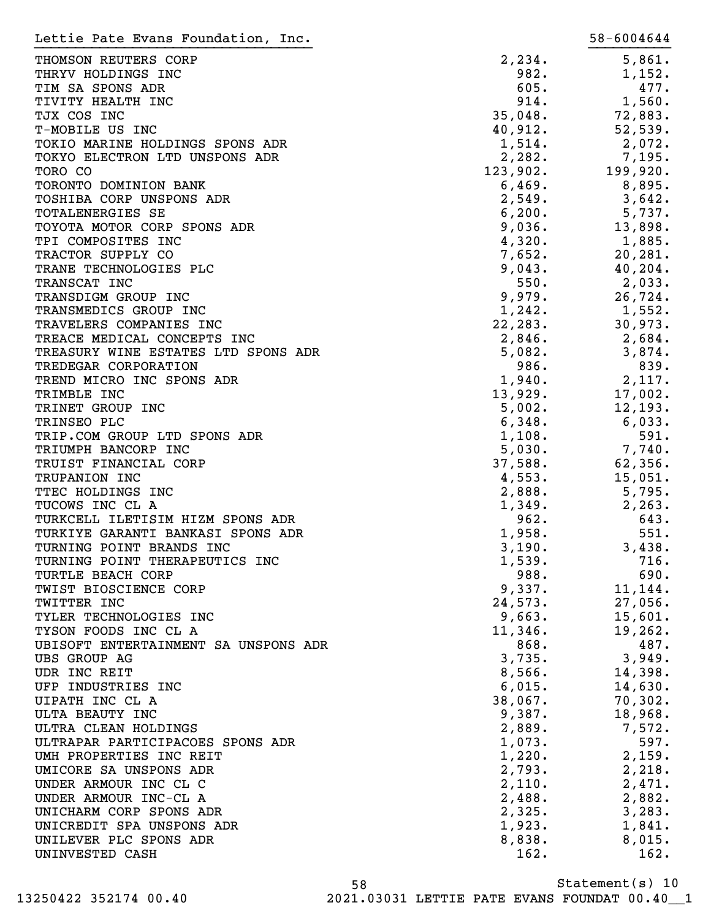| Lettie Pate Evans Foundation, Inc.             |                  | 58-6004644     |
|------------------------------------------------|------------------|----------------|
| THOMSON REUTERS CORP                           | 2,234.           | 5,861.         |
| THRYV HOLDINGS INC                             | 982.             | 1,152.         |
| TIM SA SPONS ADR                               | 605.             | 477.           |
| TIVITY HEALTH INC                              | 914.             | 1,560.         |
| TJX COS INC                                    | 35,048.          | 72,883.        |
| T-MOBILE US INC                                | 40,912.          | 52,539.        |
| TOKIO MARINE HOLDINGS SPONS ADR                | 1,514.           | 2,072.         |
| TOKYO ELECTRON LTD UNSPONS ADR                 | 2,282.           | 7,195.         |
| TORO CO                                        | 123,902.         | 199,920.       |
| TORONTO DOMINION BANK                          | 6,469.           | 8,895.         |
| TOSHIBA CORP UNSPONS ADR                       | 2,549.           | 3,642.         |
| TOTALENERGIES SE                               | 6, 200.          | 5,737.         |
| TOYOTA MOTOR CORP SPONS ADR                    | 9,036.           | 13,898.        |
| TPI COMPOSITES INC                             | 4,320.           | 1,885.         |
| TRACTOR SUPPLY CO                              | 7,652.           | 20,281.        |
| TRANE TECHNOLOGIES PLC                         | 9,043.           | 40,204.        |
| TRANSCAT INC                                   | 550.             | 2,033.         |
| TRANSDIGM GROUP INC                            | 9,979.           | 26,724.        |
| TRANSMEDICS GROUP INC                          | 1,242.           | 1,552.         |
| TRAVELERS COMPANIES INC                        | 22,283.          | 30,973.        |
| TREACE MEDICAL CONCEPTS INC                    | 2,846.           | 2,684.         |
| TREASURY WINE ESTATES LTD SPONS ADR            | 5,082.           | 3,874.         |
| TREDEGAR CORPORATION                           | 986.             | 839.           |
| TREND MICRO INC SPONS ADR                      | 1,940.           | 2,117.         |
| TRIMBLE INC                                    | 13,929.          | 17,002.        |
| TRINET GROUP INC                               | 5,002.           | 12, 193.       |
| TRINSEO PLC                                    | 6,348.           | 6,033.         |
| TRIP.COM GROUP LTD SPONS ADR                   | 1,108.           | 591.           |
| TRIUMPH BANCORP INC                            | 5,030.           | 7,740.         |
| TRUIST FINANCIAL CORP                          | 37,588.          | 62,356.        |
| TRUPANION INC                                  | 4,553.           | 15,051.        |
| TTEC HOLDINGS INC                              | 2,888.           | 5,795.         |
| TUCOWS INC CL A                                | 1,349.           | 2, 263.        |
| TURKCELL ILETISIM HIZM SPONS ADR               | 962.             | 643.           |
| TURKIYE GARANTI BANKASI SPONS ADR              | 1,958.           | 551.           |
| TURNING POINT BRANDS INC                       | 3,190.           | 3,438.         |
| TURNING POINT THERAPEUTICS INC                 | 1,539.           | 716.           |
| TURTLE BEACH CORP                              | 988.             | 690.           |
| TWIST BIOSCIENCE CORP                          | 9,337.           | 11, 144.       |
| TWITTER INC                                    | 24,573.          | 27,056.        |
| TYLER TECHNOLOGIES INC                         | 9,663.           | 15,601.        |
| TYSON FOODS INC CL A                           | 11,346.          | 19,262.        |
| UBISOFT ENTERTAINMENT SA UNSPONS ADR           | 868.             | 487.           |
| UBS GROUP AG                                   | 3,735.           | 3,949.         |
| UDR INC REIT                                   | 8,566.           | 14,398.        |
| UFP INDUSTRIES INC                             | 6,015.           | 14,630.        |
| UIPATH INC CL A                                | 38,067.          | 70,302.        |
| ULTA BEAUTY INC                                | 9,387.           | 18,968.        |
| ULTRA CLEAN HOLDINGS                           |                  | 7,572.         |
| ULTRAPAR PARTICIPACOES SPONS ADR               | 2,889.<br>1,073. | 597.           |
| UMH PROPERTIES INC REIT                        | 1,220.           | 2,159.         |
| UMICORE SA UNSPONS ADR                         |                  |                |
|                                                | 2,793.           | 2,218.         |
| UNDER ARMOUR INC CL C<br>UNDER ARMOUR INC-CL A | 2,110.           | 2,471.         |
| UNICHARM CORP SPONS ADR                        | 2,488.           | 2,882.         |
| UNICREDIT SPA UNSPONS ADR                      | 2,325.<br>1,923. | 3,283.         |
| UNILEVER PLC SPONS ADR                         | 8,838.           | 1,841.         |
|                                                |                  | 8,015.<br>162. |
| UNINVESTED CASH                                | 162.             |                |

Statement(s) 10 58 13250422 352174 00.40 2021.03031 LETTIE PATE EVANS FOUNDAT 00.40\_\_1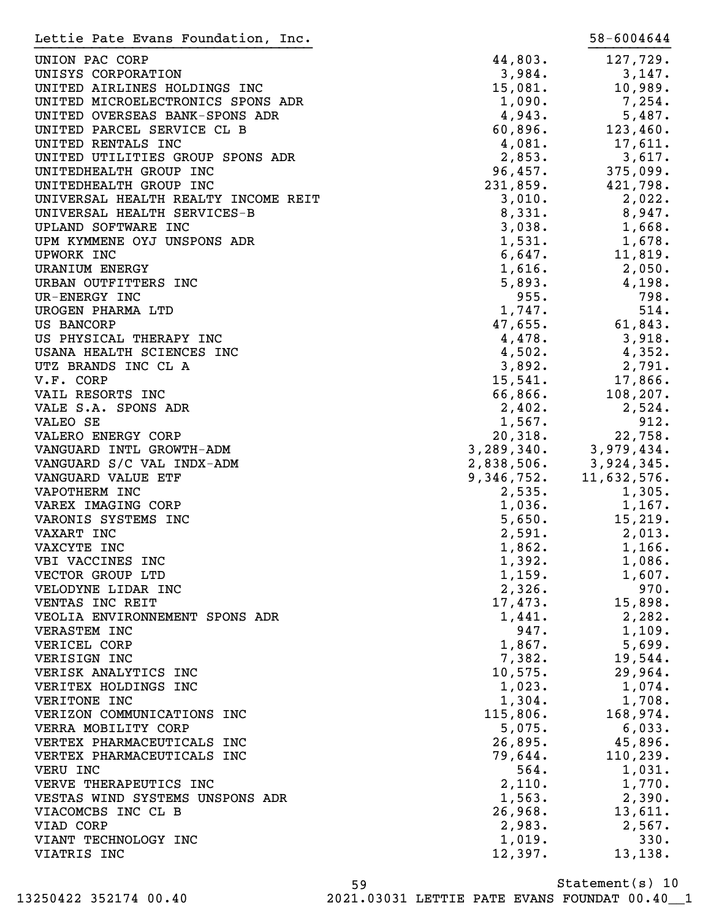| Lettie Pate Evans Foundation, Inc.                |                | 58-6004644                |
|---------------------------------------------------|----------------|---------------------------|
| UNION PAC CORP                                    | 44,803.        | 127,729.                  |
| UNISYS CORPORATION                                | 3,984.         | 3,147.                    |
| UNITED AIRLINES HOLDINGS INC                      | 15,081.        | 10,989.                   |
| UNITED MICROELECTRONICS SPONS ADR                 | 1,090.         | 7,254.                    |
| UNITED OVERSEAS BANK-SPONS ADR                    | 4,943.         | 5,487.                    |
| UNITED PARCEL SERVICE CL B                        | 60,896.        | 123,460.                  |
| UNITED RENTALS INC                                | 4,081.         | 17,611.                   |
| UNITED UTILITIES GROUP SPONS ADR                  | 2,853.         | 3,617.                    |
| UNITEDHEALTH GROUP INC                            | 96,457.        | 375,099.                  |
| UNITEDHEALTH GROUP INC                            | 231,859.       | 421,798.                  |
| UNIVERSAL HEALTH REALTY INCOME REIT               | 3,010.         | 2,022.                    |
| UNIVERSAL HEALTH SERVICES-B                       | 8,331.         | 8,947.                    |
| UPLAND SOFTWARE INC                               | 3,038.         | 1,668.                    |
| UPM KYMMENE OYJ UNSPONS ADR                       | 1,531.         | 1,678.                    |
| UPWORK INC                                        | 6,647.         | 11,819.                   |
| <b>URANIUM ENERGY</b>                             | 1,616.         | 2,050.                    |
| URBAN OUTFITTERS INC                              | 5,893.         | 4,198.                    |
| UR-ENERGY INC                                     | 955.           | 798.                      |
| UROGEN PHARMA LTD                                 | 1,747.         | 514.                      |
| US BANCORP                                        | 47,655.        | 61,843.                   |
| US PHYSICAL THERAPY INC                           | 4,478.         | 3,918.                    |
| USANA HEALTH SCIENCES INC                         | 4,502.         | 4,352.                    |
| UTZ BRANDS INC CL A                               | 3,892.         | 2,791.                    |
|                                                   |                |                           |
| V.F. CORP                                         | 15,541.        | 17,866.                   |
| VAIL RESORTS INC                                  | 66,866.        | 108, 207.                 |
| VALE S.A. SPONS ADR                               | 2,402.         | 2,524.                    |
| VALEO SE                                          | 1,567.         | 912.                      |
| VALERO ENERGY CORP                                | 20,318.        | 22,758.                   |
| VANGUARD INTL GROWTH-ADM                          |                | $3,289,340.$ $3,979,434.$ |
| VANGUARD S/C VAL INDX-ADM                         | 2,838,506.     | 3,924,345.                |
| VANGUARD VALUE ETF                                | 9,346,752.     | 11,632,576.               |
| VAPOTHERM INC<br>VAREX IMAGING CORP               | 2,535.         | 1,305.                    |
|                                                   | 1,036.         | 1,167.                    |
| VARONIS SYSTEMS INC                               | 5,650.         | 15,219.                   |
| VAXART INC                                        | 2,591.         | 2,013.                    |
| VAXCYTE INC                                       | 1,862.         | 1,166.                    |
| VBI VACCINES INC                                  | 1,392.         | 1,086.                    |
| VECTOR GROUP LTD                                  | 1,159.         | 1,607.                    |
| VELODYNE LIDAR INC                                | 2,326.         | 970.                      |
| VENTAS INC REIT<br>VEOLIA ENVIRONNEMENT SPONS ADR | 17,473.        | 15,898.                   |
|                                                   | 1,441.<br>947. | 2,282.                    |
| VERASTEM INC                                      |                | 1,109.                    |
| VERICEL CORP<br>VERISIGN INC                      | 1,867.         | 5,699.<br>19,544.         |
|                                                   | 7,382.         |                           |
| VERISK ANALYTICS INC                              | 10,575.        | 29,964.                   |
| VERITEX HOLDINGS INC                              | 1,023.         | 1,074.                    |
| VERITONE INC                                      | 1,304.         | 1,708.                    |
| VERIZON COMMUNICATIONS INC                        | 115,806.       | 168,974.                  |
| VERRA MOBILITY CORP                               | 5,075.         | 6,033.                    |
| VERTEX PHARMACEUTICALS INC                        | 26,895.        | 45,896.                   |
| VERTEX PHARMACEUTICALS INC                        | 79,644.        | 110, 239.                 |
| VERU INC                                          | 564.           | 1,031.                    |
| VERVE THERAPEUTICS INC                            | 2,110.         | 1,770.                    |
| VESTAS WIND SYSTEMS UNSPONS ADR                   | 1,563.         | 2,390.                    |
| VIACOMCBS INC CL B                                | 26,968.        | 13,611.                   |
| VIAD CORP                                         | 2,983.         | 2,567.                    |
| VIANT TECHNOLOGY INC                              | 1,019.         | 330.                      |
| VIATRIS INC                                       | 12,397.        | 13,138.                   |

Statement(s) 10 59 13250422 352174 00.40 2021.03031 LETTIE PATE EVANS FOUNDAT 00.40\_\_1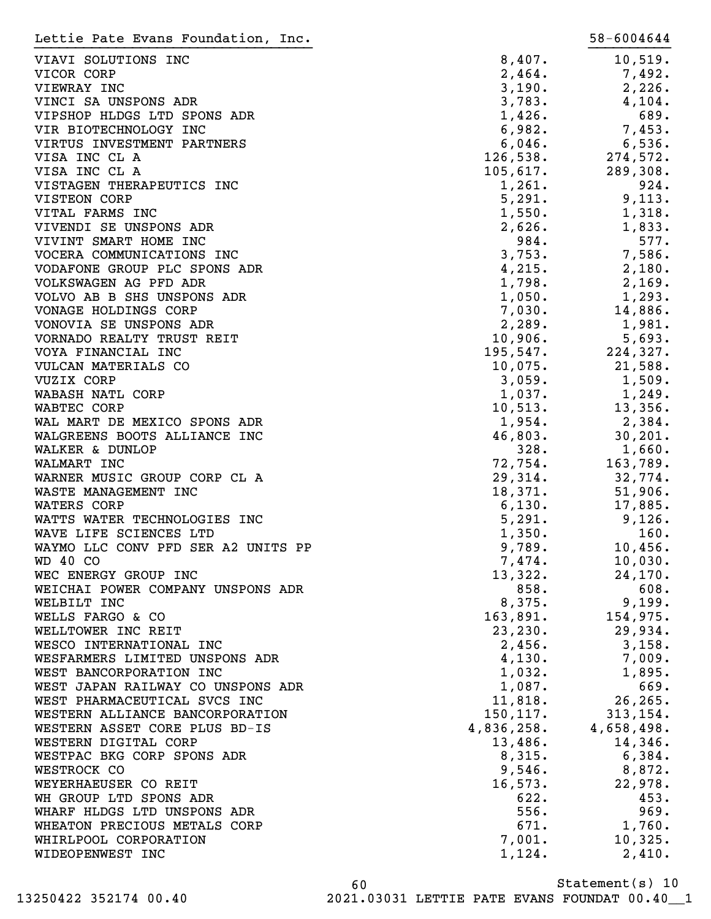| Lettie Pate Evans Foundation, Inc. |            | 58-6004644        |
|------------------------------------|------------|-------------------|
| VIAVI SOLUTIONS INC                | 8,407.     | 10,519.           |
| VICOR CORP                         | 2,464.     | 7,492.            |
| VIEWRAY INC                        | 3,190.     | 2,226.            |
| VINCI SA UNSPONS ADR               | 3,783.     | 4,104.            |
| VIPSHOP HLDGS LTD SPONS ADR        | 1,426.     | 689.              |
| VIR BIOTECHNOLOGY INC              | 6,982.     | 7,453.            |
| VIRTUS INVESTMENT PARTNERS         | 6,046.     | 6,536.            |
| VISA INC CL A                      | 126,538.   |                   |
|                                    |            | 274,572.          |
| VISA INC CL A                      | 105,617.   | 289,308.          |
| VISTAGEN THERAPEUTICS INC          | 1,261.     | 924.              |
| <b>VISTEON CORP</b>                | 5,291.     | 9,113.            |
| VITAL FARMS INC                    | 1,550.     | 1,318.            |
| VIVENDI SE UNSPONS ADR             | 2,626.     | 1,833.            |
| VIVINT SMART HOME INC              | 984.       | 577.              |
| VOCERA COMMUNICATIONS INC          | 3,753.     | 7,586.            |
| VODAFONE GROUP PLC SPONS ADR       | 4,215.     | 2,180.            |
| VOLKSWAGEN AG PFD ADR              | 1,798.     | 2,169.            |
| VOLVO AB B SHS UNSPONS ADR         | 1,050.     | 1,293.            |
| VONAGE HOLDINGS CORP               | 7,030.     | 14,886.           |
| VONOVIA SE UNSPONS ADR             | 2,289.     | 1,981.            |
| VORNADO REALTY TRUST REIT          | 10,906.    | 5,693.            |
| VOYA FINANCIAL INC                 | 195,547.   | 224,327.          |
| VULCAN MATERIALS CO                | 10,075.    | 21,588.           |
| <b>VUZIX CORP</b>                  | 3,059.     | 1,509.            |
| WABASH NATL CORP                   | 1,037.     | 1,249.            |
| WABTEC CORP                        | 10,513.    | 13,356.           |
| WAL MART DE MEXICO SPONS ADR       | 1,954.     | 2,384.            |
| WALGREENS BOOTS ALLIANCE INC       | 46,803.    | 30, 201.          |
| WALKER & DUNLOP                    | 328.       | 1,660.            |
| WALMART INC                        | 72,754.    | 163,789.          |
| WARNER MUSIC GROUP CORP CL A       | 29,314.    | 32,774.           |
| WASTE MANAGEMENT INC               | 18,371.    | 51,906.           |
| WATERS CORP                        | 6,130.     | 17,885.           |
| WATTS WATER TECHNOLOGIES INC       | 5,291.     | 9,126.            |
| WAVE LIFE SCIENCES LTD             | 1,350.     | 160.              |
| WAYMO LLC CONV PFD SER A2 UNITS PP | 9,789.     | 10,456.           |
| <b>WD 40 CO</b>                    | 7,474.     | 10,030.           |
| WEC ENERGY GROUP INC               | 13,322.    | 24, 170.          |
| WEICHAI POWER COMPANY UNSPONS ADR  | 858.       | 608.              |
| WELBILT INC                        | 8,375.     | 9,199.            |
| WELLS FARGO & CO                   | 163,891.   | 154,975.          |
| WELLTOWER INC REIT                 | 23, 230.   | 29,934.           |
| WESCO INTERNATIONAL INC            | 2,456.     | 3,158.            |
| WESFARMERS LIMITED UNSPONS ADR     | 4,130.     | 7,009.            |
| WEST BANCORPORATION INC            | 1,032.     | 1,895.            |
| WEST JAPAN RAILWAY CO UNSPONS ADR  | 1,087.     | 669.              |
| WEST PHARMACEUTICAL SVCS INC       | 11,818.    | 26, 265.          |
| WESTERN ALLIANCE BANCORPORATION    | 150, 117.  | 313, 154.         |
| WESTERN ASSET CORE PLUS BD-IS      | 4,836,258. | 4,658,498.        |
| WESTERN DIGITAL CORP               | 13,486.    | 14,346.           |
| WESTPAC BKG CORP SPONS ADR         | 8,315.     | 6,384.            |
| WESTROCK CO                        | 9,546.     | 8,872.            |
| WEYERHAEUSER CO REIT               | 16,573.    | 22,978.           |
| WH GROUP LTD SPONS ADR             | 622.       | 453.              |
| WHARF HLDGS LTD UNSPONS ADR        | 556.       | 969.              |
| WHEATON PRECIOUS METALS CORP       | 671.       |                   |
| WHIRLPOOL CORPORATION              | 7,001.     | 1,760.<br>10,325. |
|                                    |            |                   |
| WIDEOPENWEST INC                   | 1,124.     | 2,410.            |

Statement(s) 10 60 13250422 352174 00.40 2021.03031 LETTIE PATE EVANS FOUNDAT 00.40\_\_1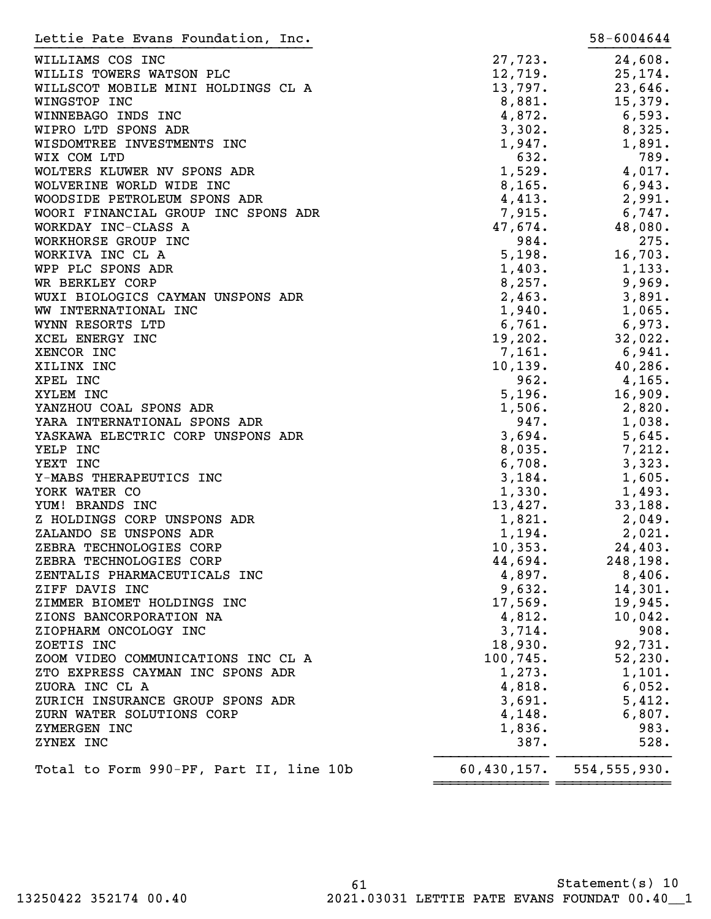| Lettie Pate Evans Foundation, Inc.      |               | 58-6004644     |
|-----------------------------------------|---------------|----------------|
| WILLIAMS COS INC                        | 27,723.       | 24,608.        |
| WILLIS TOWERS WATSON PLC                | 12,719.       | 25,174.        |
| WILLSCOT MOBILE MINI HOLDINGS CL A      | 13,797.       | 23,646.        |
| WINGSTOP INC                            | 8,881.        | 15,379.        |
| WINNEBAGO INDS INC                      | 4,872.        | 6,593.         |
| WIPRO LTD SPONS ADR                     | 3,302.        | 8,325.         |
| WISDOMTREE INVESTMENTS INC              | 1,947.        | 1,891.         |
| WIX COM LTD                             | 632.          | 789.           |
| WOLTERS KLUWER NV SPONS ADR             | 1,529.        | 4,017.         |
| WOLVERINE WORLD WIDE INC                | 8,165.        | 6,943.         |
| WOODSIDE PETROLEUM SPONS ADR            | 4,413.        | 2,991.         |
| WOORI FINANCIAL GROUP INC SPONS ADR     | 7,915.        | 6,747.         |
| WORKDAY INC-CLASS A                     | 47,674.       | 48,080.        |
| WORKHORSE GROUP INC                     | 984.          | 275.           |
| WORKIVA INC CL A                        | 5,198.        | 16,703.        |
| WPP PLC SPONS ADR                       | 1,403.        | 1,133.         |
| WR BERKLEY CORP                         | 8,257.        | 9,969.         |
| WUXI BIOLOGICS CAYMAN UNSPONS ADR       | 2,463.        | 3,891.         |
| WW INTERNATIONAL INC                    | 1,940.        | 1,065.         |
| WYNN RESORTS LTD                        | 6,761.        | 6,973.         |
| XCEL ENERGY INC                         | 19,202.       | 32,022.        |
| XENCOR INC                              | 7,161.        |                |
|                                         |               | 6,941.         |
| XILINX INC                              | 10, 139.      | 40,286.        |
| XPEL INC                                | 962.          | 4,165.         |
| XYLEM INC                               | 5,196.        | 16,909.        |
| YANZHOU COAL SPONS ADR                  | 1,506.        | 2,820.         |
| YARA INTERNATIONAL SPONS ADR            | 947.          | 1,038.         |
| YASKAWA ELECTRIC CORP UNSPONS ADR       | 3,694.        | 5,645.         |
| YELP INC                                | 8,035.        | 7,212.         |
| YEXT INC                                | 6,708.        | 3,323.         |
| Y-MABS THERAPEUTICS INC                 | 3,184.        | 1,605.         |
| YORK WATER CO                           | 1,330.        | 1,493.         |
| YUM! BRANDS INC                         | 13,427.       | 33,188.        |
| Z HOLDINGS CORP UNSPONS ADR             | 1,821.        | 2,049.         |
| ZALANDO SE UNSPONS ADR                  | 1,194.        | 2,021.         |
| ZEBRA TECHNOLOGIES CORP                 | 10, 353.      | 24,403.        |
| ZEBRA TECHNOLOGIES CORP                 | 44,694.       | 248,198.       |
| ZENTALIS PHARMACEUTICALS INC            | 4,897.        | 8,406.         |
| ZIFF DAVIS INC                          | 9,632.        | 14,301.        |
| ZIMMER BIOMET HOLDINGS INC              | 17,569.       | 19,945.        |
| ZIONS BANCORPORATION NA                 | 4,812.        | 10,042.        |
| ZIOPHARM ONCOLOGY INC                   | 3,714.        | 908.           |
| ZOETIS INC                              | 18,930.       | 92,731.        |
| ZOOM VIDEO COMMUNICATIONS INC CL A      | 100, 745.     | 52, 230.       |
| ZTO EXPRESS CAYMAN INC SPONS ADR        | 1,273.        | 1,101.         |
| ZUORA INC CL A                          | 4,818.        | 6,052.         |
| ZURICH INSURANCE GROUP SPONS ADR        | 3,691.        | 5,412.         |
| ZURN WATER SOLUTIONS CORP               | 4,148.        | 6,807.         |
| ZYMERGEN INC                            | 1,836.        | 983.           |
| ZYNEX INC                               | 387.          | 528.           |
| Total to Form 990-PF, Part II, line 10b | 60, 430, 157. | 554, 555, 930. |
|                                         |               |                |

61 Statement(s) 10 13250422 352174 00.40 2021.03031 LETTIE PATE EVANS FOUNDAT 00.40\_\_1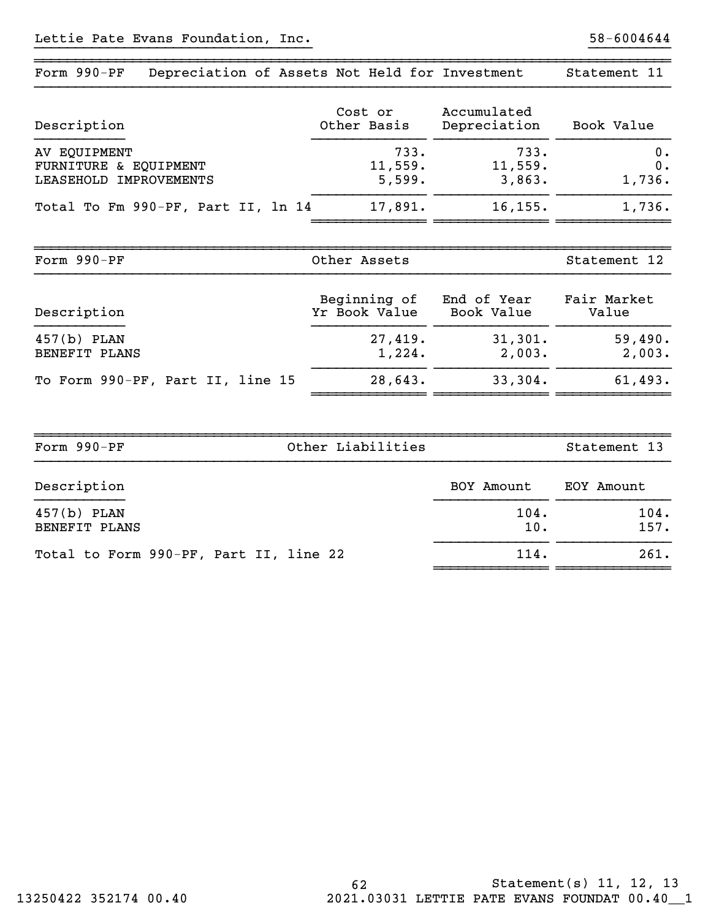| Form 990-PF<br>Depreciation of Assets Not Held for Investment   |                               |                             | Statement 11         |
|-----------------------------------------------------------------|-------------------------------|-----------------------------|----------------------|
| Description                                                     | Cost or<br>Other Basis        | Accumulated<br>Depreciation | Book Value           |
| AV EQUIPMENT<br>FURNITURE & EQUIPMENT<br>LEASEHOLD IMPROVEMENTS | 733.<br>11,559.<br>5,599.     | 733.<br>11,559.<br>3,863.   | 0.<br>0.<br>1,736.   |
| Total To Fm 990-PF, Part II, 1n 14                              | 17,891.                       | 16, 155.                    | 1,736.               |
| Form 990-PF                                                     | Other Assets                  |                             | Statement 12         |
| Description                                                     | Beginning of<br>Yr Book Value | End of Year<br>Book Value   | Fair Market<br>Value |
| 457(b) PLAN<br>BENEFIT PLANS                                    | 27,419.<br>1,224.             | 31,301.<br>2,003.           | 59,490.<br>2,003.    |
| To Form 990-PF, Part II, line 15                                | 28,643.                       | 33,304.                     | 61,493.              |
| Form 990-PF                                                     | Other Liabilities             |                             | Statement 13         |
| Description                                                     |                               | BOY Amount                  | EOY Amount           |
| 457(b) PLAN<br>BENEFIT PLANS                                    |                               | 104.<br>10.                 | 104.<br>157.         |
| Total to Form 990-PF, Part II, line 22                          | 114.                          | 261.                        |                      |

~~~~~~~~~~~~~~ ~~~~~~~~~~~~~~

}}}}}}}}}}}}}}}}}}}}}}}}}}}}}}}}}} }}}}}}}}}}

~~~~~~~~~~~~~~~~~~~~~~~~~~~~~~~~~~~~~~~~~~~~~~~~~~~~~~~~~~~~~~~~~~~~~~~~~~~~~~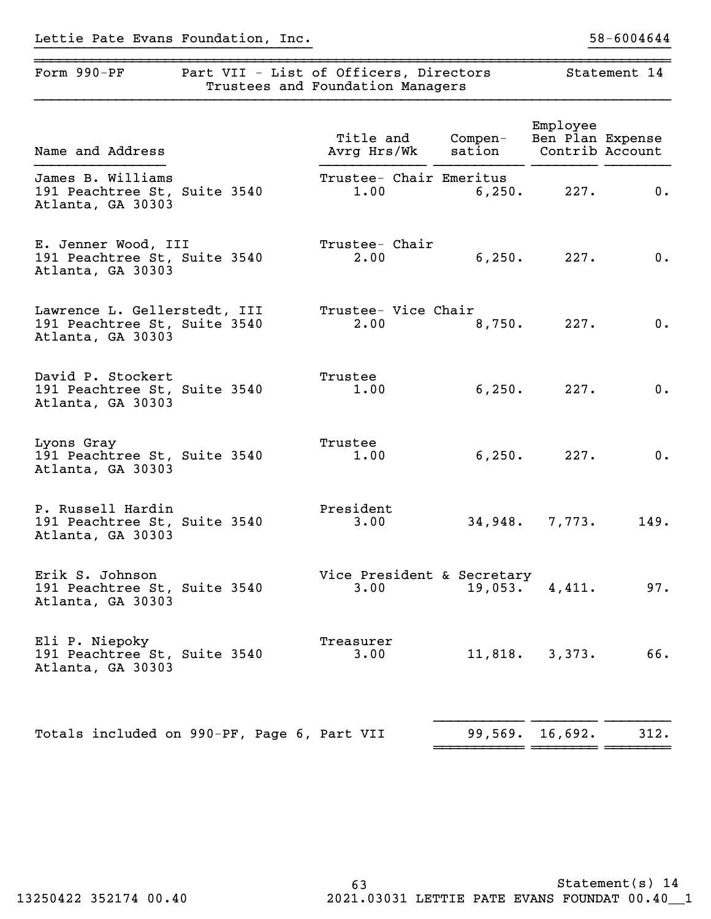# Lettie Pate Evans Foundation, Inc. 58-6004644

| Form 990-PF                                                                       | Part VII - List of Officers, Directors | Trustees and Foundation Managers   | Statement 14        |                                                 |      |
|-----------------------------------------------------------------------------------|----------------------------------------|------------------------------------|---------------------|-------------------------------------------------|------|
| Name and Address                                                                  |                                        | Title and<br>Avrg Hrs/Wk           | $Compen-$<br>sation | Employee<br>Ben Plan Expense<br>Contrib Account |      |
| James B. Williams<br>191 Peachtree St, Suite 3540<br>Atlanta, GA 30303            |                                        | Trustee- Chair Emeritus<br>1.00    | 6,250.              | 227.                                            | 0.   |
| E. Jenner Wood, III<br>191 Peachtree St, Suite 3540<br>Atlanta, GA 30303          |                                        | Trustee- Chair<br>2.00             | 6, 250.             | 227.                                            | 0.   |
| Lawrence L. Gellerstedt, III<br>191 Peachtree St, Suite 3540<br>Atlanta, GA 30303 |                                        | Trustee- Vice Chair<br>2.00        | 8,750.              | 227.                                            | 0.   |
| David P. Stockert<br>191 Peachtree St, Suite 3540<br>Atlanta, GA 30303            |                                        | Trustee<br>1.00                    | 6, 250.             | 227.                                            | 0.   |
| Lyons Gray<br>191 Peachtree St, Suite 3540<br>Atlanta, GA 30303                   |                                        | Trustee<br>1.00                    | 6,250.              | 227.                                            | 0.   |
| P. Russell Hardin<br>191 Peachtree St, Suite 3540<br>Atlanta, GA 30303            |                                        | President<br>3.00                  |                     | $34,948.$ 7,773.                                | 149. |
| Erik S. Johnson<br>191 Peachtree St, Suite 3540<br>Atlanta, GA 30303              |                                        | Vice President & Secretary<br>3.00 | 19,053.             | 4,411.                                          | 97.  |
| Eli P. Niepoky<br>191 Peachtree St, Suite 3540<br>Atlanta, GA 30303               |                                        | Treasurer<br>3.00                  | $11,818$ .          | 3,373.                                          | 66.  |
|                                                                                   |                                        |                                    |                     |                                                 |      |
| Totals included on 990-PF, Page 6, Part VII                                       |                                        |                                    |                     | 99,569. 16,692.                                 | 312. |

}}}}}}}}}}}}}}}}}}}}}}}}}}}}}}}}}} }}}}}}}}}}

~~~~~~~~~~~~~~~~~~~~~~~~~~~~~~~~~~~~~~~~~~~~~~~~~~~~~~~~~~~~~~~~~~~~~~~~~~~~~~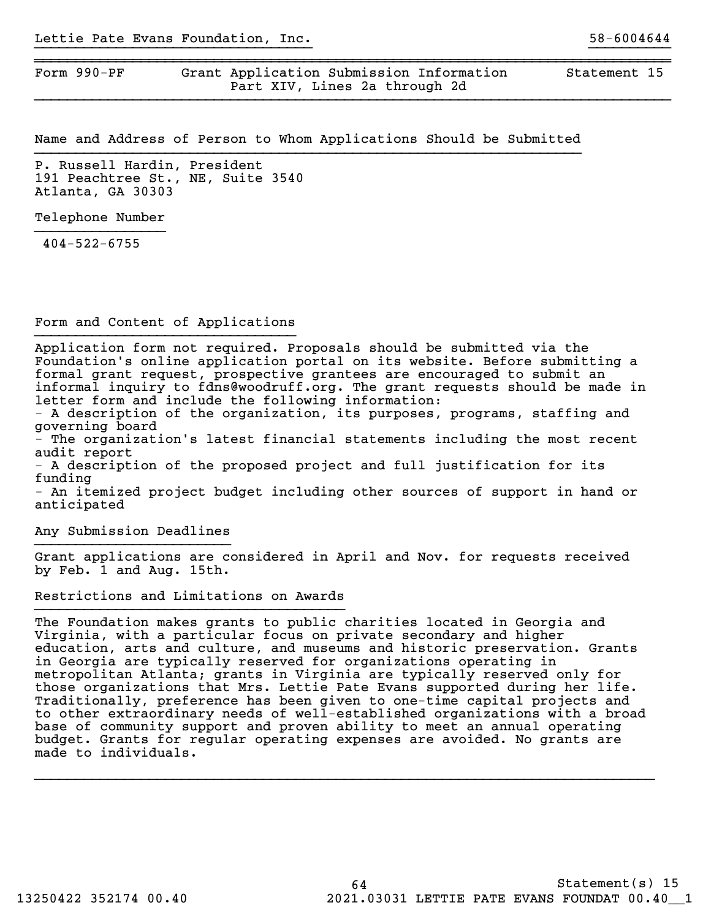Form 990-PF Grant Application Submission Information Statement 15 Part XIV, Lines 2a through 2d

Name and Address of Person to Whom Applications Should be Submitted

}}}}}}}}}}}}}}}}}}}}}}}}}}}}}}}}}} }}}}}}}}}}

~~~~~~~~~~~~~~~~~~~~~~~~~~~~~~~~~~~~~~~~~~~~~~~~~~~~~~~~~~~~~~~~~~~~~~~~~~~~~~

P. Russell Hardin, President 191 Peachtree St., NE, Suite 3540 Atlanta, GA 30303

Telephone Number

404-522-6755

Form and Content of Applications }}}}}}}}}}}}}}}}}}}}}}}}}}}}}}}}

Application form not required. Proposals should be submitted via the Foundation's online application portal on its website. Before submitting a formal grant request, prospective grantees are encouraged to submit an informal inquiry to fdns@woodruff.org. The grant requests should be made in letter form and include the following information:

- A description of the organization, its purposes, programs, staffing and governing board

- The organization's latest financial statements including the most recent audit report

- A description of the proposed project and full justification for its funding

- An itemized project budget including other sources of support in hand or anticipated

Any Submission Deadlines }}}}}}}}}}}}}}}}}}}}}}}}

Grant applications are considered in April and Nov. for requests received by Feb. 1 and Aug. 15th.

Restrictions and Limitations on Awards

The Foundation makes grants to public charities located in Georgia and Virginia, with a particular focus on private secondary and higher education, arts and culture, and museums and historic preservation. Grants in Georgia are typically reserved for organizations operating in metropolitan Atlanta; grants in Virginia are typically reserved only for those organizations that Mrs. Lettie Pate Evans supported during her life. Traditionally, preference has been given to one-time capital projects and to other extraordinary needs of well-established organizations with a broad base of community support and proven ability to meet an annual operating budget. Grants for regular operating expenses are avoided. No grants are made to individuals.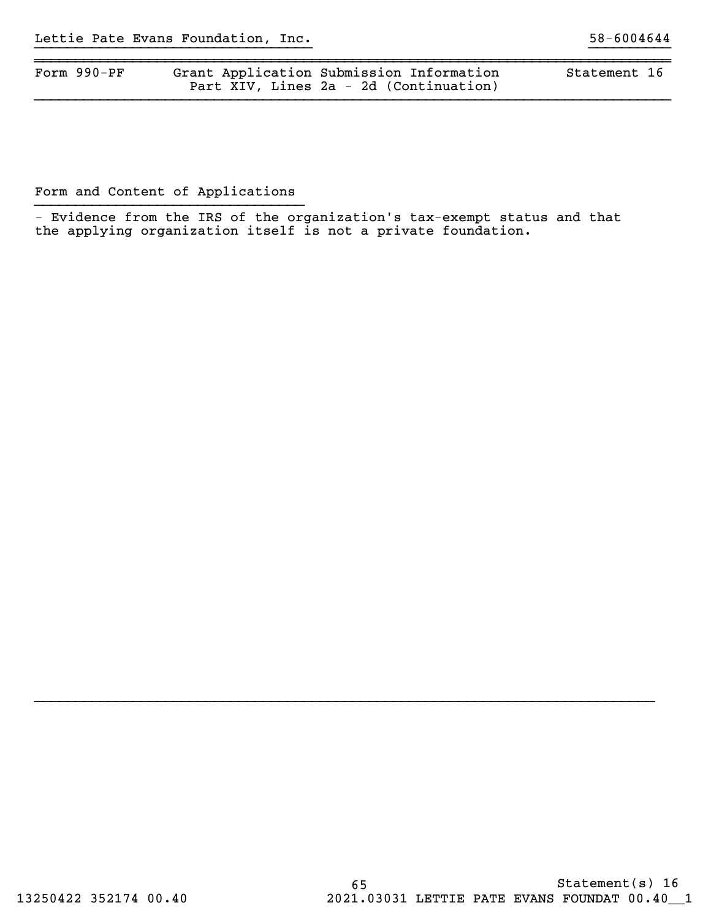| Form $990-PF$ | Grant Application Submission Information | Statement 16 |  |
|---------------|------------------------------------------|--------------|--|
|               | Part XIV, Lines 2a - 2d (Continuation)   |              |  |

Form and Content of Applications

 - Evidence from the IRS of the organization's tax-exempt status and that the applying organization itself is not a private foundation.